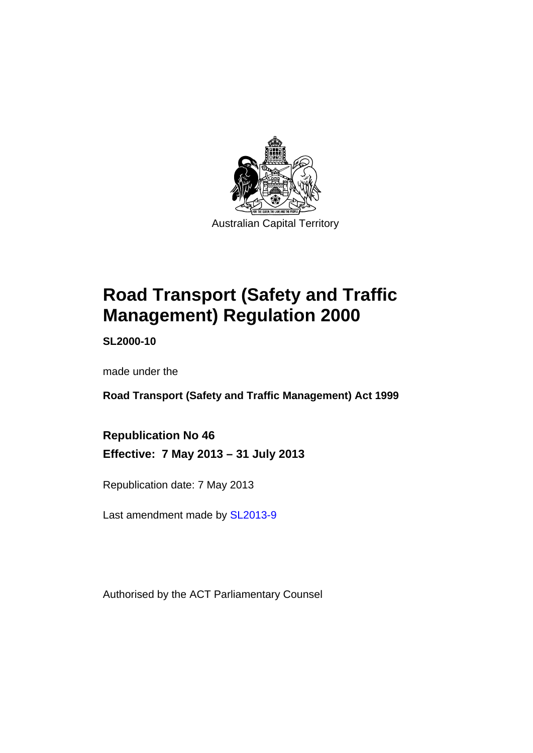

# **Road Transport (Safety and Traffic Management) Regulation 2000**

**SL2000-10** 

made under the

**Road Transport (Safety and Traffic Management) Act 1999** 

**Republication No 46 Effective: 7 May 2013 – 31 July 2013** 

Republication date: 7 May 2013

Last amendment made by [SL2013-9](http://www.legislation.act.gov.au/sl/2013-9)

Authorised by the ACT Parliamentary Counsel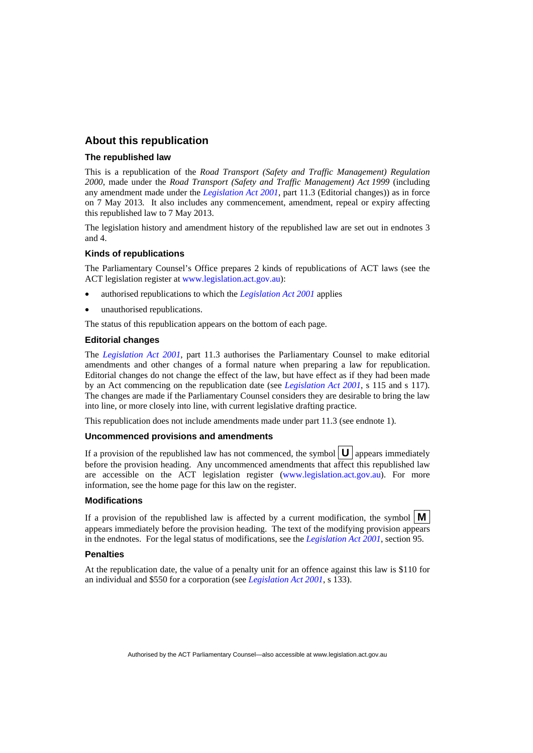#### **About this republication**

#### **The republished law**

This is a republication of the *Road Transport (Safety and Traffic Management) Regulation 2000*, made under the *Road Transport (Safety and Traffic Management) Act 1999* (including any amendment made under the *[Legislation Act 2001](http://www.legislation.act.gov.au/a/2001-14)*, part 11.3 (Editorial changes)) as in force on 7 May 2013*.* It also includes any commencement, amendment, repeal or expiry affecting this republished law to 7 May 2013.

The legislation history and amendment history of the republished law are set out in endnotes 3 and 4.

#### **Kinds of republications**

The Parliamentary Counsel's Office prepares 2 kinds of republications of ACT laws (see the ACT legislation register at [www.legislation.act.gov.au](http://www.legislation.act.gov.au/)):

- authorised republications to which the *[Legislation Act 2001](http://www.legislation.act.gov.au/a/2001-14)* applies
- unauthorised republications.

The status of this republication appears on the bottom of each page.

#### **Editorial changes**

The *[Legislation Act 2001](http://www.legislation.act.gov.au/a/2001-14)*, part 11.3 authorises the Parliamentary Counsel to make editorial amendments and other changes of a formal nature when preparing a law for republication. Editorial changes do not change the effect of the law, but have effect as if they had been made by an Act commencing on the republication date (see *[Legislation Act 2001](http://www.legislation.act.gov.au/a/2001-14)*, s 115 and s 117). The changes are made if the Parliamentary Counsel considers they are desirable to bring the law into line, or more closely into line, with current legislative drafting practice.

This republication does not include amendments made under part 11.3 (see endnote 1).

#### **Uncommenced provisions and amendments**

If a provision of the republished law has not commenced, the symbol  $\mathbf{U}$  appears immediately before the provision heading. Any uncommenced amendments that affect this republished law are accessible on the ACT legislation register [\(www.legislation.act.gov.au](http://www.legislation.act.gov.au/)). For more information, see the home page for this law on the register.

#### **Modifications**

If a provision of the republished law is affected by a current modification, the symbol  $\mathbf{M}$ appears immediately before the provision heading. The text of the modifying provision appears in the endnotes. For the legal status of modifications, see the *[Legislation Act 2001](http://www.legislation.act.gov.au/a/2001-14)*, section 95.

#### **Penalties**

At the republication date, the value of a penalty unit for an offence against this law is \$110 for an individual and \$550 for a corporation (see *[Legislation Act 2001](http://www.legislation.act.gov.au/a/2001-14)*, s 133).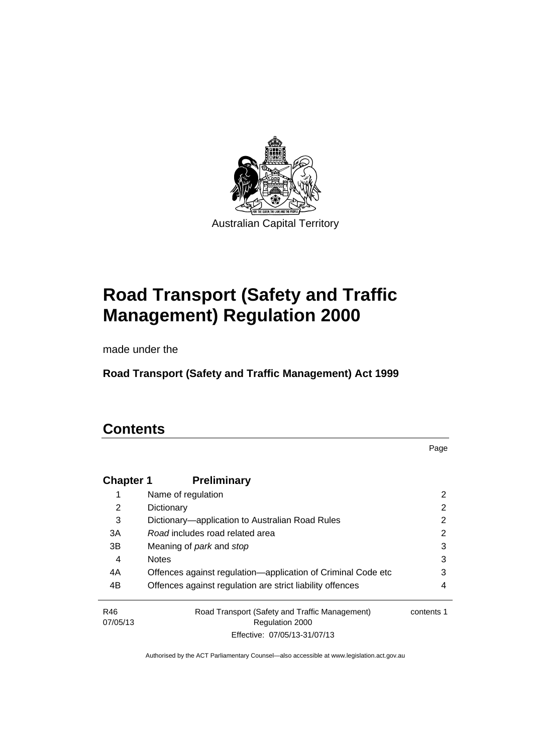

# **Road Transport (Safety and Traffic Management) Regulation 2000**

made under the

**Road Transport (Safety and Traffic Management) Act 1999** 

### **Contents**

Page

| <b>Chapter 1</b> | <b>Preliminary</b>                                           |            |
|------------------|--------------------------------------------------------------|------------|
|                  | Name of regulation                                           | 2          |
| 2                | Dictionary                                                   | 2          |
| 3                | Dictionary—application to Australian Road Rules              | 2          |
| 3A               | Road includes road related area                              | 2          |
| 3B               | Meaning of <i>park</i> and <i>stop</i>                       | 3          |
| 4                | <b>Notes</b>                                                 | 3          |
| 4A               | Offences against regulation—application of Criminal Code etc | 3          |
| 4B               | Offences against regulation are strict liability offences    | 4          |
| R46              | Road Transport (Safety and Traffic Management)               | contents 1 |
| 07/05/13         | <b>Regulation 2000</b>                                       |            |
|                  | Effective: 07/05/13-31/07/13                                 |            |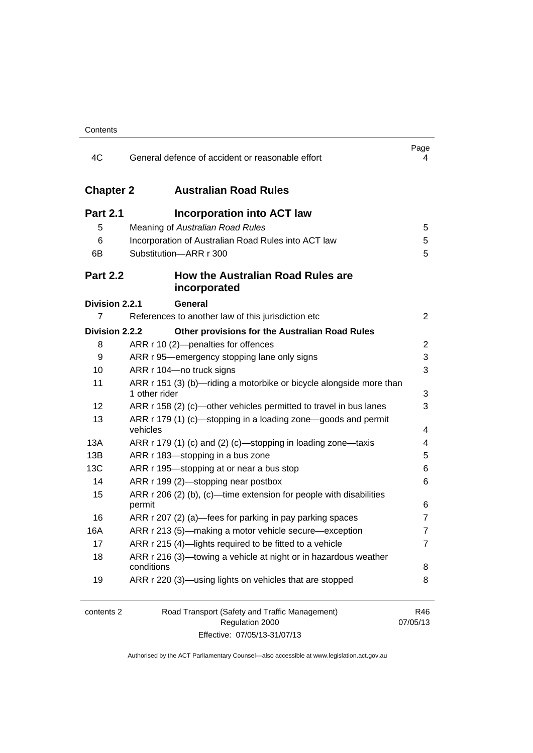| 4C                | General defence of accident or reasonable effort                                     | Page<br>4       |
|-------------------|--------------------------------------------------------------------------------------|-----------------|
| <b>Chapter 2</b>  | <b>Australian Road Rules</b>                                                         |                 |
| <b>Part 2.1</b>   | <b>Incorporation into ACT law</b>                                                    |                 |
| 5                 | Meaning of Australian Road Rules                                                     | 5               |
| 6                 | Incorporation of Australian Road Rules into ACT law                                  | 5               |
| 6B                | Substitution-ARR r 300                                                               | 5               |
| <b>Part 2.2</b>   | <b>How the Australian Road Rules are</b><br>incorporated                             |                 |
| Division 2.2.1    | General                                                                              |                 |
| 7                 | References to another law of this jurisdiction etc                                   | 2               |
| Division 2.2.2    | Other provisions for the Australian Road Rules                                       |                 |
| 8                 | ARR r 10 (2)-penalties for offences                                                  | 2               |
| 9                 | ARR r 95—emergency stopping lane only signs                                          | 3               |
| 10                | ARR r 104-no truck signs                                                             | 3               |
| 11                | ARR r 151 (3) (b)-riding a motorbike or bicycle alongside more than<br>1 other rider | 3               |
| $12 \overline{ }$ | ARR r 158 (2) (c)—other vehicles permitted to travel in bus lanes                    | 3               |
| 13                | ARR r 179 (1) (c)—stopping in a loading zone—goods and permit<br>vehicles            | 4               |
| 13A               | ARR r 179 (1) (c) and (2) (c)-stopping in loading zone-taxis                         | 4               |
| 13B               | ARR r 183-stopping in a bus zone                                                     | 5               |
| 13C               | ARR r 195-stopping at or near a bus stop                                             | 6               |
| 14                | ARR r 199 (2)-stopping near postbox                                                  | 6               |
| 15                | ARR $r$ 206 (2) (b), (c)—time extension for people with disabilities<br>permit       | 6               |
| 16                | ARR r 207 (2) (a)-fees for parking in pay parking spaces                             | $\overline{7}$  |
| 16A               | ARR r 213 (5)-making a motor vehicle secure-exception                                | $\overline{7}$  |
| 17                | ARR r 215 (4)-lights required to be fitted to a vehicle                              | 7               |
| 18                | ARR r 216 (3)—towing a vehicle at night or in hazardous weather<br>conditions        | 8               |
| 19                | ARR r 220 (3)—using lights on vehicles that are stopped                              | 8               |
| contents 2        | Road Transport (Safety and Traffic Management)<br>Regulation 2000                    | R46<br>07/05/13 |
|                   | 107140.01107140                                                                      |                 |

Effective: 07/05/13-31/07/13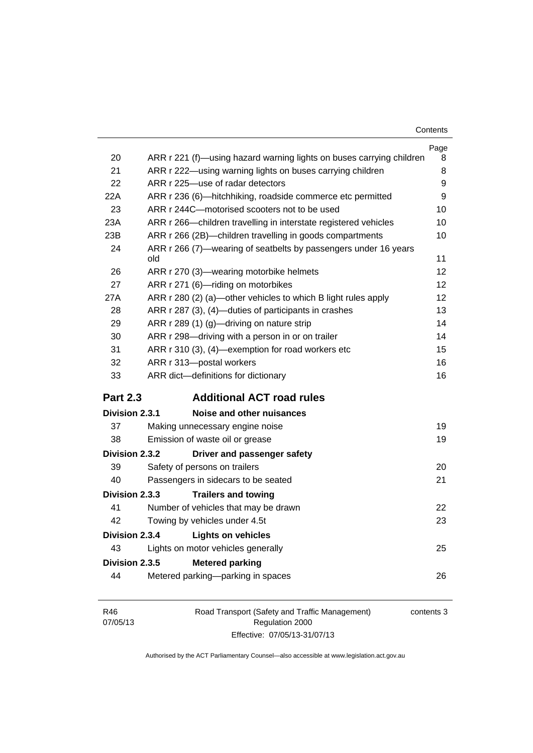| Contents |
|----------|
|----------|

|                                          |                                                                        | Page |
|------------------------------------------|------------------------------------------------------------------------|------|
| 20                                       | ARR r 221 (f)—using hazard warning lights on buses carrying children   | 8    |
| 21                                       | ARR r 222—using warning lights on buses carrying children              | 8    |
| 22                                       | ARR r 225-use of radar detectors                                       | 9    |
| 22A                                      | ARR r 236 (6)-hitchhiking, roadside commerce etc permitted             | 9    |
| 23                                       | ARR r 244C-motorised scooters not to be used                           | 10   |
| 23A                                      | ARR r 266—children travelling in interstate registered vehicles        | 10   |
| 23B                                      | ARR r 266 (2B)-children travelling in goods compartments               | 10   |
| 24                                       | ARR r 266 (7)—wearing of seatbelts by passengers under 16 years<br>old | 11   |
| 26                                       | ARR r 270 (3)—wearing motorbike helmets                                | 12   |
| 27                                       | ARR r 271 (6)-riding on motorbikes                                     | 12   |
| 27A                                      | ARR r 280 (2) (a)—other vehicles to which B light rules apply          | 12   |
| 28                                       | ARR r 287 (3), (4)-duties of participants in crashes                   | 13   |
| 29                                       | ARR r 289 (1) (g)-driving on nature strip                              | 14   |
| 30                                       | ARR r 298-driving with a person in or on trailer                       | 14   |
| 31                                       | ARR r 310 (3), (4)-exemption for road workers etc                      | 15   |
| 32                                       | ARR r 313-postal workers                                               | 16   |
| 33                                       | ARR dict-definitions for dictionary                                    | 16   |
| <b>Part 2.3</b>                          | <b>Additional ACT road rules</b>                                       |      |
| <b>Division 2.3.1</b>                    | Noise and other nuisances                                              |      |
| 37                                       | Making unnecessary engine noise                                        | 19   |
| 38                                       | Emission of waste oil or grease                                        | 19   |
| Division 2.3.2                           | Driver and passenger safety                                            |      |
| 39                                       | Safety of persons on trailers                                          | 20   |
| 40                                       | Passengers in sidecars to be seated                                    | 21   |
| <b>Division 2.3.3</b>                    | <b>Trailers and towing</b>                                             |      |
| 41                                       | Number of vehicles that may be drawn                                   | 22   |
| 42                                       | Towing by vehicles under 4.5t                                          | 23   |
| Division 2.3.4                           | <b>Lights on vehicles</b>                                              |      |
| 43                                       | Lights on motor vehicles generally                                     | 25   |
| Division 2.3.5<br><b>Metered parking</b> |                                                                        |      |
| 44                                       | Metered parking-parking in spaces                                      | 26   |
|                                          |                                                                        |      |
|                                          |                                                                        |      |

| R46      | Road Transport (Safety and Traffic Management) | contents 3 |
|----------|------------------------------------------------|------------|
| 07/05/13 | Regulation 2000                                |            |
|          | Effective: 07/05/13-31/07/13                   |            |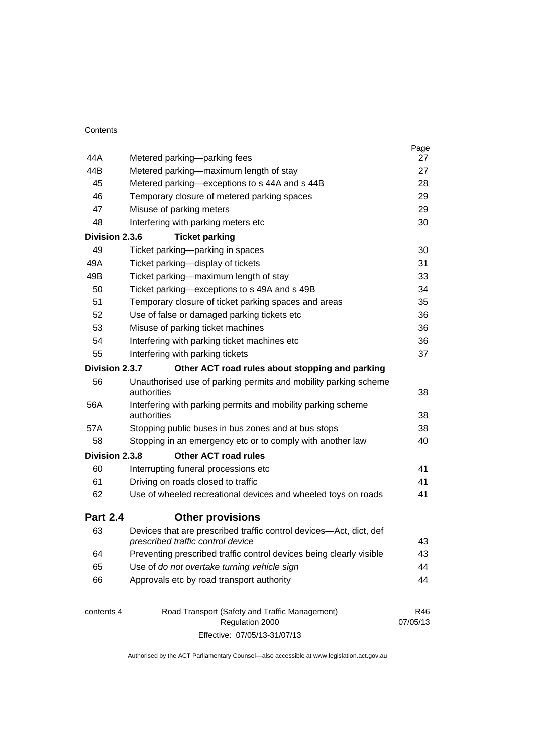| 44A             | Metered parking-parking fees                                                                            | Page<br>27 |
|-----------------|---------------------------------------------------------------------------------------------------------|------------|
| 44B             | Metered parking-maximum length of stay                                                                  | 27         |
| 45              | Metered parking-exceptions to s 44A and s 44B                                                           | 28         |
| 46              | Temporary closure of metered parking spaces                                                             | 29         |
| 47              | Misuse of parking meters                                                                                | 29         |
| 48              | Interfering with parking meters etc                                                                     | 30         |
| Division 2.3.6  | <b>Ticket parking</b>                                                                                   |            |
| 49              | Ticket parking-parking in spaces                                                                        | 30         |
| 49A             | Ticket parking-display of tickets                                                                       | 31         |
| 49B             | Ticket parking—maximum length of stay                                                                   | 33         |
| 50              | Ticket parking-exceptions to s 49A and s 49B                                                            | 34         |
| 51              | Temporary closure of ticket parking spaces and areas                                                    | 35         |
| 52              | Use of false or damaged parking tickets etc                                                             | 36         |
| 53              | Misuse of parking ticket machines                                                                       | 36         |
| 54              | Interfering with parking ticket machines etc                                                            | 36         |
| 55              | Interfering with parking tickets                                                                        | 37         |
| Division 2.3.7  | Other ACT road rules about stopping and parking                                                         |            |
| 56              | Unauthorised use of parking permits and mobility parking scheme<br>authorities                          | 38         |
| 56A             | Interfering with parking permits and mobility parking scheme<br>authorities                             | 38         |
| 57A             | Stopping public buses in bus zones and at bus stops                                                     | 38         |
| 58              | Stopping in an emergency etc or to comply with another law                                              | 40         |
| Division 2.3.8  | <b>Other ACT road rules</b>                                                                             |            |
| 60              | Interrupting funeral processions etc                                                                    | 41         |
| 61              | Driving on roads closed to traffic                                                                      | 41         |
| 62              | Use of wheeled recreational devices and wheeled toys on roads                                           | 41         |
| <b>Part 2.4</b> | <b>Other provisions</b>                                                                                 |            |
| 63              | Devices that are prescribed traffic control devices-Act, dict, def<br>prescribed traffic control device | 43         |
| 64              | Preventing prescribed traffic control devices being clearly visible                                     | 43         |
| 65              | Use of do not overtake turning vehicle sign                                                             | 44         |
| 66              | Approvals etc by road transport authority                                                               | 44         |
| contents 4      | Road Transport (Safety and Traffic Management)                                                          | R46        |

Regulation 2000 Effective: 07/05/13-31/07/13 07/05/13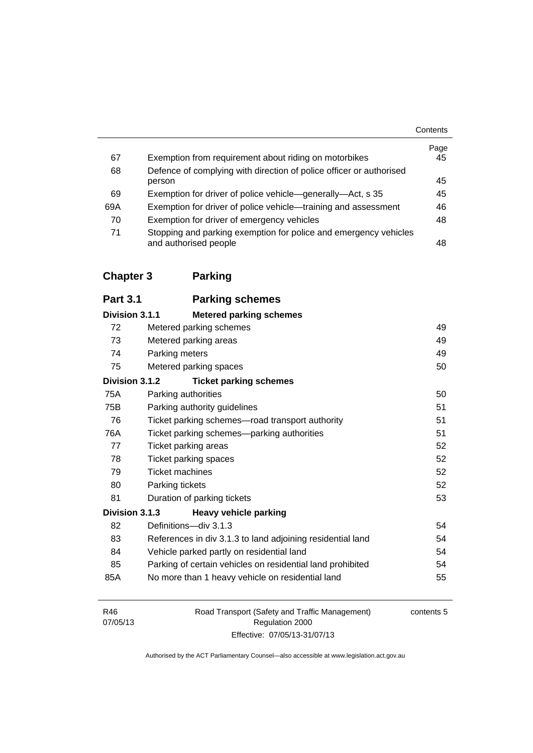|     |                                                                                           | Contents   |
|-----|-------------------------------------------------------------------------------------------|------------|
| 67  | Exemption from requirement about riding on motorbikes                                     | Page<br>45 |
| 68  | Defence of complying with direction of police officer or authorised                       |            |
|     | person                                                                                    | 45         |
| 69  | Exemption for driver of police vehicle—generally—Act, s 35                                | 45         |
| 69A | Exemption for driver of police vehicle—training and assessment                            | 46         |
| 70  | Exemption for driver of emergency vehicles                                                | 48         |
| 71  | Stopping and parking exemption for police and emergency vehicles<br>and authorised people | 48         |

### **[Chapter 3](#page-67-0) Parking**

| <b>Part 3.1</b> | <b>Parking schemes</b>                                     |    |
|-----------------|------------------------------------------------------------|----|
| Division 3.1.1  | <b>Metered parking schemes</b>                             |    |
| 72              | Metered parking schemes                                    | 49 |
| 73              | Metered parking areas                                      | 49 |
| 74              | Parking meters                                             | 49 |
| 75              | Metered parking spaces                                     | 50 |
| Division 3.1.2  | <b>Ticket parking schemes</b>                              |    |
| 75A             | Parking authorities                                        | 50 |
| 75B             | Parking authority guidelines                               | 51 |
| 76              | Ticket parking schemes-road transport authority            | 51 |
| 76A             | Ticket parking schemes-parking authorities                 | 51 |
| 77              | Ticket parking areas                                       | 52 |
| 78              | Ticket parking spaces                                      | 52 |
| 79              | <b>Ticket machines</b>                                     | 52 |
| 80              | Parking tickets                                            | 52 |
| 81              | Duration of parking tickets                                | 53 |
| Division 3.1.3  | <b>Heavy vehicle parking</b>                               |    |
| 82              | Definitions-div 3.1.3                                      | 54 |
| 83              | References in div 3.1.3 to land adjoining residential land | 54 |
| 84              | Vehicle parked partly on residential land                  | 54 |
| 85              | Parking of certain vehicles on residential land prohibited | 54 |
| 85A             | No more than 1 heavy vehicle on residential land           | 55 |
|                 |                                                            |    |
|                 |                                                            |    |

| R46      |  |
|----------|--|
| 07/05/13 |  |

Road Transport (Safety and Traffic Management) Regulation 2000 Effective: 07/05/13-31/07/13

contents 5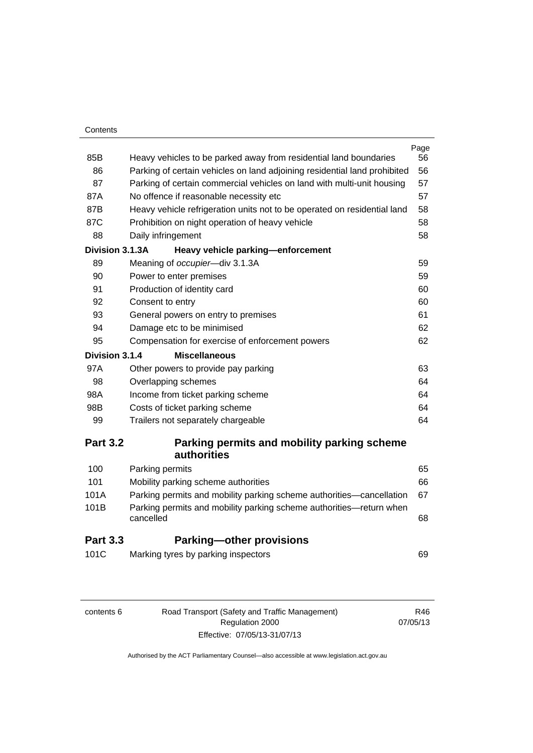#### **Contents**

|                 |                                                                                  | Page |
|-----------------|----------------------------------------------------------------------------------|------|
| 85B             | Heavy vehicles to be parked away from residential land boundaries                | 56   |
| 86              | Parking of certain vehicles on land adjoining residential land prohibited        | 56   |
| 87              | Parking of certain commercial vehicles on land with multi-unit housing           | 57   |
| 87A             | No offence if reasonable necessity etc                                           | 57   |
| 87B             | Heavy vehicle refrigeration units not to be operated on residential land         | 58   |
| 87C             | Prohibition on night operation of heavy vehicle                                  | 58   |
| 88              | Daily infringement                                                               | 58   |
| Division 3.1.3A | Heavy vehicle parking-enforcement                                                |      |
| 89              | Meaning of occupier-div 3.1.3A                                                   | 59   |
| 90              | Power to enter premises                                                          | 59   |
| 91              | Production of identity card                                                      | 60   |
| 92              | Consent to entry                                                                 | 60   |
| 93              | General powers on entry to premises                                              | 61   |
| 94              | Damage etc to be minimised                                                       | 62   |
| 95              | Compensation for exercise of enforcement powers                                  | 62   |
| Division 3.1.4  | <b>Miscellaneous</b>                                                             |      |
| 97A             | Other powers to provide pay parking                                              | 63   |
| 98              | Overlapping schemes                                                              | 64   |
| 98A             | Income from ticket parking scheme                                                | 64   |
| 98B             | Costs of ticket parking scheme                                                   | 64   |
| 99              | Trailers not separately chargeable                                               | 64   |
| <b>Part 3.2</b> | Parking permits and mobility parking scheme                                      |      |
|                 | <b>authorities</b>                                                               |      |
| 100             | Parking permits                                                                  | 65   |
| 101             | Mobility parking scheme authorities                                              | 66   |
| 101A            | Parking permits and mobility parking scheme authorities-cancellation             | 67   |
| 101B            | Parking permits and mobility parking scheme authorities-return when<br>cancelled | 68   |
| <b>Part 3.3</b> | <b>Parking-other provisions</b>                                                  |      |
| 101C            | Marking tyres by parking inspectors                                              | 69   |
|                 |                                                                                  |      |

| contents 6 |  |  |
|------------|--|--|
|------------|--|--|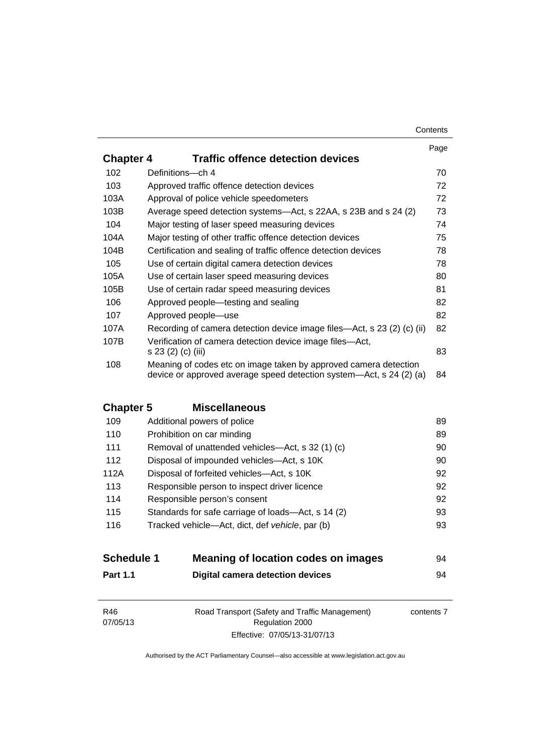|                  |                                                                                                                                         | Page |
|------------------|-----------------------------------------------------------------------------------------------------------------------------------------|------|
| <b>Chapter 4</b> | <b>Traffic offence detection devices</b>                                                                                                |      |
| 102              | Definitions-ch 4                                                                                                                        | 70   |
| 103              | Approved traffic offence detection devices                                                                                              | 72   |
| 103A             | Approval of police vehicle speedometers                                                                                                 | 72   |
| 103B             | Average speed detection systems-Act, s 22AA, s 23B and s 24 (2)                                                                         | 73   |
| 104              | Major testing of laser speed measuring devices                                                                                          | 74   |
| 104A             | Major testing of other traffic offence detection devices                                                                                | 75   |
| 104B             | Certification and sealing of traffic offence detection devices                                                                          | 78   |
| 105              | Use of certain digital camera detection devices                                                                                         | 78   |
| 105A             | Use of certain laser speed measuring devices                                                                                            | 80   |
| 105B             | Use of certain radar speed measuring devices                                                                                            | 81   |
| 106              | Approved people—testing and sealing                                                                                                     | 82   |
| 107              | Approved people-use                                                                                                                     | 82   |
| 107A             | Recording of camera detection device image files—Act, s 23 (2) (c) (ii)                                                                 | 82   |
| 107B             | Verification of camera detection device image files—Act,<br>s 23 (2) (c) (iii)                                                          | 83   |
| 108              | Meaning of codes etc on image taken by approved camera detection<br>device or approved average speed detection system—Act, s 24 (2) (a) | 84   |

### **Chapter 5 [Miscellaneous](#page-107-0)**

| 109  | Additional powers of police                        | 89 |
|------|----------------------------------------------------|----|
| 110  | Prohibition on car minding                         | 89 |
| 111  | Removal of unattended vehicles—Act, s 32 (1) (c)   | 90 |
| 112  | Disposal of impounded vehicles—Act, s 10K          | 90 |
| 112A | Disposal of forfeited vehicles-Act, s 10K          | 92 |
| 113  | Responsible person to inspect driver licence       | 92 |
| 114  | Responsible person's consent                       | 92 |
| 115  | Standards for safe carriage of loads—Act, s 14 (2) | 93 |
| 116  | Tracked vehicle—Act, dict, def vehicle, par (b)    | 93 |
|      |                                                    |    |

| <b>Schedule 1</b> | Meaning of location codes on images | 94 |
|-------------------|-------------------------------------|----|
| <b>Part 1.1</b>   | Digital camera detection devices    | 94 |

| R46      | Road Transport (Safety and Traffic Management) | contents 7 |
|----------|------------------------------------------------|------------|
| 07/05/13 | Regulation 2000                                |            |
|          | Effective: 07/05/13-31/07/13                   |            |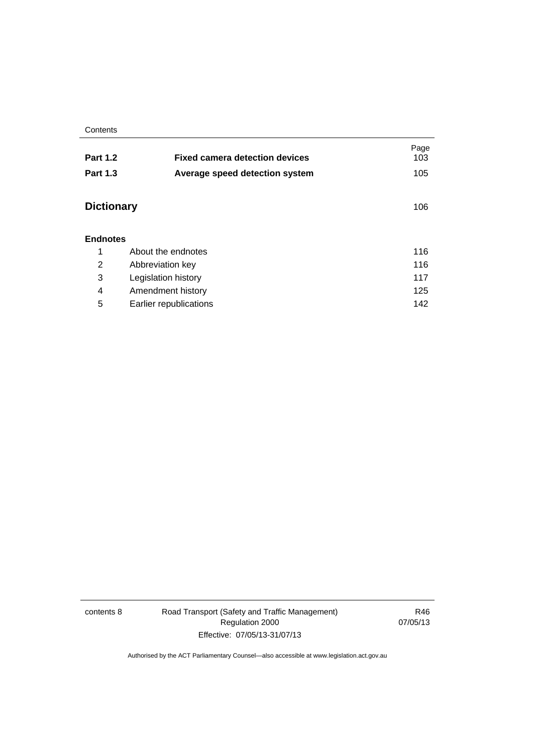**Contents** 

| <b>Part 1.2</b>   | <b>Fixed camera detection devices</b> | Page<br>103 |
|-------------------|---------------------------------------|-------------|
| <b>Part 1.3</b>   | Average speed detection system        | 105         |
| <b>Dictionary</b> |                                       | 106         |
| <b>Endnotes</b>   |                                       |             |
| 1                 | About the endnotes                    | 116         |
| 2                 | Abbreviation key                      | 116         |
| 3                 | Legislation history                   | 117         |
| 4                 | Amendment history                     | 125         |
| 5                 | Earlier republications                | 142         |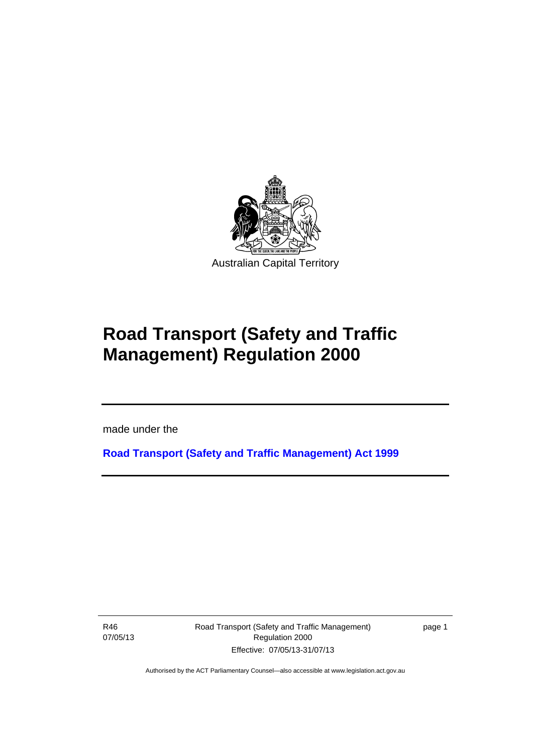

# **Road Transport (Safety and Traffic Management) Regulation 2000**

made under the

**[Road Transport \(Safety and Traffic Management\) Act 1999](http://www.legislation.act.gov.au/a/1999-80)**

R46 07/05/13

l

Road Transport (Safety and Traffic Management) Regulation 2000 Effective: 07/05/13-31/07/13

page 1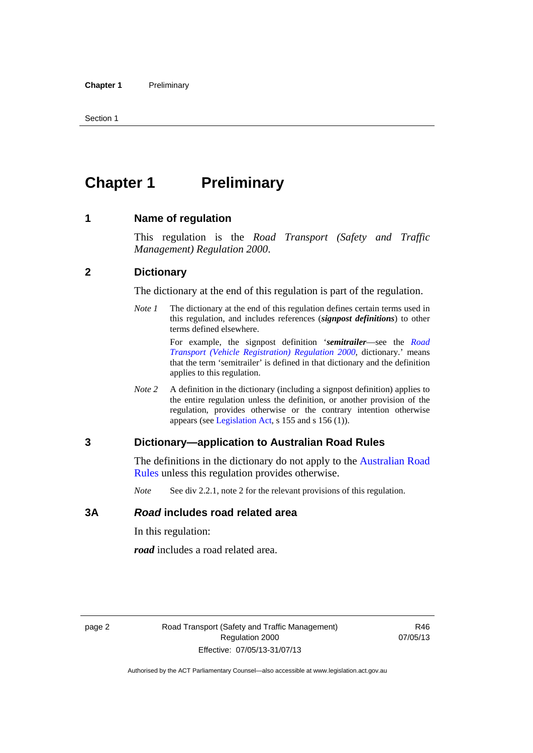## <span id="page-11-0"></span>**Chapter 1** Preliminary

#### <span id="page-11-1"></span>**1 Name of regulation**

This regulation is the *Road Transport (Safety and Traffic Management) Regulation 2000*.

#### <span id="page-11-2"></span>**2 Dictionary**

The dictionary at the end of this regulation is part of the regulation.

*Note 1* The dictionary at the end of this regulation defines certain terms used in this regulation, and includes references (*signpost definitions*) to other terms defined elsewhere.

> For example, the signpost definition '*semitrailer*—see the *[Road](http://www.legislation.act.gov.au/sl/2000-12)  [Transport \(Vehicle Registration\) Regulation 2000](http://www.legislation.act.gov.au/sl/2000-12)*, dictionary.' means that the term 'semitrailer' is defined in that dictionary and the definition applies to this regulation.

*Note 2* A definition in the dictionary (including a signpost definition) applies to the entire regulation unless the definition, or another provision of the regulation, provides otherwise or the contrary intention otherwise appears (see [Legislation Act,](http://www.legislation.act.gov.au/a/2001-14) s 155 and s 156 (1)).

#### <span id="page-11-3"></span>**3 Dictionary—application to Australian Road Rules**

The definitions in the dictionary do not apply to the Australian Road [Rules](http://www.legislation.act.gov.au//ni/db_37271/default.asp) unless this regulation provides otherwise.

*Note* See div 2.2.1, note 2 for the relevant provisions of this regulation.

#### <span id="page-11-4"></span>**3A** *Road* **includes road related area**

In this regulation:

*road* includes a road related area.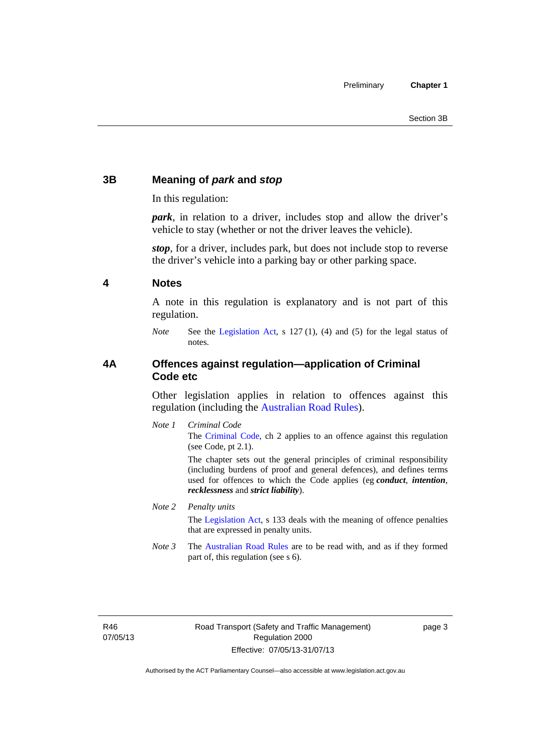#### <span id="page-12-0"></span>**3B Meaning of** *park* **and** *stop*

In this regulation:

*park*, in relation to a driver, includes stop and allow the driver's vehicle to stay (whether or not the driver leaves the vehicle).

*stop*, for a driver, includes park, but does not include stop to reverse the driver's vehicle into a parking bay or other parking space.

#### <span id="page-12-1"></span>**4 Notes**

A note in this regulation is explanatory and is not part of this regulation.

*Note* See the [Legislation Act,](http://www.legislation.act.gov.au/a/2001-14) s 127 (1), (4) and (5) for the legal status of notes.

#### <span id="page-12-2"></span>**4A Offences against regulation—application of Criminal Code etc**

Other legislation applies in relation to offences against this regulation (including the [Australian Road Rules](http://www.legislation.act.gov.au//ni/db_37271/default.asp)).

*Note 1 Criminal Code* The [Criminal Code,](http://www.legislation.act.gov.au/a/2002-51) ch 2 applies to an offence against this regulation (see Code, pt 2.1).

> The chapter sets out the general principles of criminal responsibility (including burdens of proof and general defences), and defines terms used for offences to which the Code applies (eg *conduct*, *intention*, *recklessness* and *strict liability*).

#### *Note 2 Penalty units*

The [Legislation Act](http://www.legislation.act.gov.au/a/2001-14), s 133 deals with the meaning of offence penalties that are expressed in penalty units.

*Note 3* The [Australian Road Rules](http://www.legislation.act.gov.au//ni/db_37271/default.asp) are to be read with, and as if they formed part of, this regulation (see s 6).

R46 07/05/13 page 3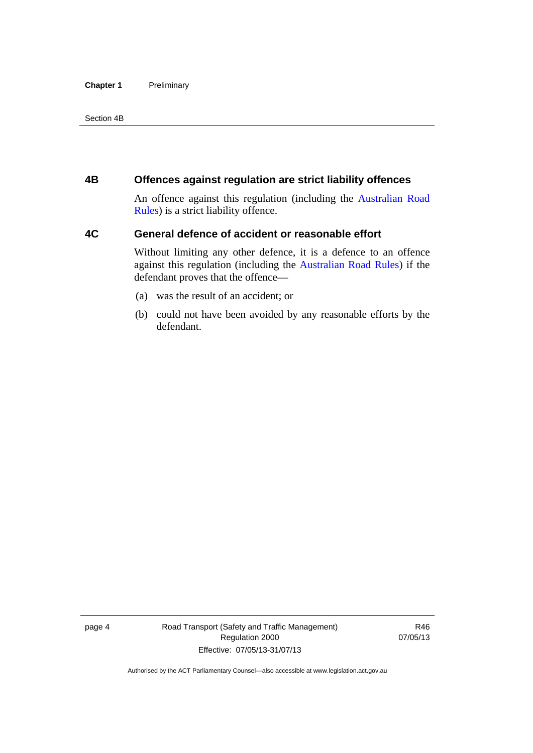#### **Chapter 1** Preliminary

Section 4B

#### <span id="page-13-0"></span>**4B Offences against regulation are strict liability offences**

An offence against this regulation (including the [Australian Road](http://www.legislation.act.gov.au//ni/db_37271/default.asp)  [Rules](http://www.legislation.act.gov.au//ni/db_37271/default.asp)) is a strict liability offence.

#### <span id="page-13-1"></span>**4C General defence of accident or reasonable effort**

Without limiting any other defence, it is a defence to an offence against this regulation (including the [Australian Road Rules\)](http://www.legislation.act.gov.au//ni/db_37271/default.asp) if the defendant proves that the offence—

- (a) was the result of an accident; or
- (b) could not have been avoided by any reasonable efforts by the defendant.

page 4 Road Transport (Safety and Traffic Management) Regulation 2000 Effective: 07/05/13-31/07/13

R46 07/05/13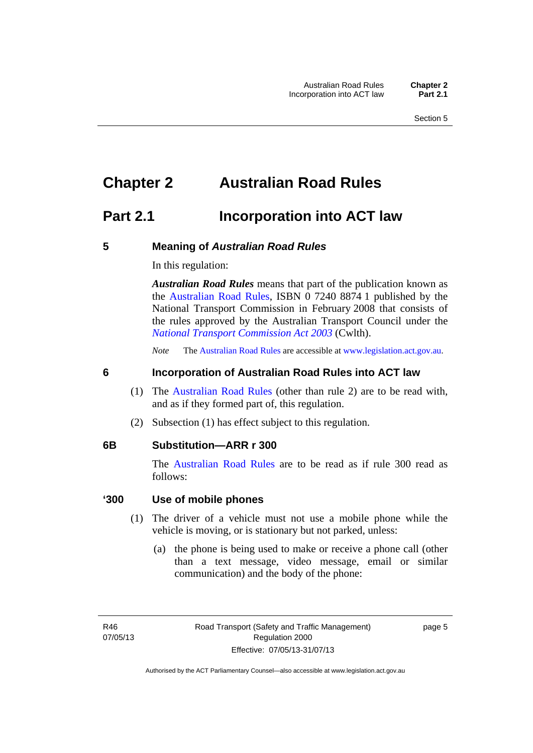### <span id="page-14-0"></span>**Chapter 2 Australian Road Rules**

### <span id="page-14-1"></span>**Part 2.1 Incorporation into ACT law**

#### <span id="page-14-2"></span>**5 Meaning of** *Australian Road Rules*

In this regulation:

*Australian Road Rules* means that part of the publication known as the [Australian Road Rules](http://www.legislation.act.gov.au//ni/db_37271/default.asp), ISBN 0 7240 8874 1 published by the National Transport Commission in February 2008 that consists of the rules approved by the Australian Transport Council under the *[National Transport Commission Act 2003](http://www.comlaw.gov.au/Series/C2004A01166)* (Cwlth).

*Note* The [Australian Road Rules](http://www.legislation.act.gov.au//ni/db_37271/default.asp) are accessible at [www.legislation.act.gov.au](http://www.legislation.act.gov.au/).

#### <span id="page-14-3"></span>**6 Incorporation of Australian Road Rules into ACT law**

- (1) The [Australian Road Rules](http://www.legislation.act.gov.au//ni/db_37271/default.asp) (other than rule 2) are to be read with, and as if they formed part of, this regulation.
- (2) Subsection (1) has effect subject to this regulation.

#### <span id="page-14-4"></span>**6B Substitution—ARR r 300**

The [Australian Road Rules](http://www.legislation.act.gov.au//ni/db_37271/default.asp) are to be read as if rule 300 read as follows:

#### **'300 Use of mobile phones**

- (1) The driver of a vehicle must not use a mobile phone while the vehicle is moving, or is stationary but not parked, unless:
	- (a) the phone is being used to make or receive a phone call (other than a text message, video message, email or similar communication) and the body of the phone:

page 5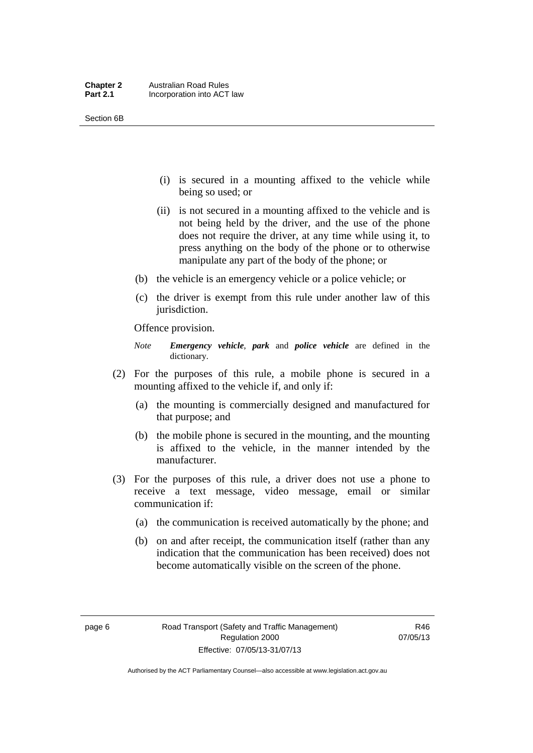- (i) is secured in a mounting affixed to the vehicle while being so used; or
- (ii) is not secured in a mounting affixed to the vehicle and is not being held by the driver, and the use of the phone does not require the driver, at any time while using it, to press anything on the body of the phone or to otherwise manipulate any part of the body of the phone; or
- (b) the vehicle is an emergency vehicle or a police vehicle; or
- (c) the driver is exempt from this rule under another law of this jurisdiction.

Offence provision.

- *Note Emergency vehicle*, *park* and *police vehicle* are defined in the dictionary.
- (2) For the purposes of this rule, a mobile phone is secured in a mounting affixed to the vehicle if, and only if:
	- (a) the mounting is commercially designed and manufactured for that purpose; and
	- (b) the mobile phone is secured in the mounting, and the mounting is affixed to the vehicle, in the manner intended by the manufacturer.
- (3) For the purposes of this rule, a driver does not use a phone to receive a text message, video message, email or similar communication if:
	- (a) the communication is received automatically by the phone; and
	- (b) on and after receipt, the communication itself (rather than any indication that the communication has been received) does not become automatically visible on the screen of the phone.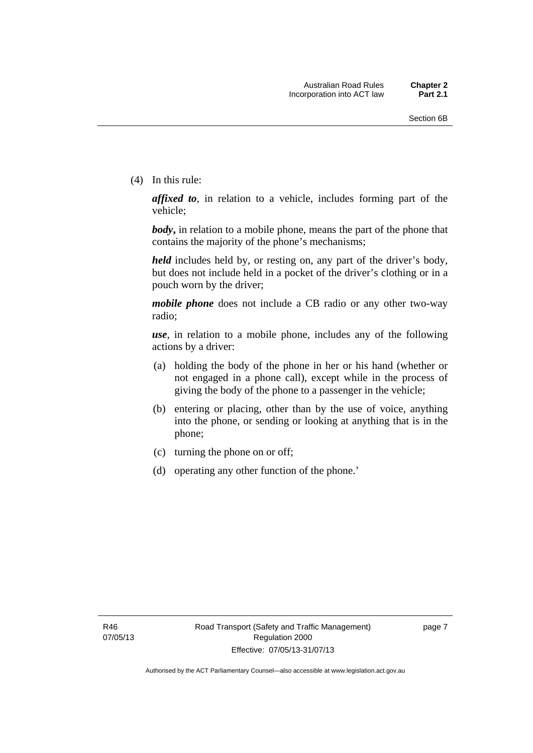(4) In this rule:

*affixed to*, in relation to a vehicle, includes forming part of the vehicle;

*body***,** in relation to a mobile phone, means the part of the phone that contains the majority of the phone's mechanisms;

*held* includes held by, or resting on, any part of the driver's body, but does not include held in a pocket of the driver's clothing or in a pouch worn by the driver;

*mobile phone* does not include a CB radio or any other two-way radio;

*use*, in relation to a mobile phone, includes any of the following actions by a driver:

- (a) holding the body of the phone in her or his hand (whether or not engaged in a phone call), except while in the process of giving the body of the phone to a passenger in the vehicle;
- (b) entering or placing, other than by the use of voice, anything into the phone, or sending or looking at anything that is in the phone;
- (c) turning the phone on or off;
- (d) operating any other function of the phone.'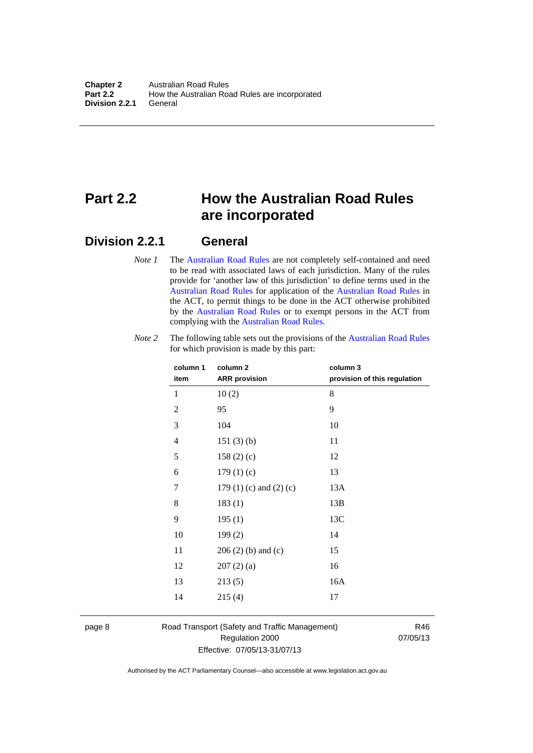### <span id="page-17-0"></span>**Part 2.2 How the Australian Road Rules are incorporated**

#### <span id="page-17-1"></span>**Division 2.2.1 General**

*Note 1* The [Australian Road Rules](http://www.legislation.act.gov.au//ni/db_37271/default.asp) are not completely self-contained and need to be read with associated laws of each jurisdiction. Many of the rules provide for 'another law of this jurisdiction' to define terms used in the [Australian Road Rules](http://www.legislation.act.gov.au//ni/db_37271/default.asp) for application of the [Australian Road Rules](http://www.legislation.act.gov.au//ni/db_37271/default.asp) in the ACT, to permit things to be done in the ACT otherwise prohibited by the [Australian Road Rules](http://www.legislation.act.gov.au//ni/db_37271/default.asp) or to exempt persons in the ACT from complying with the [Australian Road Rules.](http://www.legislation.act.gov.au//ni/db_37271/default.asp)

| column 1<br>item | column 2<br><b>ARR</b> provision | column 3<br>provision of this regulation |
|------------------|----------------------------------|------------------------------------------|
| 1                | 10(2)                            | 8                                        |
| $\mathbf{2}$     | 95                               | 9                                        |
| $\mathfrak{Z}$   | 104                              | 10                                       |
| 4                | 151(3)(b)                        | 11                                       |
| 5                | 158(2)(c)                        | 12                                       |
| 6                | 179(1)(c)                        | 13                                       |
| 7                | 179 $(1)$ $(c)$ and $(2)$ $(c)$  | 13A                                      |
| 8                | 183(1)                           | 13B                                      |
| 9                | 195(1)                           | 13C                                      |
| 10               | 199(2)                           | 14                                       |
| 11               | $206(2)$ (b) and (c)             | 15                                       |
| 12               | 207(2)(a)                        | 16                                       |
| 13               | 213(5)                           | 16A                                      |
| 14               | 215(4)                           | 17                                       |

*Note 2* The following table sets out the provisions of the [Australian Road Rules](http://www.legislation.act.gov.au//ni/db_37271/default.asp) for which provision is made by this part:

page 8 Road Transport (Safety and Traffic Management) Regulation 2000 Effective: 07/05/13-31/07/13

R46 07/05/13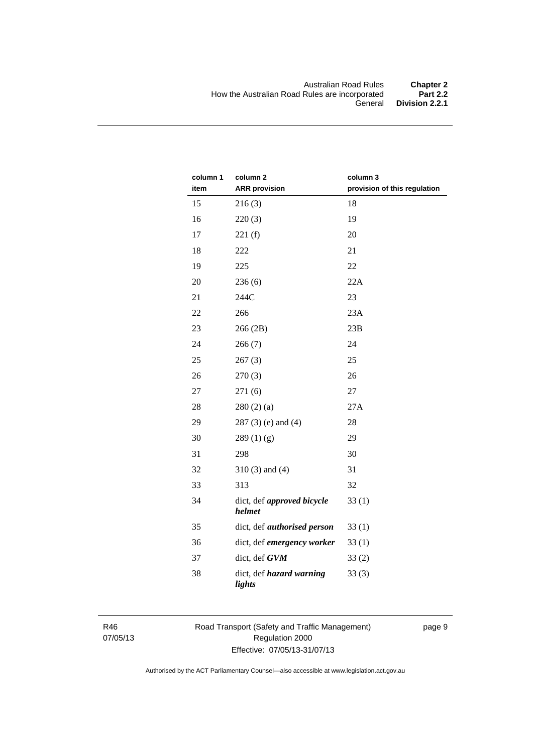| column 1 | column <sub>2</sub>                  | column 3                     |
|----------|--------------------------------------|------------------------------|
| item     | <b>ARR</b> provision                 | provision of this regulation |
| 15       | 216(3)                               | 18                           |
| 16       | 220(3)                               | 19                           |
| 17       | 221(f)                               | 20                           |
| 18       | 222                                  | 21                           |
| 19       | 225                                  | 22                           |
| 20       | 236(6)                               | 22A                          |
| 21       | 244C                                 | 23                           |
| 22       | 266                                  | 23A                          |
| 23       | 266 (2B)                             | 23B                          |
| 24       | 266(7)                               | 24                           |
| 25       | 267(3)                               | 25                           |
| 26       | 270(3)                               | 26                           |
| 27       | 271(6)                               | 27                           |
| 28       | 280(2)(a)                            | 27A                          |
| 29       | $287(3)$ (e) and (4)                 | 28                           |
| 30       | 289(1)(g)                            | 29                           |
| 31       | 298                                  | 30                           |
| 32       | $310(3)$ and $(4)$                   | 31                           |
| 33       | 313                                  | 32                           |
| 34       | dict, def approved bicycle<br>helmet | 33(1)                        |
| 35       | dict, def <i>authorised</i> person   | 33(1)                        |
| 36       | dict, def emergency worker           | 33(1)                        |
| 37       | dict, def GVM                        | 33(2)                        |
| 38       | dict, def hazard warning<br>lights   | 33(3)                        |

R46 07/05/13 Road Transport (Safety and Traffic Management) Regulation 2000 Effective: 07/05/13-31/07/13

page 9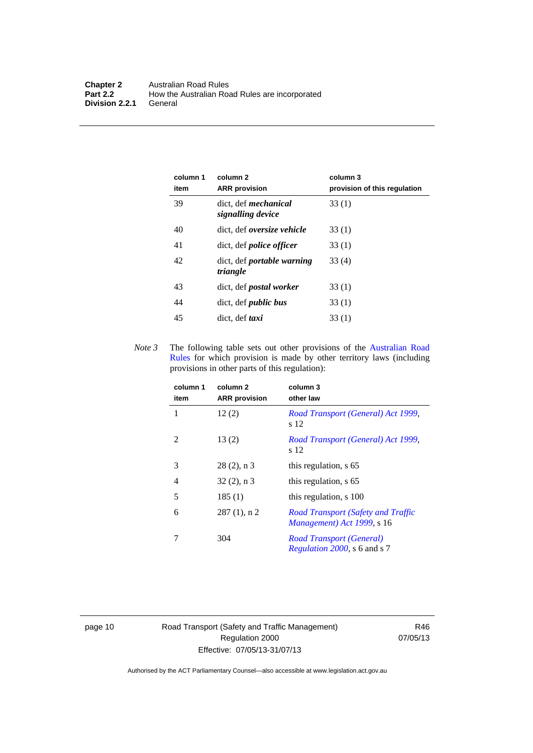| column 1<br>item | column 2<br><b>ARR</b> provision                 | column 3<br>provision of this regulation |
|------------------|--------------------------------------------------|------------------------------------------|
| 39               | dict, def <i>mechanical</i><br>signalling device | 33(1)                                    |
| 40               | dict, def <i>oversize</i> vehicle                | 33(1)                                    |
| 41               | dict, def <i>police officer</i>                  | 33(1)                                    |
| 42               | dict, def portable warning<br>triangle           | 33(4)                                    |
| 43               | dict, def <i>postal</i> worker                   | 33(1)                                    |
| 44               | dict, def <i>public</i> bus                      | 33(1)                                    |
| 45               | dict, def <i>taxi</i>                            | 33(1)                                    |

*Note 3* The following table sets out other provisions of the [Australian Road](http://www.legislation.act.gov.au//ni/db_37271/default.asp)  [Rules](http://www.legislation.act.gov.au//ni/db_37271/default.asp) for which provision is made by other territory laws (including provisions in other parts of this regulation):

| column 1<br>item | column <sub>2</sub><br><b>ARR</b> provision | column 3<br>other law                                                   |
|------------------|---------------------------------------------|-------------------------------------------------------------------------|
| 1                | 12(2)                                       | Road Transport (General) Act 1999,<br>s 12                              |
| 2                | 13(2)                                       | Road Transport (General) Act 1999,<br>s 12                              |
| 3                | $28(2)$ , n 3                               | this regulation, s 65                                                   |
| 4                | $32(2)$ , n 3                               | this regulation, s 65                                                   |
| 5                | 185(1)                                      | this regulation, s 100                                                  |
| 6                | $287(1)$ , n 2                              | <b>Road Transport (Safety and Traffic</b><br>Management) Act 1999, s 16 |
|                  | 304                                         | Road Transport (General)<br>Regulation 2000, s 6 and s 7                |

page 10 Road Transport (Safety and Traffic Management) Regulation 2000 Effective: 07/05/13-31/07/13

R46 07/05/13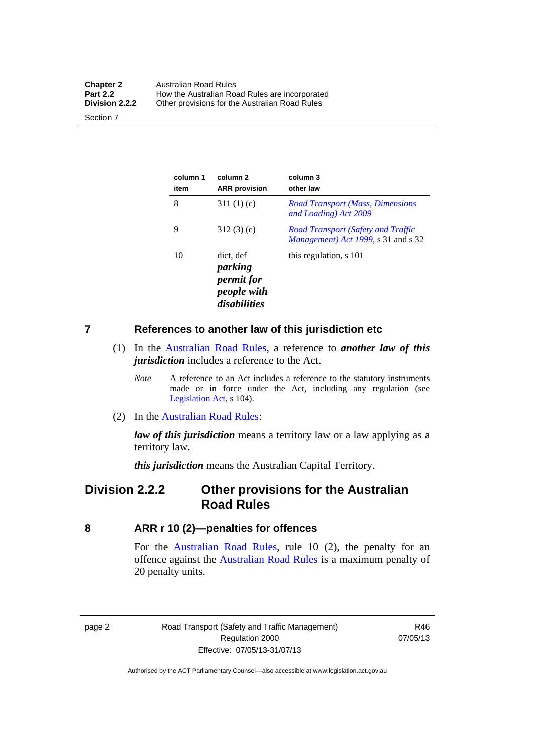| <b>Chapter 2</b> | Australian Road Rules                          |
|------------------|------------------------------------------------|
| <b>Part 2.2</b>  | How the Australian Road Rules are incorporated |
| Division 2.2.2   | Other provisions for the Australian Road Rules |

Section 7

| column 1<br>item | column 2<br><b>ARR</b> provision                                         | column 3<br>other law                                                            |
|------------------|--------------------------------------------------------------------------|----------------------------------------------------------------------------------|
| 8                | 311 $(1)(c)$                                                             | <b>Road Transport (Mass, Dimensions</b><br>and Loading) Act 2009                 |
| 9                | 312(3)(c)                                                                | <b>Road Transport (Safety and Traffic</b><br>Management) Act 1999, s 31 and s 32 |
| 10               | dict. def<br>parking<br><i>permit for</i><br>people with<br>disabilities | this regulation, s 101                                                           |

#### <span id="page-20-0"></span>**7 References to another law of this jurisdiction etc**

- (1) In the [Australian Road Rules,](http://www.legislation.act.gov.au//ni/db_37271/default.asp) a reference to *another law of this jurisdiction* includes a reference to the Act.
	- *Note* A reference to an Act includes a reference to the statutory instruments made or in force under the Act, including any regulation (see [Legislation Act,](http://www.legislation.act.gov.au/a/2001-14) s 104).
- (2) In the [Australian Road Rules](http://www.legislation.act.gov.au//ni/db_37271/default.asp):

*law of this jurisdiction* means a territory law or a law applying as a territory law.

*this jurisdiction* means the Australian Capital Territory.

### <span id="page-20-1"></span>**Division 2.2.2 Other provisions for the Australian Road Rules**

<span id="page-20-2"></span>**8 ARR r 10 (2)—penalties for offences**

For the [Australian Road Rules,](http://www.legislation.act.gov.au//ni/db_37271/default.asp) rule 10 (2), the penalty for an offence against the [Australian Road Rules](http://www.legislation.act.gov.au//ni/db_37271/default.asp) is a maximum penalty of 20 penalty units.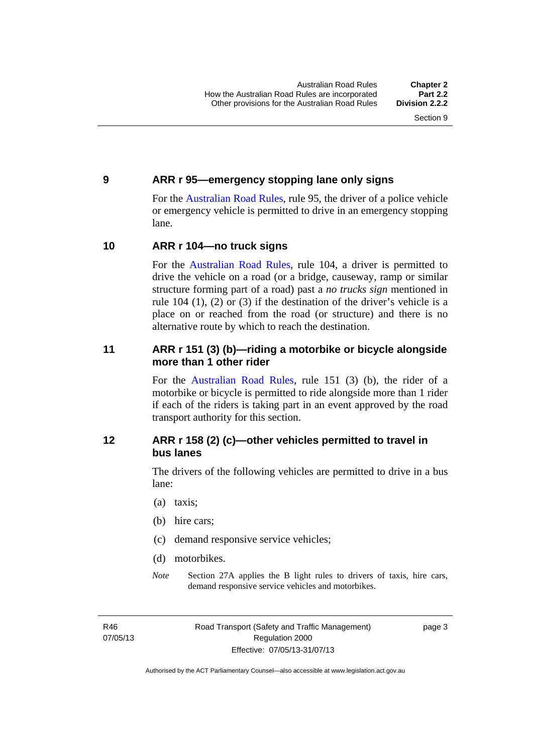#### <span id="page-21-0"></span>**9 ARR r 95—emergency stopping lane only signs**

For the [Australian Road Rules,](http://www.legislation.act.gov.au//ni/db_37271/default.asp) rule 95, the driver of a police vehicle or emergency vehicle is permitted to drive in an emergency stopping lane.

#### <span id="page-21-1"></span>**10 ARR r 104—no truck signs**

For the [Australian Road Rules,](http://www.legislation.act.gov.au//ni/db_37271/default.asp) rule 104, a driver is permitted to drive the vehicle on a road (or a bridge, causeway, ramp or similar structure forming part of a road) past a *no trucks sign* mentioned in rule 104 (1), (2) or (3) if the destination of the driver's vehicle is a place on or reached from the road (or structure) and there is no alternative route by which to reach the destination.

#### <span id="page-21-2"></span>**11 ARR r 151 (3) (b)—riding a motorbike or bicycle alongside more than 1 other rider**

For the [Australian Road Rules](http://www.legislation.act.gov.au//ni/db_37271/default.asp), rule 151 (3) (b), the rider of a motorbike or bicycle is permitted to ride alongside more than 1 rider if each of the riders is taking part in an event approved by the road transport authority for this section.

#### <span id="page-21-3"></span>**12 ARR r 158 (2) (c)—other vehicles permitted to travel in bus lanes**

The drivers of the following vehicles are permitted to drive in a bus lane:

- (a) taxis;
- (b) hire cars;
- (c) demand responsive service vehicles;
- (d) motorbikes.
- *Note* Section 27A applies the B light rules to drivers of taxis, hire cars, demand responsive service vehicles and motorbikes.

R46 07/05/13 page 3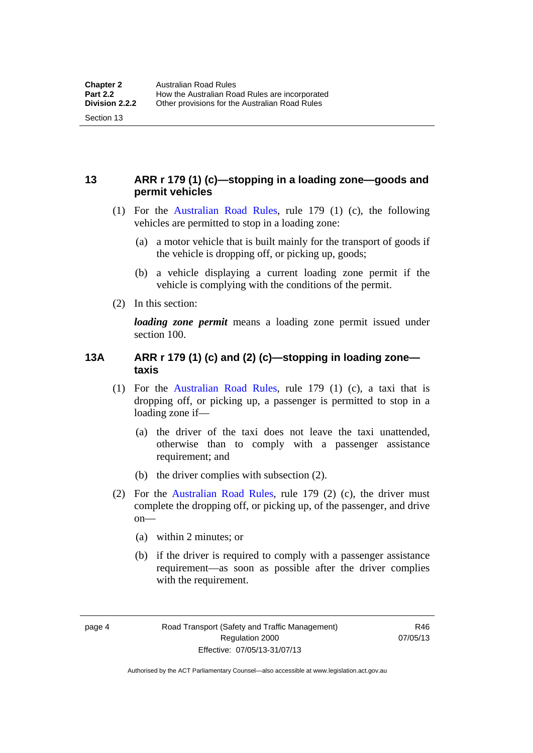#### <span id="page-22-0"></span>**13 ARR r 179 (1) (c)—stopping in a loading zone—goods and permit vehicles**

- (1) For the [Australian Road Rules,](http://www.legislation.act.gov.au//ni/db_37271/default.asp) rule 179 (1) (c), the following vehicles are permitted to stop in a loading zone:
	- (a) a motor vehicle that is built mainly for the transport of goods if the vehicle is dropping off, or picking up, goods;
	- (b) a vehicle displaying a current loading zone permit if the vehicle is complying with the conditions of the permit.
- (2) In this section:

Section 13

*loading zone permit* means a loading zone permit issued under section 100.

#### <span id="page-22-1"></span>**13A ARR r 179 (1) (c) and (2) (c)—stopping in loading zone taxis**

- (1) For the [Australian Road Rules,](http://www.legislation.act.gov.au//ni/db_37271/default.asp) rule 179 (1) (c), a taxi that is dropping off, or picking up, a passenger is permitted to stop in a loading zone if—
	- (a) the driver of the taxi does not leave the taxi unattended, otherwise than to comply with a passenger assistance requirement; and
	- (b) the driver complies with subsection (2).
- (2) For the [Australian Road Rules,](http://www.legislation.act.gov.au//ni/db_37271/default.asp) rule 179 (2) (c), the driver must complete the dropping off, or picking up, of the passenger, and drive on—
	- (a) within 2 minutes; or
	- (b) if the driver is required to comply with a passenger assistance requirement—as soon as possible after the driver complies with the requirement.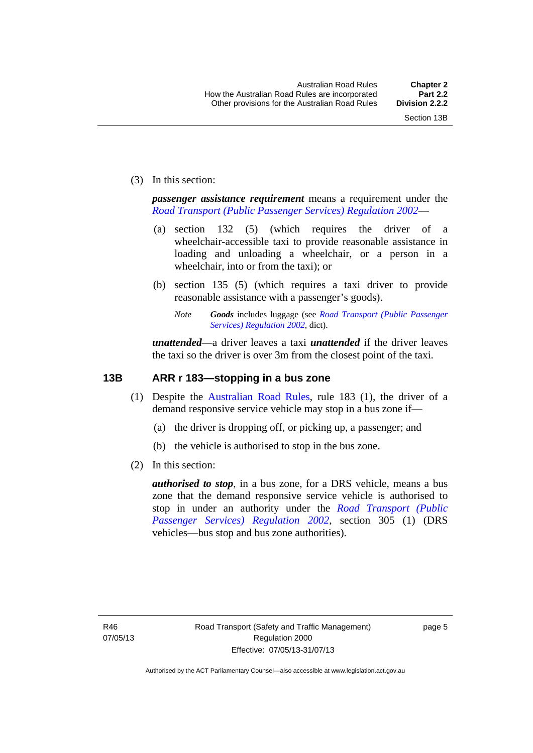(3) In this section:

*passenger assistance requirement* means a requirement under the *[Road Transport \(Public Passenger Services\) Regulation 2002](http://www.legislation.act.gov.au/sl/2002-3)*—

- (a) section 132 (5) (which requires the driver of a wheelchair-accessible taxi to provide reasonable assistance in loading and unloading a wheelchair, or a person in a wheelchair, into or from the taxi); or
- (b) section 135 (5) (which requires a taxi driver to provide reasonable assistance with a passenger's goods).
	- *Note Goods* includes luggage (see *[Road Transport \(Public Passenger](http://www.legislation.act.gov.au/sl/2002-3)  [Services\) Regulation 2002](http://www.legislation.act.gov.au/sl/2002-3)*, dict).

*unattended*—a driver leaves a taxi *unattended* if the driver leaves the taxi so the driver is over 3m from the closest point of the taxi.

#### <span id="page-23-0"></span>**13B ARR r 183—stopping in a bus zone**

- (1) Despite the [Australian Road Rules](http://www.legislation.act.gov.au//ni/db_37271/default.asp), rule 183 (1), the driver of a demand responsive service vehicle may stop in a bus zone if—
	- (a) the driver is dropping off, or picking up, a passenger; and
	- (b) the vehicle is authorised to stop in the bus zone.
- (2) In this section:

*authorised to stop*, in a bus zone, for a DRS vehicle, means a bus zone that the demand responsive service vehicle is authorised to stop in under an authority under the *[Road Transport \(Public](http://www.legislation.act.gov.au/sl/2002-3)  [Passenger Services\) Regulation 2002](http://www.legislation.act.gov.au/sl/2002-3)*, section 305 (1) (DRS vehicles—bus stop and bus zone authorities).

page 5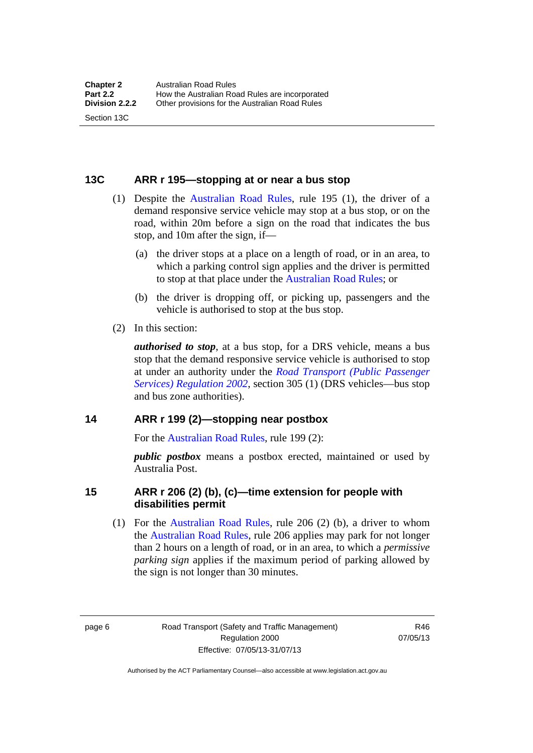#### <span id="page-24-0"></span>**13C ARR r 195—stopping at or near a bus stop**

- (1) Despite the [Australian Road Rules](http://www.legislation.act.gov.au//ni/db_37271/default.asp), rule 195 (1), the driver of a demand responsive service vehicle may stop at a bus stop, or on the road, within 20m before a sign on the road that indicates the bus stop, and 10m after the sign, if—
	- (a) the driver stops at a place on a length of road, or in an area, to which a parking control sign applies and the driver is permitted to stop at that place under the [Australian Road Rules;](http://www.legislation.act.gov.au//ni/db_37271/default.asp) or
	- (b) the driver is dropping off, or picking up, passengers and the vehicle is authorised to stop at the bus stop.
- (2) In this section:

Section 13C

*authorised to stop*, at a bus stop, for a DRS vehicle, means a bus stop that the demand responsive service vehicle is authorised to stop at under an authority under the *[Road Transport \(Public Passenger](http://www.legislation.act.gov.au/sl/2002-3)  [Services\) Regulation 2002](http://www.legislation.act.gov.au/sl/2002-3)*, section 305 (1) (DRS vehicles—bus stop and bus zone authorities).

#### <span id="page-24-1"></span>**14 ARR r 199 (2)—stopping near postbox**

For the [Australian Road Rules,](http://www.legislation.act.gov.au//ni/db_37271/default.asp) rule 199 (2):

*public postbox* means a postbox erected, maintained or used by Australia Post.

#### <span id="page-24-2"></span>**15 ARR r 206 (2) (b), (c)—time extension for people with disabilities permit**

 (1) For the [Australian Road Rules](http://www.legislation.act.gov.au//ni/db_37271/default.asp), rule 206 (2) (b), a driver to whom the [Australian Road Rules](http://www.legislation.act.gov.au//ni/db_37271/default.asp), rule 206 applies may park for not longer than 2 hours on a length of road, or in an area, to which a *permissive parking sign* applies if the maximum period of parking allowed by the sign is not longer than 30 minutes.

page 6 Road Transport (Safety and Traffic Management) Regulation 2000 Effective: 07/05/13-31/07/13

R46 07/05/13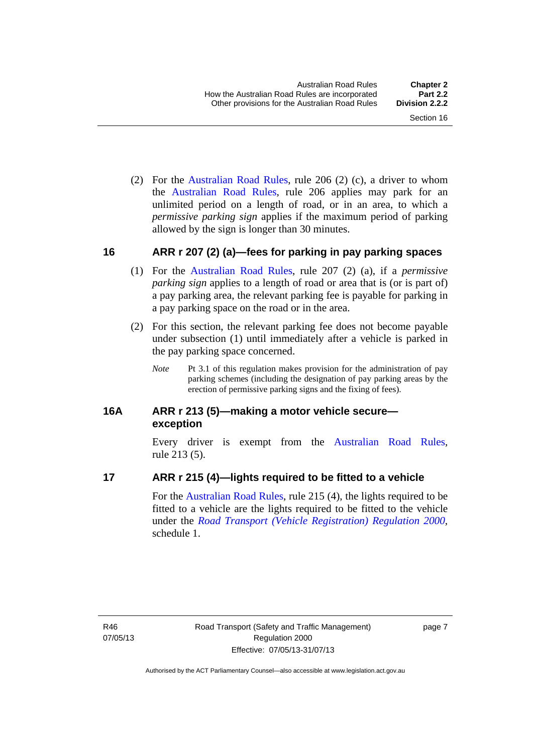(2) For the [Australian Road Rules,](http://www.legislation.act.gov.au//ni/db_37271/default.asp) rule 206 (2) (c), a driver to whom the [Australian Road Rules](http://www.legislation.act.gov.au//ni/db_37271/default.asp), rule 206 applies may park for an unlimited period on a length of road, or in an area, to which a *permissive parking sign* applies if the maximum period of parking allowed by the sign is longer than 30 minutes.

#### <span id="page-25-0"></span>**16 ARR r 207 (2) (a)—fees for parking in pay parking spaces**

- (1) For the [Australian Road Rules,](http://www.legislation.act.gov.au//ni/db_37271/default.asp) rule 207 (2) (a), if a *permissive parking sign* applies to a length of road or area that is (or is part of) a pay parking area, the relevant parking fee is payable for parking in a pay parking space on the road or in the area.
- (2) For this section, the relevant parking fee does not become payable under subsection (1) until immediately after a vehicle is parked in the pay parking space concerned.
	- *Note* Pt 3.1 of this regulation makes provision for the administration of pay parking schemes (including the designation of pay parking areas by the erection of permissive parking signs and the fixing of fees).

#### <span id="page-25-1"></span>**16A ARR r 213 (5)—making a motor vehicle secure exception**

Every driver is exempt from the [Australian Road Rules](http://www.legislation.act.gov.au//ni/db_37271/default.asp), rule 213 (5).

#### <span id="page-25-2"></span>**17 ARR r 215 (4)—lights required to be fitted to a vehicle**

For the [Australian Road Rules,](http://www.legislation.act.gov.au//ni/db_37271/default.asp) rule 215 (4), the lights required to be fitted to a vehicle are the lights required to be fitted to the vehicle under the *[Road Transport \(Vehicle Registration\) Regulation 2000](http://www.legislation.act.gov.au/sl/2000-12),*  schedule 1.

R46 07/05/13 page 7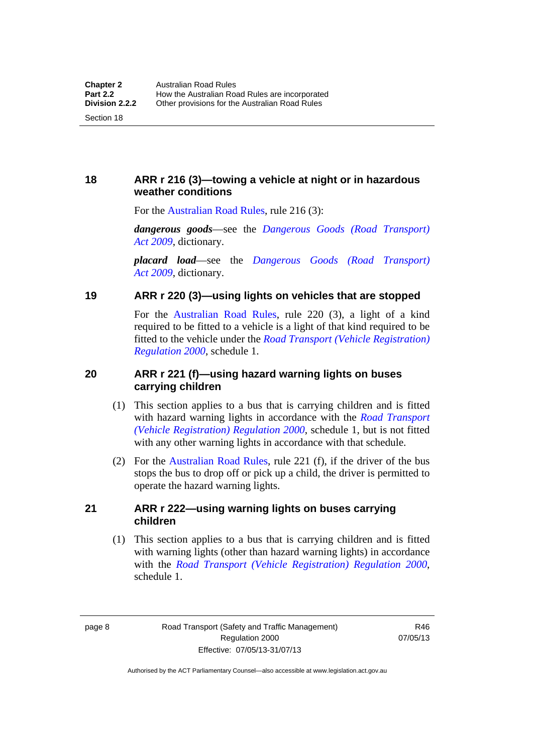#### <span id="page-26-0"></span>**18 ARR r 216 (3)—towing a vehicle at night or in hazardous weather conditions**

For the [Australian Road Rules,](http://www.legislation.act.gov.au//ni/db_37271/default.asp) rule 216 (3):

*dangerous goods*—see the *[Dangerous Goods \(Road Transport\)](http://www.legislation.act.gov.au/a/2009-34)  [Act 2009](http://www.legislation.act.gov.au/a/2009-34)*, dictionary.

*placard load*—see the *[Dangerous Goods \(Road Transport\)](http://www.legislation.act.gov.au/a/2009-34)  [Act 2009](http://www.legislation.act.gov.au/a/2009-34)*, dictionary.

#### <span id="page-26-1"></span>**19 ARR r 220 (3)—using lights on vehicles that are stopped**

For the [Australian Road Rules](http://www.legislation.act.gov.au//ni/db_37271/default.asp), rule 220 (3), a light of a kind required to be fitted to a vehicle is a light of that kind required to be fitted to the vehicle under the *[Road Transport \(Vehicle Registration\)](http://www.legislation.act.gov.au/sl/2000-12)  [Regulation 2000](http://www.legislation.act.gov.au/sl/2000-12)*, schedule 1.

#### <span id="page-26-2"></span>**20 ARR r 221 (f)—using hazard warning lights on buses carrying children**

- (1) This section applies to a bus that is carrying children and is fitted with hazard warning lights in accordance with the *[Road Transport](http://www.legislation.act.gov.au/sl/2000-12)  [\(Vehicle Registration\) Regulation 2000](http://www.legislation.act.gov.au/sl/2000-12)*, schedule 1, but is not fitted with any other warning lights in accordance with that schedule.
- (2) For the [Australian Road Rules](http://www.legislation.act.gov.au//ni/db_37271/default.asp), rule 221 (f), if the driver of the bus stops the bus to drop off or pick up a child, the driver is permitted to operate the hazard warning lights.

#### <span id="page-26-3"></span>**21 ARR r 222—using warning lights on buses carrying children**

(1) This section applies to a bus that is carrying children and is fitted with warning lights (other than hazard warning lights) in accordance with the *[Road Transport \(Vehicle Registration\) Regulation 2000](http://www.legislation.act.gov.au/sl/2000-12)*, schedule 1.

page 8 Road Transport (Safety and Traffic Management) Regulation 2000 Effective: 07/05/13-31/07/13

R46 07/05/13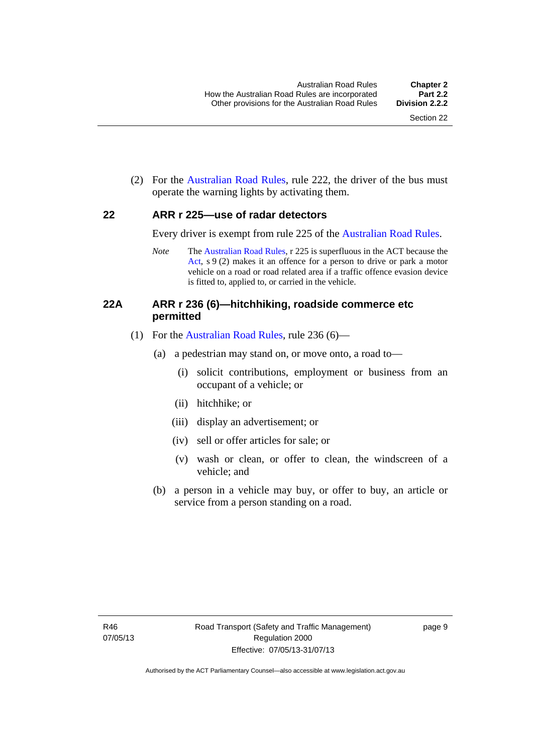(2) For the [Australian Road Rules](http://www.legislation.act.gov.au//ni/db_37271/default.asp), rule 222, the driver of the bus must operate the warning lights by activating them.

#### <span id="page-27-0"></span>**22 ARR r 225—use of radar detectors**

Every driver is exempt from rule 225 of the [Australian Road Rules.](http://www.legislation.act.gov.au//ni/db_37271/default.asp)

*Note* The [Australian Road Rules](http://www.legislation.act.gov.au//ni/db_37271/default.asp), r 225 is superfluous in the ACT because the [Act,](http://www.legislation.act.gov.au/a/1999-80/default.asp) s 9 (2) makes it an offence for a person to drive or park a motor vehicle on a road or road related area if a traffic offence evasion device is fitted to, applied to, or carried in the vehicle.

#### <span id="page-27-1"></span>**22A ARR r 236 (6)—hitchhiking, roadside commerce etc permitted**

- (1) For the [Australian Road Rules](http://www.legislation.act.gov.au//ni/db_37271/default.asp), rule 236 (6)—
	- (a) a pedestrian may stand on, or move onto, a road to—
		- (i) solicit contributions, employment or business from an occupant of a vehicle; or
		- (ii) hitchhike; or
		- (iii) display an advertisement; or
		- (iv) sell or offer articles for sale; or
		- (v) wash or clean, or offer to clean, the windscreen of a vehicle; and
	- (b) a person in a vehicle may buy, or offer to buy, an article or service from a person standing on a road.

page 9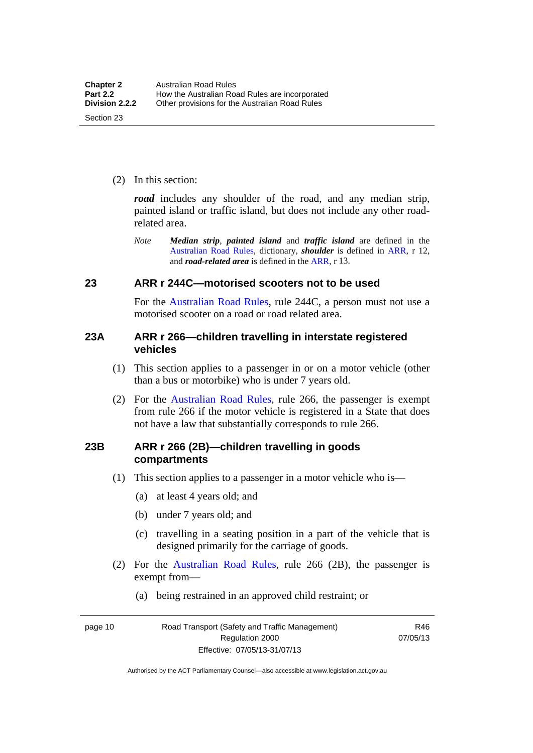(2) In this section:

*road* includes any shoulder of the road, and any median strip, painted island or traffic island, but does not include any other roadrelated area.

*Note Median strip*, *painted island* and *traffic island* are defined in the [Australian Road Rules](http://www.legislation.act.gov.au//ni/db_37271/default.asp), dictionary, *shoulder* is defined in [ARR,](http://www.legislation.act.gov.au//ni/db_37271/default.asp) r 12, and *road-related area* is defined in the [ARR,](http://www.legislation.act.gov.au//ni/db_37271/default.asp) r 13.

#### <span id="page-28-0"></span>**23 ARR r 244C—motorised scooters not to be used**

For the [Australian Road Rules](http://www.legislation.act.gov.au//ni/db_37271/default.asp), rule 244C, a person must not use a motorised scooter on a road or road related area.

#### <span id="page-28-1"></span>**23A ARR r 266—children travelling in interstate registered vehicles**

- (1) This section applies to a passenger in or on a motor vehicle (other than a bus or motorbike) who is under 7 years old.
- (2) For the [Australian Road Rules](http://www.legislation.act.gov.au//ni/db_37271/default.asp), rule 266, the passenger is exempt from rule 266 if the motor vehicle is registered in a State that does not have a law that substantially corresponds to rule 266.

#### <span id="page-28-2"></span>**23B ARR r 266 (2B)—children travelling in goods compartments**

- (1) This section applies to a passenger in a motor vehicle who is—
	- (a) at least 4 years old; and
	- (b) under 7 years old; and
	- (c) travelling in a seating position in a part of the vehicle that is designed primarily for the carriage of goods.
- (2) For the [Australian Road Rules,](http://www.legislation.act.gov.au//ni/db_37271/default.asp) rule 266 (2B), the passenger is exempt from—
	- (a) being restrained in an approved child restraint; or

page 10 Road Transport (Safety and Traffic Management) Regulation 2000 Effective: 07/05/13-31/07/13

R46 07/05/13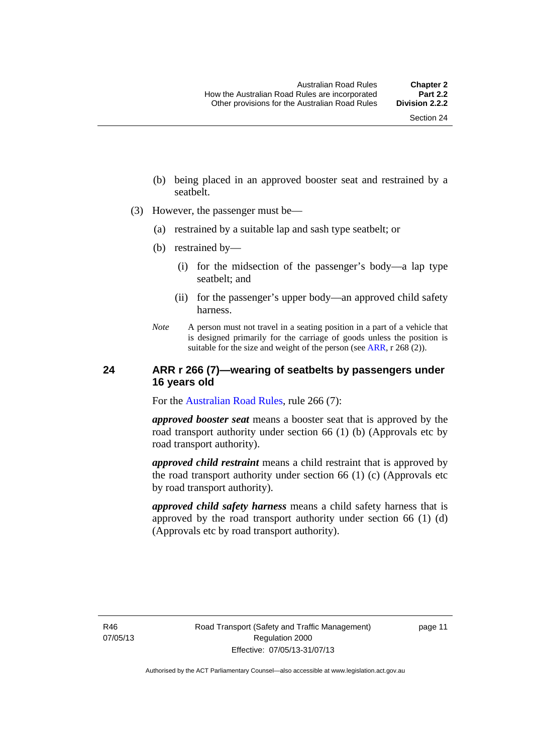- (b) being placed in an approved booster seat and restrained by a seatbelt.
- (3) However, the passenger must be—
	- (a) restrained by a suitable lap and sash type seatbelt; or
	- (b) restrained by—
		- (i) for the midsection of the passenger's body—a lap type seatbelt; and
		- (ii) for the passenger's upper body—an approved child safety harness.
	- *Note* A person must not travel in a seating position in a part of a vehicle that is designed primarily for the carriage of goods unless the position is suitable for the size and weight of the person (see [ARR](http://www.legislation.act.gov.au//ni/db_37271/default.asp), r 268 (2)).

#### <span id="page-29-0"></span>**24 ARR r 266 (7)—wearing of seatbelts by passengers under 16 years old**

For the [Australian Road Rules](http://www.legislation.act.gov.au//ni/db_37271/default.asp), rule 266 (7):

*approved booster seat* means a booster seat that is approved by the road transport authority under section 66 (1) (b) (Approvals etc by road transport authority).

*approved child restraint* means a child restraint that is approved by the road transport authority under section 66 (1) (c) (Approvals etc by road transport authority).

*approved child safety harness* means a child safety harness that is approved by the road transport authority under section 66 (1) (d) (Approvals etc by road transport authority).

R46 07/05/13 page 11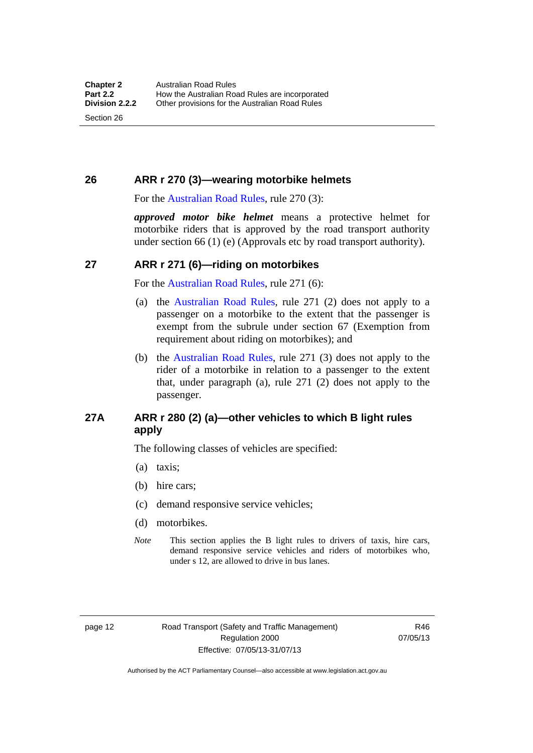Section 26

#### <span id="page-30-0"></span>**26 ARR r 270 (3)—wearing motorbike helmets**

For the [Australian Road Rules,](http://www.legislation.act.gov.au//ni/db_37271/default.asp) rule 270 (3):

*approved motor bike helmet* means a protective helmet for motorbike riders that is approved by the road transport authority under section 66 (1) (e) (Approvals etc by road transport authority).

#### <span id="page-30-1"></span>**27 ARR r 271 (6)—riding on motorbikes**

For the [Australian Road Rules,](http://www.legislation.act.gov.au//ni/db_37271/default.asp) rule 271 (6):

- (a) the [Australian Road Rules](http://www.legislation.act.gov.au//ni/db_37271/default.asp), rule 271 (2) does not apply to a passenger on a motorbike to the extent that the passenger is exempt from the subrule under section 67 (Exemption from requirement about riding on motorbikes); and
- (b) the [Australian Road Rules,](http://www.legislation.act.gov.au//ni/db_37271/default.asp) rule 271 (3) does not apply to the rider of a motorbike in relation to a passenger to the extent that, under paragraph (a), rule 271 (2) does not apply to the passenger.

#### <span id="page-30-2"></span>**27A ARR r 280 (2) (a)—other vehicles to which B light rules apply**

The following classes of vehicles are specified:

- (a) taxis;
- (b) hire cars;
- (c) demand responsive service vehicles;
- (d) motorbikes.
- *Note* This section applies the B light rules to drivers of taxis, hire cars, demand responsive service vehicles and riders of motorbikes who, under s 12, are allowed to drive in bus lanes.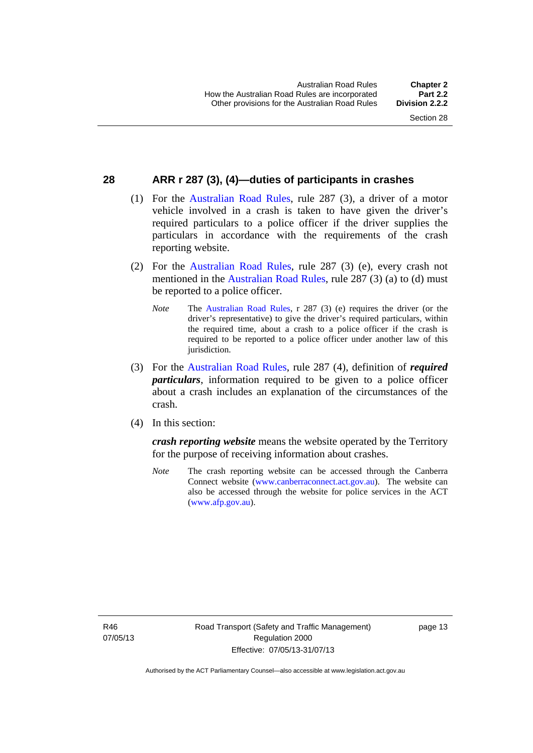#### <span id="page-31-0"></span>**28 ARR r 287 (3), (4)—duties of participants in crashes**

- (1) For the [Australian Road Rules,](http://www.legislation.act.gov.au//ni/db_37271/default.asp) rule 287 (3), a driver of a motor vehicle involved in a crash is taken to have given the driver's required particulars to a police officer if the driver supplies the particulars in accordance with the requirements of the crash reporting website.
- (2) For the [Australian Road Rules,](http://www.legislation.act.gov.au//ni/db_37271/default.asp) rule 287 (3) (e), every crash not mentioned in the [Australian Road Rules,](http://www.legislation.act.gov.au//ni/db_37271/default.asp) rule 287 (3) (a) to (d) must be reported to a police officer.
	- *Note* The [Australian Road Rules,](http://www.legislation.act.gov.au//ni/db_37271/default.asp) r 287 (3) (e) requires the driver (or the driver's representative) to give the driver's required particulars, within the required time, about a crash to a police officer if the crash is required to be reported to a police officer under another law of this jurisdiction.
- (3) For the [Australian Road Rules](http://www.legislation.act.gov.au//ni/db_37271/default.asp), rule 287 (4), definition of *required particulars*, information required to be given to a police officer about a crash includes an explanation of the circumstances of the crash.
- (4) In this section:

*crash reporting website* means the website operated by the Territory for the purpose of receiving information about crashes.

*Note* The crash reporting website can be accessed through the Canberra Connect website [\(www.canberraconnect.act.gov.au\)](http://www.canberraconnect.act.gov.au/). The website can also be accessed through the website for police services in the ACT [\(www.afp.gov.au\)](http://www.afp.gov.au/).

R46 07/05/13 page 13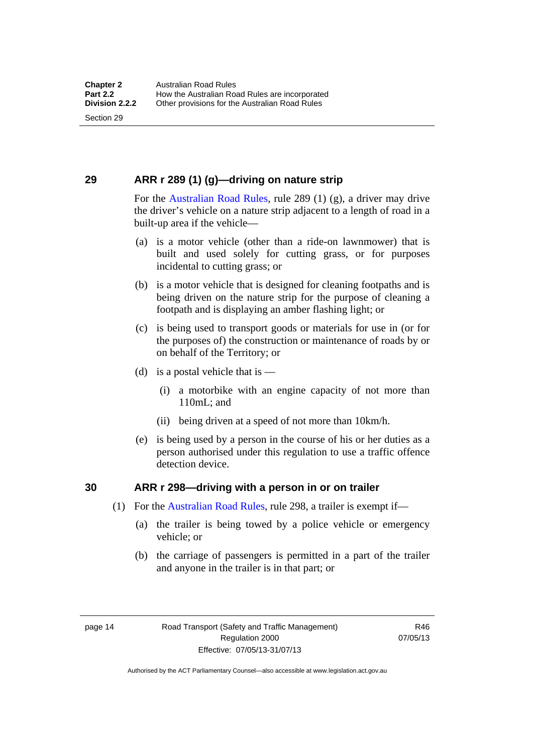Section 29

### <span id="page-32-0"></span>**29 ARR r 289 (1) (g)—driving on nature strip**

For the [Australian Road Rules](http://www.legislation.act.gov.au//ni/db_37271/default.asp), rule 289 (1) (g), a driver may drive the driver's vehicle on a nature strip adjacent to a length of road in a built-up area if the vehicle—

- (a) is a motor vehicle (other than a ride-on lawnmower) that is built and used solely for cutting grass, or for purposes incidental to cutting grass; or
- (b) is a motor vehicle that is designed for cleaning footpaths and is being driven on the nature strip for the purpose of cleaning a footpath and is displaying an amber flashing light; or
- (c) is being used to transport goods or materials for use in (or for the purposes of) the construction or maintenance of roads by or on behalf of the Territory; or
- (d) is a postal vehicle that is  $-$ 
	- (i) a motorbike with an engine capacity of not more than 110mL; and
	- (ii) being driven at a speed of not more than 10km/h.
- (e) is being used by a person in the course of his or her duties as a person authorised under this regulation to use a traffic offence detection device.

#### <span id="page-32-1"></span>**30 ARR r 298—driving with a person in or on trailer**

- (1) For the [Australian Road Rules,](http://www.legislation.act.gov.au//ni/db_37271/default.asp) rule 298, a trailer is exempt if—
	- (a) the trailer is being towed by a police vehicle or emergency vehicle; or
	- (b) the carriage of passengers is permitted in a part of the trailer and anyone in the trailer is in that part; or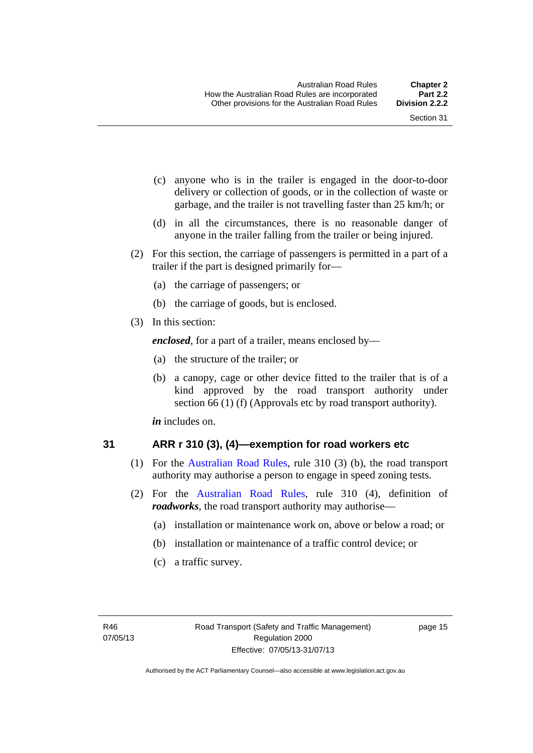- (c) anyone who is in the trailer is engaged in the door-to-door delivery or collection of goods, or in the collection of waste or garbage, and the trailer is not travelling faster than 25 km/h; or
- (d) in all the circumstances, there is no reasonable danger of anyone in the trailer falling from the trailer or being injured.
- (2) For this section, the carriage of passengers is permitted in a part of a trailer if the part is designed primarily for—
	- (a) the carriage of passengers; or
	- (b) the carriage of goods, but is enclosed.
- (3) In this section:

*enclosed*, for a part of a trailer, means enclosed by—

- (a) the structure of the trailer; or
- (b) a canopy, cage or other device fitted to the trailer that is of a kind approved by the road transport authority under section 66 (1) (f) (Approvals etc by road transport authority).

*in* includes on.

#### <span id="page-33-0"></span>**31 ARR r 310 (3), (4)—exemption for road workers etc**

- (1) For the [Australian Road Rules](http://www.legislation.act.gov.au//ni/db_37271/default.asp), rule 310 (3) (b), the road transport authority may authorise a person to engage in speed zoning tests.
- (2) For the [Australian Road Rules](http://www.legislation.act.gov.au//ni/db_37271/default.asp), rule 310 (4), definition of *roadworks*, the road transport authority may authorise—
	- (a) installation or maintenance work on, above or below a road; or
	- (b) installation or maintenance of a traffic control device; or
	- (c) a traffic survey.

page 15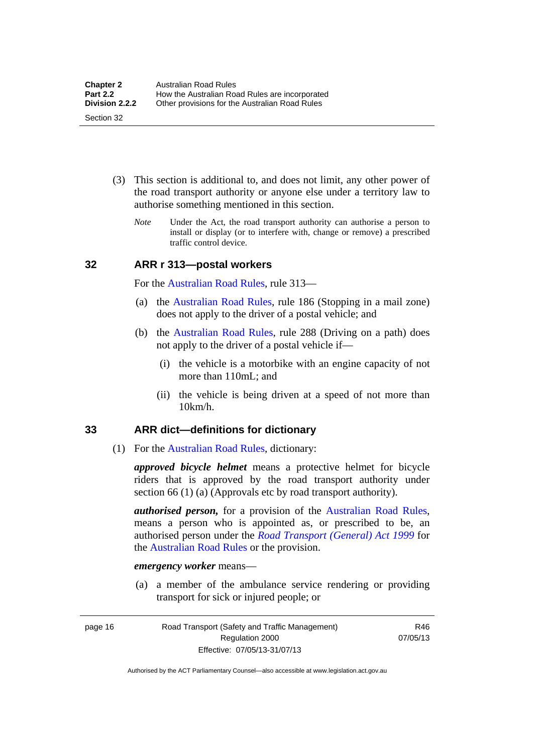- (3) This section is additional to, and does not limit, any other power of the road transport authority or anyone else under a territory law to authorise something mentioned in this section.
	- *Note* Under the Act, the road transport authority can authorise a person to install or display (or to interfere with, change or remove) a prescribed traffic control device.

#### <span id="page-34-0"></span>**32 ARR r 313—postal workers**

For the [Australian Road Rules,](http://www.legislation.act.gov.au//ni/db_37271/default.asp) rule 313—

- (a) the [Australian Road Rules,](http://www.legislation.act.gov.au//ni/db_37271/default.asp) rule 186 (Stopping in a mail zone) does not apply to the driver of a postal vehicle; and
- (b) the [Australian Road Rules](http://www.legislation.act.gov.au//ni/db_37271/default.asp), rule 288 (Driving on a path) does not apply to the driver of a postal vehicle if—
	- (i) the vehicle is a motorbike with an engine capacity of not more than 110mL; and
	- (ii) the vehicle is being driven at a speed of not more than 10km/h.

#### <span id="page-34-1"></span>**33 ARR dict—definitions for dictionary**

(1) For the [Australian Road Rules,](http://www.legislation.act.gov.au//ni/db_37271/default.asp) dictionary:

*approved bicycle helmet* means a protective helmet for bicycle riders that is approved by the road transport authority under section 66 (1) (a) (Approvals etc by road transport authority).

*authorised person,* for a provision of the [Australian Road Rules](http://www.legislation.act.gov.au//ni/db_37271/default.asp), means a person who is appointed as, or prescribed to be, an authorised person under the *[Road Transport \(General\) Act 1999](http://www.legislation.act.gov.au/a/1999-77)* for the [Australian Road Rules](http://www.legislation.act.gov.au//ni/db_37271/default.asp) or the provision.

#### *emergency worker* means—

 (a) a member of the ambulance service rendering or providing transport for sick or injured people; or

page 16 Road Transport (Safety and Traffic Management) Regulation 2000 Effective: 07/05/13-31/07/13

R46 07/05/13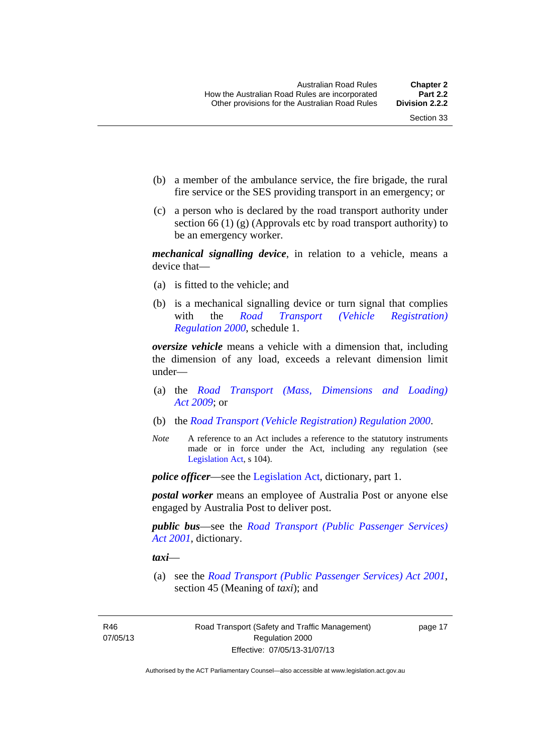- (b) a member of the ambulance service, the fire brigade, the rural fire service or the SES providing transport in an emergency; or
- (c) a person who is declared by the road transport authority under section 66 (1) (g) (Approvals etc by road transport authority) to be an emergency worker.

*mechanical signalling device*, in relation to a vehicle, means a device that—

- (a) is fitted to the vehicle; and
- (b) is a mechanical signalling device or turn signal that complies with the *[Road Transport \(Vehicle Registration\)](http://www.legislation.act.gov.au/sl/2000-12)  [Regulation 2000](http://www.legislation.act.gov.au/sl/2000-12)*, schedule 1.

*oversize vehicle* means a vehicle with a dimension that, including the dimension of any load, exceeds a relevant dimension limit under—

- (a) the *[Road Transport \(Mass, Dimensions and Loading\)](http://www.legislation.act.gov.au/a/2009-22)  [Act 2009](http://www.legislation.act.gov.au/a/2009-22)*; or
- (b) the *[Road Transport \(Vehicle Registration\) Regulation 2000](http://www.legislation.act.gov.au/sl/2000-12)*.
- *Note* A reference to an Act includes a reference to the statutory instruments made or in force under the Act, including any regulation (see [Legislation Act,](http://www.legislation.act.gov.au/a/2001-14) s 104).

*police officer*—see the [Legislation Act](http://www.legislation.act.gov.au/a/2001-14), dictionary, part 1.

*postal worker* means an employee of Australia Post or anyone else engaged by Australia Post to deliver post.

*public bus*—see the *[Road Transport \(Public Passenger Services\)](http://www.legislation.act.gov.au/a/2001-62)  [Act 2001](http://www.legislation.act.gov.au/a/2001-62)*, dictionary.

*taxi*—

 (a) see the *[Road Transport \(Public Passenger Services\) Act 2001](http://www.legislation.act.gov.au/a/2001-62)*, section 45 (Meaning of *taxi*); and

R46 07/05/13 page 17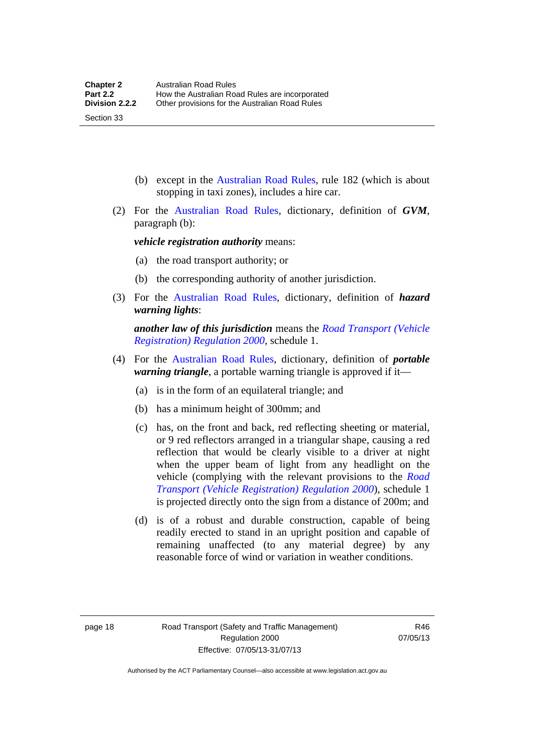(b) except in the [Australian Road Rules,](http://www.legislation.act.gov.au//ni/db_37271/default.asp) rule 182 (which is about stopping in taxi zones), includes a hire car.

 (2) For the [Australian Road Rules](http://www.legislation.act.gov.au//ni/db_37271/default.asp), dictionary, definition of *GVM*, paragraph (b):

*vehicle registration authority* means:

- (a) the road transport authority; or
- (b) the corresponding authority of another jurisdiction.
- (3) For the [Australian Road Rules](http://www.legislation.act.gov.au//ni/db_37271/default.asp), dictionary, definition of *hazard warning lights*:

*another law of this jurisdiction* means the *[Road Transport \(Vehicle](http://www.legislation.act.gov.au/sl/2000-12)  [Registration\) Regulation 2000](http://www.legislation.act.gov.au/sl/2000-12)*, schedule 1.

- (4) For the [Australian Road Rules](http://www.legislation.act.gov.au//ni/db_37271/default.asp), dictionary, definition of *portable warning triangle*, a portable warning triangle is approved if it—
	- (a) is in the form of an equilateral triangle; and
	- (b) has a minimum height of 300mm; and
	- (c) has, on the front and back, red reflecting sheeting or material, or 9 red reflectors arranged in a triangular shape, causing a red reflection that would be clearly visible to a driver at night when the upper beam of light from any headlight on the vehicle (complying with the relevant provisions to the *[Road](http://www.legislation.act.gov.au/sl/2000-12)  [Transport \(Vehicle Registration\) Regulation 2000](http://www.legislation.act.gov.au/sl/2000-12)*), schedule 1 is projected directly onto the sign from a distance of 200m; and
	- (d) is of a robust and durable construction, capable of being readily erected to stand in an upright position and capable of remaining unaffected (to any material degree) by any reasonable force of wind or variation in weather conditions.

Section 33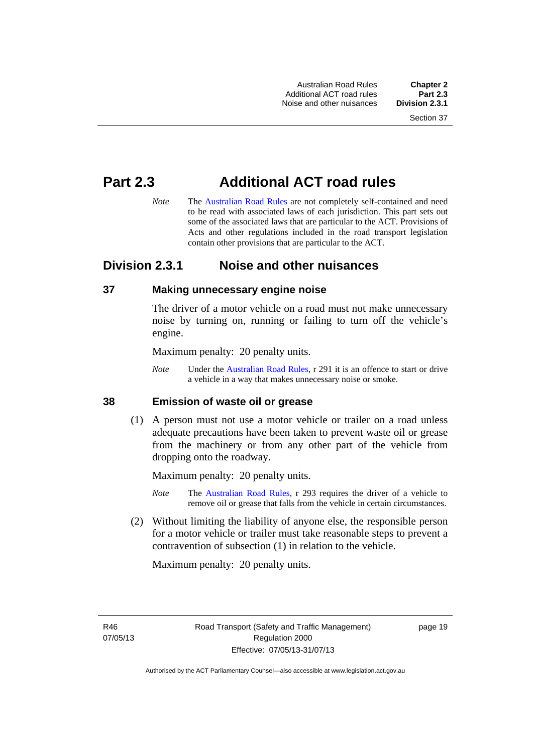Australian Road Rules **Chapter 2** Additional ACT road rules **Part 2.3** Noise and other nuisances

# **Part 2.3 Additional ACT road rules**

*Note* The [Australian Road Rules](http://www.legislation.act.gov.au//ni/db_37271/default.asp) are not completely self-contained and need to be read with associated laws of each jurisdiction. This part sets out some of the associated laws that are particular to the ACT. Provisions of Acts and other regulations included in the road transport legislation contain other provisions that are particular to the ACT.

## **Division 2.3.1 Noise and other nuisances**

#### **37 Making unnecessary engine noise**

The driver of a motor vehicle on a road must not make unnecessary noise by turning on, running or failing to turn off the vehicle's engine.

Maximum penalty: 20 penalty units.

*Note* Under the [Australian Road Rules,](http://www.legislation.act.gov.au//ni/db_37271/default.asp) r 291 it is an offence to start or drive a vehicle in a way that makes unnecessary noise or smoke.

#### **38 Emission of waste oil or grease**

 (1) A person must not use a motor vehicle or trailer on a road unless adequate precautions have been taken to prevent waste oil or grease from the machinery or from any other part of the vehicle from dropping onto the roadway.

Maximum penalty: 20 penalty units.

- *Note* The [Australian Road Rules,](http://www.legislation.act.gov.au//ni/db_37271/default.asp) r 293 requires the driver of a vehicle to remove oil or grease that falls from the vehicle in certain circumstances.
- (2) Without limiting the liability of anyone else, the responsible person for a motor vehicle or trailer must take reasonable steps to prevent a contravention of subsection (1) in relation to the vehicle.

Maximum penalty: 20 penalty units.

R46 07/05/13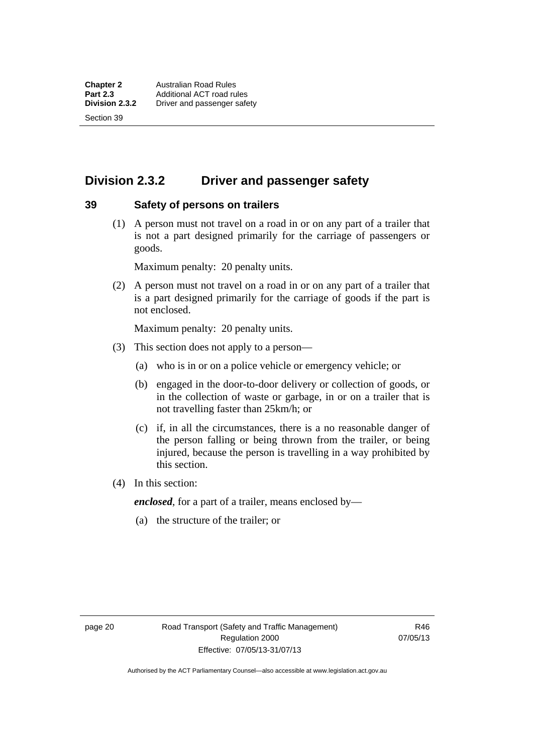Section 39

# **Division 2.3.2 Driver and passenger safety**

#### **39 Safety of persons on trailers**

 (1) A person must not travel on a road in or on any part of a trailer that is not a part designed primarily for the carriage of passengers or goods.

Maximum penalty: 20 penalty units.

 (2) A person must not travel on a road in or on any part of a trailer that is a part designed primarily for the carriage of goods if the part is not enclosed.

Maximum penalty: 20 penalty units.

- (3) This section does not apply to a person—
	- (a) who is in or on a police vehicle or emergency vehicle; or
	- (b) engaged in the door-to-door delivery or collection of goods, or in the collection of waste or garbage, in or on a trailer that is not travelling faster than 25km/h; or
	- (c) if, in all the circumstances, there is a no reasonable danger of the person falling or being thrown from the trailer, or being injured, because the person is travelling in a way prohibited by this section.
- (4) In this section:

*enclosed*, for a part of a trailer, means enclosed by—

(a) the structure of the trailer; or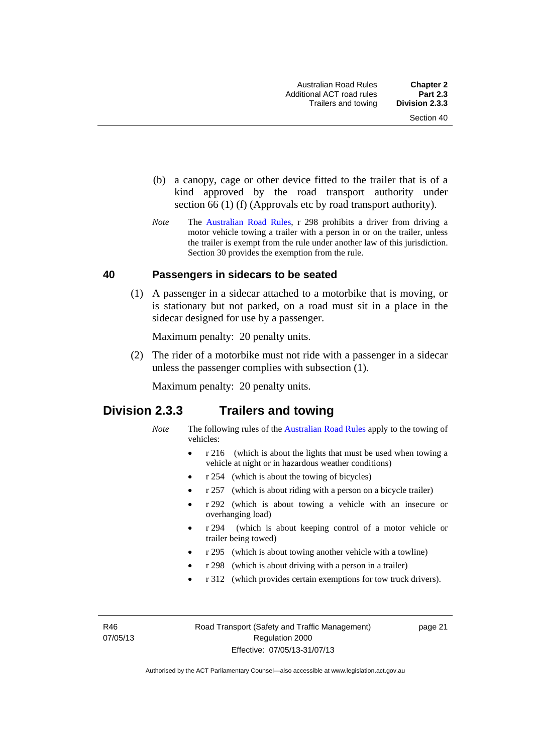- (b) a canopy, cage or other device fitted to the trailer that is of a kind approved by the road transport authority under section 66 (1) (f) (Approvals etc by road transport authority).
- *Note* The [Australian Road Rules](http://www.legislation.act.gov.au//ni/db_37271/default.asp), r 298 prohibits a driver from driving a motor vehicle towing a trailer with a person in or on the trailer, unless the trailer is exempt from the rule under another law of this jurisdiction. Section 30 provides the exemption from the rule.

#### **40 Passengers in sidecars to be seated**

 (1) A passenger in a sidecar attached to a motorbike that is moving, or is stationary but not parked, on a road must sit in a place in the sidecar designed for use by a passenger.

Maximum penalty: 20 penalty units.

 (2) The rider of a motorbike must not ride with a passenger in a sidecar unless the passenger complies with subsection (1).

Maximum penalty: 20 penalty units.

## **Division 2.3.3 Trailers and towing**

- *Note* The following rules of the [Australian Road Rules](http://www.legislation.act.gov.au//ni/db_37271/default.asp) apply to the towing of vehicles:
	- r 216 (which is about the lights that must be used when towing a vehicle at night or in hazardous weather conditions)
	- r 254 (which is about the towing of bicycles)
	- r 257 (which is about riding with a person on a bicycle trailer)
	- r 292 (which is about towing a vehicle with an insecure or overhanging load)
	- r 294 (which is about keeping control of a motor vehicle or trailer being towed)
	- r 295 (which is about towing another vehicle with a towline)
	- r 298 (which is about driving with a person in a trailer)
	- r 312 (which provides certain exemptions for tow truck drivers).

R46 07/05/13 page 21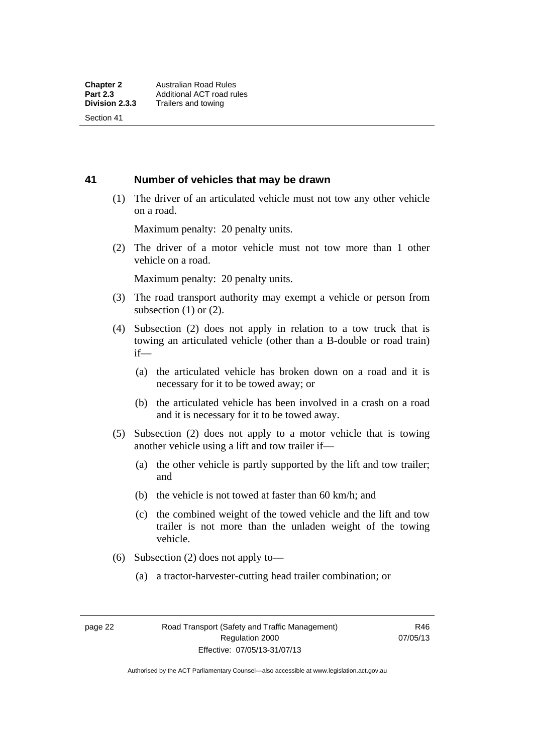Section 41

#### **41 Number of vehicles that may be drawn**

 (1) The driver of an articulated vehicle must not tow any other vehicle on a road.

Maximum penalty: 20 penalty units.

 (2) The driver of a motor vehicle must not tow more than 1 other vehicle on a road.

Maximum penalty: 20 penalty units.

- (3) The road transport authority may exempt a vehicle or person from subsection  $(1)$  or  $(2)$ .
- (4) Subsection (2) does not apply in relation to a tow truck that is towing an articulated vehicle (other than a B-double or road train) if—
	- (a) the articulated vehicle has broken down on a road and it is necessary for it to be towed away; or
	- (b) the articulated vehicle has been involved in a crash on a road and it is necessary for it to be towed away.
- (5) Subsection (2) does not apply to a motor vehicle that is towing another vehicle using a lift and tow trailer if—
	- (a) the other vehicle is partly supported by the lift and tow trailer; and
	- (b) the vehicle is not towed at faster than 60 km/h; and
	- (c) the combined weight of the towed vehicle and the lift and tow trailer is not more than the unladen weight of the towing vehicle.
- (6) Subsection (2) does not apply to—
	- (a) a tractor-harvester-cutting head trailer combination; or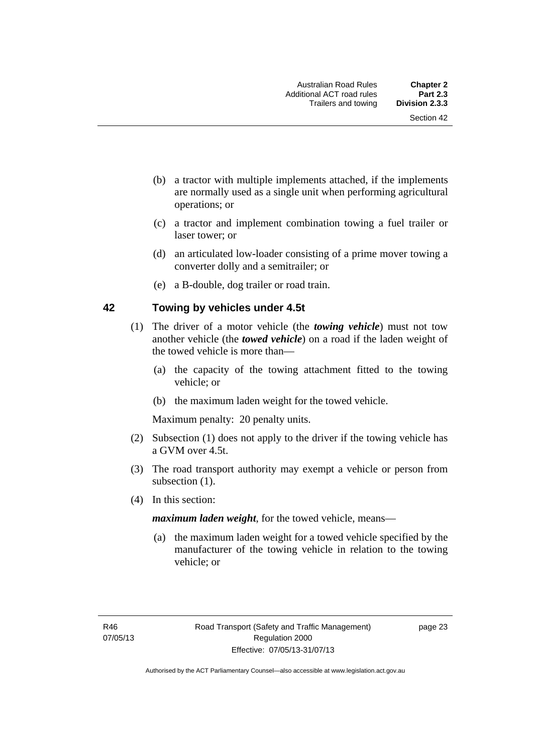- (b) a tractor with multiple implements attached, if the implements are normally used as a single unit when performing agricultural operations; or
- (c) a tractor and implement combination towing a fuel trailer or laser tower; or
- (d) an articulated low-loader consisting of a prime mover towing a converter dolly and a semitrailer; or
- (e) a B-double, dog trailer or road train.

#### **42 Towing by vehicles under 4.5t**

- (1) The driver of a motor vehicle (the *towing vehicle*) must not tow another vehicle (the *towed vehicle*) on a road if the laden weight of the towed vehicle is more than—
	- (a) the capacity of the towing attachment fitted to the towing vehicle; or
	- (b) the maximum laden weight for the towed vehicle.

Maximum penalty: 20 penalty units.

- (2) Subsection (1) does not apply to the driver if the towing vehicle has a GVM over 4.5t.
- (3) The road transport authority may exempt a vehicle or person from subsection  $(1)$ .
- (4) In this section:

*maximum laden weight*, for the towed vehicle, means—

 (a) the maximum laden weight for a towed vehicle specified by the manufacturer of the towing vehicle in relation to the towing vehicle; or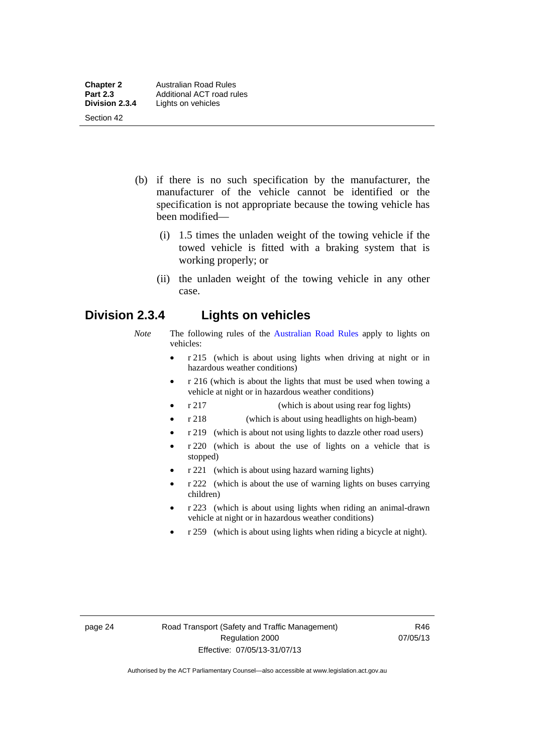- (b) if there is no such specification by the manufacturer, the manufacturer of the vehicle cannot be identified or the specification is not appropriate because the towing vehicle has been modified—
	- (i) 1.5 times the unladen weight of the towing vehicle if the towed vehicle is fitted with a braking system that is working properly; or
	- (ii) the unladen weight of the towing vehicle in any other case.

## **Division 2.3.4 Lights on vehicles**

- *Note* The following rules of the [Australian Road Rules](http://www.legislation.act.gov.au//ni/db_37271/default.asp) apply to lights on vehicles:
	- r 215 (which is about using lights when driving at night or in hazardous weather conditions)
	- r 216 (which is about the lights that must be used when towing a vehicle at night or in hazardous weather conditions)
	- r 217 (which is about using rear fog lights)
	- r 218 (which is about using headlights on high-beam)
	- r 219 (which is about not using lights to dazzle other road users)
	- r 220 (which is about the use of lights on a vehicle that is stopped)
	- r 221 (which is about using hazard warning lights)
	- r 222 (which is about the use of warning lights on buses carrying children)
	- r 223 (which is about using lights when riding an animal-drawn vehicle at night or in hazardous weather conditions)
	- r 259 (which is about using lights when riding a bicycle at night).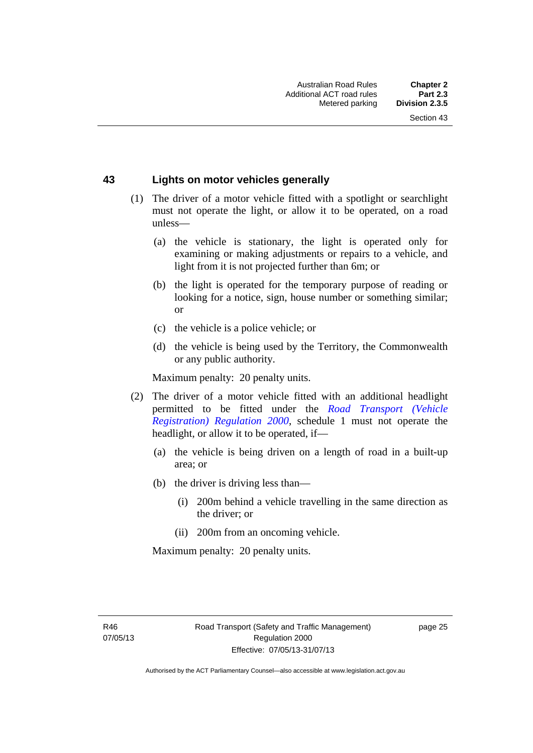#### **43 Lights on motor vehicles generally**

- (1) The driver of a motor vehicle fitted with a spotlight or searchlight must not operate the light, or allow it to be operated, on a road unless—
	- (a) the vehicle is stationary, the light is operated only for examining or making adjustments or repairs to a vehicle, and light from it is not projected further than 6m; or
	- (b) the light is operated for the temporary purpose of reading or looking for a notice, sign, house number or something similar; or
	- (c) the vehicle is a police vehicle; or
	- (d) the vehicle is being used by the Territory, the Commonwealth or any public authority.

Maximum penalty: 20 penalty units.

- (2) The driver of a motor vehicle fitted with an additional headlight permitted to be fitted under the *[Road Transport \(Vehicle](http://www.legislation.act.gov.au/sl/2000-12)  [Registration\) Regulation 2000](http://www.legislation.act.gov.au/sl/2000-12)*, schedule 1 must not operate the headlight, or allow it to be operated, if—
	- (a) the vehicle is being driven on a length of road in a built-up area; or
	- (b) the driver is driving less than—
		- (i) 200m behind a vehicle travelling in the same direction as the driver; or
		- (ii) 200m from an oncoming vehicle.

Maximum penalty: 20 penalty units.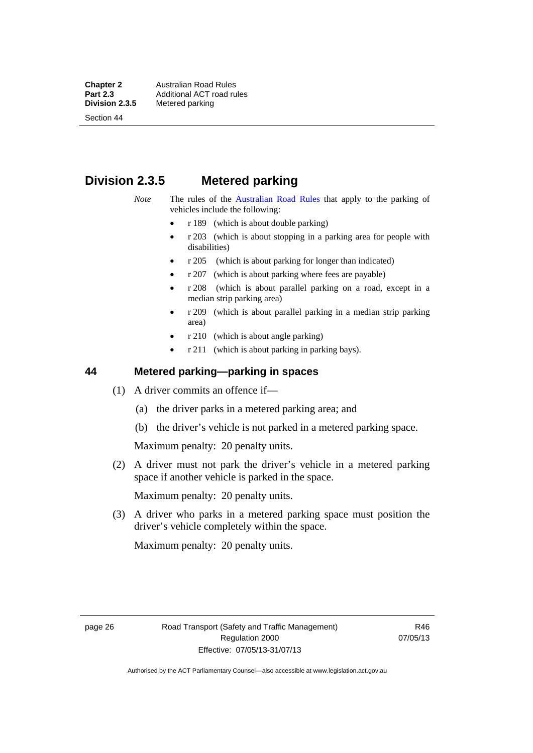**Chapter 2 Australian Road Rules**<br>**Part 2.3 Additional ACT road rules Part 2.3 Additional ACT road rules**<br>**Division 2.3.5** Metered parking **Metered parking** 

Section 44

# **Division 2.3.5 Metered parking**

- *Note* The rules of the [Australian Road Rules](http://www.legislation.act.gov.au//ni/db_37271/default.asp) that apply to the parking of vehicles include the following:
	- r 189 (which is about double parking)
	- $r$  203 (which is about stopping in a parking area for people with disabilities)
	- r 205 (which is about parking for longer than indicated)
	- r 207 (which is about parking where fees are payable)
	- r 208 (which is about parallel parking on a road, except in a median strip parking area)
	- r 209 (which is about parallel parking in a median strip parking area)
	- r 210 (which is about angle parking)
	- r 211 (which is about parking in parking bays).

## **44 Metered parking—parking in spaces**

- (1) A driver commits an offence if—
	- (a) the driver parks in a metered parking area; and
	- (b) the driver's vehicle is not parked in a metered parking space.

Maximum penalty: 20 penalty units.

 (2) A driver must not park the driver's vehicle in a metered parking space if another vehicle is parked in the space.

Maximum penalty: 20 penalty units.

 (3) A driver who parks in a metered parking space must position the driver's vehicle completely within the space.

Maximum penalty: 20 penalty units.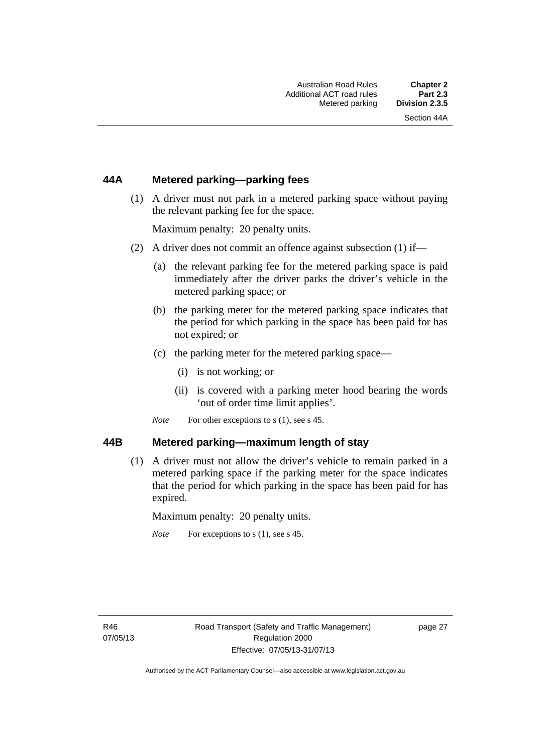#### **44A Metered parking—parking fees**

 (1) A driver must not park in a metered parking space without paying the relevant parking fee for the space.

Maximum penalty: 20 penalty units.

- (2) A driver does not commit an offence against subsection (1) if—
	- (a) the relevant parking fee for the metered parking space is paid immediately after the driver parks the driver's vehicle in the metered parking space; or
	- (b) the parking meter for the metered parking space indicates that the period for which parking in the space has been paid for has not expired; or
	- (c) the parking meter for the metered parking space—
		- (i) is not working; or
		- (ii) is covered with a parking meter hood bearing the words 'out of order time limit applies'.
	- *Note* For other exceptions to s (1), see s 45.

#### **44B Metered parking—maximum length of stay**

 (1) A driver must not allow the driver's vehicle to remain parked in a metered parking space if the parking meter for the space indicates that the period for which parking in the space has been paid for has expired.

Maximum penalty: 20 penalty units.

*Note* For exceptions to s (1), see s 45.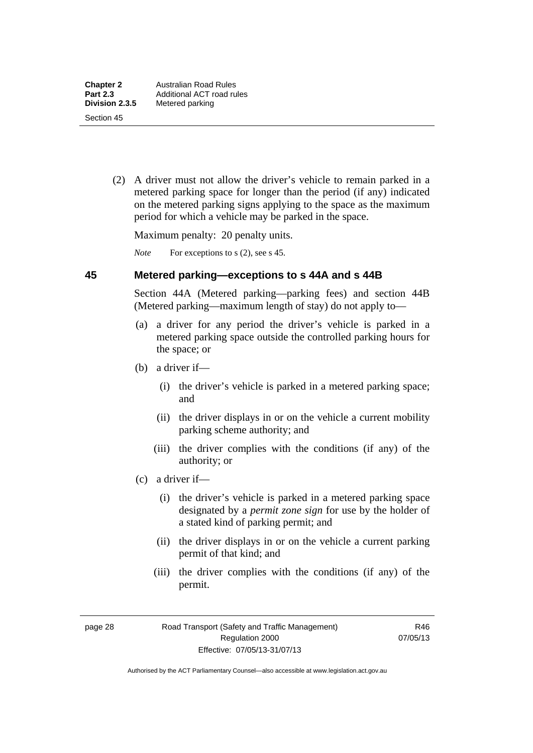(2) A driver must not allow the driver's vehicle to remain parked in a metered parking space for longer than the period (if any) indicated on the metered parking signs applying to the space as the maximum period for which a vehicle may be parked in the space.

Maximum penalty: 20 penalty units.

*Note* For exceptions to s (2), see s 45.

#### **45 Metered parking—exceptions to s 44A and s 44B**

Section 44A (Metered parking—parking fees) and section 44B (Metered parking—maximum length of stay) do not apply to—

- (a) a driver for any period the driver's vehicle is parked in a metered parking space outside the controlled parking hours for the space; or
- (b) a driver if—
	- (i) the driver's vehicle is parked in a metered parking space; and
	- (ii) the driver displays in or on the vehicle a current mobility parking scheme authority; and
	- (iii) the driver complies with the conditions (if any) of the authority; or
- (c) a driver if—
	- (i) the driver's vehicle is parked in a metered parking space designated by a *permit zone sign* for use by the holder of a stated kind of parking permit; and
	- (ii) the driver displays in or on the vehicle a current parking permit of that kind; and
	- (iii) the driver complies with the conditions (if any) of the permit.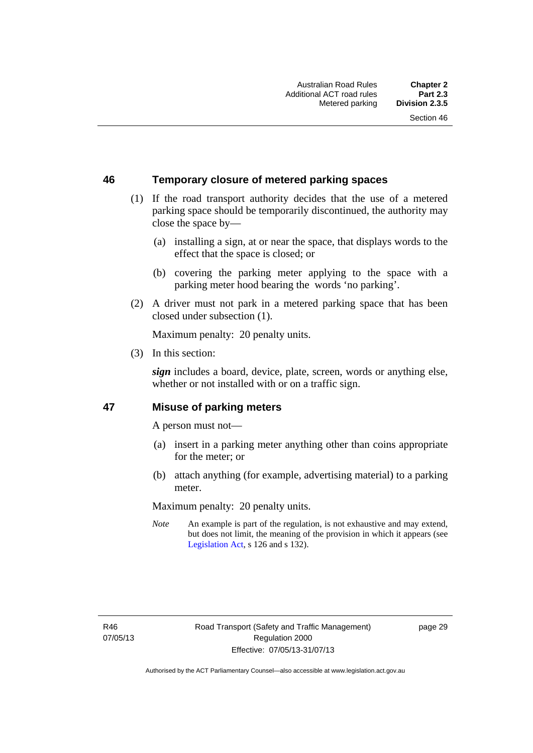### **46 Temporary closure of metered parking spaces**

- (1) If the road transport authority decides that the use of a metered parking space should be temporarily discontinued, the authority may close the space by—
	- (a) installing a sign, at or near the space, that displays words to the effect that the space is closed; or
	- (b) covering the parking meter applying to the space with a parking meter hood bearing the words 'no parking'.
- (2) A driver must not park in a metered parking space that has been closed under subsection (1).

Maximum penalty: 20 penalty units.

(3) In this section:

*sign* includes a board, device, plate, screen, words or anything else, whether or not installed with or on a traffic sign.

#### **47 Misuse of parking meters**

A person must not—

- (a) insert in a parking meter anything other than coins appropriate for the meter; or
- (b) attach anything (for example, advertising material) to a parking meter.

Maximum penalty: 20 penalty units.

*Note* An example is part of the regulation, is not exhaustive and may extend, but does not limit, the meaning of the provision in which it appears (see [Legislation Act,](http://www.legislation.act.gov.au/a/2001-14) s 126 and s 132).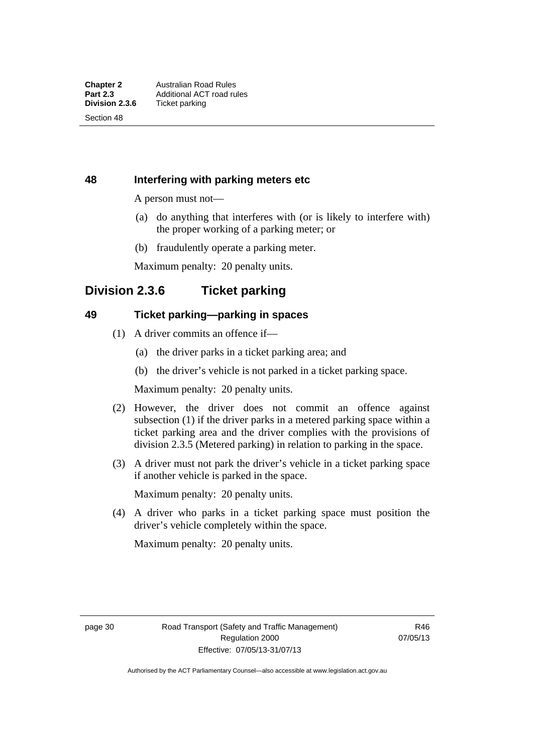Section 48

## **48 Interfering with parking meters etc**

A person must not—

- (a) do anything that interferes with (or is likely to interfere with) the proper working of a parking meter; or
- (b) fraudulently operate a parking meter.

Maximum penalty: 20 penalty units.

# **Division 2.3.6 Ticket parking**

#### **49 Ticket parking—parking in spaces**

- (1) A driver commits an offence if—
	- (a) the driver parks in a ticket parking area; and
	- (b) the driver's vehicle is not parked in a ticket parking space.

Maximum penalty: 20 penalty units.

- (2) However, the driver does not commit an offence against subsection (1) if the driver parks in a metered parking space within a ticket parking area and the driver complies with the provisions of division 2.3.5 (Metered parking) in relation to parking in the space.
- (3) A driver must not park the driver's vehicle in a ticket parking space if another vehicle is parked in the space.

Maximum penalty: 20 penalty units.

 (4) A driver who parks in a ticket parking space must position the driver's vehicle completely within the space.

Maximum penalty: 20 penalty units.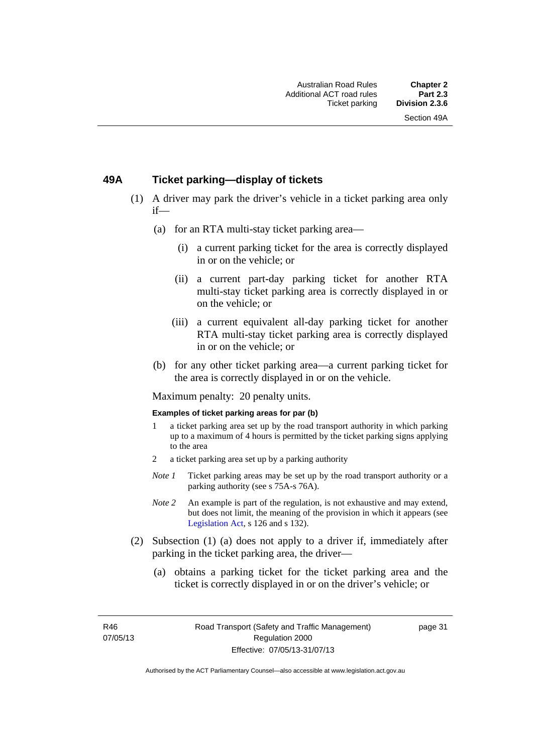### **49A Ticket parking—display of tickets**

- (1) A driver may park the driver's vehicle in a ticket parking area only if—
	- (a) for an RTA multi-stay ticket parking area—
		- (i) a current parking ticket for the area is correctly displayed in or on the vehicle; or
		- (ii) a current part-day parking ticket for another RTA multi-stay ticket parking area is correctly displayed in or on the vehicle; or
		- (iii) a current equivalent all-day parking ticket for another RTA multi-stay ticket parking area is correctly displayed in or on the vehicle; or
	- (b) for any other ticket parking area—a current parking ticket for the area is correctly displayed in or on the vehicle.

Maximum penalty: 20 penalty units.

#### **Examples of ticket parking areas for par (b)**

- 1 a ticket parking area set up by the road transport authority in which parking up to a maximum of 4 hours is permitted by the ticket parking signs applying to the area
- 2 a ticket parking area set up by a parking authority
- *Note 1* Ticket parking areas may be set up by the road transport authority or a parking authority (see s 75A-s 76A).
- *Note 2* An example is part of the regulation, is not exhaustive and may extend, but does not limit, the meaning of the provision in which it appears (see [Legislation Act,](http://www.legislation.act.gov.au/a/2001-14) s 126 and s 132).
- (2) Subsection (1) (a) does not apply to a driver if, immediately after parking in the ticket parking area, the driver—
	- (a) obtains a parking ticket for the ticket parking area and the ticket is correctly displayed in or on the driver's vehicle; or

R46 07/05/13 page 31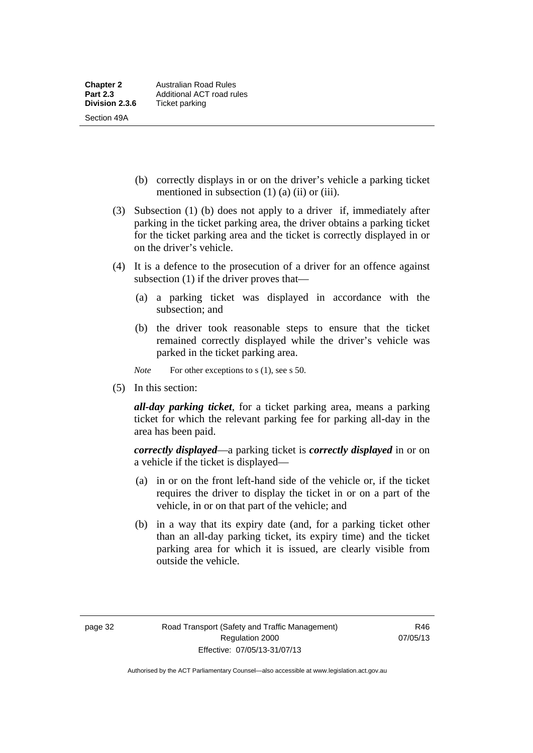- (b) correctly displays in or on the driver's vehicle a parking ticket mentioned in subsection  $(1)$   $(a)$   $(ii)$  or  $(iii)$ .
- (3) Subsection (1) (b) does not apply to a driver if, immediately after parking in the ticket parking area, the driver obtains a parking ticket for the ticket parking area and the ticket is correctly displayed in or on the driver's vehicle.
- (4) It is a defence to the prosecution of a driver for an offence against subsection (1) if the driver proves that—
	- (a) a parking ticket was displayed in accordance with the subsection; and
	- (b) the driver took reasonable steps to ensure that the ticket remained correctly displayed while the driver's vehicle was parked in the ticket parking area.

*Note* For other exceptions to s (1), see s 50.

(5) In this section:

*all-day parking ticket*, for a ticket parking area, means a parking ticket for which the relevant parking fee for parking all-day in the area has been paid.

*correctly displayed*—a parking ticket is *correctly displayed* in or on a vehicle if the ticket is displayed—

- (a) in or on the front left-hand side of the vehicle or, if the ticket requires the driver to display the ticket in or on a part of the vehicle, in or on that part of the vehicle; and
- (b) in a way that its expiry date (and, for a parking ticket other than an all-day parking ticket, its expiry time) and the ticket parking area for which it is issued, are clearly visible from outside the vehicle.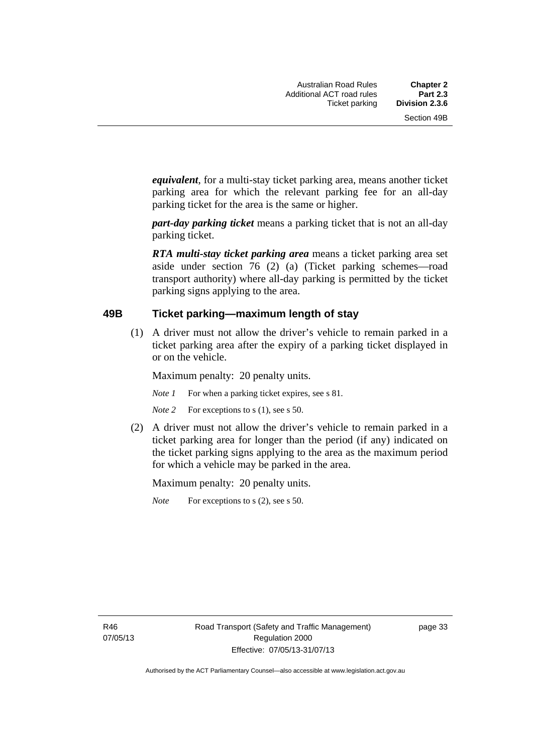*equivalent*, for a multi-stay ticket parking area, means another ticket parking area for which the relevant parking fee for an all-day parking ticket for the area is the same or higher.

*part-day parking ticket* means a parking ticket that is not an all-day parking ticket.

*RTA multi-stay ticket parking area* means a ticket parking area set aside under section 76 (2) (a) (Ticket parking schemes—road transport authority) where all-day parking is permitted by the ticket parking signs applying to the area.

#### **49B Ticket parking—maximum length of stay**

(1) A driver must not allow the driver's vehicle to remain parked in a ticket parking area after the expiry of a parking ticket displayed in or on the vehicle.

Maximum penalty: 20 penalty units.

*Note 1* For when a parking ticket expires, see s 81.

*Note* 2 For exceptions to s (1), see s 50.

 (2) A driver must not allow the driver's vehicle to remain parked in a ticket parking area for longer than the period (if any) indicated on the ticket parking signs applying to the area as the maximum period for which a vehicle may be parked in the area.

Maximum penalty: 20 penalty units.

*Note* For exceptions to s (2), see s 50.

R46 07/05/13 page 33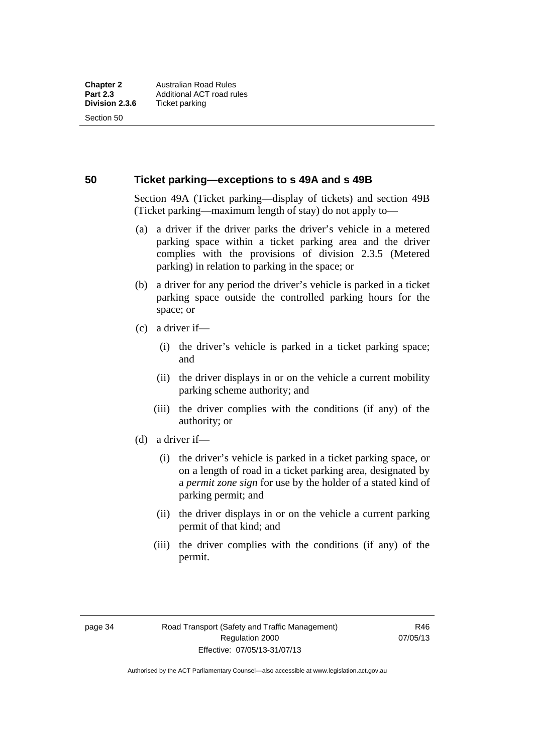Section 50

#### **50 Ticket parking—exceptions to s 49A and s 49B**

Section 49A (Ticket parking—display of tickets) and section 49B (Ticket parking—maximum length of stay) do not apply to—

- (a) a driver if the driver parks the driver's vehicle in a metered parking space within a ticket parking area and the driver complies with the provisions of division 2.3.5 (Metered parking) in relation to parking in the space; or
- (b) a driver for any period the driver's vehicle is parked in a ticket parking space outside the controlled parking hours for the space; or
- (c) a driver if—
	- (i) the driver's vehicle is parked in a ticket parking space; and
	- (ii) the driver displays in or on the vehicle a current mobility parking scheme authority; and
	- (iii) the driver complies with the conditions (if any) of the authority; or
- (d) a driver if—
	- (i) the driver's vehicle is parked in a ticket parking space, or on a length of road in a ticket parking area, designated by a *permit zone sign* for use by the holder of a stated kind of parking permit; and
	- (ii) the driver displays in or on the vehicle a current parking permit of that kind; and
	- (iii) the driver complies with the conditions (if any) of the permit.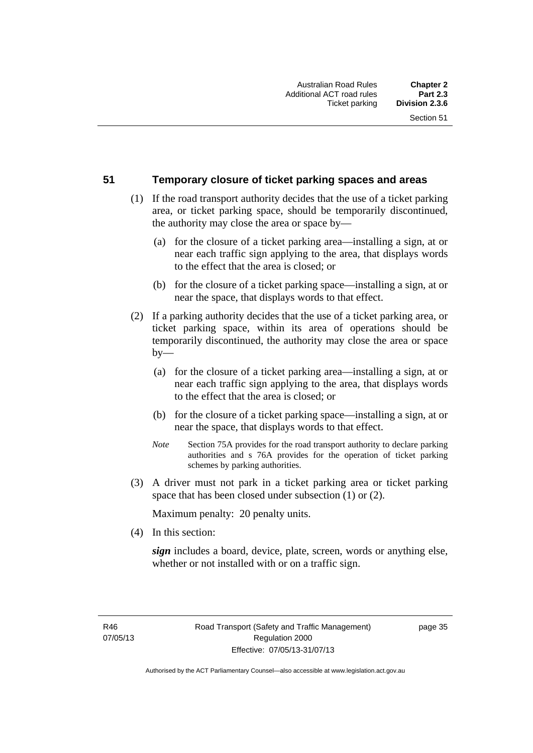#### **51 Temporary closure of ticket parking spaces and areas**

- (1) If the road transport authority decides that the use of a ticket parking area, or ticket parking space, should be temporarily discontinued, the authority may close the area or space by—
	- (a) for the closure of a ticket parking area—installing a sign, at or near each traffic sign applying to the area, that displays words to the effect that the area is closed; or
	- (b) for the closure of a ticket parking space—installing a sign, at or near the space, that displays words to that effect.
- (2) If a parking authority decides that the use of a ticket parking area, or ticket parking space, within its area of operations should be temporarily discontinued, the authority may close the area or space  $by-$ 
	- (a) for the closure of a ticket parking area—installing a sign, at or near each traffic sign applying to the area, that displays words to the effect that the area is closed; or
	- (b) for the closure of a ticket parking space—installing a sign, at or near the space, that displays words to that effect.
	- *Note* Section 75A provides for the road transport authority to declare parking authorities and s 76A provides for the operation of ticket parking schemes by parking authorities.
- (3) A driver must not park in a ticket parking area or ticket parking space that has been closed under subsection (1) or (2).

Maximum penalty: 20 penalty units.

(4) In this section:

*sign* includes a board, device, plate, screen, words or anything else, whether or not installed with or on a traffic sign.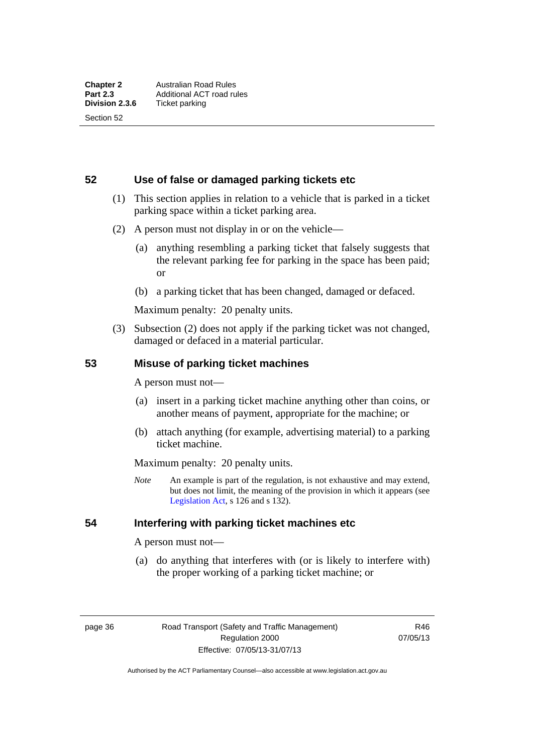**52 Use of false or damaged parking tickets etc** 

- (1) This section applies in relation to a vehicle that is parked in a ticket parking space within a ticket parking area.
- (2) A person must not display in or on the vehicle—
	- (a) anything resembling a parking ticket that falsely suggests that the relevant parking fee for parking in the space has been paid; or
	- (b) a parking ticket that has been changed, damaged or defaced.

Maximum penalty: 20 penalty units.

 (3) Subsection (2) does not apply if the parking ticket was not changed, damaged or defaced in a material particular.

#### **53 Misuse of parking ticket machines**

A person must not—

- (a) insert in a parking ticket machine anything other than coins, or another means of payment, appropriate for the machine; or
- (b) attach anything (for example, advertising material) to a parking ticket machine.

Maximum penalty: 20 penalty units.

*Note* An example is part of the regulation, is not exhaustive and may extend, but does not limit, the meaning of the provision in which it appears (see [Legislation Act,](http://www.legislation.act.gov.au/a/2001-14) s 126 and s 132).

## **54 Interfering with parking ticket machines etc**

A person must not—

 (a) do anything that interferes with (or is likely to interfere with) the proper working of a parking ticket machine; or

page 36 Road Transport (Safety and Traffic Management) Regulation 2000 Effective: 07/05/13-31/07/13

R46 07/05/13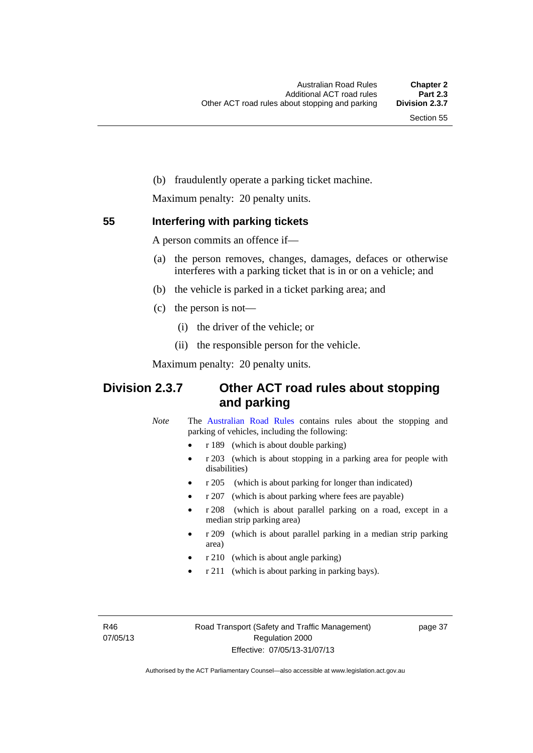(b) fraudulently operate a parking ticket machine.

Maximum penalty: 20 penalty units.

#### **55 Interfering with parking tickets**

A person commits an offence if—

- (a) the person removes, changes, damages, defaces or otherwise interferes with a parking ticket that is in or on a vehicle; and
- (b) the vehicle is parked in a ticket parking area; and
- (c) the person is not—
	- (i) the driver of the vehicle; or
	- (ii) the responsible person for the vehicle.

Maximum penalty: 20 penalty units.

## **Division 2.3.7 Other ACT road rules about stopping and parking**

*Note* The [Australian Road Rules](http://www.legislation.act.gov.au//ni/db_37271/default.asp) contains rules about the stopping and parking of vehicles, including the following:

- r 189 (which is about double parking)
- r 203 (which is about stopping in a parking area for people with disabilities)
- r 205 (which is about parking for longer than indicated)
- r 207 (which is about parking where fees are payable)
- r 208 (which is about parallel parking on a road, except in a median strip parking area)
- r 209 (which is about parallel parking in a median strip parking area)
- r 210 (which is about angle parking)
- r 211 (which is about parking in parking bays).

R46 07/05/13 page 37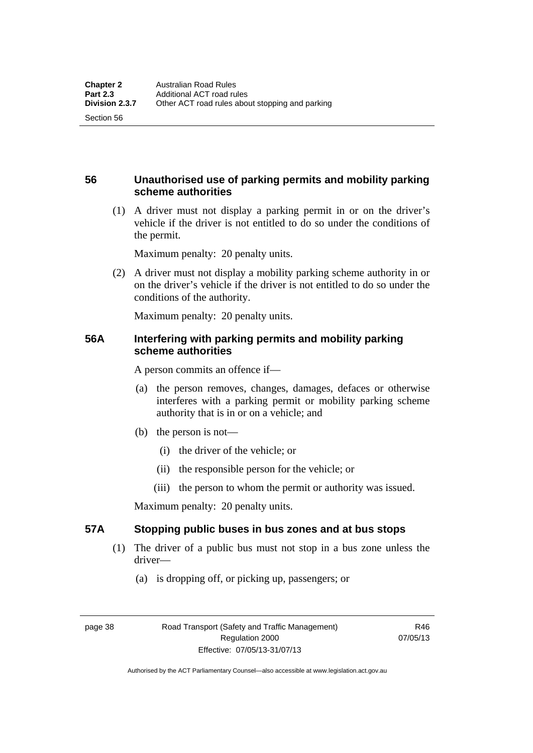## **56 Unauthorised use of parking permits and mobility parking scheme authorities**

 (1) A driver must not display a parking permit in or on the driver's vehicle if the driver is not entitled to do so under the conditions of the permit.

Maximum penalty: 20 penalty units.

 (2) A driver must not display a mobility parking scheme authority in or on the driver's vehicle if the driver is not entitled to do so under the conditions of the authority.

Maximum penalty: 20 penalty units.

### **56A Interfering with parking permits and mobility parking scheme authorities**

A person commits an offence if—

- (a) the person removes, changes, damages, defaces or otherwise interferes with a parking permit or mobility parking scheme authority that is in or on a vehicle; and
- (b) the person is not—
	- (i) the driver of the vehicle; or
	- (ii) the responsible person for the vehicle; or
	- (iii) the person to whom the permit or authority was issued.

Maximum penalty: 20 penalty units.

## **57A Stopping public buses in bus zones and at bus stops**

- (1) The driver of a public bus must not stop in a bus zone unless the driver—
	- (a) is dropping off, or picking up, passengers; or

Section 56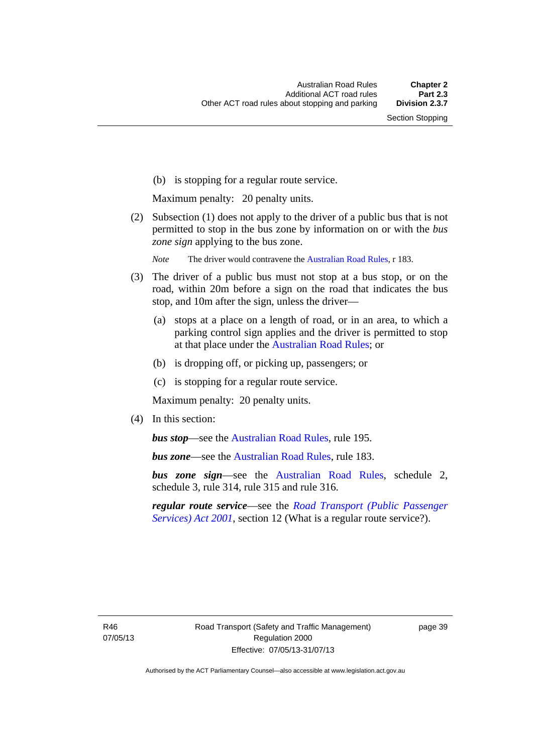(b) is stopping for a regular route service.

Maximum penalty: 20 penalty units.

 (2) Subsection (1) does not apply to the driver of a public bus that is not permitted to stop in the bus zone by information on or with the *bus zone sign* applying to the bus zone.

*Note* The driver would contravene the [Australian Road Rules,](http://www.legislation.act.gov.au//ni/db_37271/default.asp) r 183.

- (3) The driver of a public bus must not stop at a bus stop, or on the road, within 20m before a sign on the road that indicates the bus stop, and 10m after the sign, unless the driver—
	- (a) stops at a place on a length of road, or in an area, to which a parking control sign applies and the driver is permitted to stop at that place under the [Australian Road Rules;](http://www.legislation.act.gov.au//ni/db_37271/default.asp) or
	- (b) is dropping off, or picking up, passengers; or
	- (c) is stopping for a regular route service.

Maximum penalty: 20 penalty units.

(4) In this section:

*bus stop***—see the [Australian Road Rules](http://www.legislation.act.gov.au//ni/db_37271/default.asp)**, rule 195.

*bus zone*—see the [Australian Road Rules,](http://www.legislation.act.gov.au//ni/db_37271/default.asp) rule 183.

*bus zone sign*—see the [Australian Road Rules,](http://www.legislation.act.gov.au//ni/db_37271/default.asp) schedule 2, schedule 3, rule 314, rule 315 and rule 316.

*regular route service*—see the *[Road Transport \(Public Passenger](http://www.legislation.act.gov.au/a/2001-62)  [Services\) Act 2001](http://www.legislation.act.gov.au/a/2001-62)*, section 12 (What is a regular route service?).

R46 07/05/13 page 39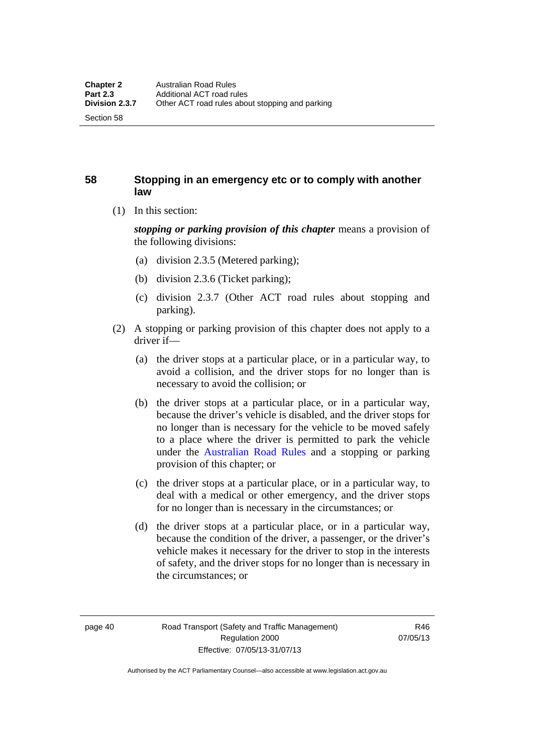Section 58

## **58 Stopping in an emergency etc or to comply with another law**

(1) In this section:

*stopping or parking provision of this chapter* means a provision of the following divisions:

- (a) division 2.3.5 (Metered parking);
- (b) division 2.3.6 (Ticket parking);
- (c) division 2.3.7 (Other ACT road rules about stopping and parking).
- (2) A stopping or parking provision of this chapter does not apply to a driver if—
	- (a) the driver stops at a particular place, or in a particular way, to avoid a collision, and the driver stops for no longer than is necessary to avoid the collision; or
	- (b) the driver stops at a particular place, or in a particular way, because the driver's vehicle is disabled, and the driver stops for no longer than is necessary for the vehicle to be moved safely to a place where the driver is permitted to park the vehicle under the [Australian Road Rules](http://www.legislation.act.gov.au//ni/db_37271/default.asp) and a stopping or parking provision of this chapter; or
	- (c) the driver stops at a particular place, or in a particular way, to deal with a medical or other emergency, and the driver stops for no longer than is necessary in the circumstances; or
	- (d) the driver stops at a particular place, or in a particular way, because the condition of the driver, a passenger, or the driver's vehicle makes it necessary for the driver to stop in the interests of safety, and the driver stops for no longer than is necessary in the circumstances; or

page 40 Road Transport (Safety and Traffic Management) Regulation 2000 Effective: 07/05/13-31/07/13

R46 07/05/13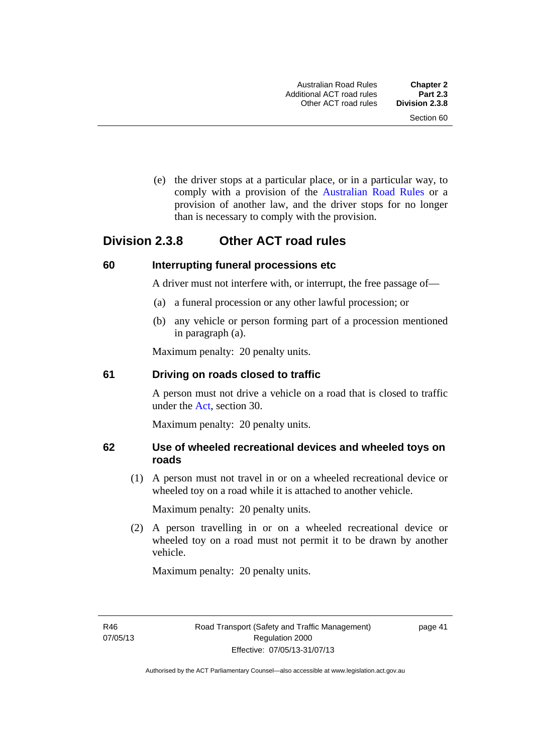(e) the driver stops at a particular place, or in a particular way, to comply with a provision of the [Australian Road Rules](http://www.legislation.act.gov.au//ni/db_37271/default.asp) or a provision of another law, and the driver stops for no longer than is necessary to comply with the provision.

## **Division 2.3.8 Other ACT road rules**

#### **60 Interrupting funeral processions etc**

A driver must not interfere with, or interrupt, the free passage of—

- (a) a funeral procession or any other lawful procession; or
- (b) any vehicle or person forming part of a procession mentioned in paragraph (a).

Maximum penalty: 20 penalty units.

#### **61 Driving on roads closed to traffic**

A person must not drive a vehicle on a road that is closed to traffic under the [Act](http://www.legislation.act.gov.au/a/1999-80/default.asp), section 30.

Maximum penalty: 20 penalty units.

#### **62 Use of wheeled recreational devices and wheeled toys on roads**

 (1) A person must not travel in or on a wheeled recreational device or wheeled toy on a road while it is attached to another vehicle.

Maximum penalty: 20 penalty units.

 (2) A person travelling in or on a wheeled recreational device or wheeled toy on a road must not permit it to be drawn by another vehicle.

Maximum penalty: 20 penalty units.

R46 07/05/13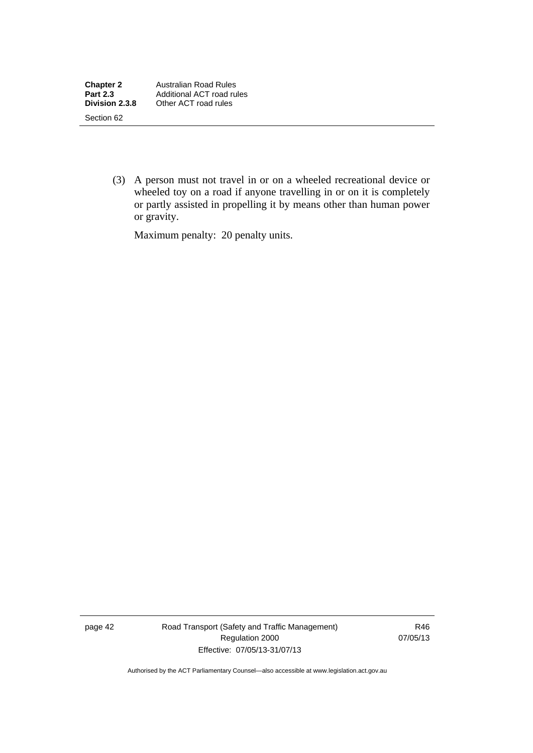(3) A person must not travel in or on a wheeled recreational device or wheeled toy on a road if anyone travelling in or on it is completely or partly assisted in propelling it by means other than human power or gravity.

Maximum penalty: 20 penalty units.

page 42 Road Transport (Safety and Traffic Management) Regulation 2000 Effective: 07/05/13-31/07/13

R46 07/05/13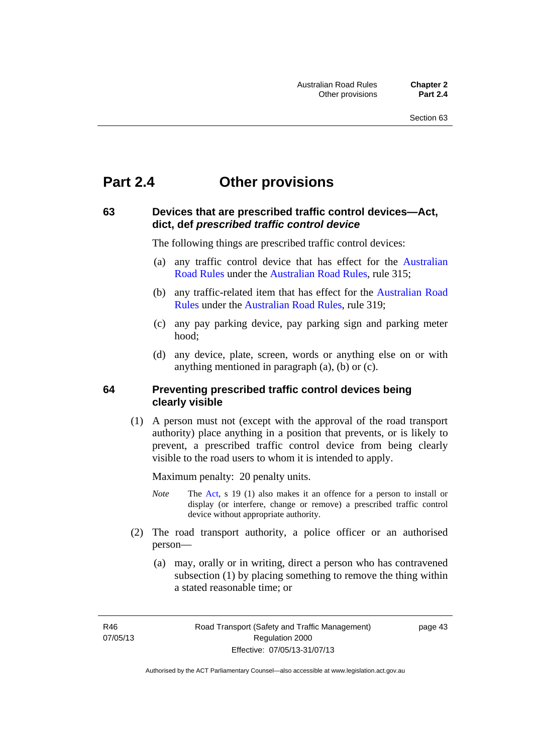# **Part 2.4 Other provisions**

#### **63 Devices that are prescribed traffic control devices—Act, dict, def** *prescribed traffic control device*

The following things are prescribed traffic control devices:

- (a) any traffic control device that has effect for the [Australian](http://www.legislation.act.gov.au//ni/db_37271/default.asp)  [Road Rules](http://www.legislation.act.gov.au//ni/db_37271/default.asp) under the [Australian Road Rules](http://www.legislation.act.gov.au//ni/db_37271/default.asp), rule 315;
- (b) any traffic-related item that has effect for the [Australian Road](http://www.legislation.act.gov.au//ni/db_37271/default.asp)  [Rules](http://www.legislation.act.gov.au//ni/db_37271/default.asp) under the [Australian Road Rules](http://www.legislation.act.gov.au//ni/db_37271/default.asp), rule 319;
- (c) any pay parking device, pay parking sign and parking meter hood;
- (d) any device, plate, screen, words or anything else on or with anything mentioned in paragraph (a), (b) or (c).

#### **64 Preventing prescribed traffic control devices being clearly visible**

 (1) A person must not (except with the approval of the road transport authority) place anything in a position that prevents, or is likely to prevent, a prescribed traffic control device from being clearly visible to the road users to whom it is intended to apply.

Maximum penalty: 20 penalty units.

- *Note* The [Act](http://www.legislation.act.gov.au/a/1999-80/default.asp), s 19 (1) also makes it an offence for a person to install or display (or interfere, change or remove) a prescribed traffic control device without appropriate authority.
- (2) The road transport authority, a police officer or an authorised person—
	- (a) may, orally or in writing, direct a person who has contravened subsection (1) by placing something to remove the thing within a stated reasonable time; or

R46 07/05/13 page 43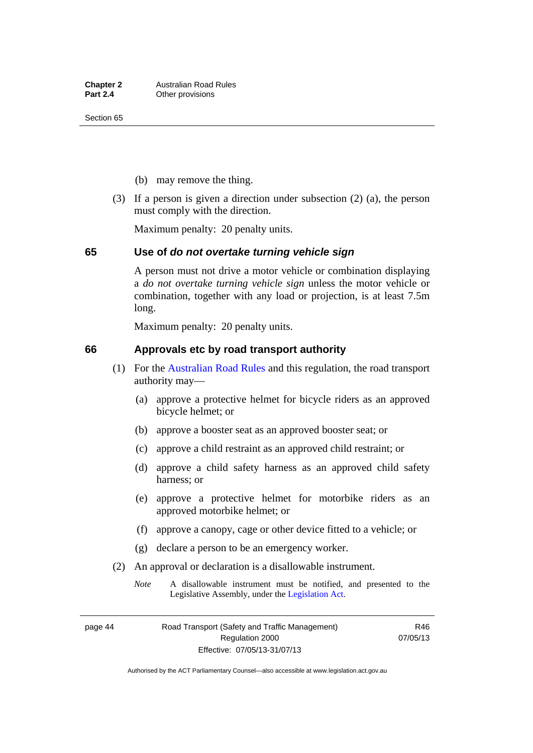- (b) may remove the thing.
- (3) If a person is given a direction under subsection (2) (a), the person must comply with the direction.

Maximum penalty: 20 penalty units.

#### **65 Use of** *do not overtake turning vehicle sign*

A person must not drive a motor vehicle or combination displaying a *do not overtake turning vehicle sign* unless the motor vehicle or combination, together with any load or projection, is at least 7.5m long.

Maximum penalty: 20 penalty units.

#### **66 Approvals etc by road transport authority**

- (1) For the [Australian Road Rules](http://www.legislation.act.gov.au//ni/db_37271/default.asp) and this regulation, the road transport authority may—
	- (a) approve a protective helmet for bicycle riders as an approved bicycle helmet; or
	- (b) approve a booster seat as an approved booster seat; or
	- (c) approve a child restraint as an approved child restraint; or
	- (d) approve a child safety harness as an approved child safety harness; or
	- (e) approve a protective helmet for motorbike riders as an approved motorbike helmet; or
	- (f) approve a canopy, cage or other device fitted to a vehicle; or
	- (g) declare a person to be an emergency worker.
- (2) An approval or declaration is a disallowable instrument.
	- *Note* A disallowable instrument must be notified, and presented to the Legislative Assembly, under the [Legislation Act.](http://www.legislation.act.gov.au/a/2001-14)

page 44 Road Transport (Safety and Traffic Management) Regulation 2000 Effective: 07/05/13-31/07/13

R46 07/05/13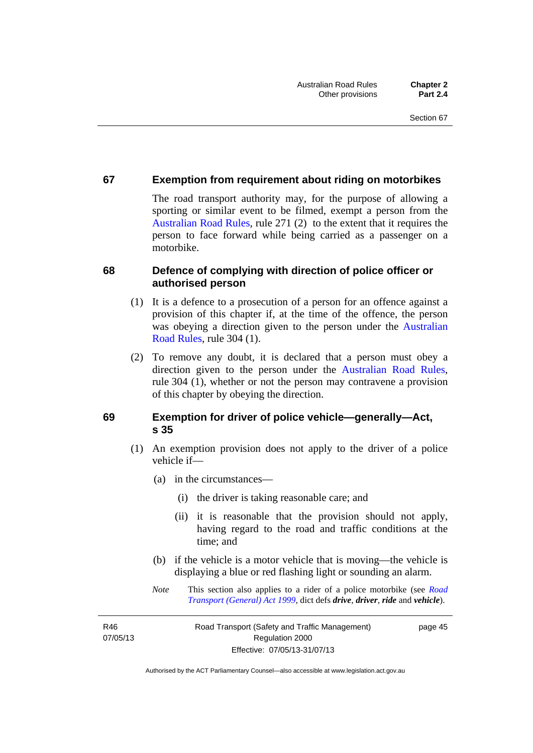#### **67 Exemption from requirement about riding on motorbikes**

The road transport authority may, for the purpose of allowing a sporting or similar event to be filmed, exempt a person from the [Australian Road Rules](http://www.legislation.act.gov.au//ni/db_37271/default.asp), rule 271 (2) to the extent that it requires the person to face forward while being carried as a passenger on a motorbike.

#### **68 Defence of complying with direction of police officer or authorised person**

- (1) It is a defence to a prosecution of a person for an offence against a provision of this chapter if, at the time of the offence, the person was obeying a direction given to the person under the [Australian](http://www.legislation.act.gov.au//ni/db_37271/default.asp)  [Road Rules,](http://www.legislation.act.gov.au//ni/db_37271/default.asp) rule 304 (1).
- (2) To remove any doubt, it is declared that a person must obey a direction given to the person under the [Australian Road Rules](http://www.legislation.act.gov.au//ni/db_37271/default.asp), rule 304 (1), whether or not the person may contravene a provision of this chapter by obeying the direction.

## **69 Exemption for driver of police vehicle—generally—Act, s 35**

- (1) An exemption provision does not apply to the driver of a police vehicle if—
	- (a) in the circumstances—
		- (i) the driver is taking reasonable care; and
		- (ii) it is reasonable that the provision should not apply, having regard to the road and traffic conditions at the time; and
	- (b) if the vehicle is a motor vehicle that is moving—the vehicle is displaying a blue or red flashing light or sounding an alarm.
	- *Note* This section also applies to a rider of a police motorbike (see *[Road](http://www.legislation.act.gov.au/a/1999-77)  [Transport \(General\) Act 1999](http://www.legislation.act.gov.au/a/1999-77)*, dict defs *drive*, *driver*, *ride* and *vehicle*).

R46 07/05/13 page 45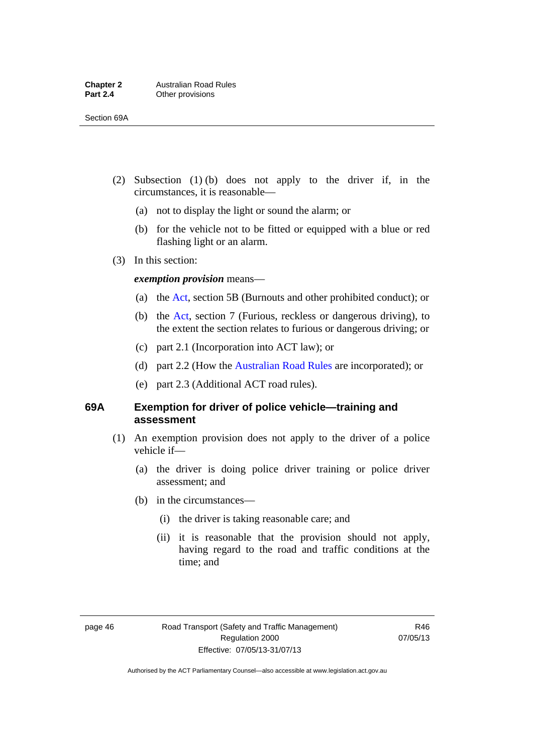- (2) Subsection (1) (b) does not apply to the driver if, in the circumstances, it is reasonable—
	- (a) not to display the light or sound the alarm; or
	- (b) for the vehicle not to be fitted or equipped with a blue or red flashing light or an alarm.
- (3) In this section:

#### *exemption provision* means—

- (a) the [Act,](http://www.legislation.act.gov.au/a/1999-80/default.asp) section 5B (Burnouts and other prohibited conduct); or
- (b) the [Act](http://www.legislation.act.gov.au/a/1999-80/default.asp), section 7 (Furious, reckless or dangerous driving), to the extent the section relates to furious or dangerous driving; or
- (c) part 2.1 (Incorporation into ACT law); or
- (d) part 2.2 (How the [Australian Road Rules](http://www.legislation.act.gov.au//ni/db_37271/default.asp) are incorporated); or
- (e) part 2.3 (Additional ACT road rules).

#### **69A Exemption for driver of police vehicle—training and assessment**

- (1) An exemption provision does not apply to the driver of a police vehicle if—
	- (a) the driver is doing police driver training or police driver assessment; and
	- (b) in the circumstances—
		- (i) the driver is taking reasonable care; and
		- (ii) it is reasonable that the provision should not apply, having regard to the road and traffic conditions at the time; and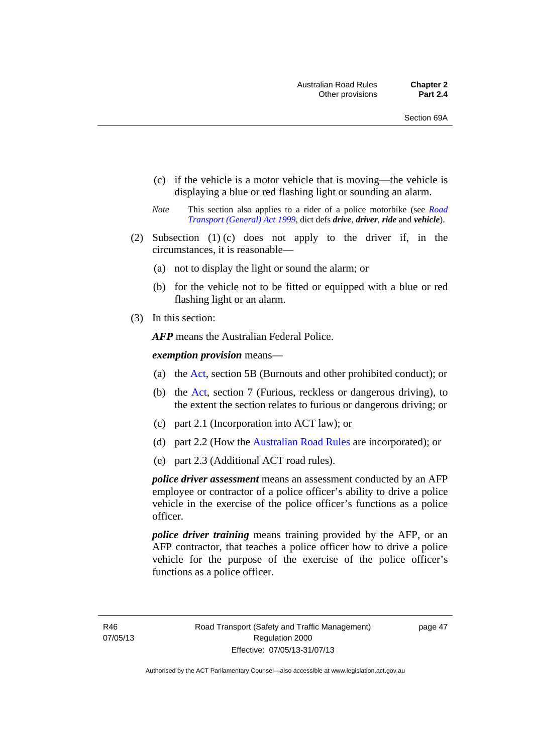- (c) if the vehicle is a motor vehicle that is moving—the vehicle is displaying a blue or red flashing light or sounding an alarm.
- *Note* This section also applies to a rider of a police motorbike (see *[Road](http://www.legislation.act.gov.au/a/1999-77)  [Transport \(General\) Act 1999](http://www.legislation.act.gov.au/a/1999-77)*, dict defs *drive*, *driver*, *ride* and *vehicle*).
- (2) Subsection (1) (c) does not apply to the driver if, in the circumstances, it is reasonable—
	- (a) not to display the light or sound the alarm; or
	- (b) for the vehicle not to be fitted or equipped with a blue or red flashing light or an alarm.
- (3) In this section:

*AFP* means the Australian Federal Police.

#### *exemption provision* means—

- (a) the [Act](http://www.legislation.act.gov.au/a/1999-80/default.asp), section 5B (Burnouts and other prohibited conduct); or
- (b) the [Act](http://www.legislation.act.gov.au/a/1999-80/default.asp), section 7 (Furious, reckless or dangerous driving), to the extent the section relates to furious or dangerous driving; or
- (c) part 2.1 (Incorporation into ACT law); or
- (d) part 2.2 (How the [Australian Road Rules](http://www.legislation.act.gov.au//ni/db_37271/default.asp) are incorporated); or
- (e) part 2.3 (Additional ACT road rules).

*police driver assessment* means an assessment conducted by an AFP employee or contractor of a police officer's ability to drive a police vehicle in the exercise of the police officer's functions as a police officer.

*police driver training* means training provided by the AFP, or an AFP contractor, that teaches a police officer how to drive a police vehicle for the purpose of the exercise of the police officer's functions as a police officer.

R46 07/05/13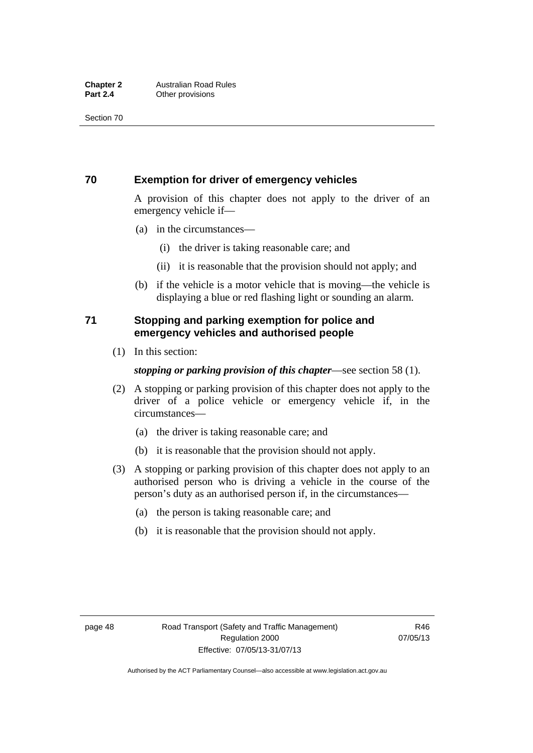### **70 Exemption for driver of emergency vehicles**

A provision of this chapter does not apply to the driver of an emergency vehicle if—

- (a) in the circumstances—
	- (i) the driver is taking reasonable care; and
	- (ii) it is reasonable that the provision should not apply; and
- (b) if the vehicle is a motor vehicle that is moving—the vehicle is displaying a blue or red flashing light or sounding an alarm.

## **71 Stopping and parking exemption for police and emergency vehicles and authorised people**

(1) In this section:

#### *stopping or parking provision of this chapter*—see section 58 (1).

- (2) A stopping or parking provision of this chapter does not apply to the driver of a police vehicle or emergency vehicle if, in the circumstances—
	- (a) the driver is taking reasonable care; and
	- (b) it is reasonable that the provision should not apply.
- (3) A stopping or parking provision of this chapter does not apply to an authorised person who is driving a vehicle in the course of the person's duty as an authorised person if, in the circumstances—
	- (a) the person is taking reasonable care; and
	- (b) it is reasonable that the provision should not apply.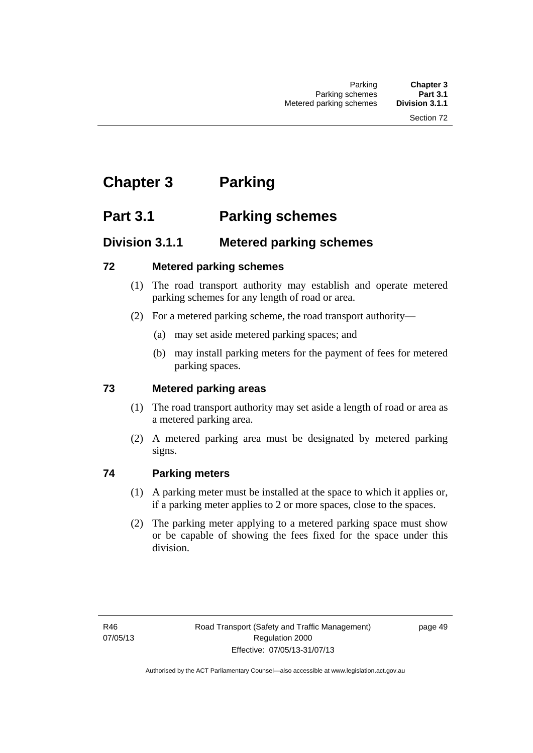# **Chapter 3 Parking**

# **Part 3.1 Parking schemes**

## **Division 3.1.1 Metered parking schemes**

## **72 Metered parking schemes**

- (1) The road transport authority may establish and operate metered parking schemes for any length of road or area.
- (2) For a metered parking scheme, the road transport authority—
	- (a) may set aside metered parking spaces; and
	- (b) may install parking meters for the payment of fees for metered parking spaces.

## **73 Metered parking areas**

- (1) The road transport authority may set aside a length of road or area as a metered parking area.
- (2) A metered parking area must be designated by metered parking signs.

## **74 Parking meters**

- (1) A parking meter must be installed at the space to which it applies or, if a parking meter applies to 2 or more spaces, close to the spaces.
- (2) The parking meter applying to a metered parking space must show or be capable of showing the fees fixed for the space under this division.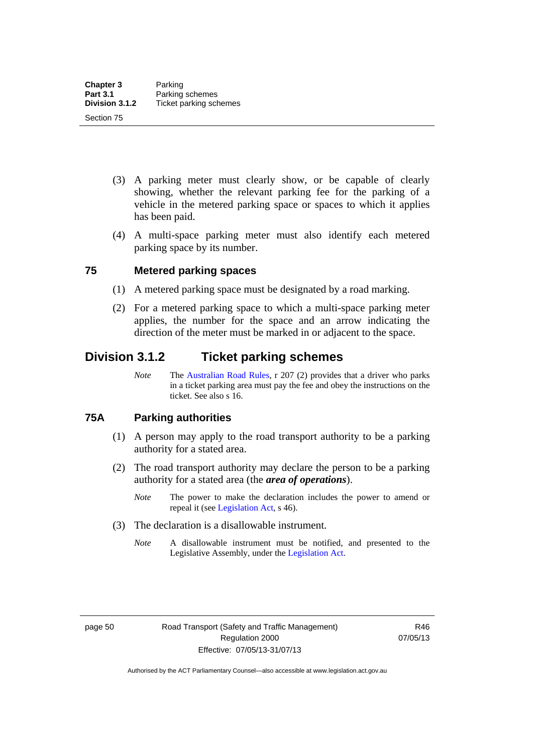- (3) A parking meter must clearly show, or be capable of clearly showing, whether the relevant parking fee for the parking of a vehicle in the metered parking space or spaces to which it applies has been paid.
- (4) A multi-space parking meter must also identify each metered parking space by its number.

#### **75 Metered parking spaces**

- (1) A metered parking space must be designated by a road marking.
- (2) For a metered parking space to which a multi-space parking meter applies, the number for the space and an arrow indicating the direction of the meter must be marked in or adjacent to the space.

## **Division 3.1.2 Ticket parking schemes**

*Note* The [Australian Road Rules](http://www.legislation.act.gov.au//ni/db_37271/default.asp), r 207 (2) provides that a driver who parks in a ticket parking area must pay the fee and obey the instructions on the ticket. See also s 16.

#### **75A Parking authorities**

- (1) A person may apply to the road transport authority to be a parking authority for a stated area.
- (2) The road transport authority may declare the person to be a parking authority for a stated area (the *area of operations*).
	- *Note* The power to make the declaration includes the power to amend or repeal it (see [Legislation Act,](http://www.legislation.act.gov.au/a/2001-14) s 46).
- (3) The declaration is a disallowable instrument.
	- *Note* A disallowable instrument must be notified, and presented to the Legislative Assembly, under the [Legislation Act.](http://www.legislation.act.gov.au/a/2001-14)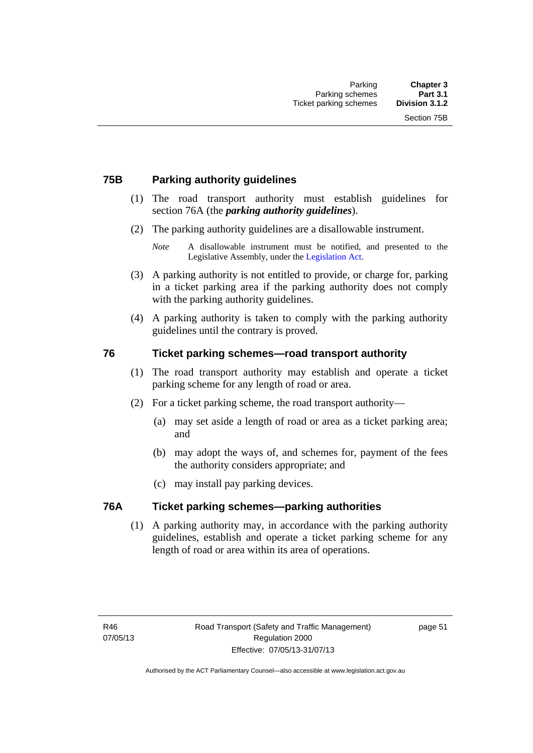### **75B Parking authority guidelines**

- (1) The road transport authority must establish guidelines for section 76A (the *parking authority guidelines*).
- (2) The parking authority guidelines are a disallowable instrument.

- (3) A parking authority is not entitled to provide, or charge for, parking in a ticket parking area if the parking authority does not comply with the parking authority guidelines.
- (4) A parking authority is taken to comply with the parking authority guidelines until the contrary is proved.

#### **76 Ticket parking schemes—road transport authority**

- (1) The road transport authority may establish and operate a ticket parking scheme for any length of road or area.
- (2) For a ticket parking scheme, the road transport authority—
	- (a) may set aside a length of road or area as a ticket parking area; and
	- (b) may adopt the ways of, and schemes for, payment of the fees the authority considers appropriate; and
	- (c) may install pay parking devices.

#### **76A Ticket parking schemes—parking authorities**

(1) A parking authority may, in accordance with the parking authority guidelines, establish and operate a ticket parking scheme for any length of road or area within its area of operations.

*Note* A disallowable instrument must be notified, and presented to the Legislative Assembly, under the [Legislation Act.](http://www.legislation.act.gov.au/a/2001-14)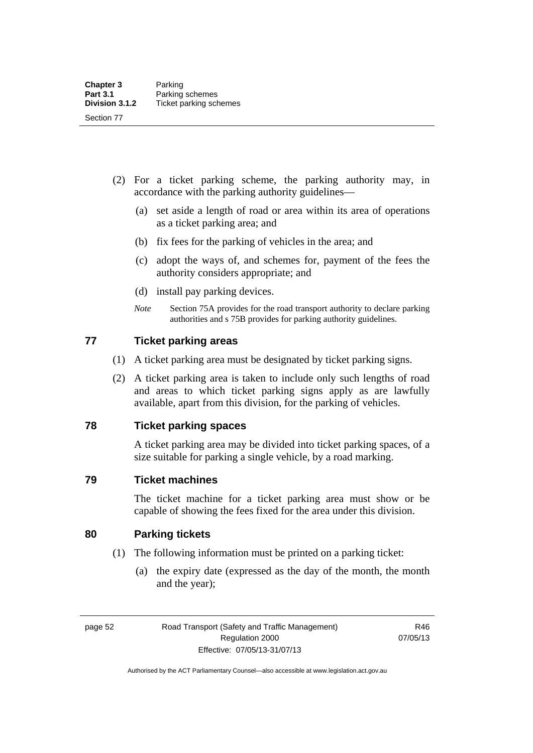- (2) For a ticket parking scheme, the parking authority may, in accordance with the parking authority guidelines—
	- (a) set aside a length of road or area within its area of operations as a ticket parking area; and
	- (b) fix fees for the parking of vehicles in the area; and
	- (c) adopt the ways of, and schemes for, payment of the fees the authority considers appropriate; and
	- (d) install pay parking devices.
	- *Note* Section 75A provides for the road transport authority to declare parking authorities and s 75B provides for parking authority guidelines.

#### **77 Ticket parking areas**

- (1) A ticket parking area must be designated by ticket parking signs.
- (2) A ticket parking area is taken to include only such lengths of road and areas to which ticket parking signs apply as are lawfully available, apart from this division, for the parking of vehicles.

#### **78 Ticket parking spaces**

A ticket parking area may be divided into ticket parking spaces, of a size suitable for parking a single vehicle, by a road marking.

#### **79 Ticket machines**

The ticket machine for a ticket parking area must show or be capable of showing the fees fixed for the area under this division.

## **80 Parking tickets**

- (1) The following information must be printed on a parking ticket:
	- (a) the expiry date (expressed as the day of the month, the month and the year);

page 52 Road Transport (Safety and Traffic Management) Regulation 2000 Effective: 07/05/13-31/07/13

R46 07/05/13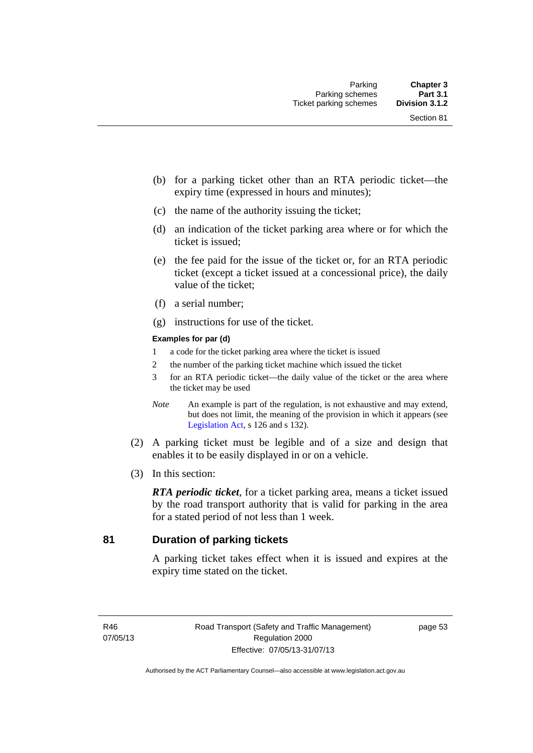- (b) for a parking ticket other than an RTA periodic ticket—the expiry time (expressed in hours and minutes);
- (c) the name of the authority issuing the ticket;
- (d) an indication of the ticket parking area where or for which the ticket is issued;
- (e) the fee paid for the issue of the ticket or, for an RTA periodic ticket (except a ticket issued at a concessional price), the daily value of the ticket;
- (f) a serial number;
- (g) instructions for use of the ticket.

#### **Examples for par (d)**

- 1 a code for the ticket parking area where the ticket is issued
- 2 the number of the parking ticket machine which issued the ticket
- 3 for an RTA periodic ticket—the daily value of the ticket or the area where the ticket may be used
- *Note* An example is part of the regulation, is not exhaustive and may extend, but does not limit, the meaning of the provision in which it appears (see [Legislation Act,](http://www.legislation.act.gov.au/a/2001-14) s 126 and s 132).
- (2) A parking ticket must be legible and of a size and design that enables it to be easily displayed in or on a vehicle.
- (3) In this section:

*RTA periodic ticket*, for a ticket parking area, means a ticket issued by the road transport authority that is valid for parking in the area for a stated period of not less than 1 week.

### **81 Duration of parking tickets**

A parking ticket takes effect when it is issued and expires at the expiry time stated on the ticket.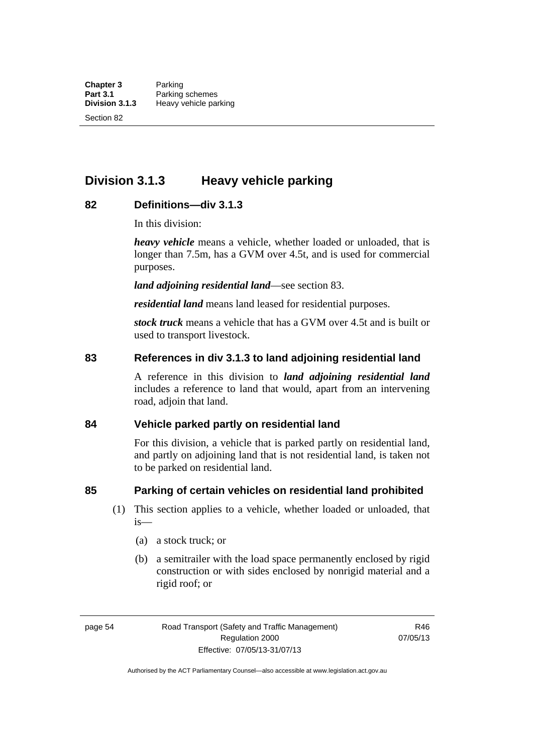**Division 3.1.3 Heavy vehicle parking** 

# **82 Definitions—div 3.1.3**

In this division:

*heavy vehicle* means a vehicle, whether loaded or unloaded, that is longer than 7.5m, has a GVM over 4.5t, and is used for commercial purposes.

*land adjoining residential land*—see section 83.

*residential land* means land leased for residential purposes.

*stock truck* means a vehicle that has a GVM over 4.5t and is built or used to transport livestock.

# **83 References in div 3.1.3 to land adjoining residential land**

A reference in this division to *land adjoining residential land* includes a reference to land that would, apart from an intervening road, adjoin that land.

### **84 Vehicle parked partly on residential land**

For this division, a vehicle that is parked partly on residential land, and partly on adjoining land that is not residential land, is taken not to be parked on residential land.

# **85 Parking of certain vehicles on residential land prohibited**

- (1) This section applies to a vehicle, whether loaded or unloaded, that is—
	- (a) a stock truck; or
	- (b) a semitrailer with the load space permanently enclosed by rigid construction or with sides enclosed by nonrigid material and a rigid roof; or

page 54 Road Transport (Safety and Traffic Management) Regulation 2000 Effective: 07/05/13-31/07/13

R46 07/05/13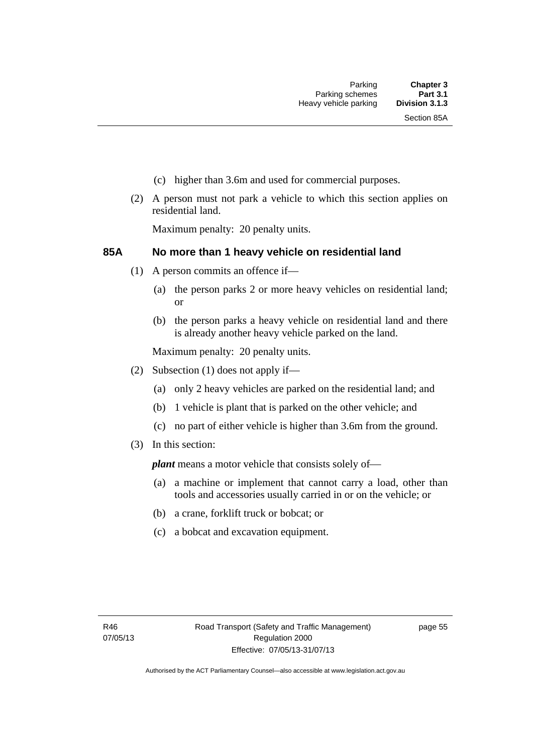- (c) higher than 3.6m and used for commercial purposes.
- (2) A person must not park a vehicle to which this section applies on residential land.

Maximum penalty: 20 penalty units.

# **85A No more than 1 heavy vehicle on residential land**

- (1) A person commits an offence if—
	- (a) the person parks 2 or more heavy vehicles on residential land; or
	- (b) the person parks a heavy vehicle on residential land and there is already another heavy vehicle parked on the land.

Maximum penalty: 20 penalty units.

- (2) Subsection (1) does not apply if—
	- (a) only 2 heavy vehicles are parked on the residential land; and
	- (b) 1 vehicle is plant that is parked on the other vehicle; and
	- (c) no part of either vehicle is higher than 3.6m from the ground.
- (3) In this section:

*plant* means a motor vehicle that consists solely of—

- (a) a machine or implement that cannot carry a load, other than tools and accessories usually carried in or on the vehicle; or
- (b) a crane, forklift truck or bobcat; or
- (c) a bobcat and excavation equipment.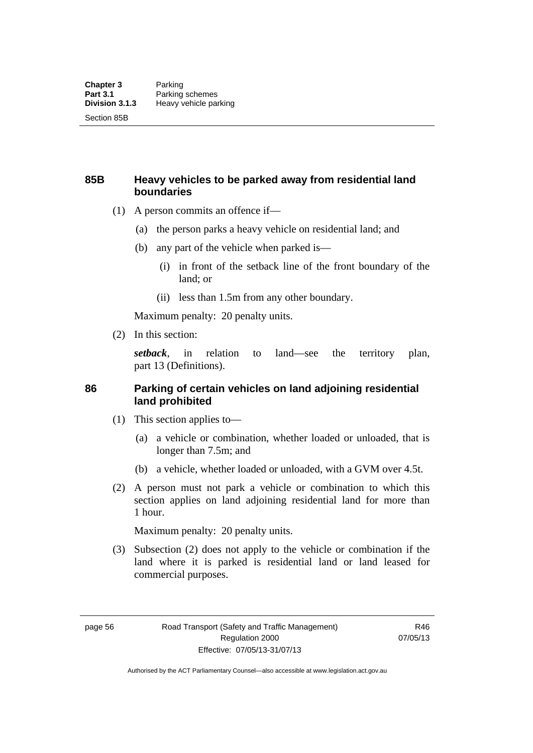# **85B Heavy vehicles to be parked away from residential land boundaries**

- (1) A person commits an offence if—
	- (a) the person parks a heavy vehicle on residential land; and
	- (b) any part of the vehicle when parked is—
		- (i) in front of the setback line of the front boundary of the land; or
		- (ii) less than 1.5m from any other boundary.

Maximum penalty: 20 penalty units.

(2) In this section:

*setback*, in relation to land—see the territory plan, part 13 (Definitions).

# **86 Parking of certain vehicles on land adjoining residential land prohibited**

- (1) This section applies to—
	- (a) a vehicle or combination, whether loaded or unloaded, that is longer than 7.5m; and
	- (b) a vehicle, whether loaded or unloaded, with a GVM over 4.5t.
- (2) A person must not park a vehicle or combination to which this section applies on land adjoining residential land for more than 1 hour.

Maximum penalty: 20 penalty units.

 (3) Subsection (2) does not apply to the vehicle or combination if the land where it is parked is residential land or land leased for commercial purposes.

page 56 Road Transport (Safety and Traffic Management) Regulation 2000 Effective: 07/05/13-31/07/13

R46 07/05/13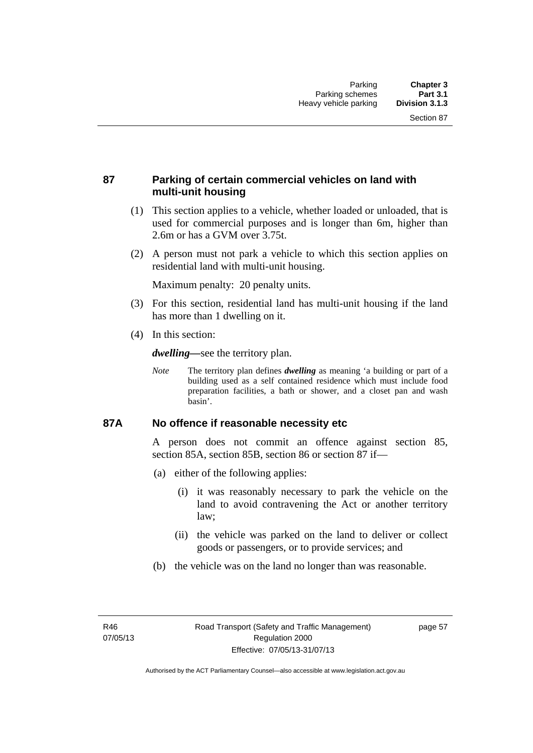# **87 Parking of certain commercial vehicles on land with multi-unit housing**

- (1) This section applies to a vehicle, whether loaded or unloaded, that is used for commercial purposes and is longer than 6m, higher than 2.6m or has a GVM over 3.75t.
- (2) A person must not park a vehicle to which this section applies on residential land with multi-unit housing.

Maximum penalty: 20 penalty units.

- (3) For this section, residential land has multi-unit housing if the land has more than 1 dwelling on it.
- (4) In this section:

*dwelling—*see the territory plan.

*Note* The territory plan defines *dwelling* as meaning 'a building or part of a building used as a self contained residence which must include food preparation facilities, a bath or shower, and a closet pan and wash basin'.

# **87A No offence if reasonable necessity etc**

A person does not commit an offence against section 85, section 85A, section 85B, section 86 or section 87 if—

- (a) either of the following applies:
	- (i) it was reasonably necessary to park the vehicle on the land to avoid contravening the Act or another territory law;
	- (ii) the vehicle was parked on the land to deliver or collect goods or passengers, or to provide services; and
- (b) the vehicle was on the land no longer than was reasonable.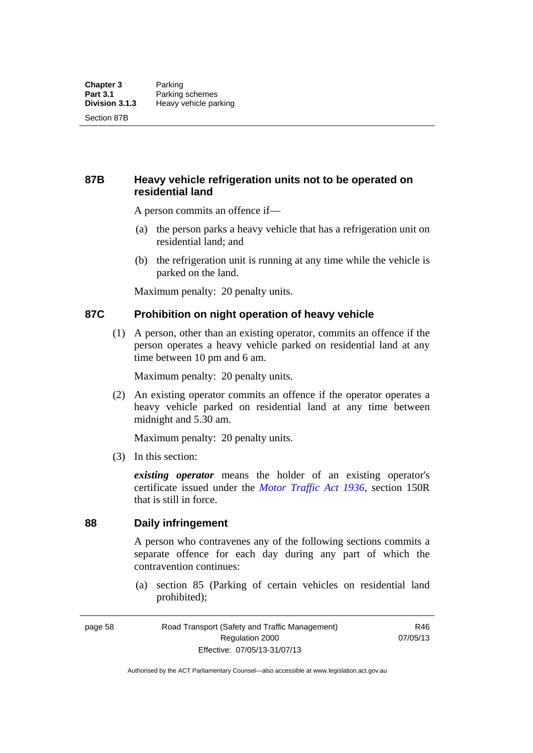# **87B Heavy vehicle refrigeration units not to be operated on residential land**

A person commits an offence if—

- (a) the person parks a heavy vehicle that has a refrigeration unit on residential land; and
- (b) the refrigeration unit is running at any time while the vehicle is parked on the land.

Maximum penalty: 20 penalty units.

# **87C Prohibition on night operation of heavy vehicle**

 (1) A person, other than an existing operator, commits an offence if the person operates a heavy vehicle parked on residential land at any time between 10 pm and 6 am.

Maximum penalty: 20 penalty units.

 (2) An existing operator commits an offence if the operator operates a heavy vehicle parked on residential land at any time between midnight and 5.30 am.

Maximum penalty: 20 penalty units.

(3) In this section:

*existing operator* means the holder of an existing operator's certificate issued under the *[Motor Traffic Act 1936](http://www.legislation.act.gov.au/a/1936-45)*, section 150R that is still in force.

# **88 Daily infringement**

A person who contravenes any of the following sections commits a separate offence for each day during any part of which the contravention continues:

 (a) section 85 (Parking of certain vehicles on residential land prohibited);

page 58 Road Transport (Safety and Traffic Management) Regulation 2000 Effective: 07/05/13-31/07/13

R46 07/05/13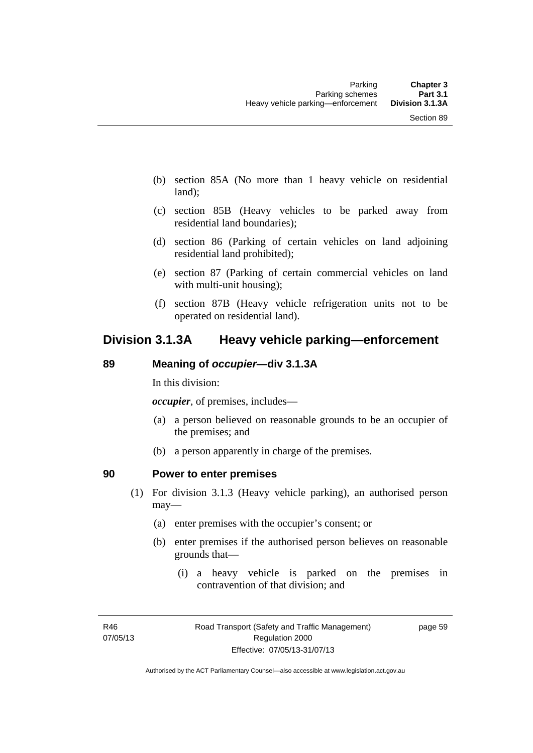- (b) section 85A (No more than 1 heavy vehicle on residential land);
- (c) section 85B (Heavy vehicles to be parked away from residential land boundaries);
- (d) section 86 (Parking of certain vehicles on land adjoining residential land prohibited);
- (e) section 87 (Parking of certain commercial vehicles on land with multi-unit housing);
- (f) section 87B (Heavy vehicle refrigeration units not to be operated on residential land).

# **Division 3.1.3A Heavy vehicle parking—enforcement**

# **89 Meaning of** *occupier***—div 3.1.3A**

In this division:

*occupier*, of premises, includes—

- (a) a person believed on reasonable grounds to be an occupier of the premises; and
- (b) a person apparently in charge of the premises.

# **90 Power to enter premises**

- (1) For division 3.1.3 (Heavy vehicle parking), an authorised person may—
	- (a) enter premises with the occupier's consent; or
	- (b) enter premises if the authorised person believes on reasonable grounds that—
		- (i) a heavy vehicle is parked on the premises in contravention of that division; and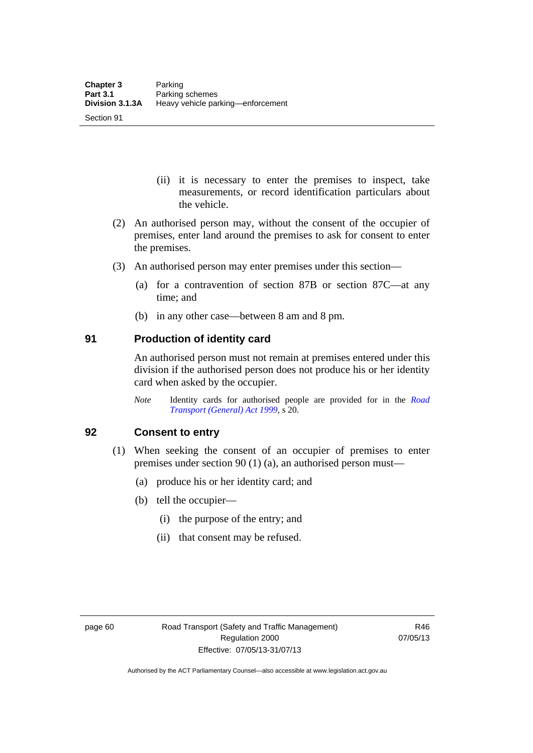Section 91

- (ii) it is necessary to enter the premises to inspect, take measurements, or record identification particulars about the vehicle.
- (2) An authorised person may, without the consent of the occupier of premises, enter land around the premises to ask for consent to enter the premises.
- (3) An authorised person may enter premises under this section––
	- (a) for a contravention of section 87B or section 87C––at any time; and
	- (b) in any other case––between 8 am and 8 pm.

# **91 Production of identity card**

An authorised person must not remain at premises entered under this division if the authorised person does not produce his or her identity card when asked by the occupier.

*Note* Identity cards for authorised people are provided for in the *[Road](http://www.legislation.act.gov.au/a/1999-77)  [Transport \(General\) Act 1999](http://www.legislation.act.gov.au/a/1999-77)*, s 20.

# **92 Consent to entry**

- (1) When seeking the consent of an occupier of premises to enter premises under section 90 (1) (a), an authorised person must—
	- (a) produce his or her identity card; and
	- (b) tell the occupier—
		- (i) the purpose of the entry; and
		- (ii) that consent may be refused.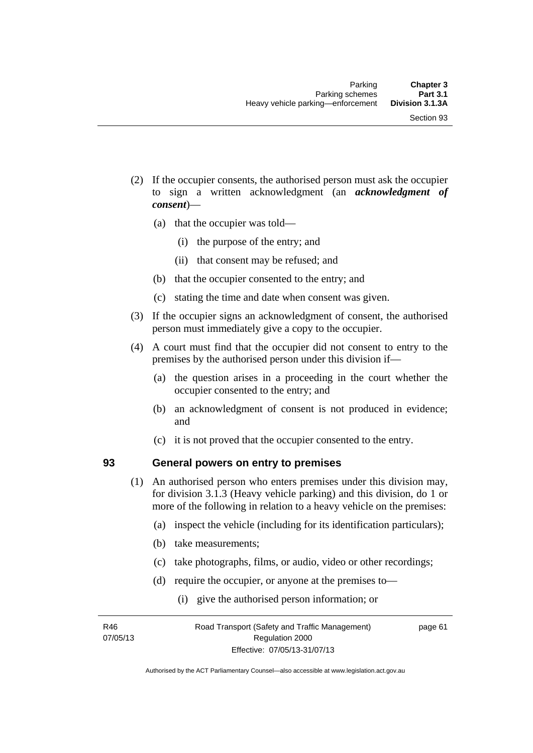- (2) If the occupier consents, the authorised person must ask the occupier to sign a written acknowledgment (an *acknowledgment of consent*)—
	- (a) that the occupier was told—
		- (i) the purpose of the entry; and
		- (ii) that consent may be refused; and
	- (b) that the occupier consented to the entry; and
	- (c) stating the time and date when consent was given.
- (3) If the occupier signs an acknowledgment of consent, the authorised person must immediately give a copy to the occupier.
- (4) A court must find that the occupier did not consent to entry to the premises by the authorised person under this division if—
	- (a) the question arises in a proceeding in the court whether the occupier consented to the entry; and
	- (b) an acknowledgment of consent is not produced in evidence; and
	- (c) it is not proved that the occupier consented to the entry.

# **93 General powers on entry to premises**

- (1) An authorised person who enters premises under this division may, for division 3.1.3 (Heavy vehicle parking) and this division, do 1 or more of the following in relation to a heavy vehicle on the premises:
	- (a) inspect the vehicle (including for its identification particulars);
	- (b) take measurements;
	- (c) take photographs, films, or audio, video or other recordings;
	- (d) require the occupier, or anyone at the premises to—
		- (i) give the authorised person information; or

R46 07/05/13 page 61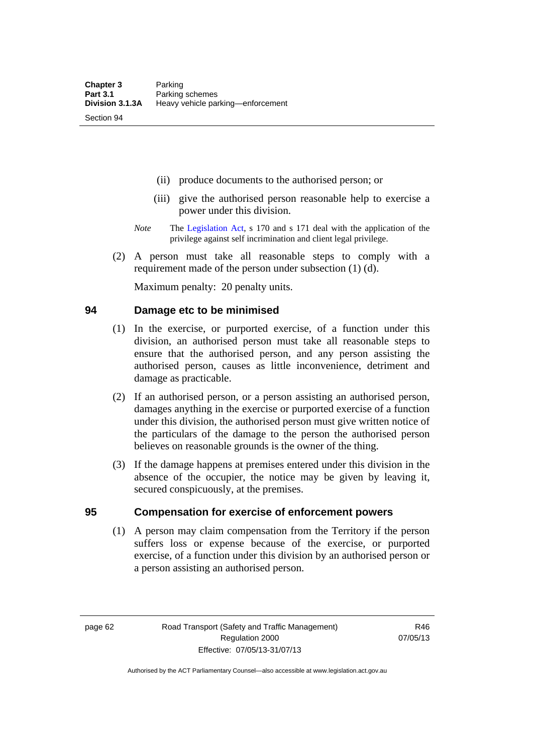Section 94

- (ii) produce documents to the authorised person; or
- (iii) give the authorised person reasonable help to exercise a power under this division.
- *Note* The [Legislation Act](http://www.legislation.act.gov.au/a/2001-14), s 170 and s 171 deal with the application of the privilege against self incrimination and client legal privilege.
- (2) A person must take all reasonable steps to comply with a requirement made of the person under subsection (1) (d).

Maximum penalty: 20 penalty units.

# **94 Damage etc to be minimised**

- (1) In the exercise, or purported exercise, of a function under this division, an authorised person must take all reasonable steps to ensure that the authorised person, and any person assisting the authorised person, causes as little inconvenience, detriment and damage as practicable.
- (2) If an authorised person, or a person assisting an authorised person, damages anything in the exercise or purported exercise of a function under this division, the authorised person must give written notice of the particulars of the damage to the person the authorised person believes on reasonable grounds is the owner of the thing.
- (3) If the damage happens at premises entered under this division in the absence of the occupier, the notice may be given by leaving it, secured conspicuously, at the premises.

# **95 Compensation for exercise of enforcement powers**

(1) A person may claim compensation from the Territory if the person suffers loss or expense because of the exercise, or purported exercise, of a function under this division by an authorised person or a person assisting an authorised person.

page 62 Road Transport (Safety and Traffic Management) Regulation 2000 Effective: 07/05/13-31/07/13

R46 07/05/13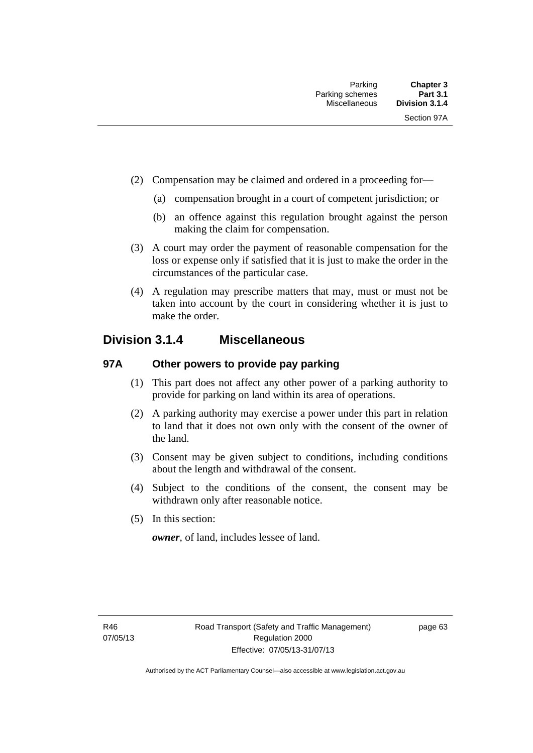- (2) Compensation may be claimed and ordered in a proceeding for—
	- (a) compensation brought in a court of competent jurisdiction; or
	- (b) an offence against this regulation brought against the person making the claim for compensation.
- (3) A court may order the payment of reasonable compensation for the loss or expense only if satisfied that it is just to make the order in the circumstances of the particular case.
- (4) A regulation may prescribe matters that may, must or must not be taken into account by the court in considering whether it is just to make the order.

# **Division 3.1.4 Miscellaneous**

# **97A Other powers to provide pay parking**

- (1) This part does not affect any other power of a parking authority to provide for parking on land within its area of operations.
- (2) A parking authority may exercise a power under this part in relation to land that it does not own only with the consent of the owner of the land.
- (3) Consent may be given subject to conditions, including conditions about the length and withdrawal of the consent.
- (4) Subject to the conditions of the consent, the consent may be withdrawn only after reasonable notice.
- (5) In this section:

*owner*, of land, includes lessee of land.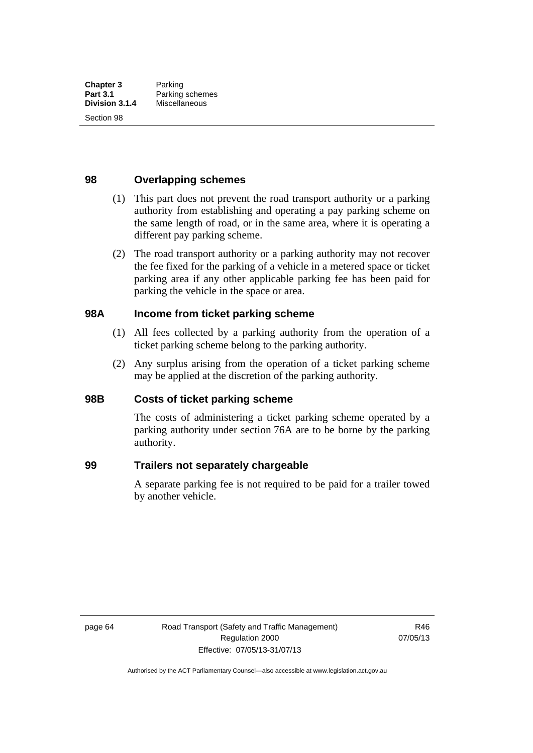Section 98

# **98 Overlapping schemes**

- (1) This part does not prevent the road transport authority or a parking authority from establishing and operating a pay parking scheme on the same length of road, or in the same area, where it is operating a different pay parking scheme.
- (2) The road transport authority or a parking authority may not recover the fee fixed for the parking of a vehicle in a metered space or ticket parking area if any other applicable parking fee has been paid for parking the vehicle in the space or area.

# **98A Income from ticket parking scheme**

- (1) All fees collected by a parking authority from the operation of a ticket parking scheme belong to the parking authority.
- (2) Any surplus arising from the operation of a ticket parking scheme may be applied at the discretion of the parking authority.

# **98B Costs of ticket parking scheme**

The costs of administering a ticket parking scheme operated by a parking authority under section 76A are to be borne by the parking authority.

# **99 Trailers not separately chargeable**

A separate parking fee is not required to be paid for a trailer towed by another vehicle.

page 64 Road Transport (Safety and Traffic Management) Regulation 2000 Effective: 07/05/13-31/07/13

R46 07/05/13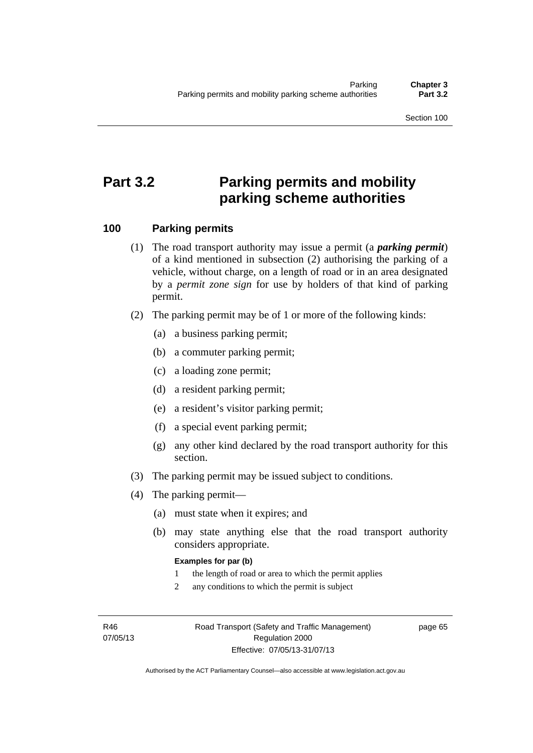Section 100

# **Part 3.2 Parking permits and mobility parking scheme authorities**

# **100 Parking permits**

- (1) The road transport authority may issue a permit (a *parking permit*) of a kind mentioned in subsection (2) authorising the parking of a vehicle, without charge, on a length of road or in an area designated by a *permit zone sign* for use by holders of that kind of parking permit.
- (2) The parking permit may be of 1 or more of the following kinds:
	- (a) a business parking permit;
	- (b) a commuter parking permit;
	- (c) a loading zone permit;
	- (d) a resident parking permit;
	- (e) a resident's visitor parking permit;
	- (f) a special event parking permit;
	- (g) any other kind declared by the road transport authority for this section.
- (3) The parking permit may be issued subject to conditions.
- (4) The parking permit—
	- (a) must state when it expires; and
	- (b) may state anything else that the road transport authority considers appropriate.

#### **Examples for par (b)**

- 1 the length of road or area to which the permit applies
- 2 any conditions to which the permit is subject

R46 07/05/13 page 65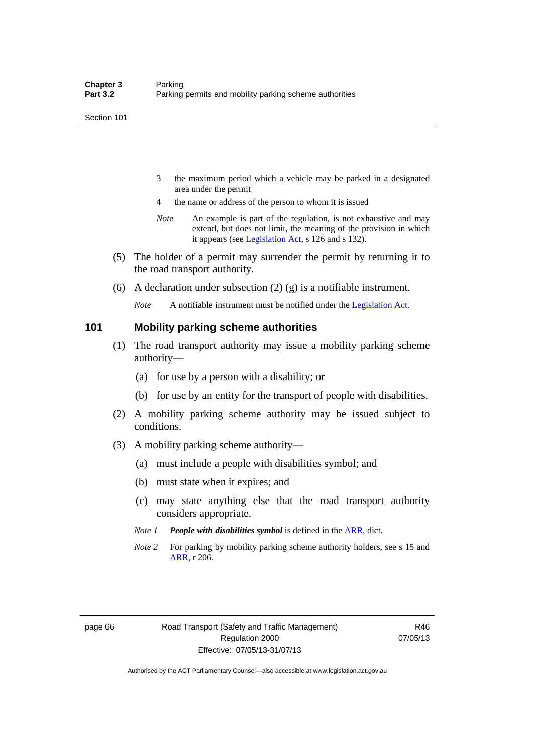- 3 the maximum period which a vehicle may be parked in a designated area under the permit
- 4 the name or address of the person to whom it is issued
- *Note* An example is part of the regulation, is not exhaustive and may extend, but does not limit, the meaning of the provision in which it appears (see [Legislation Act,](http://www.legislation.act.gov.au/a/2001-14) s 126 and s 132).
- (5) The holder of a permit may surrender the permit by returning it to the road transport authority.
- (6) A declaration under subsection (2) (g) is a notifiable instrument.

*Note* A notifiable instrument must be notified under the [Legislation Act](http://www.legislation.act.gov.au/a/2001-14).

### **101 Mobility parking scheme authorities**

- (1) The road transport authority may issue a mobility parking scheme authority—
	- (a) for use by a person with a disability; or
	- (b) for use by an entity for the transport of people with disabilities.
- (2) A mobility parking scheme authority may be issued subject to conditions.
- (3) A mobility parking scheme authority—
	- (a) must include a people with disabilities symbol; and
	- (b) must state when it expires; and
	- (c) may state anything else that the road transport authority considers appropriate.
	- *Note 1 People with disabilities symbol* is defined in the [ARR](http://www.legislation.act.gov.au//ni/db_37271/default.asp), dict.
	- *Note 2* For parking by mobility parking scheme authority holders, see s 15 and [ARR,](http://www.legislation.act.gov.au//ni/db_37271/default.asp) r 206.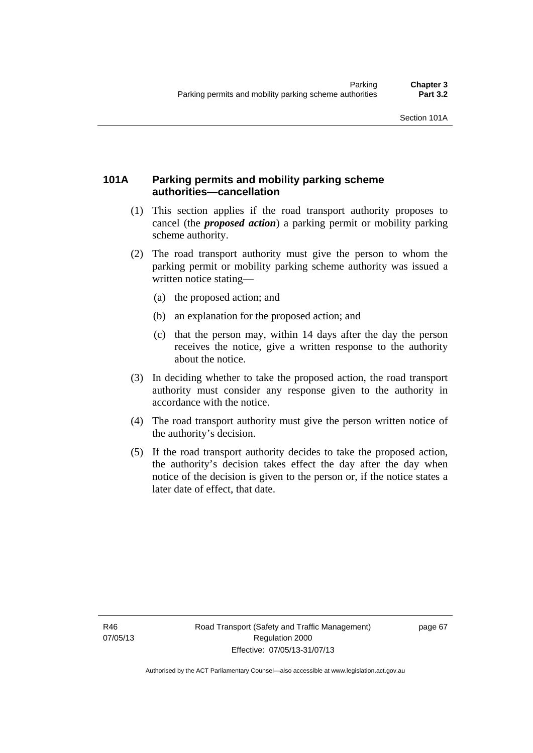# **101A Parking permits and mobility parking scheme authorities—cancellation**

- (1) This section applies if the road transport authority proposes to cancel (the *proposed action*) a parking permit or mobility parking scheme authority.
- (2) The road transport authority must give the person to whom the parking permit or mobility parking scheme authority was issued a written notice stating—
	- (a) the proposed action; and
	- (b) an explanation for the proposed action; and
	- (c) that the person may, within 14 days after the day the person receives the notice, give a written response to the authority about the notice.
- (3) In deciding whether to take the proposed action, the road transport authority must consider any response given to the authority in accordance with the notice.
- (4) The road transport authority must give the person written notice of the authority's decision.
- (5) If the road transport authority decides to take the proposed action, the authority's decision takes effect the day after the day when notice of the decision is given to the person or, if the notice states a later date of effect, that date.

page 67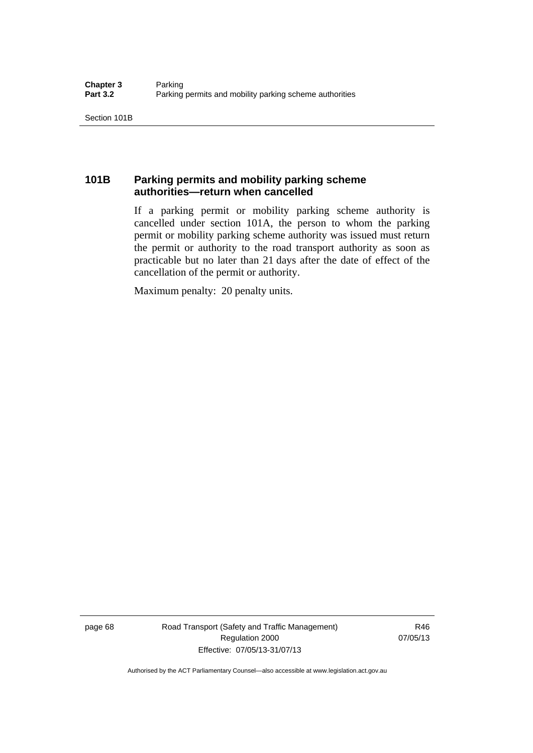# **101B Parking permits and mobility parking scheme authorities—return when cancelled**

If a parking permit or mobility parking scheme authority is cancelled under section 101A, the person to whom the parking permit or mobility parking scheme authority was issued must return the permit or authority to the road transport authority as soon as practicable but no later than 21 days after the date of effect of the cancellation of the permit or authority.

Maximum penalty: 20 penalty units.

page 68 Road Transport (Safety and Traffic Management) Regulation 2000 Effective: 07/05/13-31/07/13

R46 07/05/13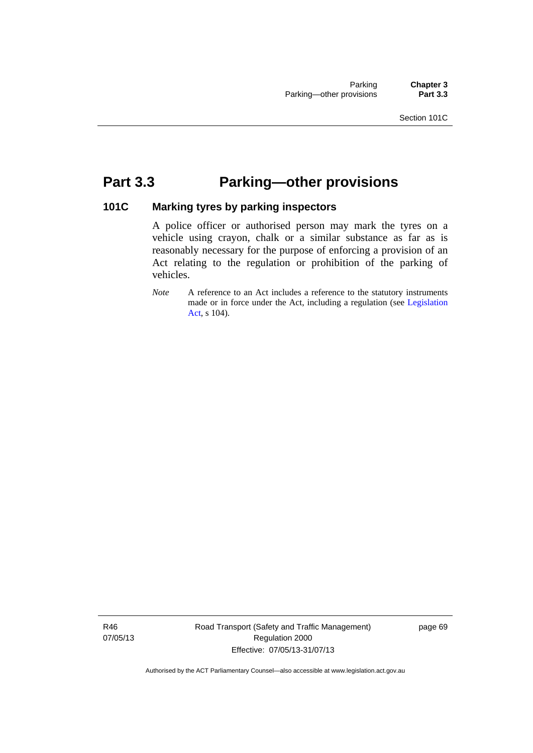# **Part 3.3 Parking—other provisions**

# **101C Marking tyres by parking inspectors**

A police officer or authorised person may mark the tyres on a vehicle using crayon, chalk or a similar substance as far as is reasonably necessary for the purpose of enforcing a provision of an Act relating to the regulation or prohibition of the parking of vehicles.

*Note* A reference to an Act includes a reference to the statutory instruments made or in force under the Act, including a regulation (see [Legislation](http://www.legislation.act.gov.au/a/2001-14)  [Act,](http://www.legislation.act.gov.au/a/2001-14) s 104).

R46 07/05/13 Road Transport (Safety and Traffic Management) Regulation 2000 Effective: 07/05/13-31/07/13

page 69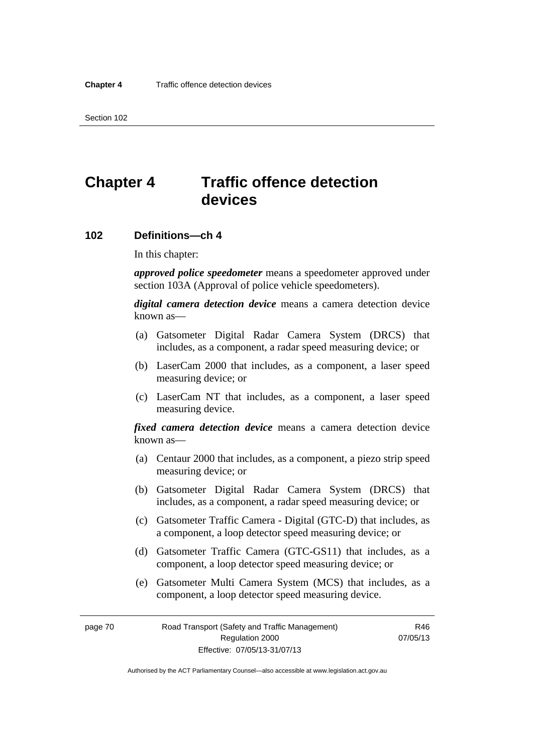# **Chapter 4 Traffic offence detection devices**

# **102 Definitions—ch 4**

In this chapter:

*approved police speedometer* means a speedometer approved under section 103A (Approval of police vehicle speedometers).

*digital camera detection device* means a camera detection device known as—

- (a) Gatsometer Digital Radar Camera System (DRCS) that includes, as a component, a radar speed measuring device; or
- (b) LaserCam 2000 that includes, as a component, a laser speed measuring device; or
- (c) LaserCam NT that includes, as a component, a laser speed measuring device.

*fixed camera detection device* means a camera detection device known as—

- (a) Centaur 2000 that includes, as a component, a piezo strip speed measuring device; or
- (b) Gatsometer Digital Radar Camera System (DRCS) that includes, as a component, a radar speed measuring device; or
- (c) Gatsometer Traffic Camera Digital (GTC-D) that includes, as a component, a loop detector speed measuring device; or
- (d) Gatsometer Traffic Camera (GTC-GS11) that includes, as a component, a loop detector speed measuring device; or
- (e) Gatsometer Multi Camera System (MCS) that includes, as a component, a loop detector speed measuring device.

page 70 Road Transport (Safety and Traffic Management) Regulation 2000 Effective: 07/05/13-31/07/13

R46 07/05/13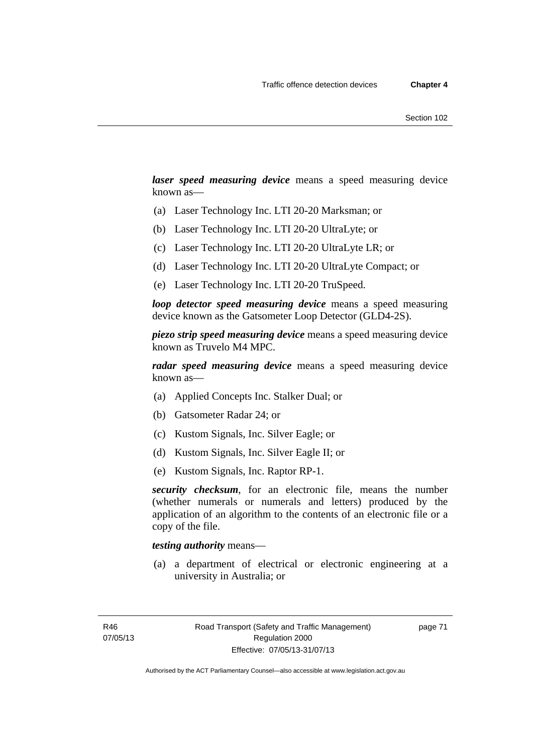*laser speed measuring device* means a speed measuring device known as—

- (a) Laser Technology Inc. LTI 20-20 Marksman; or
- (b) Laser Technology Inc. LTI 20-20 UltraLyte; or
- (c) Laser Technology Inc. LTI 20-20 UltraLyte LR; or
- (d) Laser Technology Inc. LTI 20-20 UltraLyte Compact; or
- (e) Laser Technology Inc. LTI 20-20 TruSpeed.

*loop detector speed measuring device* means a speed measuring device known as the Gatsometer Loop Detector (GLD4-2S).

*piezo strip speed measuring device* means a speed measuring device known as Truvelo M4 MPC.

*radar speed measuring device* means a speed measuring device known as—

- (a) Applied Concepts Inc. Stalker Dual; or
- (b) Gatsometer Radar 24; or
- (c) Kustom Signals, Inc. Silver Eagle; or
- (d) Kustom Signals, Inc. Silver Eagle II; or
- (e) Kustom Signals, Inc. Raptor RP-1.

*security checksum*, for an electronic file, means the number (whether numerals or numerals and letters) produced by the application of an algorithm to the contents of an electronic file or a copy of the file.

### *testing authority* means—

 (a) a department of electrical or electronic engineering at a university in Australia; or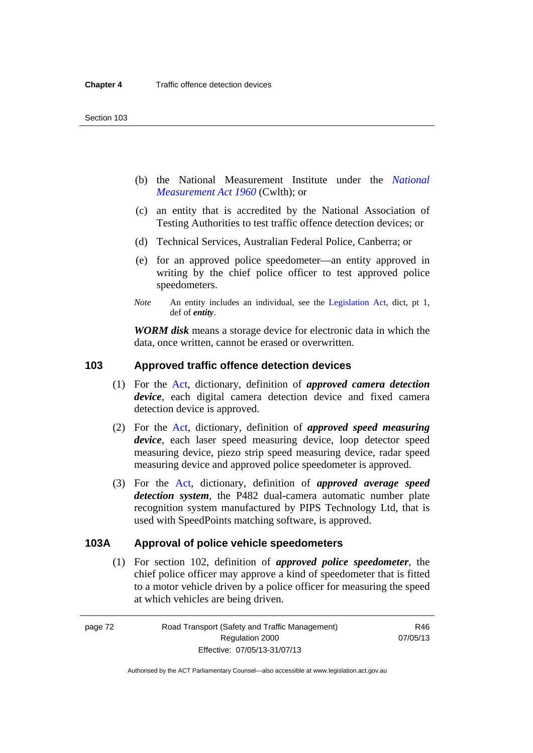- (b) the National Measurement Institute under the *[National](http://www.comlaw.gov.au/Series/C2004A07405)  [Measurement Act 1960](http://www.comlaw.gov.au/Series/C2004A07405)* (Cwlth); or
- (c) an entity that is accredited by the National Association of Testing Authorities to test traffic offence detection devices; or
- (d) Technical Services, Australian Federal Police, Canberra; or
- (e) for an approved police speedometer—an entity approved in writing by the chief police officer to test approved police speedometers.
- *Note* An entity includes an individual, see the [Legislation Act](http://www.legislation.act.gov.au/a/2001-14), dict, pt 1, def of *entity*.

*WORM disk* means a storage device for electronic data in which the data, once written, cannot be erased or overwritten.

# **103 Approved traffic offence detection devices**

- (1) For the [Act](http://www.legislation.act.gov.au/a/1999-80/default.asp), dictionary, definition of *approved camera detection device*, each digital camera detection device and fixed camera detection device is approved.
- (2) For the [Act,](http://www.legislation.act.gov.au/a/1999-80/default.asp) dictionary, definition of *approved speed measuring device*, each laser speed measuring device, loop detector speed measuring device, piezo strip speed measuring device, radar speed measuring device and approved police speedometer is approved.
- (3) For the [Act](http://www.legislation.act.gov.au/a/1999-80/default.asp), dictionary, definition of *approved average speed detection system*, the P482 dual-camera automatic number plate recognition system manufactured by PIPS Technology Ltd, that is used with SpeedPoints matching software, is approved.

# **103A Approval of police vehicle speedometers**

(1) For section 102, definition of *approved police speedometer*, the chief police officer may approve a kind of speedometer that is fitted to a motor vehicle driven by a police officer for measuring the speed at which vehicles are being driven.

page 72 Road Transport (Safety and Traffic Management) Regulation 2000 Effective: 07/05/13-31/07/13

R46 07/05/13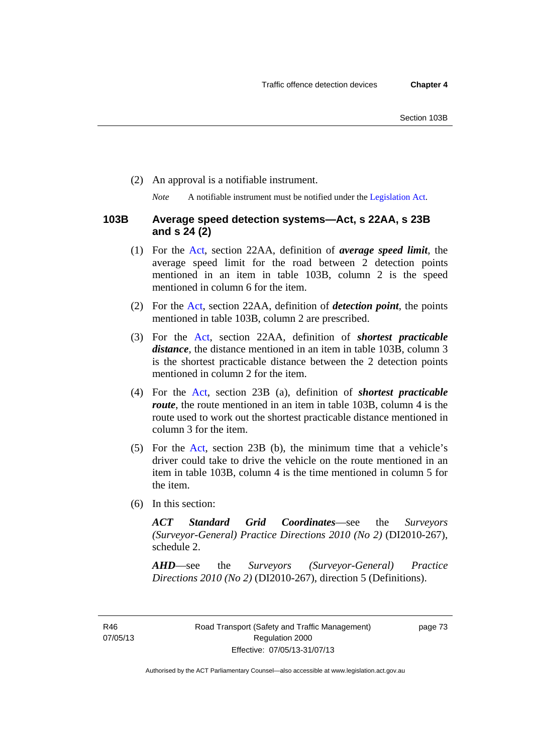(2) An approval is a notifiable instrument.

*Note* A notifiable instrument must be notified under the [Legislation Act](http://www.legislation.act.gov.au/a/2001-14).

# **103B Average speed detection systems—Act, s 22AA, s 23B and s 24 (2)**

- (1) For the [Act,](http://www.legislation.act.gov.au/a/1999-80/default.asp) section 22AA, definition of *average speed limit*, the average speed limit for the road between 2 detection points mentioned in an item in table 103B, column 2 is the speed mentioned in column 6 for the item.
- (2) For the [Act](http://www.legislation.act.gov.au/a/1999-80/default.asp), section 22AA, definition of *detection point*, the points mentioned in table 103B, column 2 are prescribed.
- (3) For the [Act](http://www.legislation.act.gov.au/a/1999-80/default.asp), section 22AA, definition of *shortest practicable distance*, the distance mentioned in an item in table 103B, column 3 is the shortest practicable distance between the 2 detection points mentioned in column 2 for the item.
- (4) For the [Act,](http://www.legislation.act.gov.au/a/1999-80/default.asp) section 23B (a), definition of *shortest practicable route*, the route mentioned in an item in table 103B, column 4 is the route used to work out the shortest practicable distance mentioned in column 3 for the item.
- (5) For the [Act](http://www.legislation.act.gov.au/a/1999-80/default.asp), section 23B (b), the minimum time that a vehicle's driver could take to drive the vehicle on the route mentioned in an item in table 103B, column 4 is the time mentioned in column 5 for the item.
- (6) In this section:

*ACT Standard Grid Coordinates*—see the *Surveyors (Surveyor-General) Practice Directions 2010 (No 2)* (DI2010-267), schedule 2.

*AHD*—see the *Surveyors (Surveyor-General) Practice Directions 2010 (No 2)* (DI2010-267), direction 5 (Definitions).

R46 07/05/13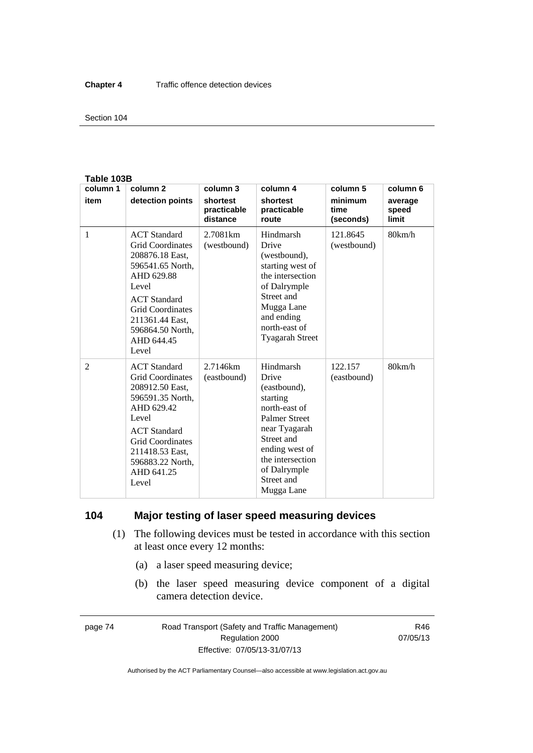#### Section 104

#### **Table 103B**

| column 1       | column <sub>2</sub>                                                                                                                                                                                                          | column 3                            | column 4                                                                                                                                                                                                 | column 5                     | column 6                  |
|----------------|------------------------------------------------------------------------------------------------------------------------------------------------------------------------------------------------------------------------------|-------------------------------------|----------------------------------------------------------------------------------------------------------------------------------------------------------------------------------------------------------|------------------------------|---------------------------|
| item           | detection points                                                                                                                                                                                                             | shortest<br>practicable<br>distance | shortest<br>practicable<br>route                                                                                                                                                                         | minimum<br>time<br>(seconds) | average<br>speed<br>limit |
| 1              | <b>ACT</b> Standard<br><b>Grid Coordinates</b><br>208876.18 East,<br>596541.65 North.<br>AHD 629.88<br>Level<br><b>ACT</b> Standard<br><b>Grid Coordinates</b><br>211361.44 East,<br>596864.50 North,<br>AHD 644.45<br>Level | 2.7081 <sub>km</sub><br>(westbound) | Hindmarsh<br>Drive<br>(westbound),<br>starting west of<br>the intersection<br>of Dalrymple<br>Street and<br>Mugga Lane<br>and ending<br>north-east of<br><b>Tyagarah Street</b>                          | 121.8645<br>(westbound)      | 80km/h                    |
| $\overline{2}$ | <b>ACT</b> Standard<br><b>Grid Coordinates</b><br>208912.50 East,<br>596591.35 North,<br>AHD 629.42<br>Level<br><b>ACT</b> Standard<br><b>Grid Coordinates</b><br>211418.53 East,<br>596883.22 North,<br>AHD 641.25<br>Level | 2.7146km<br>(eastbound)             | Hindmarsh<br>Drive<br>(eastbound),<br>starting<br>north-east of<br><b>Palmer Street</b><br>near Tyagarah<br>Street and<br>ending west of<br>the intersection<br>of Dalrymple<br>Street and<br>Mugga Lane | 122.157<br>(eastbound)       | 80km/h                    |

# **104 Major testing of laser speed measuring devices**

- (1) The following devices must be tested in accordance with this section at least once every 12 months:
	- (a) a laser speed measuring device;
	- (b) the laser speed measuring device component of a digital camera detection device.

page 74 Road Transport (Safety and Traffic Management) Regulation 2000 Effective: 07/05/13-31/07/13

R46 07/05/13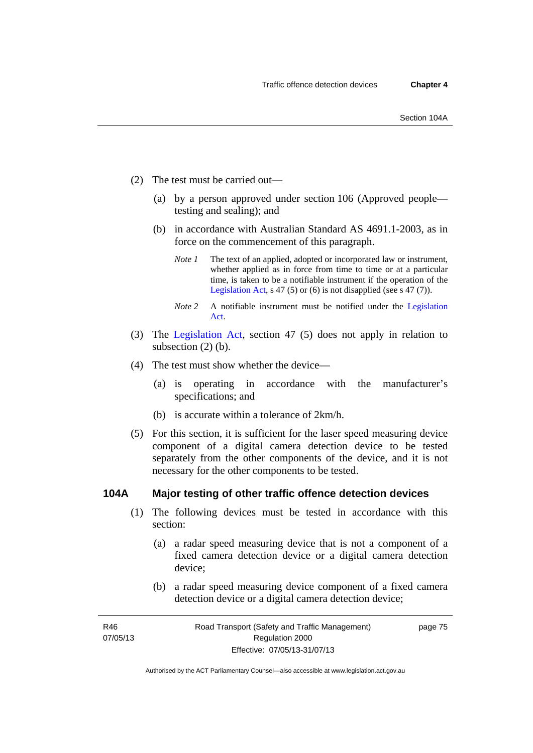- (2) The test must be carried out—
	- (a) by a person approved under section 106 (Approved people testing and sealing); and
	- (b) in accordance with Australian Standard AS 4691.1-2003, as in force on the commencement of this paragraph.
		- *Note 1* The text of an applied, adopted or incorporated law or instrument, whether applied as in force from time to time or at a particular time, is taken to be a notifiable instrument if the operation of the [Legislation Act,](http://www.legislation.act.gov.au/a/2001-14) s 47 (5) or (6) is not disapplied (see s 47 (7)).
		- *Note 2* A notifiable instrument must be notified under the [Legislation](http://www.legislation.act.gov.au/a/2001-14)  [Act.](http://www.legislation.act.gov.au/a/2001-14)
- (3) The [Legislation Act,](http://www.legislation.act.gov.au/a/2001-14) section 47 (5) does not apply in relation to subsection (2) (b).
- (4) The test must show whether the device—
	- (a) is operating in accordance with the manufacturer's specifications; and
	- (b) is accurate within a tolerance of 2km/h.
- (5) For this section, it is sufficient for the laser speed measuring device component of a digital camera detection device to be tested separately from the other components of the device, and it is not necessary for the other components to be tested.

# **104A Major testing of other traffic offence detection devices**

- (1) The following devices must be tested in accordance with this section:
	- (a) a radar speed measuring device that is not a component of a fixed camera detection device or a digital camera detection device;
	- (b) a radar speed measuring device component of a fixed camera detection device or a digital camera detection device;

page 75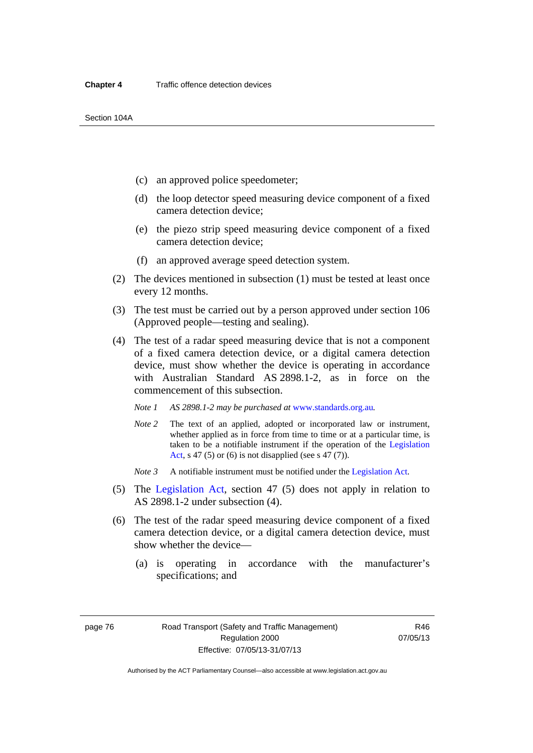- (c) an approved police speedometer;
- (d) the loop detector speed measuring device component of a fixed camera detection device;
- (e) the piezo strip speed measuring device component of a fixed camera detection device;
- (f) an approved average speed detection system.
- (2) The devices mentioned in subsection (1) must be tested at least once every 12 months.
- (3) The test must be carried out by a person approved under section 106 (Approved people—testing and sealing).
- (4) The test of a radar speed measuring device that is not a component of a fixed camera detection device, or a digital camera detection device, must show whether the device is operating in accordance with Australian Standard AS 2898.1-2, as in force on the commencement of this subsection.
	- *Note 1 AS 2898.1-2 may be purchased at* [www.standards.org.au](http://www.standards.org.au/Pages/default.aspx)*.*
	- *Note 2* The text of an applied, adopted or incorporated law or instrument, whether applied as in force from time to time or at a particular time, is taken to be a notifiable instrument if the operation of the [Legislation](http://www.legislation.act.gov.au/a/2001-14)  [Act](http://www.legislation.act.gov.au/a/2001-14), s 47 (5) or (6) is not disapplied (see s 47 (7)).
	- *Note 3* A notifiable instrument must be notified under the [Legislation Act](http://www.legislation.act.gov.au/a/2001-14).
- (5) The [Legislation Act,](http://www.legislation.act.gov.au/a/2001-14) section 47 (5) does not apply in relation to AS 2898.1-2 under subsection (4).
- (6) The test of the radar speed measuring device component of a fixed camera detection device, or a digital camera detection device, must show whether the device—
	- (a) is operating in accordance with the manufacturer's specifications; and

R46 07/05/13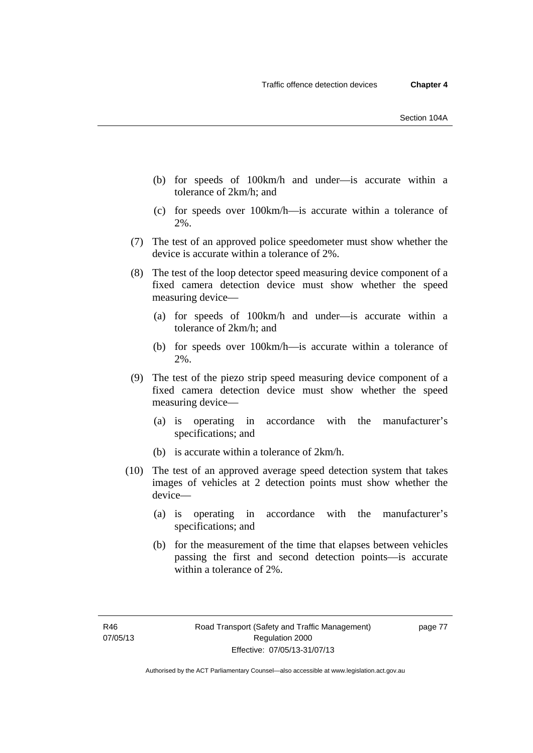- (b) for speeds of 100km/h and under—is accurate within a tolerance of 2km/h; and
- (c) for speeds over 100km/h—is accurate within a tolerance of 2%.
- (7) The test of an approved police speedometer must show whether the device is accurate within a tolerance of 2%.
- (8) The test of the loop detector speed measuring device component of a fixed camera detection device must show whether the speed measuring device—
	- (a) for speeds of 100km/h and under—is accurate within a tolerance of 2km/h; and
	- (b) for speeds over 100km/h—is accurate within a tolerance of 2%.
- (9) The test of the piezo strip speed measuring device component of a fixed camera detection device must show whether the speed measuring device—
	- (a) is operating in accordance with the manufacturer's specifications; and
	- (b) is accurate within a tolerance of 2km/h.
- (10) The test of an approved average speed detection system that takes images of vehicles at 2 detection points must show whether the device—
	- (a) is operating in accordance with the manufacturer's specifications; and
	- (b) for the measurement of the time that elapses between vehicles passing the first and second detection points—is accurate within a tolerance of 2%.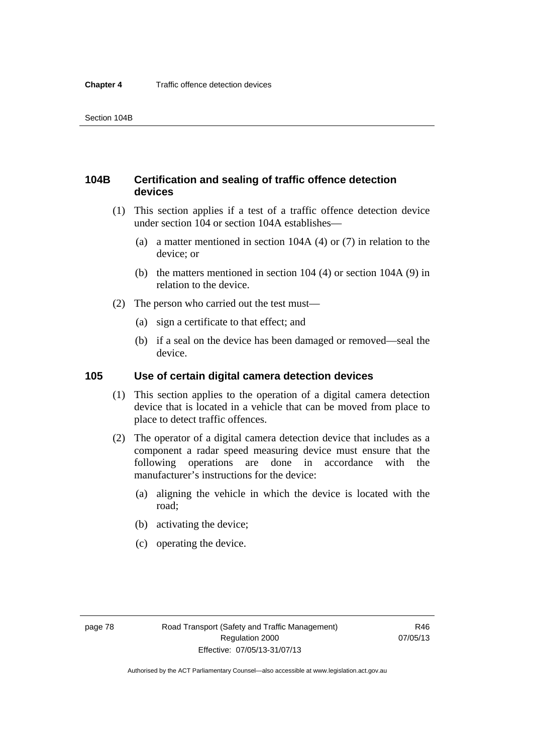# **104B Certification and sealing of traffic offence detection devices**

- (1) This section applies if a test of a traffic offence detection device under section 104 or section 104A establishes—
	- (a) a matter mentioned in section 104A (4) or (7) in relation to the device; or
	- (b) the matters mentioned in section 104 (4) or section 104A (9) in relation to the device.
- (2) The person who carried out the test must—
	- (a) sign a certificate to that effect; and
	- (b) if a seal on the device has been damaged or removed—seal the device.

# **105 Use of certain digital camera detection devices**

- (1) This section applies to the operation of a digital camera detection device that is located in a vehicle that can be moved from place to place to detect traffic offences.
- (2) The operator of a digital camera detection device that includes as a component a radar speed measuring device must ensure that the following operations are done in accordance with the manufacturer's instructions for the device:
	- (a) aligning the vehicle in which the device is located with the road;
	- (b) activating the device;
	- (c) operating the device.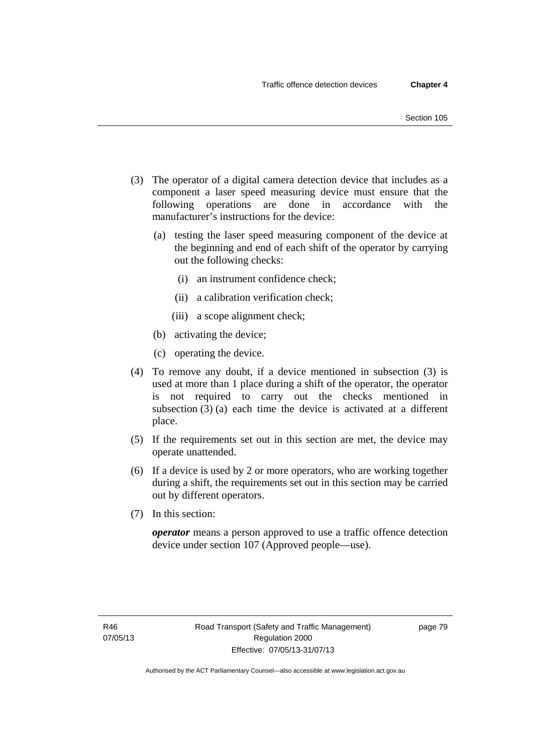- (3) The operator of a digital camera detection device that includes as a component a laser speed measuring device must ensure that the following operations are done in accordance with the manufacturer's instructions for the device:
	- (a) testing the laser speed measuring component of the device at the beginning and end of each shift of the operator by carrying out the following checks:
		- (i) an instrument confidence check;
		- (ii) a calibration verification check;
		- (iii) a scope alignment check;
	- (b) activating the device;
	- (c) operating the device.
- (4) To remove any doubt, if a device mentioned in subsection (3) is used at more than 1 place during a shift of the operator, the operator is not required to carry out the checks mentioned in subsection (3) (a) each time the device is activated at a different place.
- (5) If the requirements set out in this section are met, the device may operate unattended.
- (6) If a device is used by 2 or more operators, who are working together during a shift, the requirements set out in this section may be carried out by different operators.
- (7) In this section:

*operator* means a person approved to use a traffic offence detection device under section 107 (Approved people—use).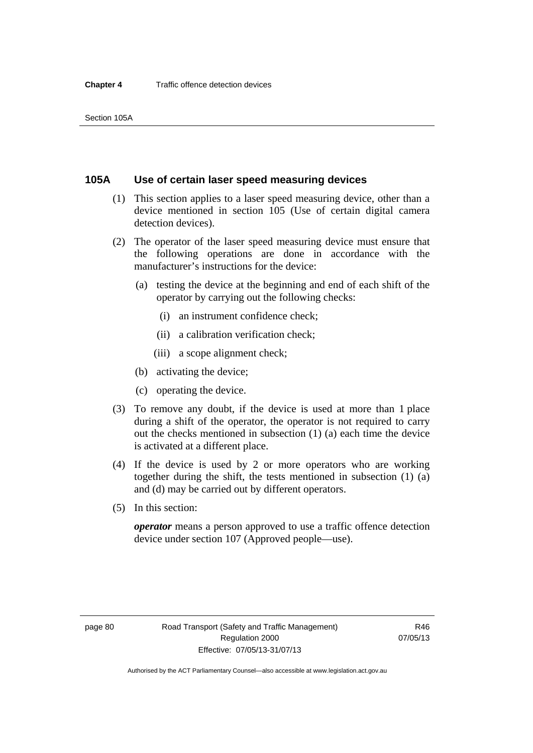# **105A Use of certain laser speed measuring devices**

- (1) This section applies to a laser speed measuring device, other than a device mentioned in section 105 (Use of certain digital camera detection devices).
- (2) The operator of the laser speed measuring device must ensure that the following operations are done in accordance with the manufacturer's instructions for the device:
	- (a) testing the device at the beginning and end of each shift of the operator by carrying out the following checks:
		- (i) an instrument confidence check;
		- (ii) a calibration verification check;
		- (iii) a scope alignment check;
	- (b) activating the device;
	- (c) operating the device.
- (3) To remove any doubt, if the device is used at more than 1 place during a shift of the operator, the operator is not required to carry out the checks mentioned in subsection (1) (a) each time the device is activated at a different place.
- (4) If the device is used by 2 or more operators who are working together during the shift, the tests mentioned in subsection (1) (a) and (d) may be carried out by different operators.
- (5) In this section:

*operator* means a person approved to use a traffic offence detection device under section 107 (Approved people—use).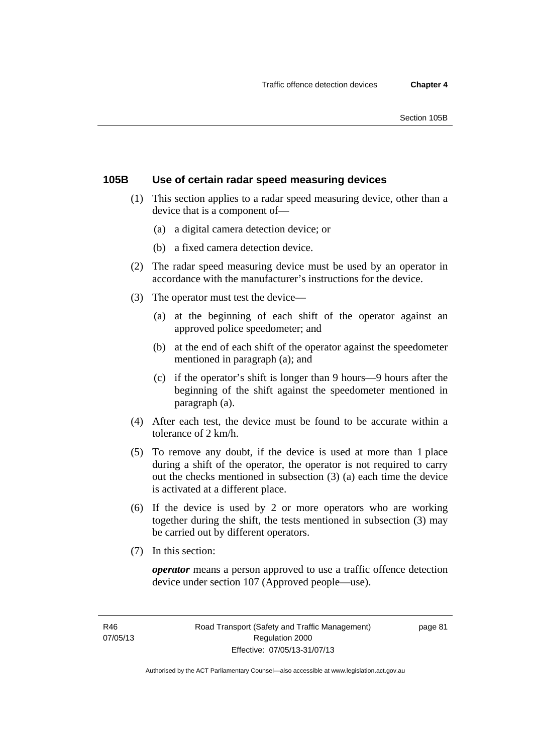# **105B Use of certain radar speed measuring devices**

- (1) This section applies to a radar speed measuring device, other than a device that is a component of—
	- (a) a digital camera detection device; or
	- (b) a fixed camera detection device.
- (2) The radar speed measuring device must be used by an operator in accordance with the manufacturer's instructions for the device.
- (3) The operator must test the device—
	- (a) at the beginning of each shift of the operator against an approved police speedometer; and
	- (b) at the end of each shift of the operator against the speedometer mentioned in paragraph (a); and
	- (c) if the operator's shift is longer than 9 hours—9 hours after the beginning of the shift against the speedometer mentioned in paragraph (a).
- (4) After each test, the device must be found to be accurate within a tolerance of 2 km/h.
- (5) To remove any doubt, if the device is used at more than 1 place during a shift of the operator, the operator is not required to carry out the checks mentioned in subsection (3) (a) each time the device is activated at a different place.
- (6) If the device is used by 2 or more operators who are working together during the shift, the tests mentioned in subsection (3) may be carried out by different operators.
- (7) In this section:

*operator* means a person approved to use a traffic offence detection device under section 107 (Approved people—use).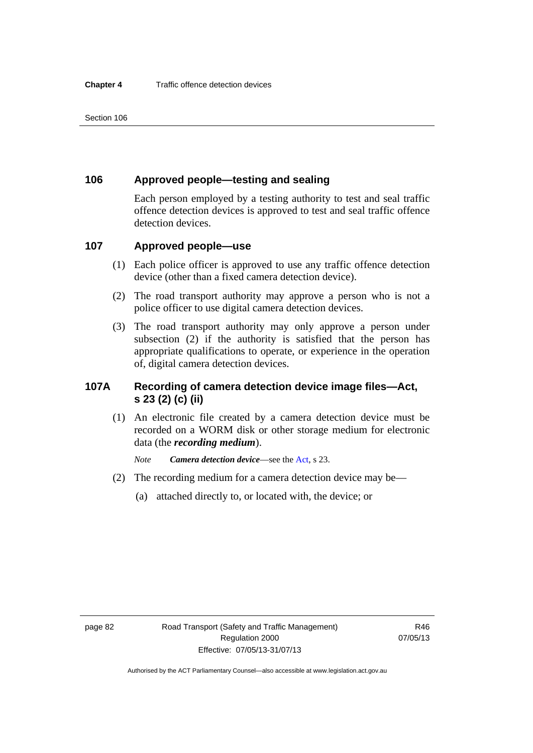# **106 Approved people—testing and sealing**

Each person employed by a testing authority to test and seal traffic offence detection devices is approved to test and seal traffic offence detection devices.

# **107 Approved people—use**

- (1) Each police officer is approved to use any traffic offence detection device (other than a fixed camera detection device).
- (2) The road transport authority may approve a person who is not a police officer to use digital camera detection devices.
- (3) The road transport authority may only approve a person under subsection (2) if the authority is satisfied that the person has appropriate qualifications to operate, or experience in the operation of, digital camera detection devices.

# **107A Recording of camera detection device image files—Act, s 23 (2) (c) (ii)**

(1) An electronic file created by a camera detection device must be recorded on a WORM disk or other storage medium for electronic data (the *recording medium*).

*Note Camera detection device*—see the [Act,](http://www.legislation.act.gov.au/a/1999-80/default.asp) s 23.

- (2) The recording medium for a camera detection device may be—
	- (a) attached directly to, or located with, the device; or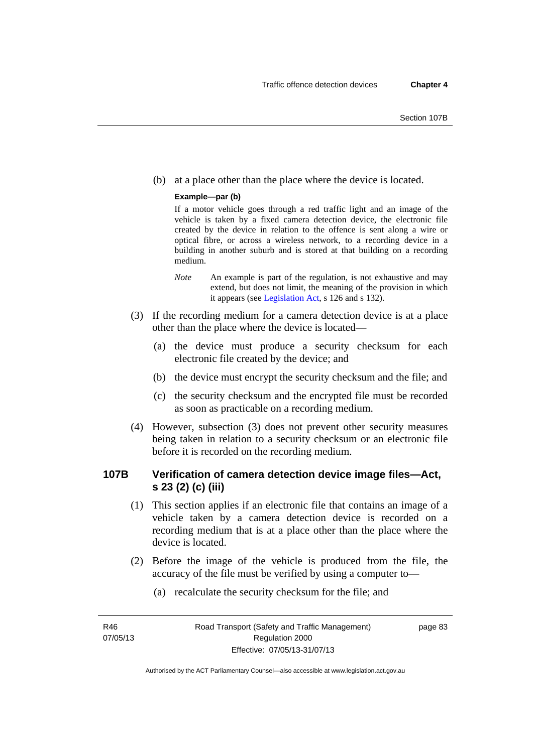(b) at a place other than the place where the device is located.

### **Example—par (b)**

If a motor vehicle goes through a red traffic light and an image of the vehicle is taken by a fixed camera detection device, the electronic file created by the device in relation to the offence is sent along a wire or optical fibre, or across a wireless network, to a recording device in a building in another suburb and is stored at that building on a recording medium.

- *Note* An example is part of the regulation, is not exhaustive and may extend, but does not limit, the meaning of the provision in which it appears (see [Legislation Act,](http://www.legislation.act.gov.au/a/2001-14) s 126 and s 132).
- (3) If the recording medium for a camera detection device is at a place other than the place where the device is located—
	- (a) the device must produce a security checksum for each electronic file created by the device; and
	- (b) the device must encrypt the security checksum and the file; and
	- (c) the security checksum and the encrypted file must be recorded as soon as practicable on a recording medium.
- (4) However, subsection (3) does not prevent other security measures being taken in relation to a security checksum or an electronic file before it is recorded on the recording medium.

# **107B Verification of camera detection device image files—Act, s 23 (2) (c) (iii)**

- (1) This section applies if an electronic file that contains an image of a vehicle taken by a camera detection device is recorded on a recording medium that is at a place other than the place where the device is located.
- (2) Before the image of the vehicle is produced from the file, the accuracy of the file must be verified by using a computer to—
	- (a) recalculate the security checksum for the file; and

R46 07/05/13 page 83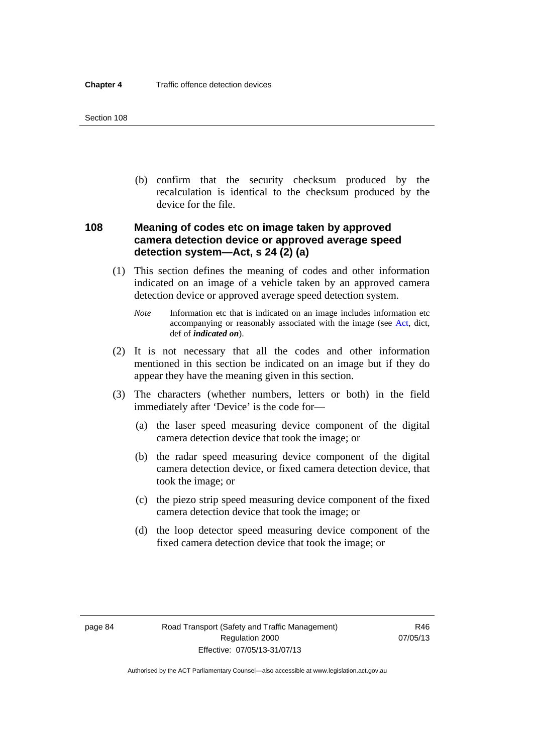(b) confirm that the security checksum produced by the recalculation is identical to the checksum produced by the device for the file.

# **108 Meaning of codes etc on image taken by approved camera detection device or approved average speed detection system—Act, s 24 (2) (a)**

- (1) This section defines the meaning of codes and other information indicated on an image of a vehicle taken by an approved camera detection device or approved average speed detection system.
	- *Note* Information etc that is indicated on an image includes information etc accompanying or reasonably associated with the image (see [Act](http://www.legislation.act.gov.au/a/1999-80/default.asp), dict, def of *indicated on*).
- (2) It is not necessary that all the codes and other information mentioned in this section be indicated on an image but if they do appear they have the meaning given in this section.
- (3) The characters (whether numbers, letters or both) in the field immediately after 'Device' is the code for—
	- (a) the laser speed measuring device component of the digital camera detection device that took the image; or
	- (b) the radar speed measuring device component of the digital camera detection device, or fixed camera detection device, that took the image; or
	- (c) the piezo strip speed measuring device component of the fixed camera detection device that took the image; or
	- (d) the loop detector speed measuring device component of the fixed camera detection device that took the image; or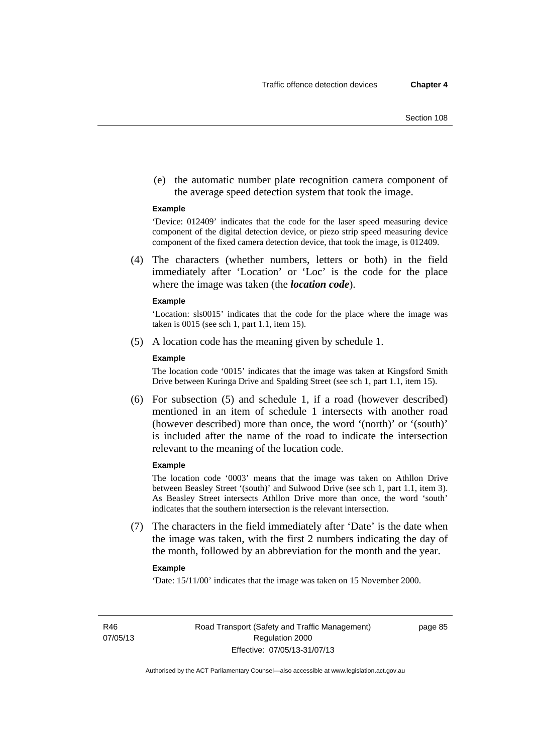(e) the automatic number plate recognition camera component of the average speed detection system that took the image.

#### **Example**

'Device: 012409' indicates that the code for the laser speed measuring device component of the digital detection device, or piezo strip speed measuring device component of the fixed camera detection device, that took the image, is 012409.

 (4) The characters (whether numbers, letters or both) in the field immediately after 'Location' or 'Loc' is the code for the place where the image was taken (the *location code*).

#### **Example**

'Location: sls0015' indicates that the code for the place where the image was taken is 0015 (see sch 1, part 1.1, item 15).

(5) A location code has the meaning given by schedule 1.

#### **Example**

The location code '0015' indicates that the image was taken at Kingsford Smith Drive between Kuringa Drive and Spalding Street (see sch 1, part 1.1, item 15).

 (6) For subsection (5) and schedule 1, if a road (however described) mentioned in an item of schedule 1 intersects with another road (however described) more than once, the word '(north)' or '(south)' is included after the name of the road to indicate the intersection relevant to the meaning of the location code.

### **Example**

The location code '0003' means that the image was taken on Athllon Drive between Beasley Street '(south)' and Sulwood Drive (see sch 1, part 1.1, item 3). As Beasley Street intersects Athllon Drive more than once, the word 'south' indicates that the southern intersection is the relevant intersection.

 (7) The characters in the field immediately after 'Date' is the date when the image was taken, with the first 2 numbers indicating the day of the month, followed by an abbreviation for the month and the year.

#### **Example**

'Date: 15/11/00' indicates that the image was taken on 15 November 2000.

R46 07/05/13 page 85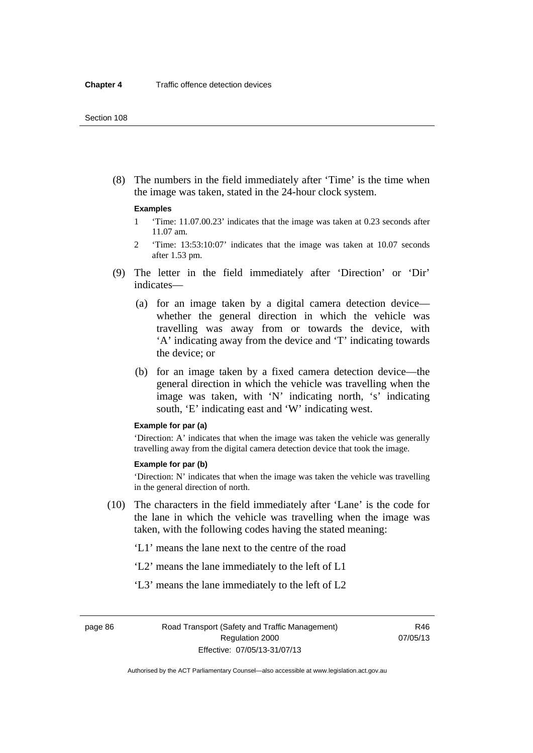(8) The numbers in the field immediately after 'Time' is the time when the image was taken, stated in the 24-hour clock system.

#### **Examples**

- 1 'Time: 11.07.00.23' indicates that the image was taken at 0.23 seconds after 11.07 am.
- 2 'Time: 13:53:10:07' indicates that the image was taken at 10.07 seconds after 1.53 pm.
- (9) The letter in the field immediately after 'Direction' or 'Dir' indicates—
	- (a) for an image taken by a digital camera detection device whether the general direction in which the vehicle was travelling was away from or towards the device, with 'A' indicating away from the device and 'T' indicating towards the device; or
	- (b) for an image taken by a fixed camera detection device—the general direction in which the vehicle was travelling when the image was taken, with 'N' indicating north, 's' indicating south, 'E' indicating east and 'W' indicating west.

#### **Example for par (a)**

'Direction: A' indicates that when the image was taken the vehicle was generally travelling away from the digital camera detection device that took the image.

#### **Example for par (b)**

'Direction: N' indicates that when the image was taken the vehicle was travelling in the general direction of north.

- (10) The characters in the field immediately after 'Lane' is the code for the lane in which the vehicle was travelling when the image was taken, with the following codes having the stated meaning:
	- 'L1' means the lane next to the centre of the road
	- 'L2' means the lane immediately to the left of L1
	- 'L3' means the lane immediately to the left of L2

page 86 Road Transport (Safety and Traffic Management) Regulation 2000 Effective: 07/05/13-31/07/13

R46 07/05/13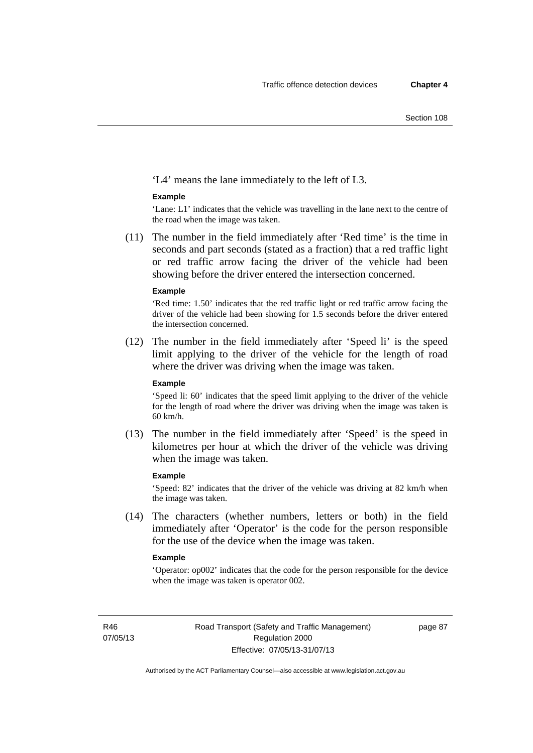'L4' means the lane immediately to the left of L3.

#### **Example**

'Lane: L1' indicates that the vehicle was travelling in the lane next to the centre of the road when the image was taken.

 (11) The number in the field immediately after 'Red time' is the time in seconds and part seconds (stated as a fraction) that a red traffic light or red traffic arrow facing the driver of the vehicle had been showing before the driver entered the intersection concerned.

#### **Example**

'Red time: 1.50' indicates that the red traffic light or red traffic arrow facing the driver of the vehicle had been showing for 1.5 seconds before the driver entered the intersection concerned.

 (12) The number in the field immediately after 'Speed li' is the speed limit applying to the driver of the vehicle for the length of road where the driver was driving when the image was taken.

#### **Example**

'Speed li: 60' indicates that the speed limit applying to the driver of the vehicle for the length of road where the driver was driving when the image was taken is 60 km/h.

 (13) The number in the field immediately after 'Speed' is the speed in kilometres per hour at which the driver of the vehicle was driving when the image was taken.

#### **Example**

'Speed: 82' indicates that the driver of the vehicle was driving at 82 km/h when the image was taken.

 (14) The characters (whether numbers, letters or both) in the field immediately after 'Operator' is the code for the person responsible for the use of the device when the image was taken.

#### **Example**

'Operator: op002' indicates that the code for the person responsible for the device when the image was taken is operator 002.

R46 07/05/13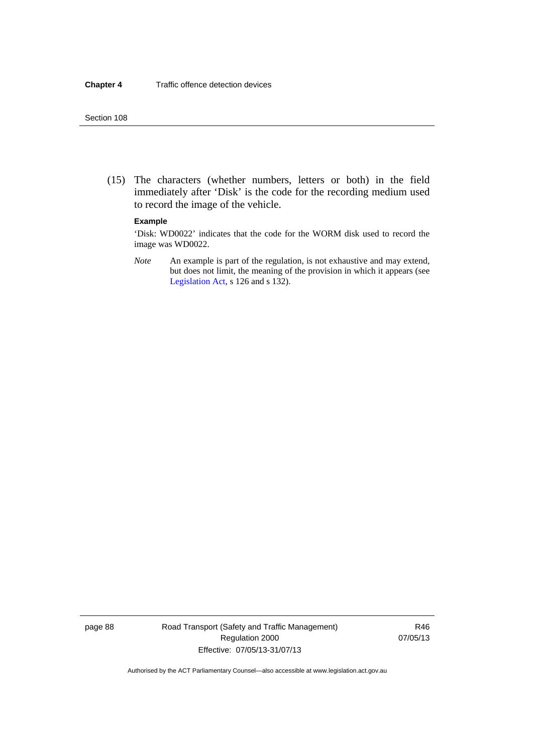(15) The characters (whether numbers, letters or both) in the field immediately after 'Disk' is the code for the recording medium used to record the image of the vehicle.

#### **Example**

'Disk: WD0022' indicates that the code for the WORM disk used to record the image was WD0022.

*Note* An example is part of the regulation, is not exhaustive and may extend, but does not limit, the meaning of the provision in which it appears (see [Legislation Act,](http://www.legislation.act.gov.au/a/2001-14) s 126 and s 132).

page 88 Road Transport (Safety and Traffic Management) Regulation 2000 Effective: 07/05/13-31/07/13

R46 07/05/13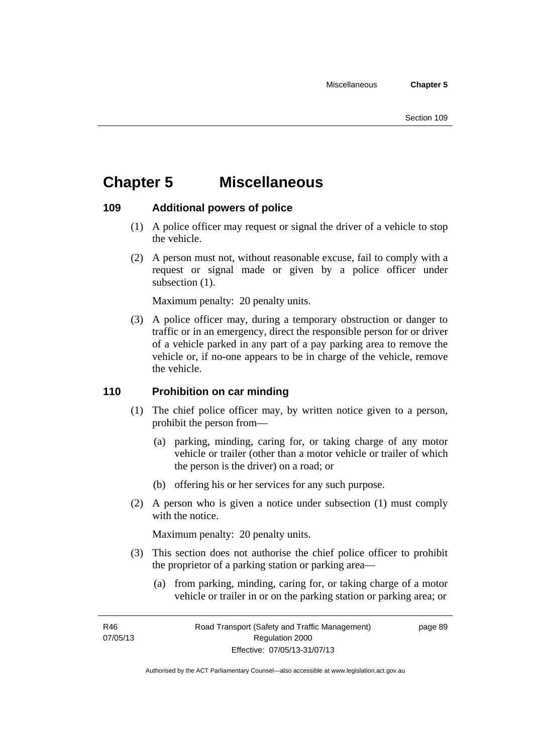# **Chapter 5 Miscellaneous**

# **109 Additional powers of police**

- (1) A police officer may request or signal the driver of a vehicle to stop the vehicle.
- (2) A person must not, without reasonable excuse, fail to comply with a request or signal made or given by a police officer under subsection  $(1)$ .

Maximum penalty: 20 penalty units.

 (3) A police officer may, during a temporary obstruction or danger to traffic or in an emergency, direct the responsible person for or driver of a vehicle parked in any part of a pay parking area to remove the vehicle or, if no-one appears to be in charge of the vehicle, remove the vehicle.

# **110 Prohibition on car minding**

- (1) The chief police officer may, by written notice given to a person, prohibit the person from—
	- (a) parking, minding, caring for, or taking charge of any motor vehicle or trailer (other than a motor vehicle or trailer of which the person is the driver) on a road; or
	- (b) offering his or her services for any such purpose.
- (2) A person who is given a notice under subsection (1) must comply with the notice.

Maximum penalty: 20 penalty units.

- (3) This section does not authorise the chief police officer to prohibit the proprietor of a parking station or parking area—
	- (a) from parking, minding, caring for, or taking charge of a motor vehicle or trailer in or on the parking station or parking area; or

R46 07/05/13 page 89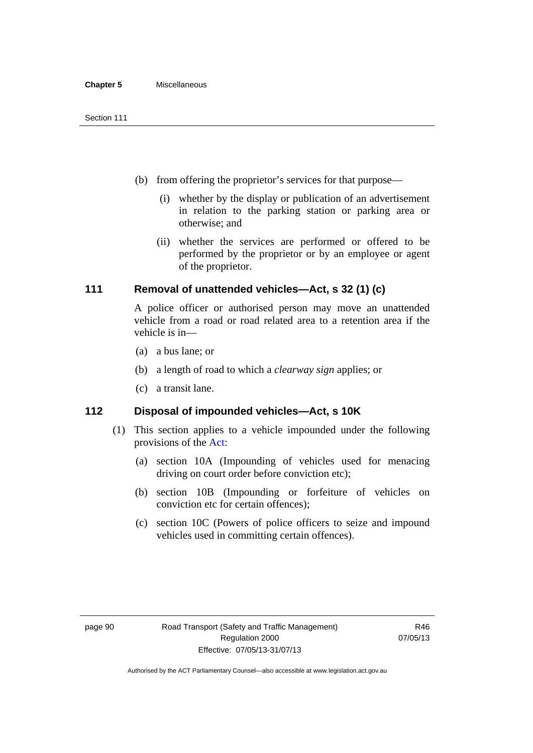- (b) from offering the proprietor's services for that purpose—
	- (i) whether by the display or publication of an advertisement in relation to the parking station or parking area or otherwise; and
	- (ii) whether the services are performed or offered to be performed by the proprietor or by an employee or agent of the proprietor.

# **111 Removal of unattended vehicles—Act, s 32 (1) (c)**

A police officer or authorised person may move an unattended vehicle from a road or road related area to a retention area if the vehicle is in—

- (a) a bus lane; or
- (b) a length of road to which a *clearway sign* applies; or
- (c) a transit lane.

# **112 Disposal of impounded vehicles—Act, s 10K**

- (1) This section applies to a vehicle impounded under the following provisions of the [Act:](http://www.legislation.act.gov.au/a/1999-80/default.asp)
	- (a) section 10A (Impounding of vehicles used for menacing driving on court order before conviction etc);
	- (b) section 10B (Impounding or forfeiture of vehicles on conviction etc for certain offences);
	- (c) section 10C (Powers of police officers to seize and impound vehicles used in committing certain offences).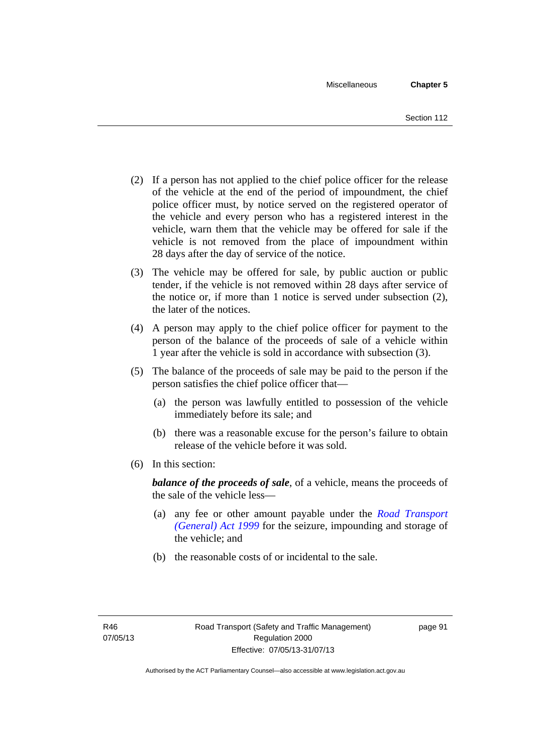- (2) If a person has not applied to the chief police officer for the release of the vehicle at the end of the period of impoundment, the chief police officer must, by notice served on the registered operator of the vehicle and every person who has a registered interest in the vehicle, warn them that the vehicle may be offered for sale if the vehicle is not removed from the place of impoundment within 28 days after the day of service of the notice.
- (3) The vehicle may be offered for sale, by public auction or public tender, if the vehicle is not removed within 28 days after service of the notice or, if more than 1 notice is served under subsection (2), the later of the notices.
- (4) A person may apply to the chief police officer for payment to the person of the balance of the proceeds of sale of a vehicle within 1 year after the vehicle is sold in accordance with subsection (3).
- (5) The balance of the proceeds of sale may be paid to the person if the person satisfies the chief police officer that—
	- (a) the person was lawfully entitled to possession of the vehicle immediately before its sale; and
	- (b) there was a reasonable excuse for the person's failure to obtain release of the vehicle before it was sold.
- (6) In this section:

*balance of the proceeds of sale*, of a vehicle, means the proceeds of the sale of the vehicle less—

- (a) any fee or other amount payable under the *[Road Transport](http://www.legislation.act.gov.au/a/1999-77)  [\(General\) Act 1999](http://www.legislation.act.gov.au/a/1999-77)* for the seizure, impounding and storage of the vehicle; and
- (b) the reasonable costs of or incidental to the sale.

page 91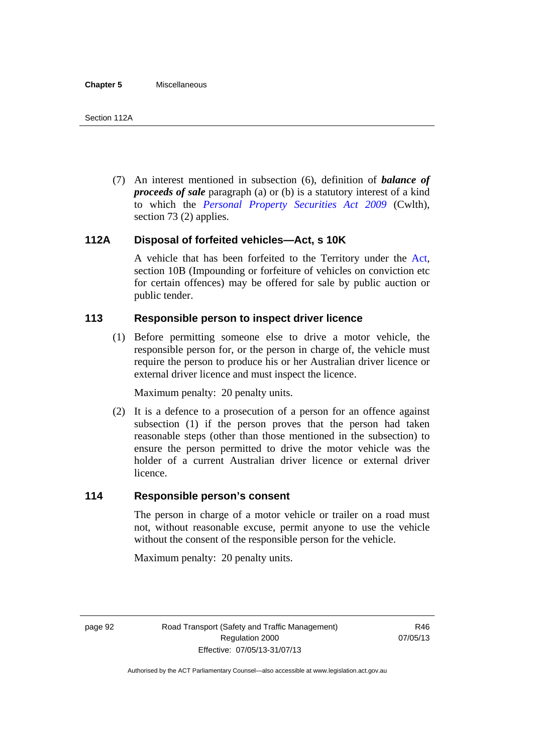(7) An interest mentioned in subsection (6), definition of *balance of proceeds of sale* paragraph (a) or (b) is a statutory interest of a kind to which the *[Personal Property Securities Act 2009](http://www.comlaw.gov.au/Series/C2009A00130)* (Cwlth), section 73 (2) applies.

# **112A Disposal of forfeited vehicles—Act, s 10K**

A vehicle that has been forfeited to the Territory under the [Act](http://www.legislation.act.gov.au/a/1999-80/default.asp), section 10B (Impounding or forfeiture of vehicles on conviction etc for certain offences) may be offered for sale by public auction or public tender.

# **113 Responsible person to inspect driver licence**

(1) Before permitting someone else to drive a motor vehicle, the responsible person for, or the person in charge of, the vehicle must require the person to produce his or her Australian driver licence or external driver licence and must inspect the licence.

Maximum penalty: 20 penalty units.

 (2) It is a defence to a prosecution of a person for an offence against subsection (1) if the person proves that the person had taken reasonable steps (other than those mentioned in the subsection) to ensure the person permitted to drive the motor vehicle was the holder of a current Australian driver licence or external driver licence.

# **114 Responsible person's consent**

The person in charge of a motor vehicle or trailer on a road must not, without reasonable excuse, permit anyone to use the vehicle without the consent of the responsible person for the vehicle.

Maximum penalty: 20 penalty units.

page 92 Road Transport (Safety and Traffic Management) Regulation 2000 Effective: 07/05/13-31/07/13

R46 07/05/13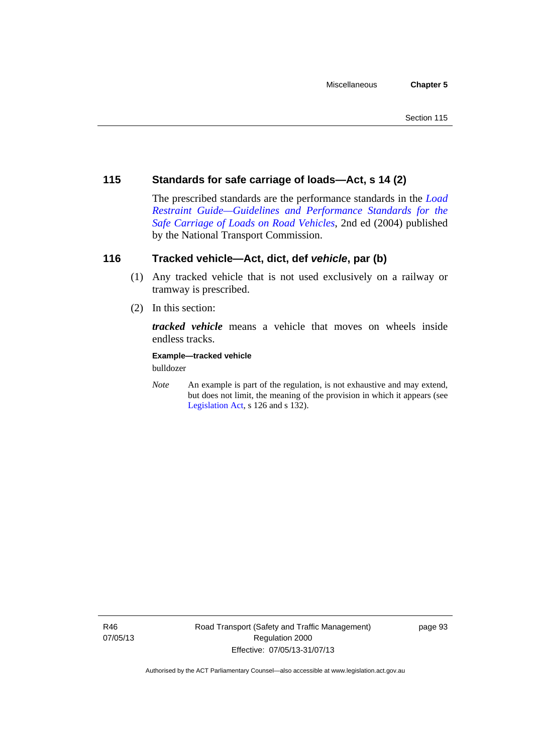# **115 Standards for safe carriage of loads—Act, s 14 (2)**

The prescribed standards are the performance standards in the *[Load](http://www.ntc.gov.au/viewpage.aspx?documentid=862)  [Restraint Guide—Guidelines and Performance Standards for the](http://www.ntc.gov.au/viewpage.aspx?documentid=862)  [Safe Carriage of Loads on Road Vehicles](http://www.ntc.gov.au/viewpage.aspx?documentid=862)*, 2nd ed (2004) published by the National Transport Commission.

# **116 Tracked vehicle—Act, dict, def** *vehicle***, par (b)**

- (1) Any tracked vehicle that is not used exclusively on a railway or tramway is prescribed.
- (2) In this section:

*tracked vehicle* means a vehicle that moves on wheels inside endless tracks.

**Example—tracked vehicle** 

bulldozer

*Note* An example is part of the regulation, is not exhaustive and may extend, but does not limit, the meaning of the provision in which it appears (see [Legislation Act,](http://www.legislation.act.gov.au/a/2001-14) s 126 and s 132).

R46 07/05/13 page 93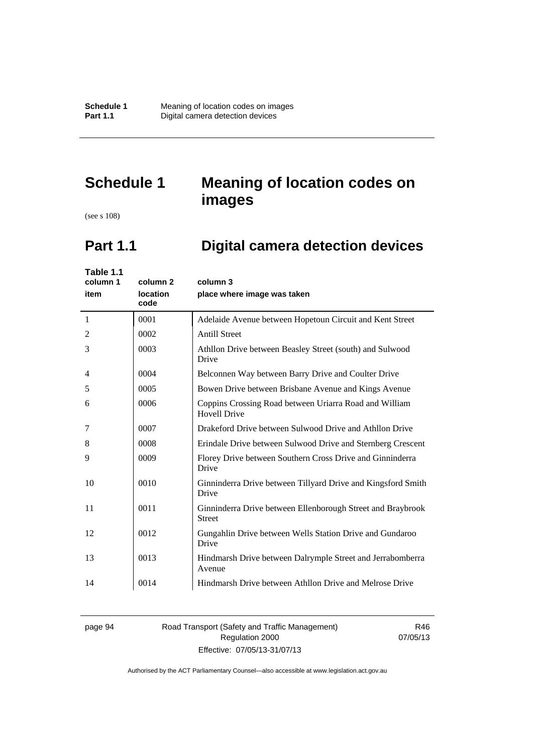**Schedule 1 Meaning of location codes on images**<br>**Part 1.1 Digital camera detection devices Pigital camera detection devices** 

# **Schedule 1 Meaning of location codes on images**

(see s 108)

# **Part 1.1 Digital camera detection devices**

| Table 1.1<br>column 1<br>item | column <sub>2</sub><br>location<br>code | column 3<br>place where image was taken                                       |
|-------------------------------|-----------------------------------------|-------------------------------------------------------------------------------|
| -1                            | 0001                                    | Adelaide Avenue between Hopetoun Circuit and Kent Street                      |
| $\overline{2}$                | 0002                                    | <b>Antill Street</b>                                                          |
| 3                             | 0003                                    | Athllon Drive between Beasley Street (south) and Sulwood<br>Drive             |
| $\overline{4}$                | 0004                                    | Belconnen Way between Barry Drive and Coulter Drive                           |
| 5                             | 0005                                    | Bowen Drive between Brisbane Avenue and Kings Avenue                          |
| 6                             | 0006                                    | Coppins Crossing Road between Uriarra Road and William<br><b>Hovell Drive</b> |
| 7                             | 0007                                    | Drakeford Drive between Sulwood Drive and Athllon Drive                       |
| 8                             | 0008                                    | Erindale Drive between Sulwood Drive and Sternberg Crescent                   |
| 9                             | 0009                                    | Florey Drive between Southern Cross Drive and Ginninderra<br>Drive            |
| 10                            | 0010                                    | Ginninderra Drive between Tillyard Drive and Kingsford Smith<br>Drive         |
| 11                            | 0011                                    | Ginninderra Drive between Ellenborough Street and Braybrook<br><b>Street</b>  |
| 12                            | 0012                                    | Gungahlin Drive between Wells Station Drive and Gundaroo<br>Drive             |
| 13                            | 0013                                    | Hindmarsh Drive between Dalrymple Street and Jerrabomberra<br>Avenue          |
| 14                            | 0014                                    | Hindmarsh Drive between Athllon Drive and Melrose Drive                       |
|                               |                                         |                                                                               |

# page 94 Road Transport (Safety and Traffic Management) Regulation 2000 Effective: 07/05/13-31/07/13

R46 07/05/13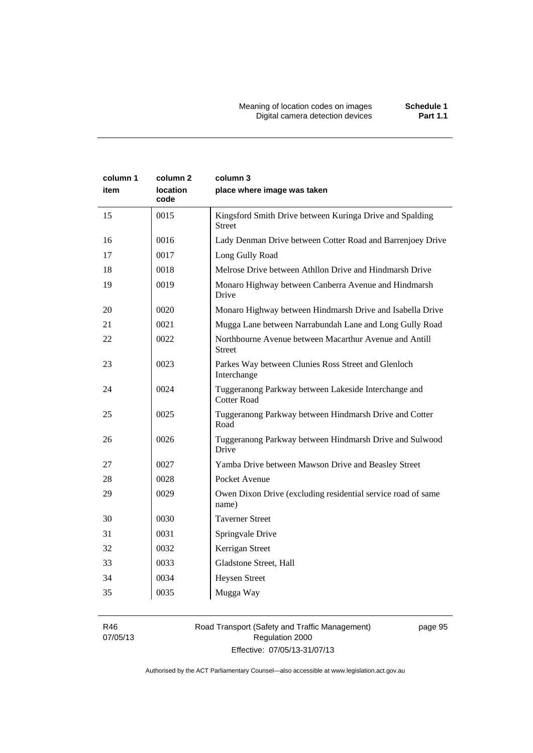| column 1<br>item | column 2<br><b>location</b><br>code | column 3<br>place where image was taken                                   |
|------------------|-------------------------------------|---------------------------------------------------------------------------|
| 15               | 0015                                | Kingsford Smith Drive between Kuringa Drive and Spalding<br><b>Street</b> |
| 16               | 0016                                | Lady Denman Drive between Cotter Road and Barrenjoey Drive                |
| 17               | 0017                                | Long Gully Road                                                           |
| 18               | 0018                                | Melrose Drive between Athllon Drive and Hindmarsh Drive                   |
| 19               | 0019                                | Monaro Highway between Canberra Avenue and Hindmarsh<br>Drive             |
| 20               | 0020                                | Monaro Highway between Hindmarsh Drive and Isabella Drive                 |
| 21               | 0021                                | Mugga Lane between Narrabundah Lane and Long Gully Road                   |
| 22               | 0022                                | Northbourne Avenue between Macarthur Avenue and Antill<br><b>Street</b>   |
| 23               | 0023                                | Parkes Way between Clunies Ross Street and Glenloch<br>Interchange        |
| 24               | 0024                                | Tuggeranong Parkway between Lakeside Interchange and<br>Cotter Road       |
| 25               | 0025                                | Tuggeranong Parkway between Hindmarsh Drive and Cotter<br>Road            |
| 26               | 0026                                | Tuggeranong Parkway between Hindmarsh Drive and Sulwood<br>Drive          |
| 27               | 0027                                | Yamba Drive between Mawson Drive and Beasley Street                       |
| 28               | 0028                                | Pocket Avenue                                                             |
| 29               | 0029                                | Owen Dixon Drive (excluding residential service road of same<br>name)     |
| 30               | 0030                                | <b>Taverner Street</b>                                                    |
| 31               | 0031                                | Springvale Drive                                                          |
| 32               | 0032                                | Kerrigan Street                                                           |
| 33               | 0033                                | Gladstone Street, Hall                                                    |
| 34               | 0034                                | <b>Heysen Street</b>                                                      |
| 35               | 0035                                | Mugga Way                                                                 |

R46 07/05/13

# Road Transport (Safety and Traffic Management) Regulation 2000 Effective: 07/05/13-31/07/13

page 95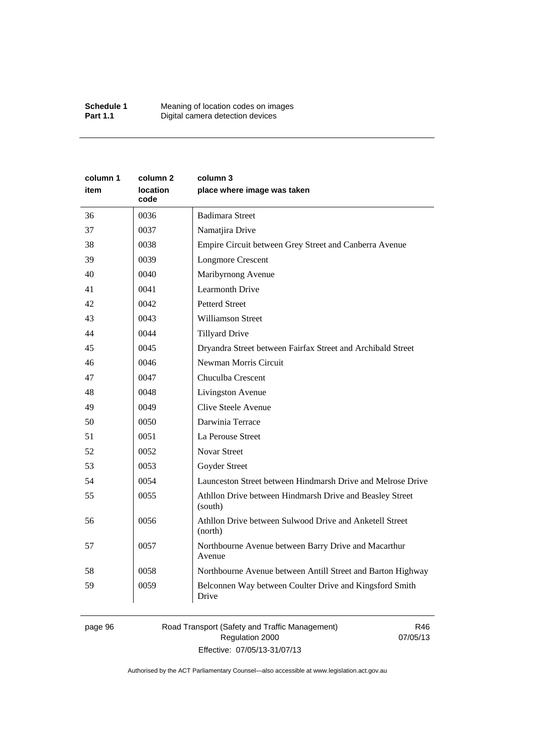| column 1<br>item | column 2<br><b>location</b><br>code | column 3<br>place where image was taken                             |
|------------------|-------------------------------------|---------------------------------------------------------------------|
| 36               | 0036                                | <b>Badimara Street</b>                                              |
| 37               | 0037                                | Namatjira Drive                                                     |
| 38               | 0038                                | Empire Circuit between Grey Street and Canberra Avenue              |
| 39               | 0039                                | <b>Longmore Crescent</b>                                            |
| 40               | 0040                                | Maribyrnong Avenue                                                  |
| 41               | 0041                                | <b>Learmonth Drive</b>                                              |
| 42               | 0042                                | <b>Petterd Street</b>                                               |
| 43               | 0043                                | <b>Williamson Street</b>                                            |
| 44               | 0044                                | <b>Tillyard Drive</b>                                               |
| 45               | 0045                                | Dryandra Street between Fairfax Street and Archibald Street         |
| 46               | 0046                                | Newman Morris Circuit                                               |
| 47               | 0047                                | Chuculba Crescent                                                   |
| 48               | 0048                                | Livingston Avenue                                                   |
| 49               | 0049                                | Clive Steele Avenue                                                 |
| 50               | 0050                                | Darwinia Terrace                                                    |
| 51               | 0051                                | La Perouse Street                                                   |
| 52               | 0052                                | <b>Novar Street</b>                                                 |
| 53               | 0053                                | Goyder Street                                                       |
| 54               | 0054                                | Launceston Street between Hindmarsh Drive and Melrose Drive         |
| 55               | 0055                                | Athllon Drive between Hindmarsh Drive and Beasley Street<br>(south) |
| 56               | 0056                                | Athllon Drive between Sulwood Drive and Anketell Street<br>(north)  |
| 57               | 0057                                | Northbourne Avenue between Barry Drive and Macarthur<br>Avenue      |
| 58               | 0058                                | Northbourne Avenue between Antill Street and Barton Highway         |
| 59               | 0059                                | Belconnen Way between Coulter Drive and Kingsford Smith<br>Drive    |

# page 96 Road Transport (Safety and Traffic Management) Regulation 2000 Effective: 07/05/13-31/07/13

R46 07/05/13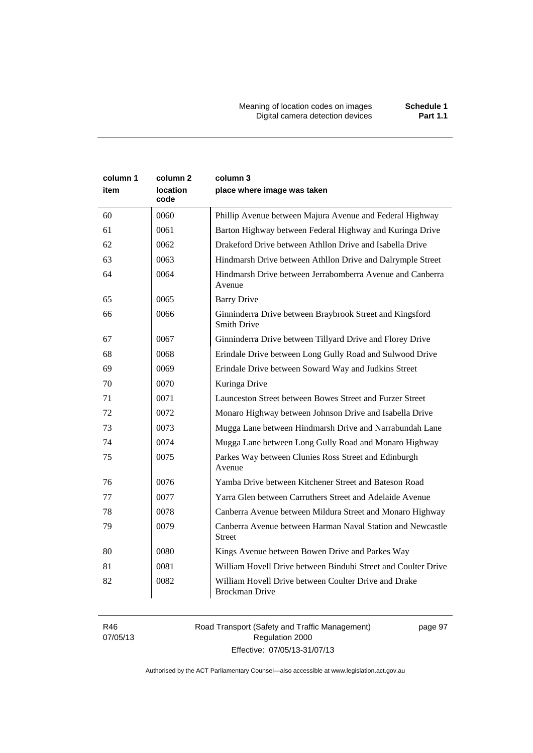Meaning of location codes on images **Schedule 1** Digital camera detection devices **Part 1.1** 

| column 1<br>item | column <sub>2</sub><br>location<br>code | column 3<br>place where image was taken                                        |
|------------------|-----------------------------------------|--------------------------------------------------------------------------------|
| 60               | 0060                                    | Phillip Avenue between Majura Avenue and Federal Highway                       |
| 61               | 0061                                    | Barton Highway between Federal Highway and Kuringa Drive                       |
| 62               | 0062                                    | Drakeford Drive between Athllon Drive and Isabella Drive                       |
| 63               | 0063                                    | Hindmarsh Drive between Athllon Drive and Dalrymple Street                     |
| 64               | 0064                                    | Hindmarsh Drive between Jerrabomberra Avenue and Canberra<br>Avenue            |
| 65               | 0065                                    | <b>Barry Drive</b>                                                             |
| 66               | 0066                                    | Ginninderra Drive between Braybrook Street and Kingsford<br><b>Smith Drive</b> |
| 67               | 0067                                    | Ginninderra Drive between Tillyard Drive and Florey Drive                      |
| 68               | 0068                                    | Erindale Drive between Long Gully Road and Sulwood Drive                       |
| 69               | 0069                                    | Erindale Drive between Soward Way and Judkins Street                           |
| 70               | 0070                                    | Kuringa Drive                                                                  |
| 71               | 0071                                    | Launceston Street between Bowes Street and Furzer Street                       |
| 72               | 0072                                    | Monaro Highway between Johnson Drive and Isabella Drive                        |
| 73               | 0073                                    | Mugga Lane between Hindmarsh Drive and Narrabundah Lane                        |
| 74               | 0074                                    | Mugga Lane between Long Gully Road and Monaro Highway                          |
| 75               | 0075                                    | Parkes Way between Clunies Ross Street and Edinburgh<br>Avenue                 |
| 76               | 0076                                    | Yamba Drive between Kitchener Street and Bateson Road                          |
| 77               | 0077                                    | Yarra Glen between Carruthers Street and Adelaide Avenue                       |
| 78               | 0078                                    | Canberra Avenue between Mildura Street and Monaro Highway                      |
| 79               | 0079                                    | Canberra Avenue between Harman Naval Station and Newcastle<br><b>Street</b>    |
| 80               | 0080                                    | Kings Avenue between Bowen Drive and Parkes Way                                |
| 81               | 0081                                    | William Hovell Drive between Bindubi Street and Coulter Drive                  |
| 82               | 0082                                    | William Hovell Drive between Coulter Drive and Drake<br><b>Brockman Drive</b>  |

R46 07/05/13 Road Transport (Safety and Traffic Management) Regulation 2000 Effective: 07/05/13-31/07/13

page 97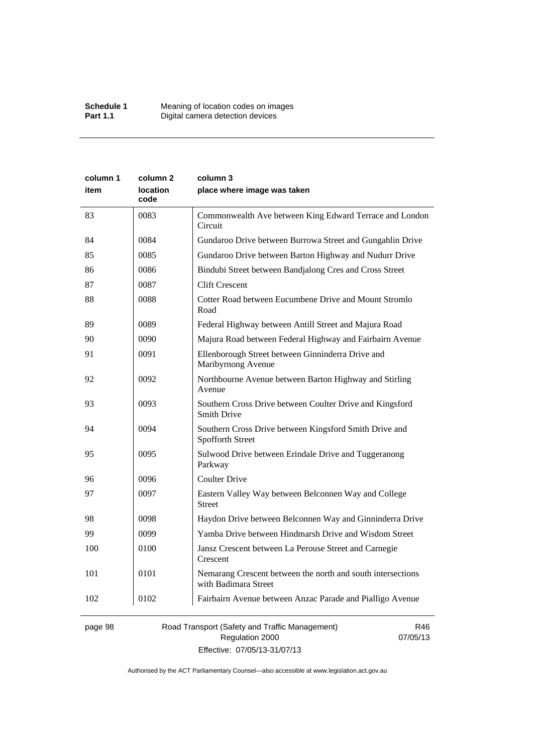| column 1 | column 2                | column 3                                                                            |
|----------|-------------------------|-------------------------------------------------------------------------------------|
| item     | <b>location</b><br>code | place where image was taken                                                         |
| 83       | 0083                    | Commonwealth Ave between King Edward Terrace and London<br>Circuit                  |
| 84       | 0084                    | Gundaroo Drive between Burrowa Street and Gungahlin Drive                           |
| 85       | 0085                    | Gundaroo Drive between Barton Highway and Nudurr Drive                              |
| 86       | 0086                    | Bindubi Street between Bandjalong Cres and Cross Street                             |
| 87       | 0087                    | <b>Clift Crescent</b>                                                               |
| 88       | 0088                    | Cotter Road between Eucumbene Drive and Mount Stromlo<br>Road                       |
| 89       | 0089                    | Federal Highway between Antill Street and Majura Road                               |
| 90       | 0090                    | Majura Road between Federal Highway and Fairbairn Avenue                            |
| 91       | 0091                    | Ellenborough Street between Ginninderra Drive and<br>Maribyrnong Avenue             |
| 92       | 0092                    | Northbourne Avenue between Barton Highway and Stirling<br>Avenue                    |
| 93       | 0093                    | Southern Cross Drive between Coulter Drive and Kingsford<br><b>Smith Drive</b>      |
| 94       | 0094                    | Southern Cross Drive between Kingsford Smith Drive and<br><b>Spofforth Street</b>   |
| 95       | 0095                    | Sulwood Drive between Erindale Drive and Tuggeranong<br>Parkway                     |
| 96       | 0096                    | <b>Coulter Drive</b>                                                                |
| 97       | 0097                    | Eastern Valley Way between Belconnen Way and College<br>Street                      |
| 98       | 0098                    | Haydon Drive between Belconnen Way and Ginninderra Drive                            |
| 99       | 0099                    | Yamba Drive between Hindmarsh Drive and Wisdom Street                               |
| 100      | 0100                    | Jansz Crescent between La Perouse Street and Carnegie<br>Crescent                   |
| 101      | 0101                    | Nemarang Crescent between the north and south intersections<br>with Badimara Street |
| 102      | 0102                    | Fairbairn Avenue between Anzac Parade and Pialligo Avenue                           |
|          |                         |                                                                                     |

page 98 Road Transport (Safety and Traffic Management) Regulation 2000 Effective: 07/05/13-31/07/13

R46 07/05/13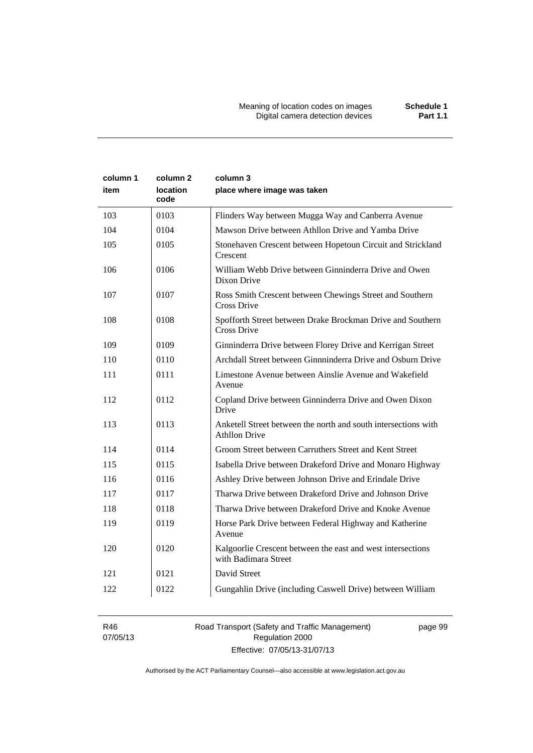| column 1<br>item | column 2<br>location<br>code | column 3<br>place where image was taken                                                |
|------------------|------------------------------|----------------------------------------------------------------------------------------|
| 103              | 0103                         | Flinders Way between Mugga Way and Canberra Avenue                                     |
| 104              | 0104                         | Mawson Drive between Athllon Drive and Yamba Drive                                     |
| 105              | 0105                         | Stonehaven Crescent between Hopetoun Circuit and Strickland<br>Crescent                |
| 106              | 0106                         | William Webb Drive between Ginninderra Drive and Owen<br>Dixon Drive                   |
| 107              | 0107                         | Ross Smith Crescent between Chewings Street and Southern<br>Cross Drive                |
| 108              | 0108                         | Spofforth Street between Drake Brockman Drive and Southern<br>Cross Drive              |
| 109              | 0109                         | Ginninderra Drive between Florey Drive and Kerrigan Street                             |
| 110              | 0110                         | Archdall Street between Ginnninderra Drive and Osburn Drive                            |
| 111              | 0111                         | Limestone Avenue between Ainslie Avenue and Wakefield<br>Avenue                        |
| 112              | 0112                         | Copland Drive between Ginninderra Drive and Owen Dixon<br>Drive                        |
| 113              | 0113                         | Anketell Street between the north and south intersections with<br><b>Athllon Drive</b> |
| 114              | 0114                         | Groom Street between Carruthers Street and Kent Street                                 |
| 115              | 0115                         | Isabella Drive between Drakeford Drive and Monaro Highway                              |
| 116              | 0116                         | Ashley Drive between Johnson Drive and Erindale Drive                                  |
| 117              | 0117                         | Tharwa Drive between Drakeford Drive and Johnson Drive                                 |
| 118              | 0118                         | Tharwa Drive between Drakeford Drive and Knoke Avenue                                  |
| 119              | 0119                         | Horse Park Drive between Federal Highway and Katherine<br>Avenue                       |
| 120              | 0120                         | Kalgoorlie Crescent between the east and west intersections<br>with Badimara Street    |
| 121              | 0121                         | David Street                                                                           |
| 122              | 0122                         | Gungahlin Drive (including Caswell Drive) between William                              |

R46 07/05/13 Road Transport (Safety and Traffic Management) Regulation 2000 Effective: 07/05/13-31/07/13

page 99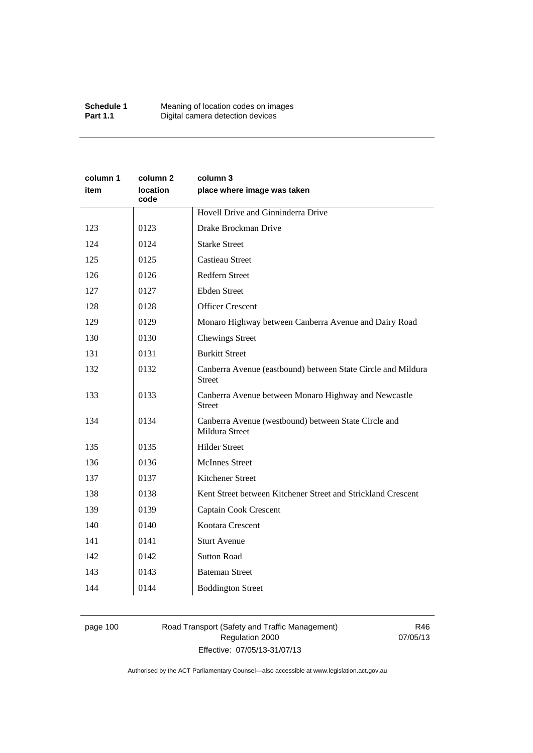| column 1<br>item | column 2<br>location<br>code | column 3<br>place where image was taken                                       |
|------------------|------------------------------|-------------------------------------------------------------------------------|
|                  |                              | Hovell Drive and Ginninderra Drive                                            |
| 123              | 0123                         | Drake Brockman Drive                                                          |
| 124              | 0124                         | <b>Starke Street</b>                                                          |
| 125              | 0125                         | <b>Castieau Street</b>                                                        |
| 126              | 0126                         | Redfern Street                                                                |
| 127              | 0127                         | <b>Ebden Street</b>                                                           |
| 128              | 0128                         | <b>Officer Crescent</b>                                                       |
| 129              | 0129                         | Monaro Highway between Canberra Avenue and Dairy Road                         |
| 130              | 0130                         | <b>Chewings Street</b>                                                        |
| 131              | 0131                         | <b>Burkitt Street</b>                                                         |
| 132              | 0132                         | Canberra Avenue (eastbound) between State Circle and Mildura<br><b>Street</b> |
| 133              | 0133                         | Canberra Avenue between Monaro Highway and Newcastle<br><b>Street</b>         |
| 134              | 0134                         | Canberra Avenue (westbound) between State Circle and<br>Mildura Street        |
| 135              | 0135                         | <b>Hilder Street</b>                                                          |
| 136              | 0136                         | <b>McInnes Street</b>                                                         |
| 137              | 0137                         | Kitchener Street                                                              |
| 138              | 0138                         | Kent Street between Kitchener Street and Strickland Crescent                  |
| 139              | 0139                         | Captain Cook Crescent                                                         |
| 140              | 0140                         | Kootara Crescent                                                              |
| 141              | 0141                         | <b>Sturt Avenue</b>                                                           |
| 142              | 0142                         | <b>Sutton Road</b>                                                            |
| 143              | 0143                         | <b>Bateman Street</b>                                                         |
| 144              | 0144                         | <b>Boddington Street</b>                                                      |

# page 100 Road Transport (Safety and Traffic Management) Regulation 2000 Effective: 07/05/13-31/07/13

R46 07/05/13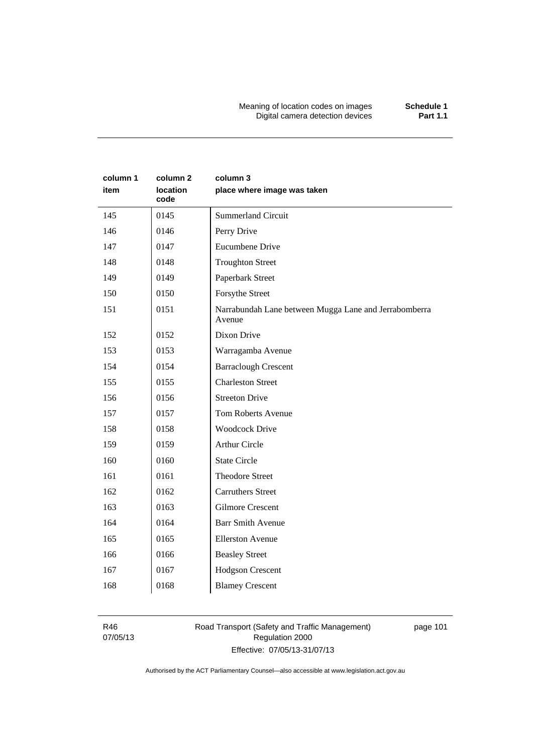Meaning of location codes on images **Schedule 1** Digital camera detection devices **Part 1.1** 

| column 1<br>item | column 2<br>location<br>code | column 3<br>place where image was taken                         |
|------------------|------------------------------|-----------------------------------------------------------------|
| 145              | 0145                         | <b>Summerland Circuit</b>                                       |
| 146              | 0146                         | Perry Drive                                                     |
| 147              | 0147                         | <b>Eucumbene Drive</b>                                          |
| 148              | 0148                         | <b>Troughton Street</b>                                         |
| 149              | 0149                         | Paperbark Street                                                |
| 150              | 0150                         | Forsythe Street                                                 |
| 151              | 0151                         | Narrabundah Lane between Mugga Lane and Jerrabomberra<br>Avenue |
| 152              | 0152                         | Dixon Drive                                                     |
| 153              | 0153                         | Warragamba Avenue                                               |
| 154              | 0154                         | <b>Barraclough Crescent</b>                                     |
| 155              | 0155                         | <b>Charleston Street</b>                                        |
| 156              | 0156                         | <b>Streeton Drive</b>                                           |
| 157              | 0157                         | <b>Tom Roberts Avenue</b>                                       |
| 158              | 0158                         | <b>Woodcock Drive</b>                                           |
| 159              | 0159                         | <b>Arthur Circle</b>                                            |
| 160              | 0160                         | <b>State Circle</b>                                             |
| 161              | 0161                         | <b>Theodore Street</b>                                          |
| 162              | 0162                         | <b>Carruthers Street</b>                                        |
| 163              | 0163                         | <b>Gilmore Crescent</b>                                         |
| 164              | 0164                         | <b>Barr Smith Avenue</b>                                        |
| 165              | 0165                         | <b>Ellerston Avenue</b>                                         |
| 166              | 0166                         | <b>Beasley Street</b>                                           |
| 167              | 0167                         | <b>Hodgson Crescent</b>                                         |
| 168              | 0168                         | <b>Blamey Crescent</b>                                          |

R46 07/05/13 Road Transport (Safety and Traffic Management) Regulation 2000 Effective: 07/05/13-31/07/13

page 101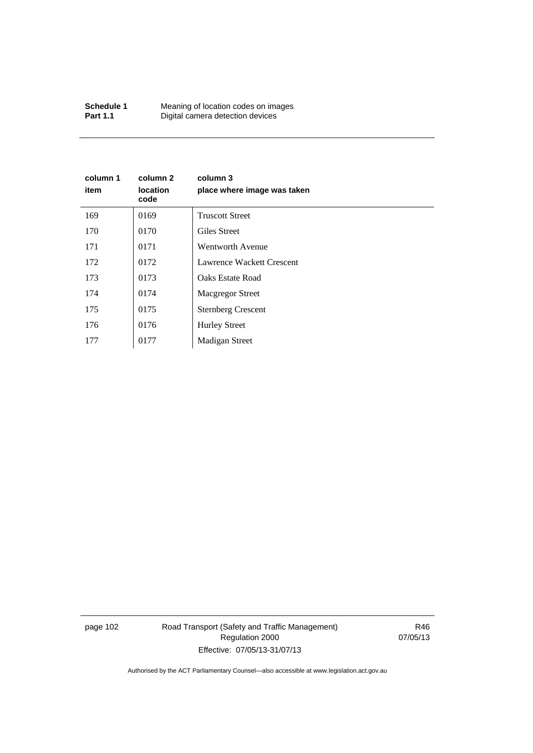| Schedule 1      | Meaning of location codes on images |
|-----------------|-------------------------------------|
| <b>Part 1.1</b> | Digital camera detection devices    |

| column 1<br>item | column 2<br><b>location</b><br>code | column 3<br>place where image was taken |
|------------------|-------------------------------------|-----------------------------------------|
| 169              | 0169                                | <b>Truscott Street</b>                  |
| 170              | 0170                                | Giles Street                            |
| 171              | 0171                                | Wentworth Avenue                        |
| 172              | 0172                                | Lawrence Wackett Crescent               |
| 173              | 0173                                | <b>Oaks Estate Road</b>                 |
| 174              | 0174                                | <b>Macgregor Street</b>                 |
| 175              | 0175                                | <b>Sternberg Crescent</b>               |
| 176              | 0176                                | <b>Hurley Street</b>                    |
| 177              | 0177                                | <b>Madigan Street</b>                   |

page 102 Road Transport (Safety and Traffic Management) Regulation 2000 Effective: 07/05/13-31/07/13

R46 07/05/13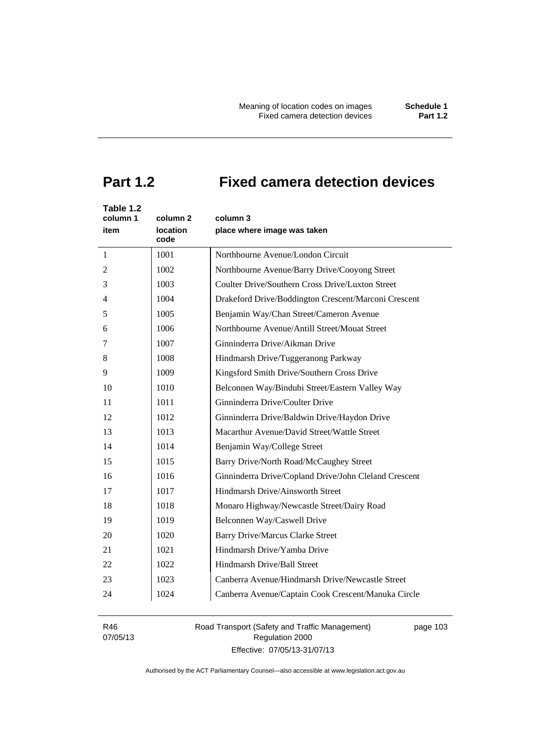# **Part 1.2 Fixed camera detection devices**

| Table 1.2<br>column 1<br>item | column 2<br><b>location</b><br>code | column 3<br>place where image was taken               |
|-------------------------------|-------------------------------------|-------------------------------------------------------|
| 1                             | 1001                                | Northbourne Avenue/London Circuit                     |
| 2                             | 1002                                | Northbourne Avenue/Barry Drive/Cooyong Street         |
| 3                             | 1003                                | Coulter Drive/Southern Cross Drive/Luxton Street      |
| 4                             | 1004                                | Drakeford Drive/Boddington Crescent/Marconi Crescent  |
| 5                             | 1005                                | Benjamin Way/Chan Street/Cameron Avenue               |
| 6                             | 1006                                | Northbourne Avenue/Antill Street/Mouat Street         |
| 7                             | 1007                                | Ginninderra Drive/Aikman Drive                        |
| 8                             | 1008                                | Hindmarsh Drive/Tuggeranong Parkway                   |
| 9                             | 1009                                | Kingsford Smith Drive/Southern Cross Drive            |
| 10                            | 1010                                | Belconnen Way/Bindubi Street/Eastern Valley Way       |
| 11                            | 1011                                | Ginninderra Drive/Coulter Drive                       |
| 12                            | 1012                                | Ginninderra Drive/Baldwin Drive/Haydon Drive          |
| 13                            | 1013                                | Macarthur Avenue/David Street/Wattle Street           |
| 14                            | 1014                                | Benjamin Way/College Street                           |
| 15                            | 1015                                | Barry Drive/North Road/McCaughey Street               |
| 16                            | 1016                                | Ginninderra Drive/Copland Drive/John Cleland Crescent |
| 17                            | 1017                                | Hindmarsh Drive/Ainsworth Street                      |
| 18                            | 1018                                | Monaro Highway/Newcastle Street/Dairy Road            |
| 19                            | 1019                                | Belconnen Way/Caswell Drive                           |
| 20                            | 1020                                | <b>Barry Drive/Marcus Clarke Street</b>               |
| 21                            | 1021                                | Hindmarsh Drive/Yamba Drive                           |
| 22                            | 1022                                | Hindmarsh Drive/Ball Street                           |
| 23                            | 1023                                | Canberra Avenue/Hindmarsh Drive/Newcastle Street      |
| 24                            | 1024                                | Canberra Avenue/Captain Cook Crescent/Manuka Circle   |

R46 07/05/13 Road Transport (Safety and Traffic Management) Regulation 2000 Effective: 07/05/13-31/07/13

page 103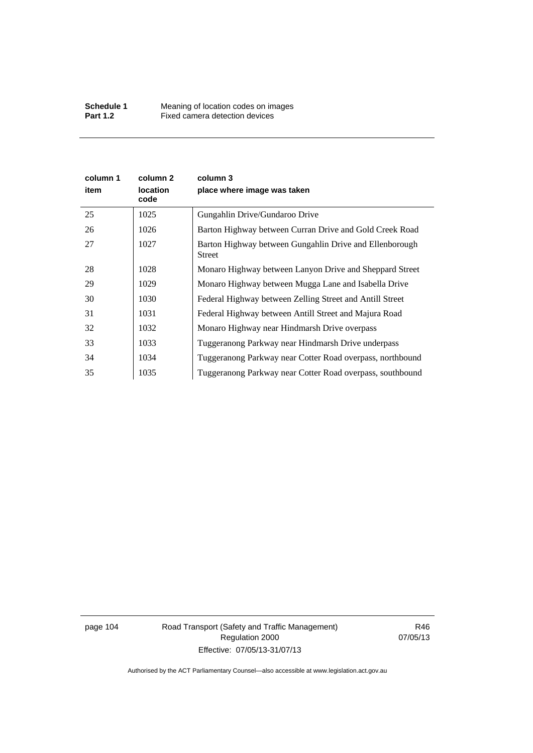| column 1<br>item | column 2<br><b>location</b><br>code | column 3<br>place where image was taken                           |
|------------------|-------------------------------------|-------------------------------------------------------------------|
| 25               | 1025                                | Gungahlin Drive/Gundaroo Drive                                    |
| 26               | 1026                                | Barton Highway between Curran Drive and Gold Creek Road           |
| 27               | 1027                                | Barton Highway between Gungahlin Drive and Ellenborough<br>Street |
| 28               | 1028                                | Monaro Highway between Lanyon Drive and Sheppard Street           |
| 29               | 1029                                | Monaro Highway between Mugga Lane and Isabella Drive              |
| 30               | 1030                                | Federal Highway between Zelling Street and Antill Street          |
| 31               | 1031                                | Federal Highway between Antill Street and Majura Road             |
| 32               | 1032                                | Monaro Highway near Hindmarsh Drive overpass                      |
| 33               | 1033                                | Tuggeranong Parkway near Hindmarsh Drive underpass                |
| 34               | 1034                                | Tuggeranong Parkway near Cotter Road overpass, northbound         |
| 35               | 1035                                | Tuggeranong Parkway near Cotter Road overpass, southbound         |

page 104 Road Transport (Safety and Traffic Management) Regulation 2000 Effective: 07/05/13-31/07/13

R46 07/05/13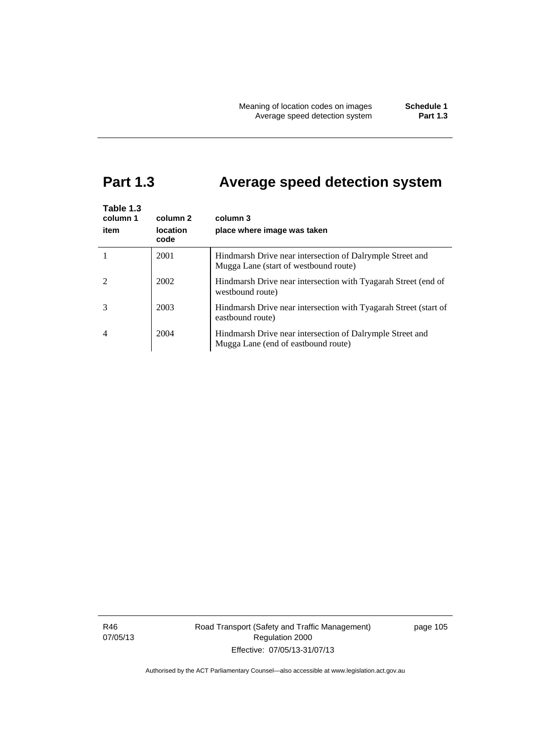# **Part 1.3 Average speed detection system**

| Table 1.3<br>column 1<br>item | column 2<br><b>location</b><br>code | column 3<br>place where image was taken                                                            |
|-------------------------------|-------------------------------------|----------------------------------------------------------------------------------------------------|
|                               | 2001                                | Hindmarsh Drive near intersection of Dalrymple Street and<br>Mugga Lane (start of westbound route) |
|                               | 2002                                | Hindmarsh Drive near intersection with Tyagarah Street (end of<br>westbound route)                 |
|                               | 2003                                | Hindmarsh Drive near intersection with Tyagarah Street (start of<br>eastbound route)               |
| 4                             | 2004                                | Hindmarsh Drive near intersection of Dalrymple Street and<br>Mugga Lane (end of eastbound route)   |

R46 07/05/13 Road Transport (Safety and Traffic Management) Regulation 2000 Effective: 07/05/13-31/07/13

page 105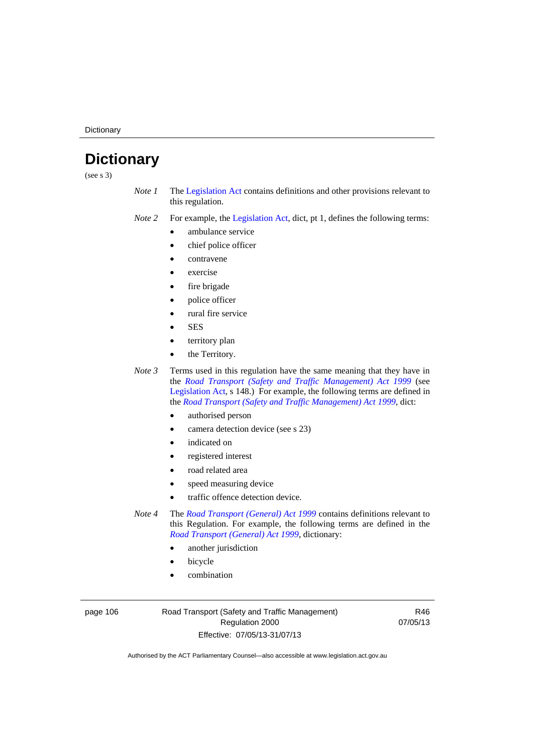**Dictionary** 

# **Dictionary**

(see s 3)

- *Note 1* The [Legislation Act](http://www.legislation.act.gov.au/a/2001-14) contains definitions and other provisions relevant to this regulation.
- *Note 2* For example, the [Legislation Act,](http://www.legislation.act.gov.au/a/2001-14) dict, pt 1, defines the following terms:
	- ambulance service
	- chief police officer
	- contravene
	- exercise
	- fire brigade
	- police officer
		- rural fire service
	- **SES**
	- territory plan
	- the Territory.

*Note 3* Terms used in this regulation have the same meaning that they have in the *[Road Transport \(Safety and Traffic Management\) Act 1999](http://www.legislation.act.gov.au/a/1999-80)* (see [Legislation Act,](http://www.legislation.act.gov.au/a/2001-14) s 148.) For example, the following terms are defined in the *[Road Transport \(Safety and Traffic Management\) Act 1999](http://www.legislation.act.gov.au/a/1999-80)*, dict:

- authorised person
- camera detection device (see s 23)
- indicated on
- registered interest
- road related area
- speed measuring device
- traffic offence detection device.

*Note 4* The *[Road Transport \(General\) Act 1999](http://www.legislation.act.gov.au/a/1999-77)* contains definitions relevant to this Regulation. For example, the following terms are defined in the *[Road Transport \(General\) Act 1999](http://www.legislation.act.gov.au/a/1999-77)*, dictionary:

- another jurisdiction
- bicycle
- combination

page 106 Road Transport (Safety and Traffic Management) Regulation 2000 Effective: 07/05/13-31/07/13

R46 07/05/13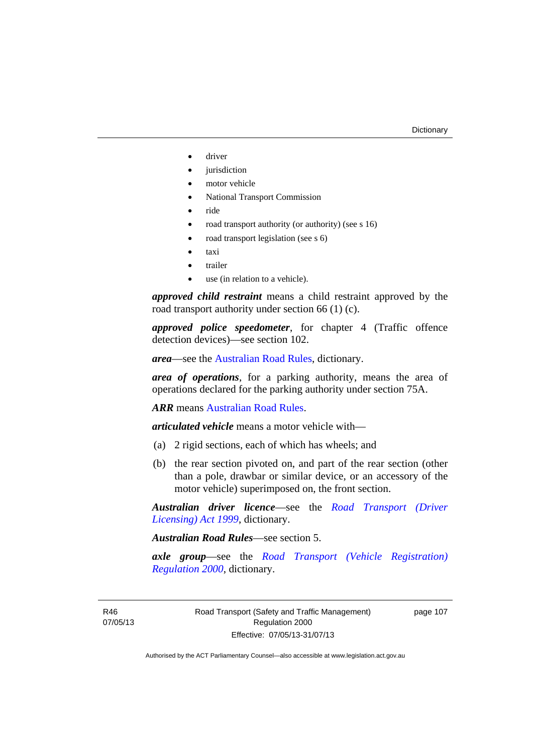- driver
- jurisdiction
- motor vehicle
- National Transport Commission
- ride
- road transport authority (or authority) (see s 16)
- road transport legislation (see s 6)
- taxi
- trailer
- use (in relation to a vehicle).

*approved child restraint* means a child restraint approved by the road transport authority under section 66 (1) (c).

*approved police speedometer*, for chapter 4 (Traffic offence detection devices)—see section 102.

*area*—see the [Australian Road Rules,](http://www.legislation.act.gov.au//ni/db_37271/default.asp) dictionary.

*area of operations*, for a parking authority, means the area of operations declared for the parking authority under section 75A.

*ARR* means [Australian Road Rules](http://www.legislation.act.gov.au//ni/db_37271/default.asp).

*articulated vehicle* means a motor vehicle with—

- (a) 2 rigid sections, each of which has wheels; and
- (b) the rear section pivoted on, and part of the rear section (other than a pole, drawbar or similar device, or an accessory of the motor vehicle) superimposed on, the front section.

*Australian driver licence*—see the *[Road Transport \(Driver](http://www.legislation.act.gov.au/a/1999-78)  [Licensing\) Act 1999](http://www.legislation.act.gov.au/a/1999-78)*, dictionary.

*Australian Road Rules*—see section 5.

*axle group*—see the *[Road Transport \(Vehicle Registration\)](http://www.legislation.act.gov.au/sl/2000-12)  [Regulation 2000](http://www.legislation.act.gov.au/sl/2000-12)*, dictionary.

R46 07/05/13 page 107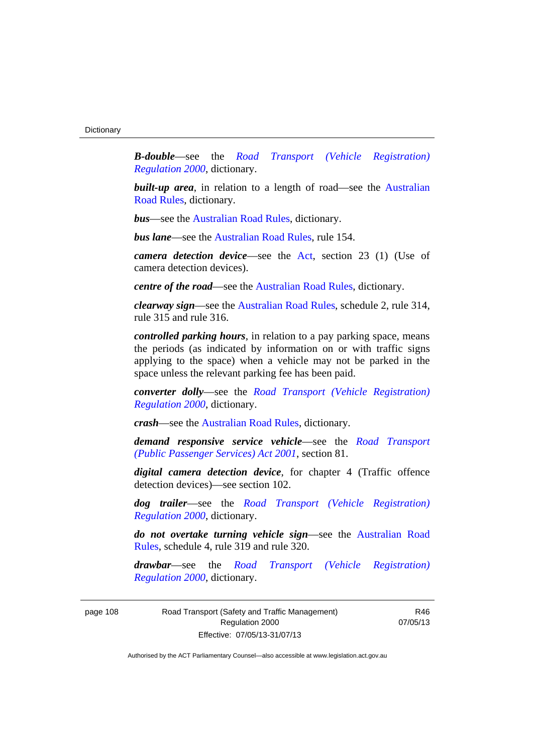*B-double*—see the *[Road Transport \(Vehicle Registration\)](http://www.legislation.act.gov.au/sl/2000-12)  [Regulation 2000](http://www.legislation.act.gov.au/sl/2000-12)*, dictionary.

**built-up area**, in relation to a length of road—see the Australian [Road Rules,](http://www.legislation.act.gov.au//ni/db_37271/default.asp) dictionary.

*bus*—see the [Australian Road Rules,](http://www.legislation.act.gov.au//ni/db_37271/default.asp) dictionary.

*bus lane*—see the [Australian Road Rules](http://www.legislation.act.gov.au//ni/db_37271/default.asp), rule 154.

*camera detection device*—see the [Act](http://www.legislation.act.gov.au/a/1999-80/default.asp), section 23 (1) (Use of camera detection devices).

*centre of the road*—see the [Australian Road Rules](http://www.legislation.act.gov.au//ni/db_37271/default.asp), dictionary.

*clearway sign*—see the [Australian Road Rules,](http://www.legislation.act.gov.au//ni/db_37271/default.asp) schedule 2, rule 314, rule 315 and rule 316.

*controlled parking hours*, in relation to a pay parking space, means the periods (as indicated by information on or with traffic signs applying to the space) when a vehicle may not be parked in the space unless the relevant parking fee has been paid.

*converter dolly*—see the *[Road Transport \(Vehicle Registration\)](http://www.legislation.act.gov.au/sl/2000-12)  [Regulation 2000](http://www.legislation.act.gov.au/sl/2000-12)*, dictionary.

*crash*—see the [Australian Road Rules](http://www.legislation.act.gov.au//ni/db_37271/default.asp), dictionary.

*demand responsive service vehicle*—see the *[Road Transport](http://www.legislation.act.gov.au/a/2001-62)  [\(Public Passenger Services\) Act 2001](http://www.legislation.act.gov.au/a/2001-62)*, section 81.

*digital camera detection device*, for chapter 4 (Traffic offence detection devices)—see section 102.

*dog trailer*—see the *[Road Transport \(Vehicle Registration\)](http://www.legislation.act.gov.au/sl/2000-12)  [Regulation 2000](http://www.legislation.act.gov.au/sl/2000-12)*, dictionary.

*do not overtake turning vehicle sign*—see the [Australian Road](http://www.legislation.act.gov.au//ni/db_37271/default.asp)  [Rules](http://www.legislation.act.gov.au//ni/db_37271/default.asp), schedule 4, rule 319 and rule 320.

*drawbar*—see the *[Road Transport \(Vehicle Registration\)](http://www.legislation.act.gov.au/sl/2000-12)  [Regulation 2000](http://www.legislation.act.gov.au/sl/2000-12)*, dictionary.

page 108 Road Transport (Safety and Traffic Management) Regulation 2000 Effective: 07/05/13-31/07/13

R46 07/05/13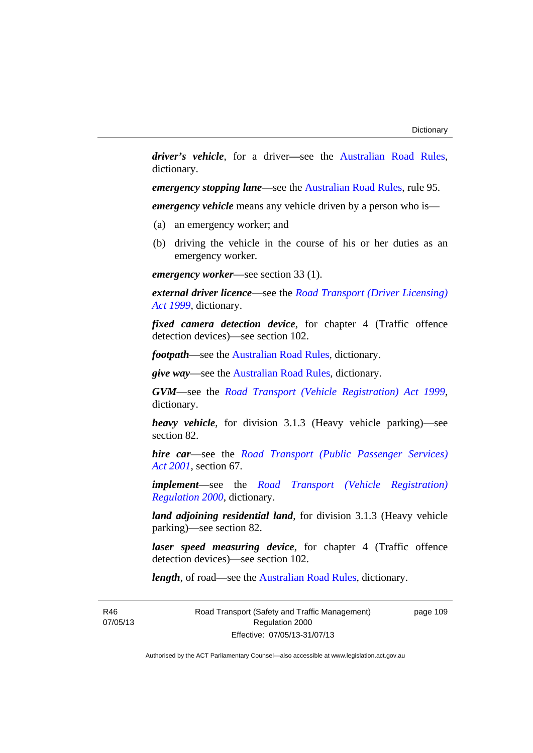*driver's vehicle*, for a driver*—*see the [Australian Road Rules](http://www.legislation.act.gov.au//ni/db_37271/default.asp), dictionary.

*emergency stopping lane—see the [Australian Road Rules](http://www.legislation.act.gov.au//ni/db_37271/default.asp), rule 95.* 

*emergency vehicle* means any vehicle driven by a person who is—

- (a) an emergency worker; and
- (b) driving the vehicle in the course of his or her duties as an emergency worker.

*emergency worker*—see section 33 (1).

*external driver licence*—see the *[Road Transport \(Driver Licensing\)](http://www.legislation.act.gov.au/a/1999-78)  [Act 1999](http://www.legislation.act.gov.au/a/1999-78)*, dictionary.

*fixed camera detection device*, for chapter 4 (Traffic offence detection devices)—see section 102.

*footpath*—see the [Australian Road Rules](http://www.legislation.act.gov.au//ni/db_37271/default.asp), dictionary.

*give way*—see the [Australian Road Rules](http://www.legislation.act.gov.au//ni/db_37271/default.asp), dictionary.

*GVM*—see the *[Road Transport \(Vehicle Registration\) Act 1999](http://www.legislation.act.gov.au/a/1999-81)*, dictionary.

*heavy vehicle*, for division 3.1.3 (Heavy vehicle parking)—see section 82.

*hire car*—see the *[Road Transport \(Public Passenger Services\)](http://www.legislation.act.gov.au/a/2001-62)  [Act 2001](http://www.legislation.act.gov.au/a/2001-62)*, section 67.

*implement*—see the *[Road Transport \(Vehicle Registration\)](http://www.legislation.act.gov.au/sl/2000-12)  [Regulation 2000](http://www.legislation.act.gov.au/sl/2000-12)*, dictionary.

*land adjoining residential land*, for division 3.1.3 (Heavy vehicle parking)—see section 82.

*laser speed measuring device*, for chapter 4 (Traffic offence detection devices)—see section 102.

*length*, of road—see the [Australian Road Rules](http://www.legislation.act.gov.au//ni/db_37271/default.asp), dictionary.

R46 07/05/13 Road Transport (Safety and Traffic Management) Regulation 2000 Effective: 07/05/13-31/07/13

page 109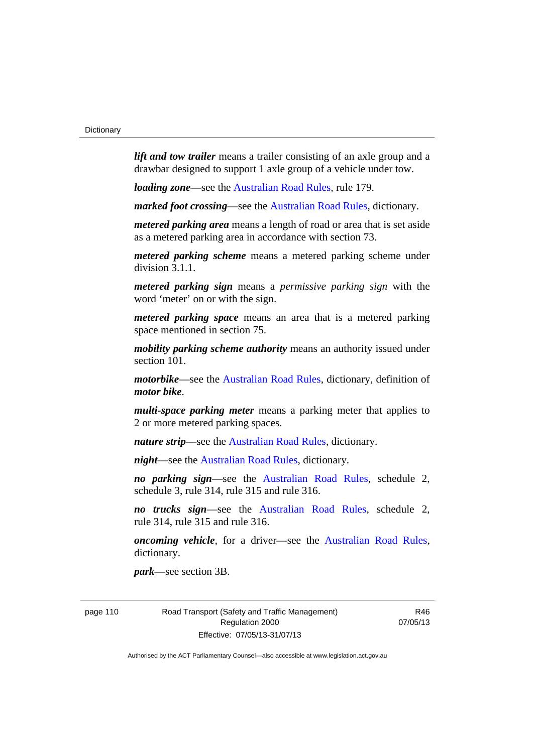*lift and tow trailer* means a trailer consisting of an axle group and a drawbar designed to support 1 axle group of a vehicle under tow.

*loading zone*—see the [Australian Road Rules,](http://www.legislation.act.gov.au//ni/db_37271/default.asp) rule 179.

*marked foot crossing*—see the [Australian Road Rules,](http://www.legislation.act.gov.au//ni/db_37271/default.asp) dictionary.

*metered parking area* means a length of road or area that is set aside as a metered parking area in accordance with section 73.

*metered parking scheme* means a metered parking scheme under division 3.1.1.

*metered parking sign* means a *permissive parking sign* with the word 'meter' on or with the sign.

*metered parking space* means an area that is a metered parking space mentioned in section 75.

*mobility parking scheme authority* means an authority issued under section 101.

*motorbike*—see the [Australian Road Rules,](http://www.legislation.act.gov.au//ni/db_37271/default.asp) dictionary, definition of *motor bike*.

*multi-space parking meter* means a parking meter that applies to 2 or more metered parking spaces.

*nature strip*—see the [Australian Road Rules](http://www.legislation.act.gov.au//ni/db_37271/default.asp), dictionary.

*night*—see the [Australian Road Rules,](http://www.legislation.act.gov.au//ni/db_37271/default.asp) dictionary.

*no parking sign*—see the [Australian Road Rules](http://www.legislation.act.gov.au//ni/db_37271/default.asp), schedule 2, schedule 3, rule 314, rule 315 and rule 316.

*no trucks sign*—see the [Australian Road Rules,](http://www.legislation.act.gov.au//ni/db_37271/default.asp) schedule 2, rule 314, rule 315 and rule 316.

*oncoming vehicle*, for a driver—see the [Australian Road Rules](http://www.legislation.act.gov.au//ni/db_37271/default.asp), dictionary.

*park*—see section 3B.

page 110 Road Transport (Safety and Traffic Management) Regulation 2000 Effective: 07/05/13-31/07/13

R46 07/05/13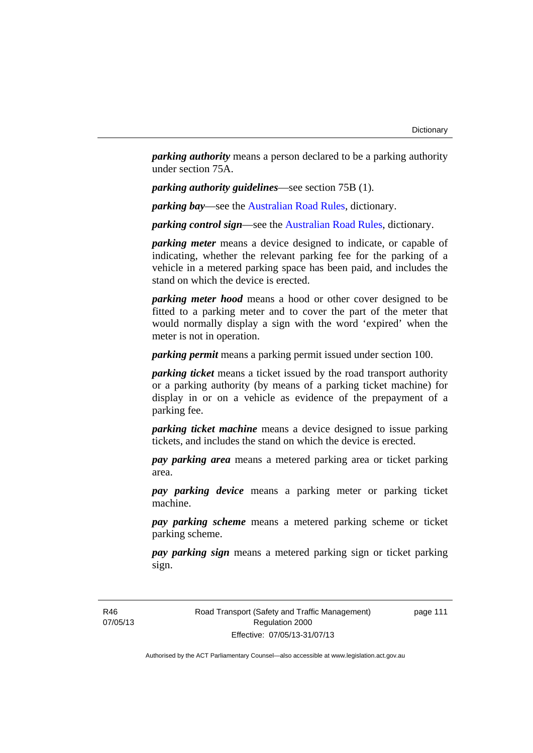*parking authority* means a person declared to be a parking authority under section 75A.

*parking authority guidelines*—see section 75B (1).

*parking bay*—see the [Australian Road Rules,](http://www.legislation.act.gov.au//ni/db_37271/default.asp) dictionary.

*parking control sign*—see the [Australian Road Rules](http://www.legislation.act.gov.au//ni/db_37271/default.asp), dictionary.

*parking meter* means a device designed to indicate, or capable of indicating, whether the relevant parking fee for the parking of a vehicle in a metered parking space has been paid, and includes the stand on which the device is erected.

*parking meter hood* means a hood or other cover designed to be fitted to a parking meter and to cover the part of the meter that would normally display a sign with the word 'expired' when the meter is not in operation.

*parking permit* means a parking permit issued under section 100.

*parking ticket* means a ticket issued by the road transport authority or a parking authority (by means of a parking ticket machine) for display in or on a vehicle as evidence of the prepayment of a parking fee.

*parking ticket machine* means a device designed to issue parking tickets, and includes the stand on which the device is erected.

*pay parking area* means a metered parking area or ticket parking area.

*pay parking device* means a parking meter or parking ticket machine.

*pay parking scheme* means a metered parking scheme or ticket parking scheme.

*pay parking sign* means a metered parking sign or ticket parking sign.

R46 07/05/13 Road Transport (Safety and Traffic Management) Regulation 2000 Effective: 07/05/13-31/07/13

page 111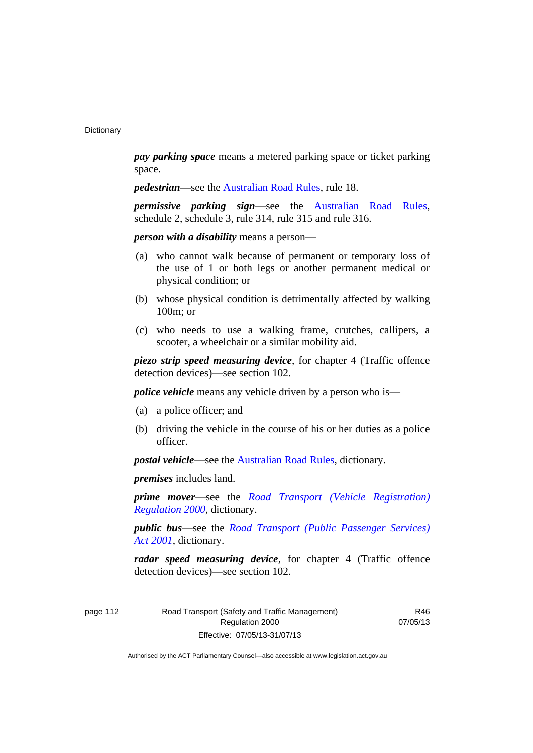*pay parking space* means a metered parking space or ticket parking space.

*pedestrian—see the [Australian Road Rules](http://www.legislation.act.gov.au//ni/db_37271/default.asp), rule 18.* 

*permissive parking sign*—see the [Australian Road Rules](http://www.legislation.act.gov.au//ni/db_37271/default.asp), schedule 2, schedule 3, rule 314, rule 315 and rule 316.

*person with a disability* means a person—

- (a) who cannot walk because of permanent or temporary loss of the use of 1 or both legs or another permanent medical or physical condition; or
- (b) whose physical condition is detrimentally affected by walking 100m; or
- (c) who needs to use a walking frame, crutches, callipers, a scooter, a wheelchair or a similar mobility aid.

*piezo strip speed measuring device*, for chapter 4 (Traffic offence detection devices)—see section 102.

*police vehicle* means any vehicle driven by a person who is—

- (a) a police officer; and
- (b) driving the vehicle in the course of his or her duties as a police officer.

*postal vehicle*—see the [Australian Road Rules,](http://www.legislation.act.gov.au//ni/db_37271/default.asp) dictionary.

*premises* includes land.

*prime mover*—see the *[Road Transport \(Vehicle Registration\)](http://www.legislation.act.gov.au/sl/2000-12)  [Regulation 2000](http://www.legislation.act.gov.au/sl/2000-12)*, dictionary.

*public bus*—see the *[Road Transport \(Public Passenger Services\)](http://www.legislation.act.gov.au/a/2001-62)  [Act 2001](http://www.legislation.act.gov.au/a/2001-62)*, dictionary.

*radar speed measuring device*, for chapter 4 (Traffic offence detection devices)—see section 102.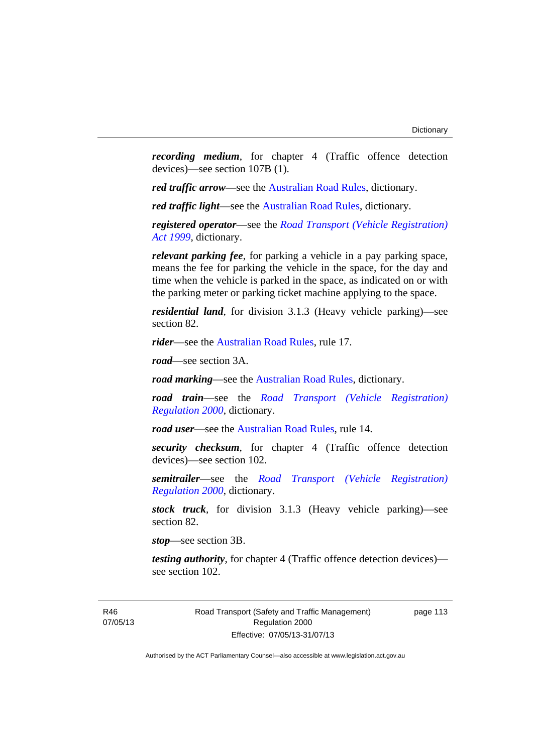*recording medium*, for chapter 4 (Traffic offence detection devices)—see section 107B (1).

*red traffic arrow*—see the [Australian Road Rules,](http://www.legislation.act.gov.au//ni/db_37271/default.asp) dictionary.

*red traffic light*—see the [Australian Road Rules](http://www.legislation.act.gov.au//ni/db_37271/default.asp), dictionary.

*registered operator*—see the *[Road Transport \(Vehicle Registration\)](http://www.legislation.act.gov.au/a/1999-81)  [Act 1999](http://www.legislation.act.gov.au/a/1999-81)*, dictionary.

*relevant parking fee*, for parking a vehicle in a pay parking space, means the fee for parking the vehicle in the space, for the day and time when the vehicle is parked in the space, as indicated on or with the parking meter or parking ticket machine applying to the space.

*residential land*, for division 3.1.3 (Heavy vehicle parking)—see section 82.

*rider*—see the [Australian Road Rules,](http://www.legislation.act.gov.au//ni/db_37271/default.asp) rule 17.

*road*—see section 3A.

*road marking*—see the [Australian Road Rules](http://www.legislation.act.gov.au//ni/db_37271/default.asp), dictionary.

*road train*—see the *[Road Transport \(Vehicle Registration\)](http://www.legislation.act.gov.au/sl/2000-12)  [Regulation 2000](http://www.legislation.act.gov.au/sl/2000-12)*, dictionary.

*road user*—see the [Australian Road Rules,](http://www.legislation.act.gov.au//ni/db_37271/default.asp) rule 14.

*security checksum*, for chapter 4 (Traffic offence detection devices)—see section 102.

*semitrailer*—see the *[Road Transport \(Vehicle Registration\)](http://www.legislation.act.gov.au/sl/2000-12)  [Regulation 2000](http://www.legislation.act.gov.au/sl/2000-12)*, dictionary.

*stock truck*, for division 3.1.3 (Heavy vehicle parking)—see section 82.

*stop*—see section 3B.

*testing authority*, for chapter 4 (Traffic offence detection devices) see section 102.

Road Transport (Safety and Traffic Management) Regulation 2000 Effective: 07/05/13-31/07/13

page 113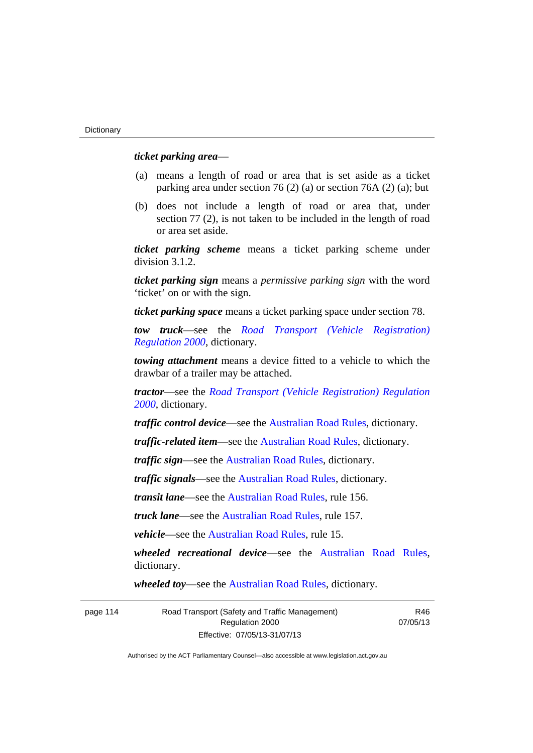# *ticket parking area*—

- (a) means a length of road or area that is set aside as a ticket parking area under section 76 (2) (a) or section 76A (2) (a); but
- (b) does not include a length of road or area that, under section 77 (2), is not taken to be included in the length of road or area set aside.

*ticket parking scheme* means a ticket parking scheme under division 3.1.2.

*ticket parking sign* means a *permissive parking sign* with the word 'ticket' on or with the sign.

*ticket parking space* means a ticket parking space under section 78.

*tow truck*—see the *[Road Transport \(Vehicle Registration\)](http://www.legislation.act.gov.au/sl/2000-12)  [Regulation 2000](http://www.legislation.act.gov.au/sl/2000-12)*, dictionary.

*towing attachment* means a device fitted to a vehicle to which the drawbar of a trailer may be attached.

*tractor*—see the *[Road Transport \(Vehicle Registration\) Regulation](http://www.legislation.act.gov.au/sl/2000-12)  [2000](http://www.legislation.act.gov.au/sl/2000-12)*, dictionary.

*traffic control device*—see the [Australian Road Rules](http://www.legislation.act.gov.au//ni/db_37271/default.asp), dictionary.

*traffic-related item*—see the [Australian Road Rules,](http://www.legislation.act.gov.au//ni/db_37271/default.asp) dictionary.

*traffic sign*—see the [Australian Road Rules](http://www.legislation.act.gov.au//ni/db_37271/default.asp), dictionary.

*traffic signals*—see the [Australian Road Rules](http://www.legislation.act.gov.au//ni/db_37271/default.asp), dictionary.

*transit lane*—see the [Australian Road Rules,](http://www.legislation.act.gov.au//ni/db_37271/default.asp) rule 156.

*truck lane*—see the [Australian Road Rules,](http://www.legislation.act.gov.au//ni/db_37271/default.asp) rule 157.

*vehicle*—see the [Australian Road Rules](http://www.legislation.act.gov.au//ni/db_37271/default.asp), rule 15.

*wheeled recreational device*—see the [Australian Road Rules](http://www.legislation.act.gov.au//ni/db_37271/default.asp), dictionary.

*wheeled toy*—see the [Australian Road Rules](http://www.legislation.act.gov.au//ni/db_37271/default.asp), dictionary.

| page 114 | Road Transport (Safety and Traffic Management) |
|----------|------------------------------------------------|
|          | Regulation 2000                                |
|          | Effective: 07/05/13-31/07/13                   |

R46 07/05/13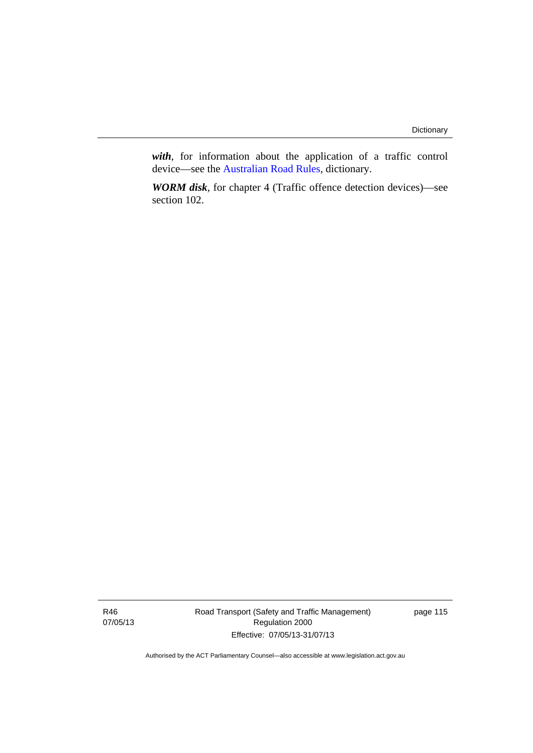*with*, for information about the application of a traffic control device—see the [Australian Road Rules](http://www.legislation.act.gov.au//ni/db_37271/default.asp), dictionary.

*WORM disk*, for chapter 4 (Traffic offence detection devices)—see section 102.

R46 07/05/13 Road Transport (Safety and Traffic Management) Regulation 2000 Effective: 07/05/13-31/07/13

page 115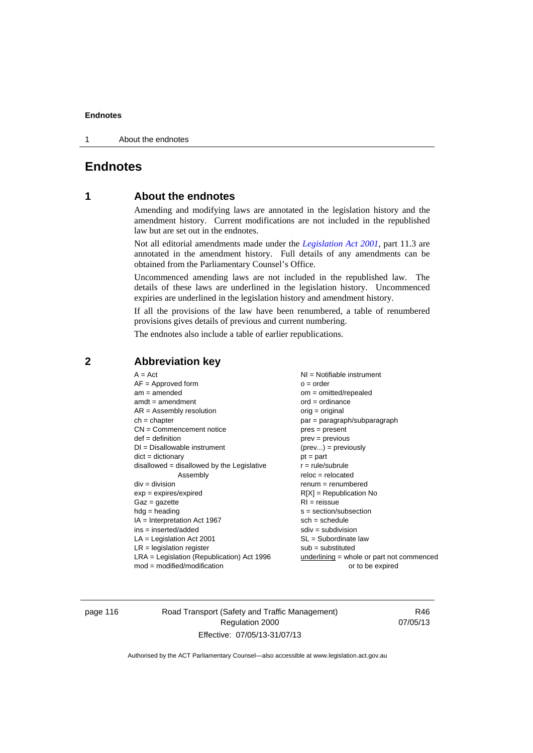1 About the endnotes

# **Endnotes**

# **1 About the endnotes**

Amending and modifying laws are annotated in the legislation history and the amendment history. Current modifications are not included in the republished law but are set out in the endnotes.

Not all editorial amendments made under the *[Legislation Act 2001](http://www.legislation.act.gov.au/a/2001-14)*, part 11.3 are annotated in the amendment history. Full details of any amendments can be obtained from the Parliamentary Counsel's Office.

Uncommenced amending laws are not included in the republished law. The details of these laws are underlined in the legislation history. Uncommenced expiries are underlined in the legislation history and amendment history.

If all the provisions of the law have been renumbered, a table of renumbered provisions gives details of previous and current numbering.

The endnotes also include a table of earlier republications.

| $A = Act$                                    | $NI =$ Notifiable instrument              |
|----------------------------------------------|-------------------------------------------|
| $AF =$ Approved form                         | $o = order$                               |
| $am = amended$                               | $om = omitted/repealed$                   |
| $amdt = amendment$                           | $ord = ordinance$                         |
| $AR = Assembly$ resolution                   | $orig = original$                         |
| $ch = chapter$                               | par = paragraph/subparagraph              |
| $CN =$ Commencement notice                   | $pres = present$                          |
| $def = definition$                           | prev = previous                           |
| $DI = Disallowable instrument$               | $(\text{prev}) = \text{previously}$       |
| $dict = dictionary$                          | $pt = part$                               |
| $disallowed = disallowed by the Legislative$ | $r = rule/subrule$                        |
| Assembly                                     | $reloc = relocated$                       |
| $div = division$                             | $renum = renumbered$                      |
| $exp = expires/expired$                      | $R[X]$ = Republication No                 |
| $Gaz = gazette$                              | $RI = reissue$                            |
| $hdg =$ heading                              | $s = section/subsection$                  |
| $IA = Interpretation Act 1967$               | $sch = schedule$                          |
| $ins = inserted/added$                       | $sdiv = subdivision$                      |
| $LA =$ Legislation Act 2001                  | $SL = Subordinate$ law                    |
| $LR =$ legislation register                  | $sub =$ substituted                       |
| $LRA =$ Legislation (Republication) Act 1996 | underlining = whole or part not commenced |
| $mod = modified/modification$                | or to be expired                          |
|                                              |                                           |

# **2 Abbreviation key**

page 116 Road Transport (Safety and Traffic Management) Regulation 2000 Effective: 07/05/13-31/07/13

R46 07/05/13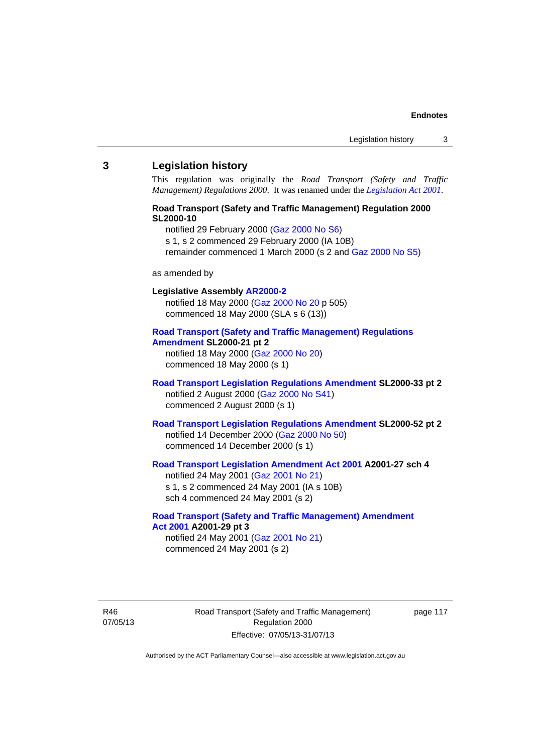### **3 Legislation history**

This regulation was originally the *Road Transport (Safety and Traffic Management) Regulations 2000*. It was renamed under the *[Legislation Act 2001](http://www.legislation.act.gov.au/a/2001-14)*.

# **Road Transport (Safety and Traffic Management) Regulation 2000 SL2000-10**

notified 29 February 2000 [\(Gaz 2000 No S6](http://www.legislation.act.gov.au/gaz/2000-S6/default.asp))

s 1, s 2 commenced 29 February 2000 (IA 10B)

remainder commenced 1 March 2000 (s 2 and [Gaz 2000 No S5\)](http://www.legislation.act.gov.au/gaz/2000-S5/default.asp)

#### as amended by

# **Legislative Assembly [AR2000-2](http://www.legislation.act.gov.au/ar/2000-2/default.asp)**

notified 18 May 2000 ([Gaz 2000 No 20 p](http://www.legislation.act.gov.au/gaz/2000-20/default.asp) 505) commenced 18 May 2000 (SLA s 6 (13))

#### **[Road Transport \(Safety and Traffic Management\) Regulations](http://www.legislation.act.gov.au/sl/2000-21/default.asp)  [Amendment](http://www.legislation.act.gov.au/sl/2000-21/default.asp) SL2000-21 pt 2**

notified 18 May 2000 ([Gaz 2000 No 20\)](http://www.legislation.act.gov.au/gaz/2000-20/default.asp) commenced 18 May 2000 (s 1)

## **[Road Transport Legislation Regulations Amendment](http://www.legislation.act.gov.au/sl/2000-33/default.asp) SL2000-33 pt 2**  notified 2 August 2000 ([Gaz 2000 No S41](http://www.legislation.act.gov.au/gaz/2000-S41/default.asp)) commenced 2 August 2000 (s 1)

# **[Road Transport Legislation Regulations Amendment](http://www.legislation.act.gov.au/sl/2000-52/default.asp) SL2000-52 pt 2**  notified 14 December 2000 [\(Gaz 2000 No 50](http://www.legislation.act.gov.au/gaz/2000-50/default.asp)) commenced 14 December 2000 (s 1)

# **[Road Transport Legislation Amendment Act 2001](http://www.legislation.act.gov.au/a/2001-27) A2001-27 sch 4**

notified 24 May 2001 ([Gaz 2001 No 21\)](http://www.legislation.act.gov.au/gaz/2001-21/default.asp) s 1, s 2 commenced 24 May 2001 (IA s 10B) sch 4 commenced 24 May 2001 (s 2)

### **[Road Transport \(Safety and Traffic Management\) Amendment](http://www.legislation.act.gov.au/a/2001-29)  [Act 2001](http://www.legislation.act.gov.au/a/2001-29) A2001-29 pt 3**  notified 24 May 2001 ([Gaz 2001 No 21\)](http://www.legislation.act.gov.au/gaz/2001-21/default.asp)

commenced 24 May 2001 (s 2)

R46 07/05/13 Road Transport (Safety and Traffic Management) Regulation 2000 Effective: 07/05/13-31/07/13

page 117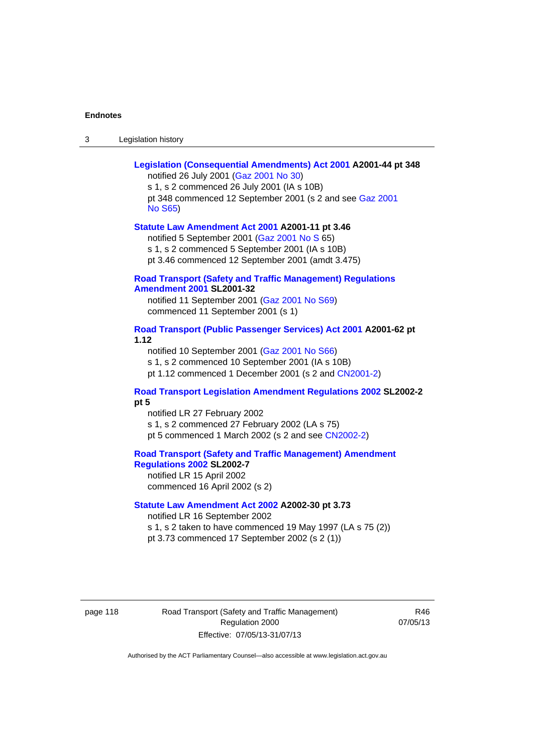| Legislation history<br>-3 |
|---------------------------|
|---------------------------|

| Legislation (Consequential Amendments) Act 2001 A2001-44 pt 348<br>notified 26 July 2001 (Gaz 2001 No 30)<br>s 1, s 2 commenced 26 July 2001 (IA s 10B)<br>pt 348 commenced 12 September 2001 (s 2 and see Gaz 2001 |
|---------------------------------------------------------------------------------------------------------------------------------------------------------------------------------------------------------------------|
| <b>No S65)</b>                                                                                                                                                                                                      |
| Statute Law Amendment Act 2001 A2001-11 pt 3.46<br>notified 5 September 2001 (Gaz 2001 No S 65)<br>s 1, s 2 commenced 5 September 2001 (IA s 10B)<br>pt 3.46 commenced 12 September 2001 (amdt 3.475)               |
| <b>Road Transport (Safety and Traffic Management) Regulations</b><br><b>Amendment 2001 SL2001-32</b>                                                                                                                |
| notified 11 September 2001 (Gaz 2001 No S69)<br>commenced 11 September 2001 (s 1)                                                                                                                                   |
| Road Transport (Public Passenger Services) Act 2001 A2001-62 pt<br>1.12                                                                                                                                             |
| notified 10 September 2001 (Gaz 2001 No S66)<br>s 1, s 2 commenced 10 September 2001 (IA s 10B)<br>pt 1.12 commenced 1 December 2001 (s 2 and CN2001-2)                                                             |
| <b>Road Transport Legislation Amendment Regulations 2002 SL2002-2</b><br>pt 5                                                                                                                                       |
| notified LR 27 February 2002<br>s 1, s 2 commenced 27 February 2002 (LA s 75)<br>pt 5 commenced 1 March 2002 (s 2 and see CN2002-2)                                                                                 |
| <b>Road Transport (Safety and Traffic Management) Amendment</b><br>Regulations 2002 SL2002-7<br>notified LR 15 April 2002<br>commenced 16 April 2002 (s 2)                                                          |
| Statute Law Amendment Act 2002 A2002-30 pt 3.73<br>notified LR 16 September 2002                                                                                                                                    |
| s 1, s 2 taken to have commenced 19 May 1997 (LA s 75 (2))<br>pt 3.73 commenced 17 September 2002 (s 2 (1))                                                                                                         |

page 118 Road Transport (Safety and Traffic Management) Regulation 2000 Effective: 07/05/13-31/07/13

R46 07/05/13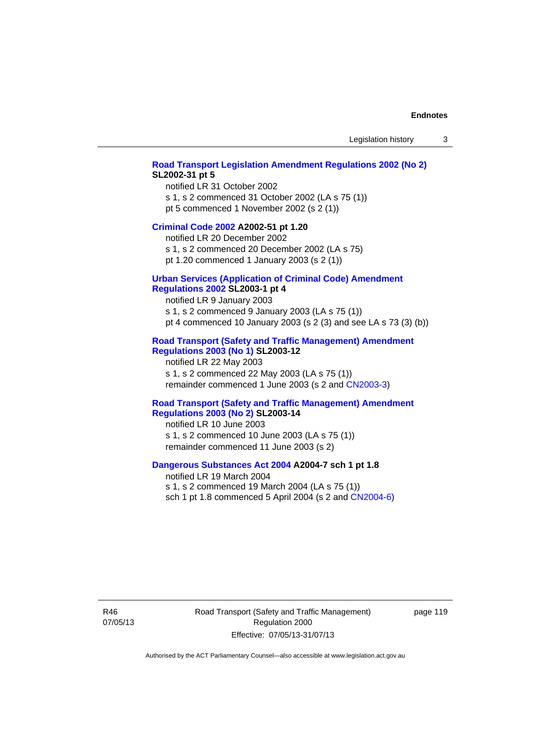### **[Road Transport Legislation Amendment Regulations 2002 \(No 2\)](http://www.legislation.act.gov.au/sl/2002-31) SL2002-31 pt 5**

notified LR 31 October 2002 s 1, s 2 commenced 31 October 2002 (LA s 75 (1)) pt 5 commenced 1 November 2002 (s 2 (1))

#### **[Criminal Code 2002](http://www.legislation.act.gov.au/a/2002-51) A2002-51 pt 1.20**

notified LR 20 December 2002 s 1, s 2 commenced 20 December 2002 (LA s 75)

pt 1.20 commenced 1 January 2003 (s 2 (1))

# **[Urban Services \(Application of Criminal Code\) Amendment](http://www.legislation.act.gov.au/sl/2003-1)**

# **[Regulations 2002](http://www.legislation.act.gov.au/sl/2003-1) SL2003-1 pt 4**

notified LR 9 January 2003 s 1, s 2 commenced 9 January 2003 (LA s 75 (1)) pt 4 commenced 10 January 2003 (s 2 (3) and see LA s 73 (3) (b))

# **[Road Transport \(Safety and Traffic Management\) Amendment](http://www.legislation.act.gov.au/sl/2003-12)  [Regulations 2003 \(No 1\)](http://www.legislation.act.gov.au/sl/2003-12) SL2003-12**

notified LR 22 May 2003 s 1, s 2 commenced 22 May 2003 (LA s 75 (1)) remainder commenced 1 June 2003 (s 2 and [CN2003-3](http://www.legislation.act.gov.au/cn/2003-3/default.asp))

## **[Road Transport \(Safety and Traffic Management\) Amendment](http://www.legislation.act.gov.au/sl/2003-14)  [Regulations 2003 \(No 2\)](http://www.legislation.act.gov.au/sl/2003-14) SL2003-14**

notified LR 10 June 2003 s 1, s 2 commenced 10 June 2003 (LA s 75 (1)) remainder commenced 11 June 2003 (s 2)

### **[Dangerous Substances Act 2004](http://www.legislation.act.gov.au/a/2004-7) A2004-7 sch 1 pt 1.8**

notified LR 19 March 2004 s 1, s 2 commenced 19 March 2004 (LA s 75 (1)) sch 1 pt 1.8 commenced 5 April 2004 (s 2 and [CN2004-6](http://www.legislation.act.gov.au/cn/2004-6/default.asp))

R46 07/05/13 Road Transport (Safety and Traffic Management) Regulation 2000 Effective: 07/05/13-31/07/13

page 119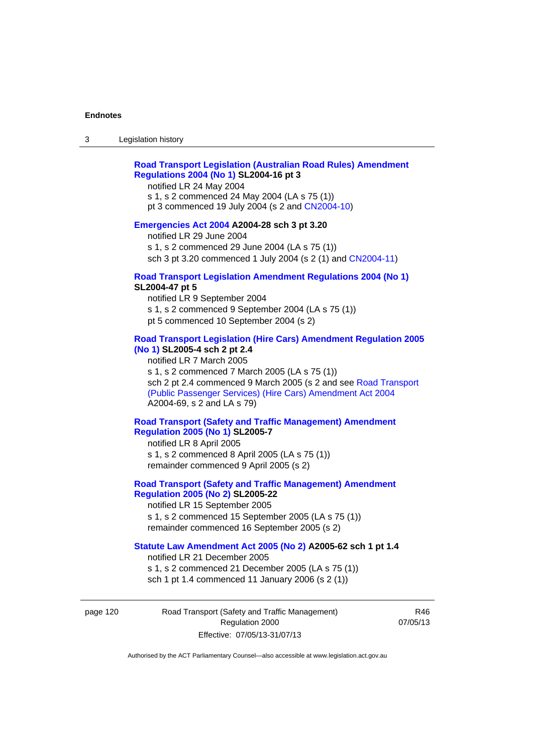# **[Road Transport Legislation \(Australian Road Rules\) Amendment](http://www.legislation.act.gov.au/sl/2004-16)  [Regulations 2004 \(No 1\)](http://www.legislation.act.gov.au/sl/2004-16) SL2004-16 pt 3**

notified LR 24 May 2004

s 1, s 2 commenced 24 May 2004 (LA s 75 (1)) pt 3 commenced 19 July 2004 (s 2 and [CN2004-10](http://www.legislation.act.gov.au/cn/2004-10/default.asp))

# **[Emergencies Act 2004](http://www.legislation.act.gov.au/a/2004-28) A2004-28 sch 3 pt 3.20**

notified LR 29 June 2004 s 1, s 2 commenced 29 June 2004 (LA s 75 (1)) sch 3 pt 3.20 commenced 1 July 2004 (s 2 (1) and [CN2004-11](http://www.legislation.act.gov.au/cn/2004-11/default.asp))

#### **[Road Transport Legislation Amendment Regulations 2004 \(No 1\)](http://www.legislation.act.gov.au/sl/2004-47) SL2004-47 pt 5**

notified LR 9 September 2004 s 1, s 2 commenced 9 September 2004 (LA s 75 (1)) pt 5 commenced 10 September 2004 (s 2)

# **[Road Transport Legislation \(Hire Cars\) Amendment Regulation 2005](http://www.legislation.act.gov.au/sl/2005-4)  [\(No 1\)](http://www.legislation.act.gov.au/sl/2005-4) SL2005-4 sch 2 pt 2.4**

notified LR 7 March 2005 s 1, s 2 commenced 7 March 2005 (LA s 75 (1)) sch 2 pt 2.4 commenced 9 March 2005 (s 2 and see [Road Transport](http://www.legislation.act.gov.au/a/2004-69)  [\(Public Passenger Services\) \(Hire Cars\) Amendment Act 2004](http://www.legislation.act.gov.au/a/2004-69) A2004-69, s 2 and LA s 79)

# **[Road Transport \(Safety and Traffic Management\) Amendment](http://www.legislation.act.gov.au/sl/2005-7)  [Regulation 2005 \(No 1\)](http://www.legislation.act.gov.au/sl/2005-7) SL2005-7**

notified LR 8 April 2005 s 1, s 2 commenced 8 April 2005 (LA s 75 (1)) remainder commenced 9 April 2005 (s 2)

# **[Road Transport \(Safety and Traffic Management\) Amendment](http://www.legislation.act.gov.au/sl/2005-22)  [Regulation 2005 \(No 2\)](http://www.legislation.act.gov.au/sl/2005-22) SL2005-22**

notified LR 15 September 2005 s 1, s 2 commenced 15 September 2005 (LA s 75 (1)) remainder commenced 16 September 2005 (s 2)

# **[Statute Law Amendment Act 2005 \(No 2\)](http://www.legislation.act.gov.au/a/2005-62) A2005-62 sch 1 pt 1.4**

notified LR 21 December 2005 s 1, s 2 commenced 21 December 2005 (LA s 75 (1)) sch 1 pt 1.4 commenced 11 January 2006 (s 2 (1))

page 120 Road Transport (Safety and Traffic Management) Regulation 2000 Effective: 07/05/13-31/07/13

R46 07/05/13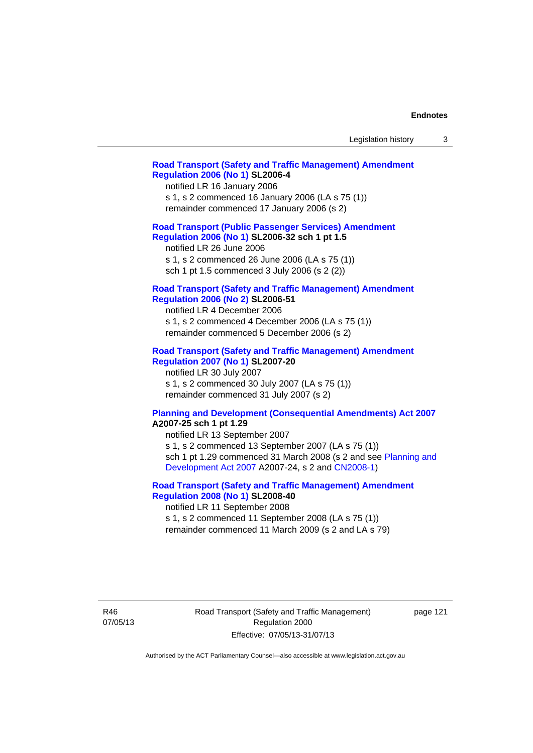| Legislation history |  |  |
|---------------------|--|--|
|---------------------|--|--|

### **[Road Transport \(Safety and Traffic Management\) Amendment](http://www.legislation.act.gov.au/sl/2006-4)  [Regulation 2006 \(No 1\)](http://www.legislation.act.gov.au/sl/2006-4) SL2006-4**

notified LR 16 January 2006 s 1, s 2 commenced 16 January 2006 (LA s 75 (1)) remainder commenced 17 January 2006 (s 2)

# **[Road Transport \(Public Passenger Services\) Amendment](http://www.legislation.act.gov.au/sl/2006-32)  [Regulation 2006 \(No 1\)](http://www.legislation.act.gov.au/sl/2006-32) SL2006-32 sch 1 pt 1.5**

notified LR 26 June 2006 s 1, s 2 commenced 26 June 2006 (LA s 75 (1)) sch 1 pt 1.5 commenced 3 July 2006 (s 2 (2))

### **[Road Transport \(Safety and Traffic Management\) Amendment](http://www.legislation.act.gov.au/sl/2006-51)  [Regulation 2006 \(No 2\)](http://www.legislation.act.gov.au/sl/2006-51) SL2006-51**

notified LR 4 December 2006 s 1, s 2 commenced 4 December 2006 (LA s 75 (1)) remainder commenced 5 December 2006 (s 2)

### **[Road Transport \(Safety and Traffic Management\) Amendment](http://www.legislation.act.gov.au/sl/2007-20)**

**[Regulation 2007 \(No 1\)](http://www.legislation.act.gov.au/sl/2007-20) SL2007-20**  notified LR 30 July 2007 s 1, s 2 commenced 30 July 2007 (LA s 75 (1)) remainder commenced 31 July 2007 (s 2)

### **[Planning and Development \(Consequential Amendments\) Act 2007](http://www.legislation.act.gov.au/a/2007-25) A2007-25 sch 1 pt 1.29**

notified LR 13 September 2007 s 1, s 2 commenced 13 September 2007 (LA s 75 (1)) sch 1 pt 1.29 commenced 31 March 2008 (s 2 and see [Planning and](http://www.legislation.act.gov.au/a/2007-24)  [Development Act 2007](http://www.legislation.act.gov.au/a/2007-24) A2007-24, s 2 and [CN2008-1](http://www.legislation.act.gov.au/cn/2008-1/default.asp))

# **[Road Transport \(Safety and Traffic Management\) Amendment](http://www.legislation.act.gov.au/sl/2008-40)  [Regulation 2008 \(No 1\)](http://www.legislation.act.gov.au/sl/2008-40) SL2008-40**

notified LR 11 September 2008 s 1, s 2 commenced 11 September 2008 (LA s 75 (1)) remainder commenced 11 March 2009 (s 2 and LA s 79)

R46 07/05/13 Road Transport (Safety and Traffic Management) Regulation 2000 Effective: 07/05/13-31/07/13

page 121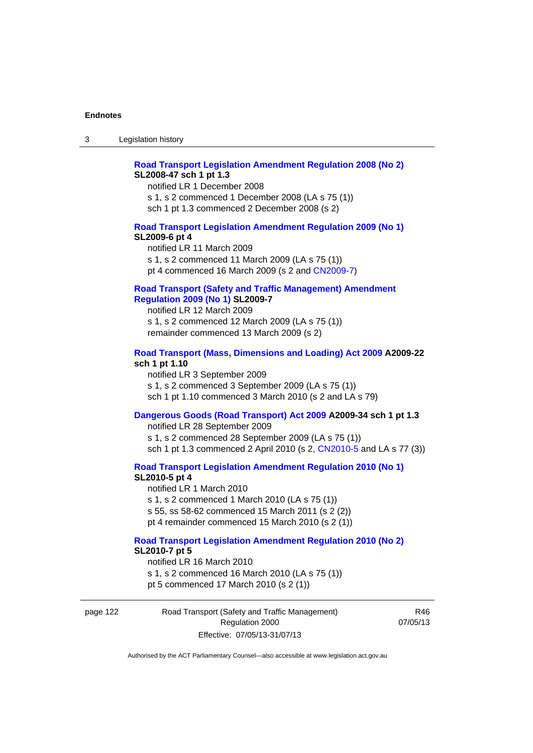# **[Road Transport Legislation Amendment Regulation 2008 \(No 2\)](http://www.legislation.act.gov.au/sl/2008-47) SL2008-47 sch 1 pt 1.3**

notified LR 1 December 2008 s 1, s 2 commenced 1 December 2008 (LA s 75 (1)) sch 1 pt 1.3 commenced 2 December 2008 (s 2)

### **[Road Transport Legislation Amendment Regulation 2009 \(No 1\)](http://www.legislation.act.gov.au/sl/2009-6) SL2009-6 pt 4**

notified LR 11 March 2009 s 1, s 2 commenced 11 March 2009 (LA s 75 (1)) pt 4 commenced 16 March 2009 (s 2 and [CN2009-7\)](http://www.legislation.act.gov.au/cn/2009-7/default.asp)

# **[Road Transport \(Safety and Traffic Management\) Amendment](http://www.legislation.act.gov.au/sl/2009-7)  [Regulation 2009 \(No 1\)](http://www.legislation.act.gov.au/sl/2009-7) SL2009-7**

notified LR 12 March 2009 s 1, s 2 commenced 12 March 2009 (LA s 75 (1)) remainder commenced 13 March 2009 (s 2)

#### **[Road Transport \(Mass, Dimensions and Loading\) Act 2009](http://www.legislation.act.gov.au/a/2009-22/default.asp) A2009-22 sch 1 pt 1.10**

notified LR 3 September 2009 s 1, s 2 commenced 3 September 2009 (LA s 75 (1)) sch 1 pt 1.10 commenced 3 March 2010 (s 2 and LA s 79)

# **[Dangerous Goods \(Road Transport\) Act 2009](http://www.legislation.act.gov.au/a/2009-34) A2009-34 sch 1 pt 1.3**

notified LR 28 September 2009 s 1, s 2 commenced 28 September 2009 (LA s 75 (1)) sch 1 pt 1.3 commenced 2 April 2010 (s 2, [CN2010-5 a](http://www.legislation.act.gov.au/cn/2010-5/default.asp)nd LA s 77 (3))

**[Road Transport Legislation Amendment Regulation 2010 \(No 1\)](http://www.legislation.act.gov.au/sl/2010-5)**

#### **SL2010-5 pt 4**

notified LR 1 March 2010 s 1, s 2 commenced 1 March 2010 (LA s 75 (1)) s 55, ss 58-62 commenced 15 March 2011 (s 2 (2)) pt 4 remainder commenced 15 March 2010 (s 2 (1))

#### **[Road Transport Legislation Amendment Regulation 2010 \(No 2\)](http://www.legislation.act.gov.au/sl/2010-7) SL2010-7 pt 5**  notified LR 16 March 2010

s 1, s 2 commenced 16 March 2010 (LA s 75 (1)) pt 5 commenced 17 March 2010 (s 2 (1))

page 122 Road Transport (Safety and Traffic Management) Regulation 2000 Effective: 07/05/13-31/07/13

R46 07/05/13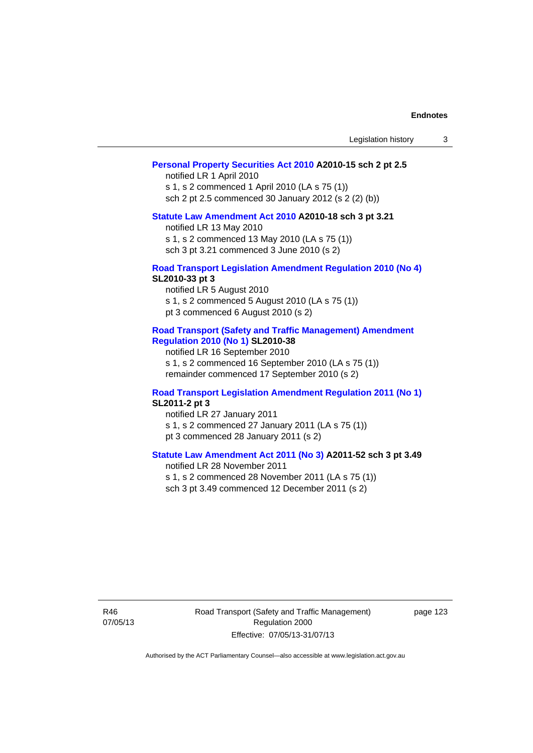| Legislation history |  |
|---------------------|--|
|---------------------|--|

# **[Personal Property Securities Act 2010](http://www.legislation.act.gov.au/a/2010-15) A2010-15 sch 2 pt 2.5**

notified LR 1 April 2010 s 1, s 2 commenced 1 April 2010 (LA s 75 (1)) sch 2 pt 2.5 commenced 30 January 2012 (s 2 (2) (b))

# **[Statute Law Amendment Act 2010](http://www.legislation.act.gov.au/a/2010-18) A2010-18 sch 3 pt 3.21**

notified LR 13 May 2010 s 1, s 2 commenced 13 May 2010 (LA s 75 (1)) sch 3 pt 3.21 commenced 3 June 2010 (s 2)

#### **[Road Transport Legislation Amendment Regulation 2010 \(No 4\)](http://www.legislation.act.gov.au/sl/2010-33) SL2010-33 pt 3**

notified LR 5 August 2010 s 1, s 2 commenced 5 August 2010 (LA s 75 (1)) pt 3 commenced 6 August 2010 (s 2)

### **[Road Transport \(Safety and Traffic Management\) Amendment](http://www.legislation.act.gov.au/sl/2010-38)  [Regulation 2010 \(No 1\)](http://www.legislation.act.gov.au/sl/2010-38) SL2010-38**

notified LR 16 September 2010 s 1, s 2 commenced 16 September 2010 (LA s 75 (1)) remainder commenced 17 September 2010 (s 2)

### **[Road Transport Legislation Amendment Regulation 2011 \(No 1\)](http://www.legislation.act.gov.au/sl/2011-2) SL2011-2 pt 3**

notified LR 27 January 2011 s 1, s 2 commenced 27 January 2011 (LA s 75 (1)) pt 3 commenced 28 January 2011 (s 2)

# **[Statute Law Amendment Act 2011 \(No 3\)](http://www.legislation.act.gov.au/a/2011-52) A2011-52 sch 3 pt 3.49**

notified LR 28 November 2011 s 1, s 2 commenced 28 November 2011 (LA s 75 (1)) sch 3 pt 3.49 commenced 12 December 2011 (s 2)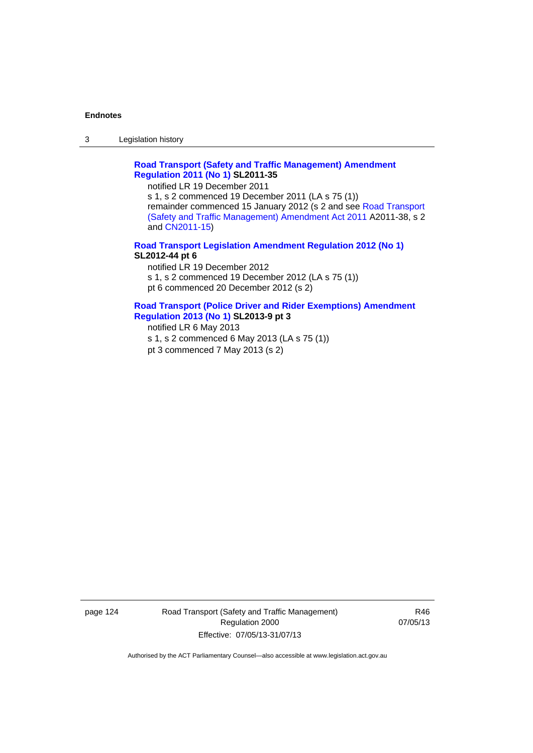3 Legislation history

# **[Road Transport \(Safety and Traffic Management\) Amendment](http://www.legislation.act.gov.au/sl/2011-35)  [Regulation 2011 \(No 1\)](http://www.legislation.act.gov.au/sl/2011-35) SL2011-35**

notified LR 19 December 2011

s 1, s 2 commenced 19 December 2011 (LA s 75 (1)) remainder commenced 15 January 2012 (s 2 and see [Road Transport](http://www.legislation.act.gov.au/a/2011-38)  [\(Safety and Traffic Management\) Amendment Act 2011](http://www.legislation.act.gov.au/a/2011-38) A2011-38, s 2 and [CN2011-15\)](http://www.legislation.act.gov.au/cn/2011-15/default.asp)

**[Road Transport Legislation Amendment Regulation 2012 \(No 1\)](http://www.legislation.act.gov.au/sl/2012-44/default.asp) SL2012-44 pt 6** 

notified LR 19 December 2012 s 1, s 2 commenced 19 December 2012 (LA s 75 (1)) pt 6 commenced 20 December 2012 (s 2)

## **[Road Transport \(Police Driver and Rider Exemptions\) Amendment](http://www.legislation.act.gov.au/sl/2013-9/default.asp)  [Regulation 2013 \(No 1\)](http://www.legislation.act.gov.au/sl/2013-9/default.asp) SL2013-9 pt 3**

notified LR 6 May 2013 s 1, s 2 commenced 6 May 2013 (LA s 75 (1))

pt 3 commenced 7 May 2013 (s 2)

page 124 Road Transport (Safety and Traffic Management) Regulation 2000 Effective: 07/05/13-31/07/13

R46 07/05/13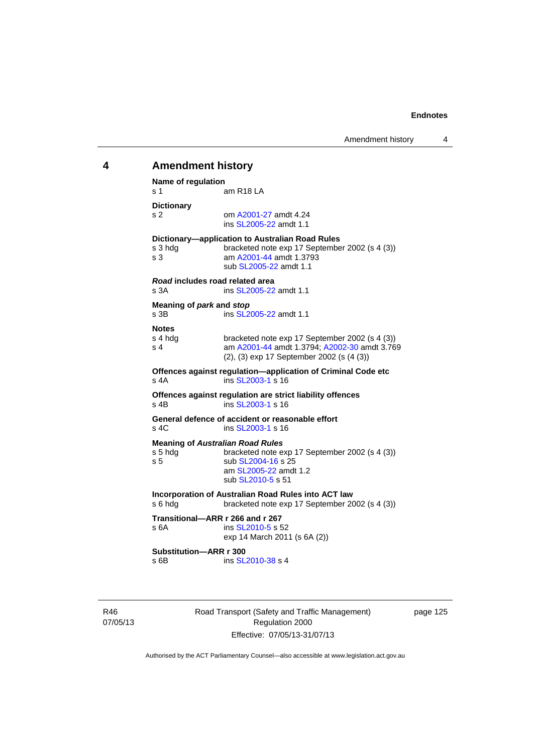# **4 Amendment history Name of regulation**  s 1 am R18 LA **Dictionary**  s 2 om [A2001-27](http://www.legislation.act.gov.au/a/2001-27) amdt 4.24 ins [SL2005-22](http://www.legislation.act.gov.au/sl/2005-22) amdt 1.1 **Dictionary—application to Australian Road Rules**  s 3 hdg bracketed note exp 17 September 2002 (s 4 (3)) s 3 am [A2001-44](http://www.legislation.act.gov.au/a/2001-44) amdt 1.3793 sub [SL2005-22](http://www.legislation.act.gov.au/sl/2005-22) amdt 1.1 *Road* **includes road related area**  s 3A **ins SL2005-22** amdt 1.1 **Meaning of** *park* **and** *stop* s 3B ins [SL2005-22](http://www.legislation.act.gov.au/sl/2005-22) amdt 1.1 **Notes**  s 4 hdg bracketed note exp 17 September 2002 (s 4 (3))<br>s 4 am A2001-44 amdt 1.3794: A2002-30 amdt 3.76 am [A2001-44](http://www.legislation.act.gov.au/a/2001-44) amdt 1.3794; [A2002-30](http://www.legislation.act.gov.au/a/2002-30) amdt 3.769 (2), (3) exp 17 September 2002 (s (4 (3)) **Offences against regulation—application of Criminal Code etc**  s 4A ins [SL2003-1](http://www.legislation.act.gov.au/sl/2003-1) s 16 **Offences against regulation are strict liability offences**  s 4B ins [SL2003-1](http://www.legislation.act.gov.au/sl/2003-1) s 16 **General defence of accident or reasonable effort**  s 4C ins [SL2003-1](http://www.legislation.act.gov.au/sl/2003-1) s 16 **Meaning of Australian Road Rules**<br>s 5 hdg bracketed note e. bracketed note exp 17 September 2002 (s 4 (3)) s 5 sub [SL2004-16](http://www.legislation.act.gov.au/sl/2004-16) s 25 am [SL2005-22](http://www.legislation.act.gov.au/sl/2005-22) amdt 1.2 sub [SL2010-5](http://www.legislation.act.gov.au/sl/2010-5) s 51 **Incorporation of Australian Road Rules into ACT law**  s 6 hdg bracketed note exp 17 September 2002 (s 4 (3)) **Transitional—ARR r 266 and r 267**  s 6A ins SL 2010-5 s 52 exp 14 March 2011 (s 6A (2)) **Substitution—ARR r 300**  s 6B ins [SL2010-38](http://www.legislation.act.gov.au/sl/2010-38) s 4

page 125

R46 07/05/13 Road Transport (Safety and Traffic Management) Regulation 2000 Effective: 07/05/13-31/07/13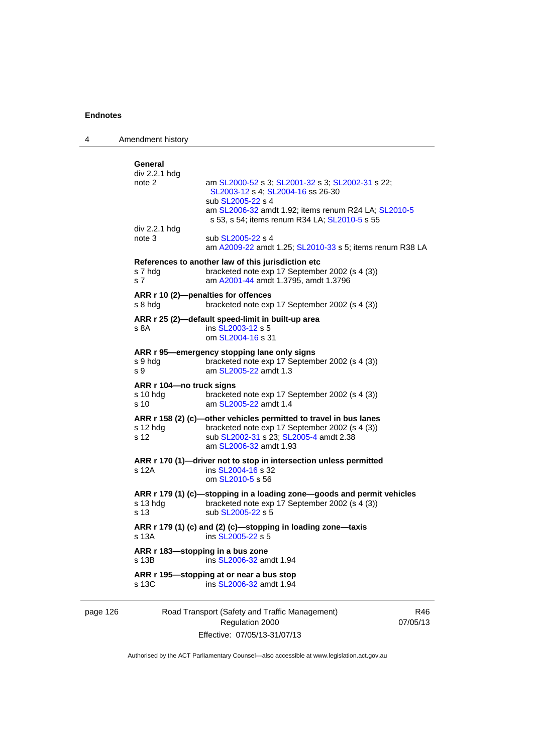| 4        | Amendment history                            |                                                                                                                                                                                                                     |                 |
|----------|----------------------------------------------|---------------------------------------------------------------------------------------------------------------------------------------------------------------------------------------------------------------------|-----------------|
|          | General<br>div 2.2.1 hdg<br>note 2           | am SL2000-52 s 3; SL2001-32 s 3; SL2002-31 s 22;<br>SL2003-12 s 4; SL2004-16 ss 26-30<br>sub SL2005-22 s 4<br>am SL2006-32 amdt 1.92; items renum R24 LA; SL2010-5<br>s 53, s 54; items renum R34 LA; SL2010-5 s 55 |                 |
|          | div 2.2.1 hdg<br>note 3                      | sub SL2005-22 s 4<br>am A2009-22 amdt 1.25; SL2010-33 s 5; items renum R38 LA                                                                                                                                       |                 |
|          | s 7 hdg<br>s <sub>7</sub>                    | References to another law of this jurisdiction etc.<br>bracketed note exp 17 September 2002 (s 4 (3))<br>am A2001-44 amdt 1.3795, amdt 1.3796                                                                       |                 |
|          | s 8 hdg                                      | ARR r 10 (2)-penalties for offences<br>bracketed note exp 17 September 2002 (s 4 (3))                                                                                                                               |                 |
|          | s 8A                                         | ARR r 25 (2)-default speed-limit in built-up area<br>ins SL2003-12 s 5<br>om SL2004-16 s 31                                                                                                                         |                 |
|          | s 9 hdg<br>s 9                               | ARR r 95—emergency stopping lane only signs<br>bracketed note exp 17 September 2002 (s 4 (3))<br>am SL2005-22 amdt 1.3                                                                                              |                 |
|          | ARR r 104-no truck signs<br>s 10 hdg<br>s 10 | bracketed note exp 17 September 2002 (s 4 (3))<br>am SL2005-22 amdt 1.4                                                                                                                                             |                 |
|          | s 12 hdg<br>s 12                             | ARR r 158 (2) (c)-other vehicles permitted to travel in bus lanes<br>bracketed note exp 17 September 2002 (s 4 (3))<br>sub SL2002-31 s 23; SL2005-4 amdt 2.38<br>am SL2006-32 amdt 1.93                             |                 |
|          | s 12A                                        | ARR r 170 (1)-driver not to stop in intersection unless permitted<br>ins SL2004-16 s 32<br>om SL2010-5 s 56                                                                                                         |                 |
|          | s 13 hdg<br>s 13                             | ARR r 179 (1) (c)-stopping in a loading zone-goods and permit vehicles<br>bracketed note exp 17 September 2002 (s 4 (3))<br>sub SL2005-22 s 5                                                                       |                 |
|          | s 13A                                        | ARR r 179 (1) (c) and (2) (c)-stopping in loading zone-taxis<br>ins SL2005-22 s 5                                                                                                                                   |                 |
|          | s 13B                                        | ARR r 183-stopping in a bus zone<br>ins SL2006-32 amdt 1.94                                                                                                                                                         |                 |
|          | s 13C                                        | ARR r 195—stopping at or near a bus stop<br>ins SL2006-32 amdt 1.94                                                                                                                                                 |                 |
| page 126 |                                              | Road Transport (Safety and Traffic Management)<br>Regulation 2000                                                                                                                                                   | R46<br>07/05/13 |

Authorised by the ACT Parliamentary Counsel—also accessible at www.legislation.act.gov.au

Effective: 07/05/13-31/07/13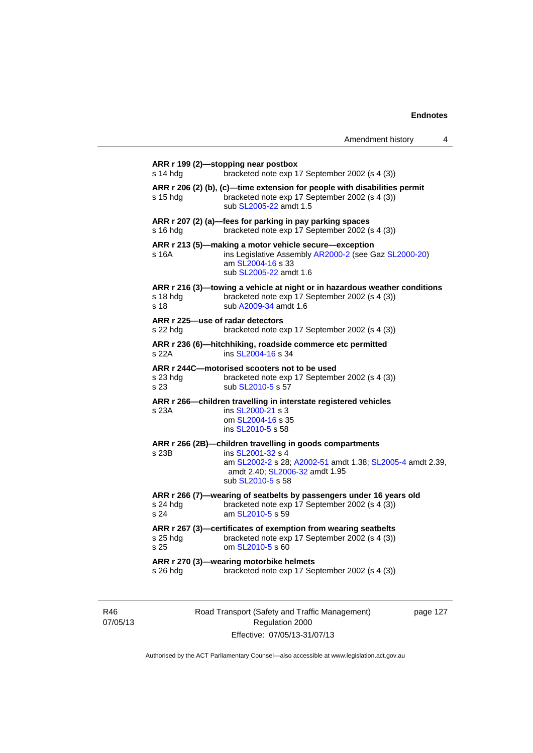| Amendment history |  |
|-------------------|--|
|-------------------|--|

|                             | bracketed note exp 17 September 2002 (s 4 (3))                                                                                                                                                    |
|-----------------------------|---------------------------------------------------------------------------------------------------------------------------------------------------------------------------------------------------|
| s 15 hda                    | ARR r 206 (2) (b), (c)-time extension for people with disabilities permit<br>bracketed note exp 17 September 2002 (s 4 (3))<br>sub SL2005-22 amdt 1.5                                             |
| s 16 hda                    | ARR r 207 (2) (a)-fees for parking in pay parking spaces<br>bracketed note exp 17 September 2002 (s 4 (3))                                                                                        |
| s 16A                       | ARR r 213 (5)-making a motor vehicle secure-exception<br>ins Legislative Assembly AR2000-2 (see Gaz SL2000-20)<br>am SL2004-16 s 33<br>sub SL2005-22 amdt 1.6                                     |
| s 18 hdg<br>s 18            | ARR r 216 (3)-towing a vehicle at night or in hazardous weather conditions<br>bracketed note exp 17 September 2002 (s 4 (3))<br>sub A2009-34 amdt 1.6                                             |
| s 22 hda                    | ARR r 225-use of radar detectors<br>bracketed note exp 17 September 2002 (s 4 (3))                                                                                                                |
| s 22A                       | ARR r 236 (6)-hitchhiking, roadside commerce etc permitted<br>ins SL2004-16 s 34                                                                                                                  |
| s 23 hdg<br>s 23            | ARR r 244C-motorised scooters not to be used<br>bracketed note exp 17 September 2002 (s 4 (3))<br>sub SL2010-5 s 57                                                                               |
| s 23A                       | ARR r 266-children travelling in interstate registered vehicles<br>ins SL2000-21 s 3<br>om SL2004-16 s 35                                                                                         |
|                             | ins SL2010-5 s 58                                                                                                                                                                                 |
|                             | ARR r 266 (2B)-children travelling in goods compartments                                                                                                                                          |
| s 23B                       | ins SL2001-32 s 4<br>amdt 2.40; SL2006-32 amdt 1.95<br>sub SL2010-5 s 58                                                                                                                          |
| s 24 hda<br>s 24            | ARR r 266 (7)-wearing of seatbelts by passengers under 16 years old<br>bracketed note exp 17 September 2002 (s 4 (3))<br>am SL2010-5 s 59                                                         |
| s 25 hdg<br>s <sub>25</sub> | am SL2002-2 s 28; A2002-51 amdt 1.38; SL2005-4 amdt 2.39,<br>ARR r 267 (3)-certificates of exemption from wearing seatbelts<br>bracketed note exp 17 September 2002 (s 4 (3))<br>om SL2010-5 s 60 |

R46 07/05/13 Road Transport (Safety and Traffic Management) Regulation 2000 Effective: 07/05/13-31/07/13

page 127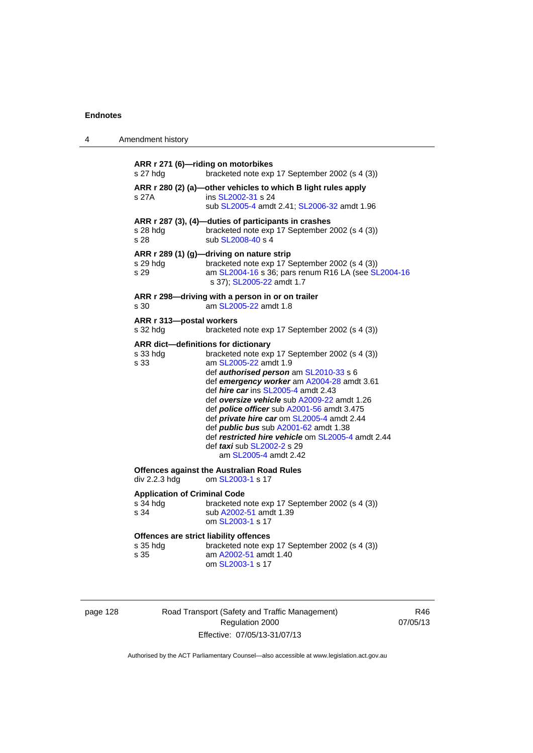| 4 | Amendment history                                       |                                                                                                                                                                                                                                                                                                                                                                                                                                                                                                                                                                    |
|---|---------------------------------------------------------|--------------------------------------------------------------------------------------------------------------------------------------------------------------------------------------------------------------------------------------------------------------------------------------------------------------------------------------------------------------------------------------------------------------------------------------------------------------------------------------------------------------------------------------------------------------------|
|   | s 27 hdg                                                | ARR r 271 (6)-riding on motorbikes<br>bracketed note exp 17 September 2002 (s 4 (3))                                                                                                                                                                                                                                                                                                                                                                                                                                                                               |
|   | s 27A                                                   | ARR r 280 (2) (a)-other vehicles to which B light rules apply<br>ins SL2002-31 s 24<br>sub SL2005-4 amdt 2.41; SL2006-32 amdt 1.96                                                                                                                                                                                                                                                                                                                                                                                                                                 |
|   | s 28 hda<br>s 28                                        | ARR r 287 (3), (4)-duties of participants in crashes<br>bracketed note exp 17 September 2002 (s 4 (3))<br>sub SL2008-40 s 4                                                                                                                                                                                                                                                                                                                                                                                                                                        |
|   | s 29 hdg<br>s 29                                        | ARR r 289 (1) (g)-driving on nature strip<br>bracketed note exp 17 September 2002 (s 4 (3))<br>am SL2004-16 s 36; pars renum R16 LA (see SL2004-16<br>s 37); SL2005-22 amdt 1.7                                                                                                                                                                                                                                                                                                                                                                                    |
|   | s 30                                                    | ARR r 298-driving with a person in or on trailer<br>am SL2005-22 amdt 1.8                                                                                                                                                                                                                                                                                                                                                                                                                                                                                          |
|   | ARR r 313-postal workers<br>s 32 hdg                    | bracketed note exp 17 September 2002 (s 4 (3))                                                                                                                                                                                                                                                                                                                                                                                                                                                                                                                     |
|   | s 33 hdg<br>s 33                                        | ARR dict-definitions for dictionary<br>bracketed note exp 17 September 2002 (s 4 (3))<br>am SL2005-22 amdt 1.9<br>def authorised person am SL2010-33 s 6<br>def emergency worker am A2004-28 amdt 3.61<br>def hire car ins SL2005-4 amdt 2.43<br>def oversize vehicle sub A2009-22 amdt 1.26<br>def <i>police officer</i> sub A2001-56 amdt 3.475<br>def <i>private hire car</i> om SL2005-4 amdt 2.44<br>def <i>public bus</i> sub A2001-62 amdt 1.38<br>def restricted hire vehicle om SL2005-4 amdt 2.44<br>def taxi sub SL2002-2 s 29<br>am SL2005-4 amdt 2.42 |
|   | div 2.2.3 hdg                                           | <b>Offences against the Australian Road Rules</b><br>om SL2003-1 s 17                                                                                                                                                                                                                                                                                                                                                                                                                                                                                              |
|   | <b>Application of Criminal Code</b><br>s 34 hdg<br>s 34 | bracketed note exp 17 September 2002 (s 4 (3))<br>sub A2002-51 amdt 1.39<br>om SL2003-1 s 17                                                                                                                                                                                                                                                                                                                                                                                                                                                                       |
|   | s 35 hdg<br>s 35                                        | Offences are strict liability offences<br>bracketed note exp 17 September 2002 (s 4 (3))<br>am A2002-51 amdt 1.40<br>om SL2003-1 s 17                                                                                                                                                                                                                                                                                                                                                                                                                              |

| page 128 |  |  |
|----------|--|--|
|          |  |  |

page 128 Road Transport (Safety and Traffic Management) Regulation 2000 Effective: 07/05/13-31/07/13

R46 07/05/13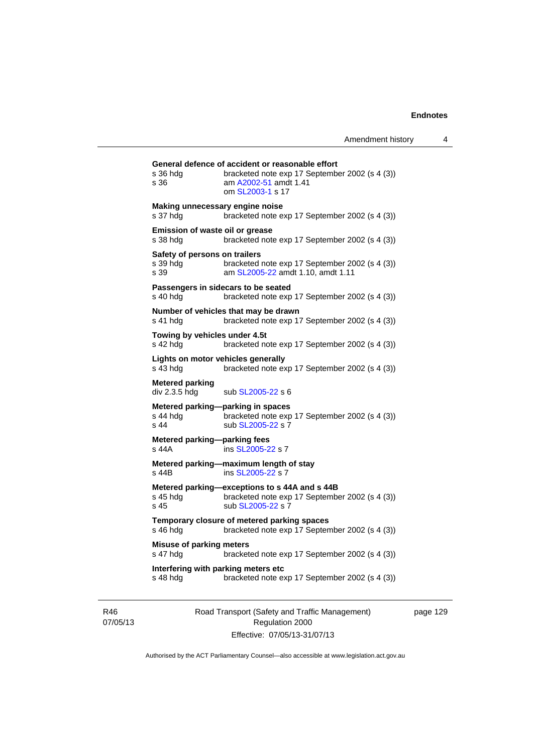| s 36 hdg<br>s 36                                   | bracketed note exp 17 September 2002 (s 4 (3))<br>am A2002-51 amdt 1.41<br>om SL2003-1 s 17                          |
|----------------------------------------------------|----------------------------------------------------------------------------------------------------------------------|
| Making unnecessary engine noise<br>s 37 hdg        | bracketed note exp 17 September 2002 (s 4 (3))                                                                       |
| <b>Emission of waste oil or grease</b><br>s 38 hda | bracketed note exp 17 September 2002 (s 4 (3))                                                                       |
| Safety of persons on trailers<br>s 39 hdg<br>s 39  | bracketed note exp 17 September 2002 (s 4 (3))<br>am SL2005-22 amdt 1.10, amdt 1.11                                  |
| s 40 hdg                                           | Passengers in sidecars to be seated<br>bracketed note exp 17 September 2002 (s 4 (3))                                |
| s 41 hdg                                           | Number of vehicles that may be drawn<br>bracketed note exp 17 September 2002 (s 4 (3))                               |
| Towing by vehicles under 4.5t<br>s 42 hdg          | bracketed note exp 17 September 2002 (s 4 (3))                                                                       |
| Lights on motor vehicles generally<br>$s$ 43 hdg   | bracketed note exp 17 September 2002 (s 4 (3))                                                                       |
| <b>Metered parking</b><br>div 2.3.5 hdg            | sub SL2005-22 s 6                                                                                                    |
| s 44 hdg<br>s <sub>44</sub>                        | Metered parking—parking in spaces<br>bracketed note exp 17 September 2002 (s 4 (3))<br>sub SL2005-22 s 7             |
| Metered parking-parking fees<br>s 44A              | ins SL2005-22 s 7                                                                                                    |
| s 44B                                              | Metered parking-maximum length of stay<br>ins SL2005-22 s 7                                                          |
| s 45 hdg<br>s 45                                   | Metered parking-exceptions to s 44A and s 44B<br>bracketed note exp 17 September 2002 (s 4 (3))<br>sub SL2005-22 s 7 |
| s 46 hdg                                           | Temporary closure of metered parking spaces<br>bracketed note exp 17 September 2002 (s 4 (3))                        |
| <b>Misuse of parking meters</b><br>s 47 hdg        | bracketed note exp 17 September 2002 (s 4 (3))                                                                       |
|                                                    | Interfering with parking meters etc                                                                                  |

R46 07/05/13 Road Transport (Safety and Traffic Management) Regulation 2000 Effective: 07/05/13-31/07/13

page 129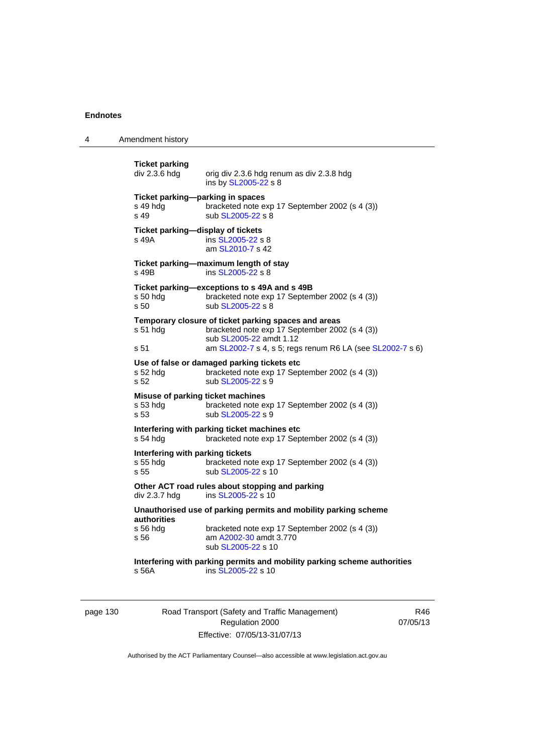4 Amendment history

**Ticket parking**  orig div 2.3.6 hdg renum as div 2.3.8 hdg ins by [SL2005-22](http://www.legislation.act.gov.au/sl/2005-22) s 8 **Ticket parking—parking in spaces**  s 49 hdg bracketed note exp 17 September 2002 (s 4 (3)) s 49 sub [SL2005-22](http://www.legislation.act.gov.au/sl/2005-22) s 8 **Ticket parking—display of tickets**  s 49A ins [SL2005-22](http://www.legislation.act.gov.au/sl/2005-22) s 8 am [SL2010-7](http://www.legislation.act.gov.au/sl/2010-7) s 42 **Ticket parking—maximum length of stay**  s 49B ins [SL2005-22](http://www.legislation.act.gov.au/sl/2005-22) s 8 **Ticket parking—exceptions to s 49A and s 49B**  s 50 hdg bracketed note exp 17 September 2002 (s 4 (3)) s 50 sub [SL2005-22](http://www.legislation.act.gov.au/sl/2005-22) s 8 **Temporary closure of ticket parking spaces and areas**  s 51 hdg bracketed note exp 17 September 2002 (s 4 (3)) sub [SL2005-22](http://www.legislation.act.gov.au/sl/2005-22) amdt 1.12 s 51 am [SL2002-7](http://www.legislation.act.gov.au/sl/2002-7) s 4, s 5; regs renum R6 LA (see [SL2002-7](http://www.legislation.act.gov.au/sl/2002-7) s 6) **Use of false or damaged parking tickets etc**  s 52 hdg bracketed note exp 17 September 2002 (s 4 (3)) s 52 sub [SL2005-22](http://www.legislation.act.gov.au/sl/2005-22) s 9 **Misuse of parking ticket machines**<br>s 53 hdg bracketed note e bracketed note exp 17 September 2002 (s 4 (3)) s 53 sub [SL2005-22](http://www.legislation.act.gov.au/sl/2005-22) s 9 **Interfering with parking ticket machines etc**  s 54 hdg bracketed note exp 17 September 2002 (s 4 (3)) **Interfering with parking tickets**  bracketed note exp 17 September 2002 (s 4 (3)) s 55 sub [SL2005-22](http://www.legislation.act.gov.au/sl/2005-22) s 10 **Other ACT road rules about stopping and parking div 2.3.7 hdg ins SL2005-22 s 10** ins  $SL2005-22$  s 10 **Unauthorised use of parking permits and mobility parking scheme authorities**  bracketed note exp 17 September 2002 (s 4 (3)) s 56 am [A2002-30](http://www.legislation.act.gov.au/a/2002-30) amdt 3.770 sub [SL2005-22](http://www.legislation.act.gov.au/sl/2005-22) s 10 **Interfering with parking permits and mobility parking scheme authorities**  s 56A ins [SL2005-22](http://www.legislation.act.gov.au/sl/2005-22) s 10

page 130 Road Transport (Safety and Traffic Management) Regulation 2000 Effective: 07/05/13-31/07/13

R46 07/05/13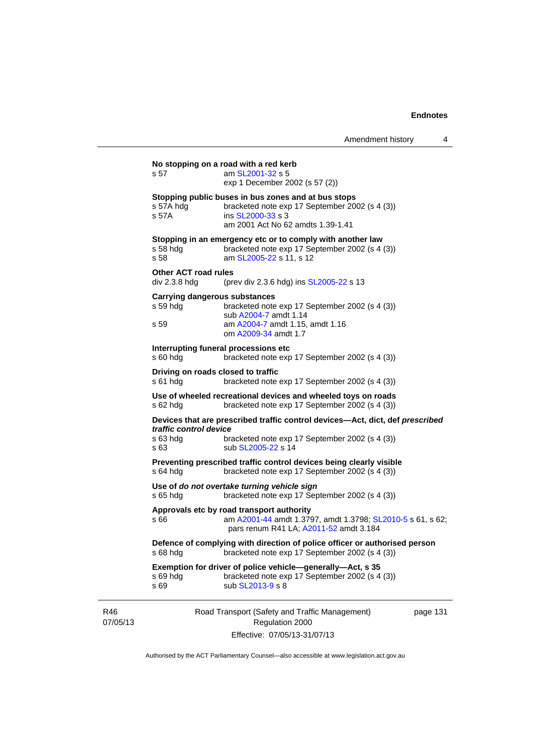|                 |                                              | No stopping on a road with a red kerb                                                                                                                           |          |
|-----------------|----------------------------------------------|-----------------------------------------------------------------------------------------------------------------------------------------------------------------|----------|
|                 | s 57                                         | am SL2001-32 s 5                                                                                                                                                |          |
|                 |                                              | exp 1 December 2002 (s 57 (2))                                                                                                                                  |          |
|                 | s 57A hdg<br>s 57A                           | Stopping public buses in bus zones and at bus stops<br>bracketed note exp 17 September 2002 (s 4 (3))<br>ins SL2000-33 s 3<br>am 2001 Act No 62 amdts 1.39-1.41 |          |
|                 | $s58$ hdg<br>s 58                            | Stopping in an emergency etc or to comply with another law<br>bracketed note exp 17 September 2002 (s 4 (3))<br>am SL2005-22 s 11, s 12                         |          |
|                 | <b>Other ACT road rules</b>                  |                                                                                                                                                                 |          |
|                 | div 2.3.8 hdg                                | (prev div 2.3.6 hdg) ins SL2005-22 s 13                                                                                                                         |          |
|                 | s 59 hdg                                     | <b>Carrying dangerous substances</b><br>bracketed note exp 17 September 2002 (s 4 (3))<br>sub A2004-7 amdt 1.14                                                 |          |
|                 | s 59                                         | am A2004-7 amdt 1.15, amdt 1.16<br>om A2009-34 amdt 1.7                                                                                                         |          |
|                 |                                              | Interrupting funeral processions etc                                                                                                                            |          |
|                 | $s60h$ dg                                    | bracketed note exp 17 September 2002 (s 4 (3))                                                                                                                  |          |
|                 | $s61$ hdg                                    | Driving on roads closed to traffic<br>bracketed note exp 17 September 2002 (s 4 (3))                                                                            |          |
|                 | s 62 hdg                                     | Use of wheeled recreational devices and wheeled toys on roads<br>bracketed note exp 17 September 2002 (s 4 (3))                                                 |          |
|                 |                                              | Devices that are prescribed traffic control devices—Act, dict, def prescribed                                                                                   |          |
|                 | traffic control device<br>$s$ 63 hdg<br>s 63 | bracketed note exp 17 September 2002 (s 4 (3))<br>sub SL2005-22 s 14                                                                                            |          |
|                 | $s$ 64 hdg                                   | Preventing prescribed traffic control devices being clearly visible<br>bracketed note exp 17 September 2002 (s 4 (3))                                           |          |
|                 | $s$ 65 hdg                                   | Use of do not overtake turning vehicle sign<br>bracketed note exp 17 September 2002 (s 4 (3))                                                                   |          |
|                 | s 66                                         | Approvals etc by road transport authority<br>am A2001-44 amdt 1.3797, amdt 1.3798; SL2010-5 s 61, s 62;<br>pars renum R41 LA; A2011-52 amdt 3.184               |          |
|                 | s 68 hdg                                     | Defence of complying with direction of police officer or authorised person<br>bracketed note exp 17 September 2002 (s 4 (3))                                    |          |
|                 | s 69 hdg<br>s 69                             | Exemption for driver of police vehicle—generally—Act, s 35<br>bracketed note exp 17 September 2002 (s 4 (3))<br>sub SL2013-9 s 8                                |          |
| R46<br>07/05/13 |                                              | Road Transport (Safety and Traffic Management)<br>Regulation 2000                                                                                               | page 131 |
|                 |                                              | Effective: 07/05/13-31/07/13                                                                                                                                    |          |

Authorised by the ACT Parliamentary Counsel—also accessible at www.legislation.act.gov.au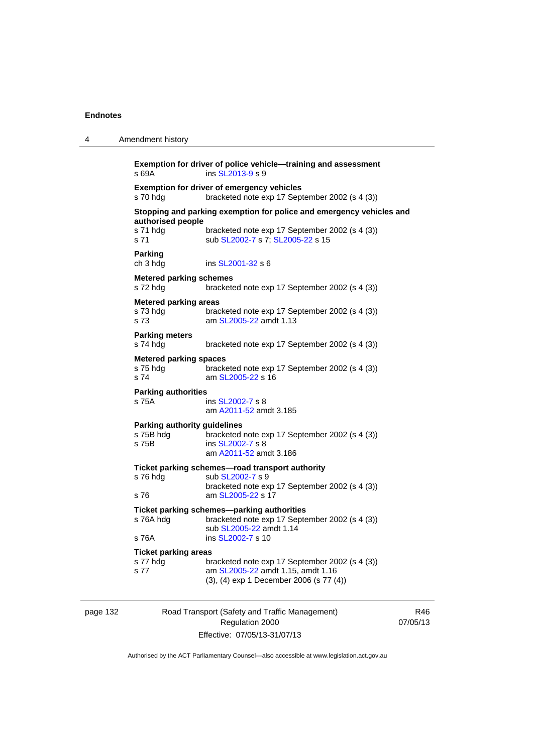| 4 | Amendment history                                                                                                                                                                 |
|---|-----------------------------------------------------------------------------------------------------------------------------------------------------------------------------------|
|   | Exemption for driver of police vehicle-training and assessment<br>ins SL2013-9 s 9<br>s 69A                                                                                       |
|   | <b>Exemption for driver of emergency vehicles</b><br>bracketed note exp 17 September 2002 (s 4 (3))<br>s 70 hdg                                                                   |
|   | Stopping and parking exemption for police and emergency vehicles and                                                                                                              |
|   | authorised people<br>s 71 hdg<br>bracketed note exp 17 September 2002 (s 4 (3))<br>s 71<br>sub SL2002-7 s 7; SL2005-22 s 15                                                       |
|   | <b>Parking</b><br>ch 3 hdg<br>ins SL2001-32 s 6                                                                                                                                   |
|   | <b>Metered parking schemes</b><br>s 72 hdg<br>bracketed note exp 17 September 2002 (s 4 (3))                                                                                      |
|   | <b>Metered parking areas</b><br>s 73 hdg<br>bracketed note exp 17 September 2002 (s 4 (3))<br>am SL2005-22 amdt 1.13<br>s 73                                                      |
|   | <b>Parking meters</b><br>s 74 hdg<br>bracketed note exp 17 September 2002 (s 4 (3))                                                                                               |
|   | <b>Metered parking spaces</b><br>s 75 hdg<br>bracketed note exp 17 September 2002 (s 4 (3))<br>s 74<br>am SL2005-22 s 16                                                          |
|   | <b>Parking authorities</b><br>s 75A<br>ins SL2002-7 s 8<br>am A2011-52 amdt 3.185                                                                                                 |
|   | <b>Parking authority guidelines</b><br>s 75B hdg<br>bracketed note exp 17 September 2002 (s 4 (3))<br>s 75B<br>ins SL2002-7 s 8<br>am A2011-52 amdt 3.186                         |
|   | Ticket parking schemes—road transport authority<br>s 76 hdg<br>sub SL2002-7 s 9<br>bracketed note exp 17 September 2002 (s 4 (3))                                                 |
|   | s 76<br>am SL2005-22 s 17                                                                                                                                                         |
|   | Ticket parking schemes-parking authorities<br>s 76A hdg<br>bracketed note exp 17 September 2002 (s 4 (3))<br>sub SL2005-22 amdt 1.14                                              |
|   | s 76A<br>ins SL2002-7 s 10                                                                                                                                                        |
|   | <b>Ticket parking areas</b><br>s 77 hdg<br>bracketed note exp 17 September 2002 (s 4 (3))<br>s 77<br>am SL2005-22 amdt 1.15, amdt 1.16<br>(3), (4) exp 1 December 2006 (s 77 (4)) |
|   |                                                                                                                                                                                   |

# [page 132](#page-32-0) Road Transport (Safety and Traffic Management) Regulation 2000 Effective: 07/05/13-31/07/13

R46 07/05/13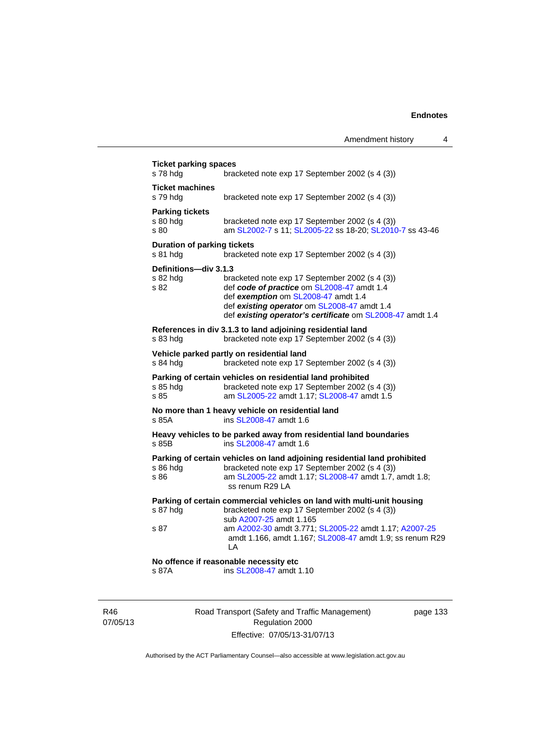| s 78 hdg                                       | bracketed note exp 17 September 2002 (s 4 (3))                                                                                                                                                                                                  |
|------------------------------------------------|-------------------------------------------------------------------------------------------------------------------------------------------------------------------------------------------------------------------------------------------------|
| <b>Ticket machines</b><br>s 79 hdg             | bracketed note exp 17 September 2002 (s 4 (3))                                                                                                                                                                                                  |
| <b>Parking tickets</b><br>s 80 hdg<br>s 80     | bracketed note exp 17 September 2002 (s 4 (3))<br>am SL2002-7 s 11; SL2005-22 ss 18-20; SL2010-7 ss 43-46                                                                                                                                       |
| <b>Duration of parking tickets</b><br>s 81 hdg | bracketed note exp 17 September 2002 (s 4 (3))                                                                                                                                                                                                  |
| Definitions-div 3.1.3<br>s 82 hdg<br>s 82      | bracketed note exp 17 September 2002 (s 4 (3))<br>def code of practice om SL2008-47 amdt 1.4<br>def exemption om SL2008-47 amdt 1.4<br>def existing operator om SL2008-47 amdt 1.4<br>def existing operator's certificate om SL2008-47 amdt 1.4 |
| s 83 hdg                                       | References in div 3.1.3 to land adjoining residential land<br>bracketed note exp 17 September 2002 (s 4 (3))                                                                                                                                    |
| s 84 hdg                                       | Vehicle parked partly on residential land<br>bracketed note exp 17 September 2002 (s 4 (3))                                                                                                                                                     |
| s 85 hdg<br>s.85                               | Parking of certain vehicles on residential land prohibited<br>bracketed note exp 17 September 2002 (s 4 (3))<br>am SL2005-22 amdt 1.17; SL2008-47 amdt 1.5                                                                                      |
| s 85A                                          | No more than 1 heavy vehicle on residential land<br>ins SL2008-47 amdt 1.6                                                                                                                                                                      |
| s 85B                                          | Heavy vehicles to be parked away from residential land boundaries<br>ins SL2008-47 amdt 1.6                                                                                                                                                     |
| s 86 hdg<br>s 86                               | Parking of certain vehicles on land adjoining residential land prohibited<br>bracketed note exp 17 September 2002 (s 4 (3))<br>am SL2005-22 amdt 1.17; SL2008-47 amdt 1.7, amdt 1.8;<br>ss renum R29 LA                                         |
| s 87 hdg                                       | Parking of certain commercial vehicles on land with multi-unit housing<br>bracketed note exp 17 September 2002 (s 4 (3))<br>sub A2007-25 amdt 1.165                                                                                             |
| s 87                                           | am A2002-30 amdt 3.771; SL2005-22 amdt 1.17; A2007-25<br>amdt 1.166, amdt 1.167; SL2008-47 amdt 1.9; ss renum R29                                                                                                                               |

R46 07/05/13 Road Transport (Safety and Traffic Management) Regulation 2000 Effective: 07/05/13-31/07/13

page 133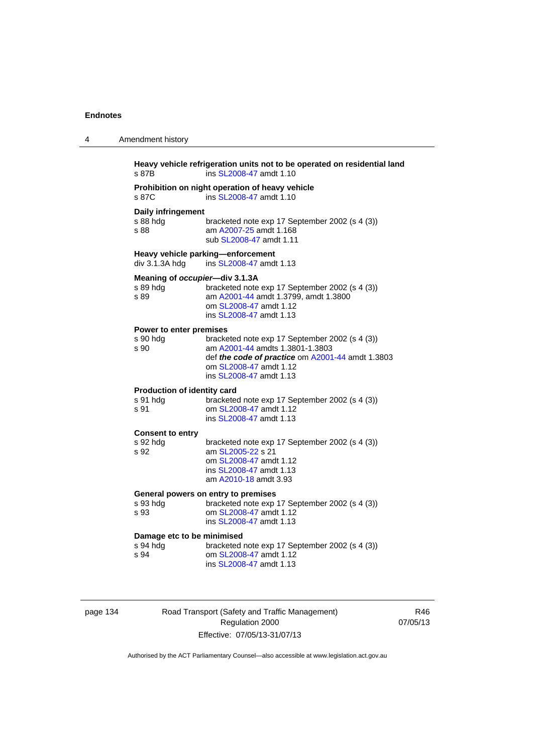| 4 | Amendment history                                                                                                                                                                                                                         |
|---|-------------------------------------------------------------------------------------------------------------------------------------------------------------------------------------------------------------------------------------------|
|   | Heavy vehicle refrigeration units not to be operated on residential land<br>ins SL2008-47 amdt 1.10<br>s 87B                                                                                                                              |
|   | Prohibition on night operation of heavy vehicle<br>ins SL2008-47 amdt 1.10<br>s 87C                                                                                                                                                       |
|   | Daily infringement<br>s 88 hdg<br>bracketed note exp 17 September 2002 (s 4 (3))<br>am A2007-25 amdt 1.168<br>s 88<br>sub SL2008-47 amdt 1.11                                                                                             |
|   | Heavy vehicle parking-enforcement<br>div 3.1.3A hdg<br>ins SL2008-47 amdt 1.13                                                                                                                                                            |
|   | Meaning of occupier-div 3.1.3A<br>s 89 hda<br>bracketed note exp 17 September 2002 (s 4 (3))<br>am A2001-44 amdt 1.3799, amdt 1.3800<br>s 89<br>om SL2008-47 amdt 1.12<br>ins SL2008-47 amdt 1.13                                         |
|   | Power to enter premises<br>bracketed note exp 17 September 2002 (s 4 (3))<br>s 90 hdg<br>am A2001-44 amdts 1.3801-1.3803<br>s 90<br>def the code of practice om A2001-44 amdt 1.3803<br>om SL2008-47 amdt 1.12<br>ins SL2008-47 amdt 1.13 |
|   | Production of identity card<br>s 91 hdg<br>bracketed note exp 17 September 2002 (s 4 (3))<br>om SL2008-47 amdt 1.12<br>s 91<br>ins SL2008-47 amdt 1.13                                                                                    |
|   | <b>Consent to entry</b><br>s 92 hdg<br>bracketed note exp 17 September 2002 (s 4 (3))<br>am SL2005-22 s 21<br>s 92<br>om SL2008-47 amdt 1.12<br>ins SL2008-47 amdt 1.13<br>am A2010-18 amdt 3.93                                          |
|   | General powers on entry to premises<br>bracketed note exp 17 September 2002 (s 4 (3))<br>s 93 hdg<br>om SL2008-47 amdt 1.12<br>s 93<br>ins SL2008-47 amdt 1.13                                                                            |
|   | Damage etc to be minimised<br>bracketed note exp 17 September 2002 (s 4 (3))<br>s 94 hdg<br>s 94<br>om SL2008-47 amdt 1.12<br>ins SL2008-47 amdt 1.13                                                                                     |
|   |                                                                                                                                                                                                                                           |

| page 134 |  |
|----------|--|
|          |  |

Road Transport (Safety and Traffic Management) Regulation 2000 Effective: 07/05/13-31/07/13

R46 07/05/13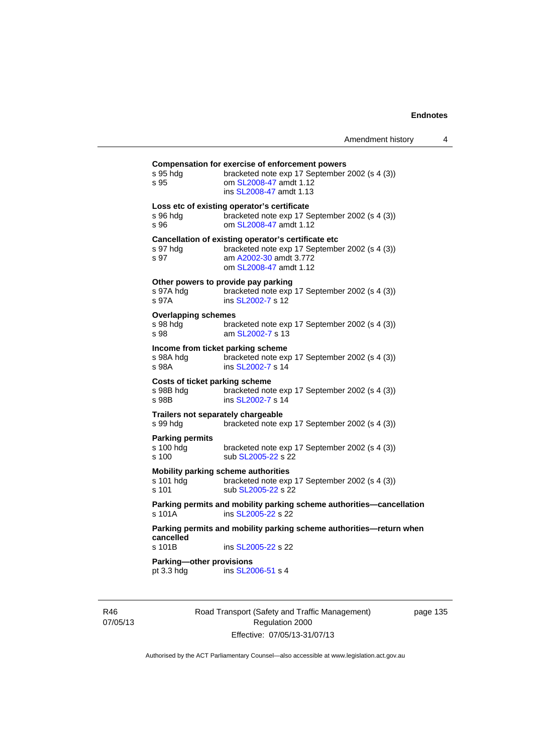| s 95 hda<br>s 95                                            | <b>Compensation for exercise of enforcement powers</b><br>bracketed note exp 17 September 2002 (s 4 (3))<br>om SL2008-47 amdt 1.12<br>ins SL2008-47 amdt 1.13 |
|-------------------------------------------------------------|---------------------------------------------------------------------------------------------------------------------------------------------------------------|
| s 96 hda<br>s 96                                            | Loss etc of existing operator's certificate<br>bracketed note exp 17 September 2002 (s 4 (3))<br>om SL2008-47 amdt 1.12                                       |
| s 97 hda<br>s 97                                            | Cancellation of existing operator's certificate etc<br>bracketed note exp 17 September 2002 (s 4 (3))<br>am A2002-30 amdt 3.772<br>om SL2008-47 amdt 1.12     |
| s 97A hdg<br>s 97A                                          | Other powers to provide pay parking<br>bracketed note exp 17 September 2002 (s 4 (3))<br>ins SL2002-7 s 12                                                    |
| <b>Overlapping schemes</b><br>s 98 hda<br>s 98              | bracketed note exp 17 September 2002 (s 4 (3))<br>am SL2002-7 s 13                                                                                            |
| Income from ticket parking scheme<br>s 98A hda<br>s 98A     | bracketed note exp 17 September 2002 (s 4 (3))<br>ins SL2002-7 s 14                                                                                           |
| <b>Costs of ticket parking scheme</b><br>s 98B hdg<br>s 98B | bracketed note exp 17 September 2002 (s 4 (3))<br>ins SL2002-7 s 14                                                                                           |
| Trailers not separately chargeable<br>s 99 hda              | bracketed note exp 17 September 2002 (s 4 (3))                                                                                                                |
| <b>Parking permits</b><br>s 100 hdg<br>s 100                | bracketed note exp 17 September 2002 (s 4 (3))<br>sub SL2005-22 s 22                                                                                          |
| s 101 hda<br>s 101                                          | <b>Mobility parking scheme authorities</b><br>bracketed note exp 17 September 2002 (s 4 (3))<br>sub SL2005-22 s 22                                            |
| s 101A                                                      | Parking permits and mobility parking scheme authorities-cancellation<br>ins SL2005-22 s 22                                                                    |
| cancelled                                                   | Parking permits and mobility parking scheme authorities—return when                                                                                           |
| s 101B                                                      | ins SL2005-22 s 22                                                                                                                                            |
| Parking-other provisions<br>pt 3.3 hdg                      | ins SL2006-51 s 4                                                                                                                                             |
|                                                             |                                                                                                                                                               |

R46 07/05/13 Road Transport (Safety and Traffic Management) Regulation 2000 Effective: 07/05/13-31/07/13

page 135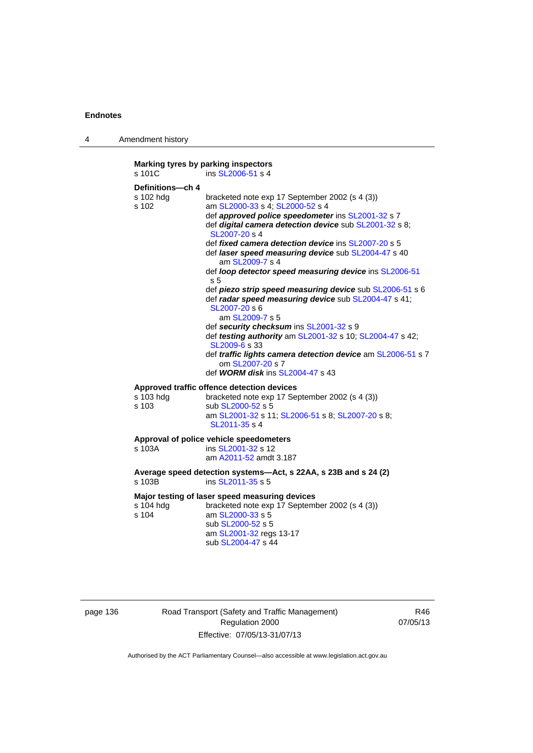4 Amendment history

```
Marking tyres by parking inspectors 
SL2006-51 s 4
Definitions—ch 4 
s 102 hdg bracketed note exp 17 September 2002 (s 4 (3))<br>s 102 am SL2000-33 s 4: SL2000-52 s 4
                   SL2000-33SL2000-52 s 4
                    def approved police speedometer ins SL2001-32 s 7 
                    def digital camera detection device sub SL2001-32 s 8; 
                    SL2007-20 s 4 
                    def fixed camera detection device ins SL2007-20 s 5 
                    def laser speed measuring device sub SL2004-47 s 40 
                       am SL2009-7 s 4 
                    def loop detector speed measuring device ins SL2006-51
                    s 5 
                    def piezo strip speed measuring device sub SL2006-51 s 6 
                    def radar speed measuring device sub SL2004-47 s 41; 
                    SL2007-20 s 6 
                       am SL2009-7 s 5 
                    def security checksum ins SL2001-32 s 9 
                    def testing authority am SL2001-32 s 10; SL2004-47 s 42;
                    SL2009-6 s 33 
                    def traffic lights camera detection device am SL2006-51 s 7 
                       om SL2007-20 s 7 
                    def WORM disk ins SL2004-47 s 43 
Approved traffic offence detection devices 
s 103 hdg bracketed note exp 17 September 2002 (s 4 (3))<br>s 103 sub SL2000-52 s 5
                   SL2000-52 s 5
                    am SL2001-32 s 11; SL2006-51 s 8; SL2007-20 s 8; 
                    SL2011-35 s 4 
Approval of police vehicle speedometers 
s 103A ins SL2001-32 s 12 
                    am A2011-52 amdt 3.187
Average speed detection systems—Act, s 22AA, s 23B and s 24 (2) 
SL2011-35 s 5
Major testing of laser speed measuring devices 
s 104 hdg bracketed note exp 17 September 2002 (s 4 (3))<br>s 104 am SL2000-33 s 5
                   SL2000-33 s 5
                    sub SL2000-52 s 5 
                    am SL2001-32 regs 13-17 
                    sub SL2004-47 s 44
```

| page 136 |  |
|----------|--|
|----------|--|

136 Road Transport (Safety and Traffic Management) Regulation 2000 Effective: 07/05/13-31/07/13

R46 07/05/13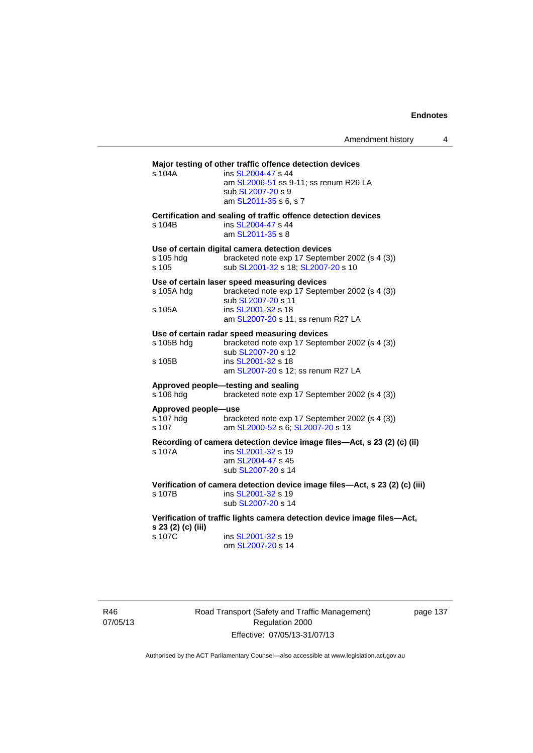| s 104A                                    | Major testing of other traffic offence detection devices<br>ins SL2004-47 s 44                                                           |
|-------------------------------------------|------------------------------------------------------------------------------------------------------------------------------------------|
|                                           | am SL2006-51 ss 9-11; ss renum R26 LA<br>sub SL2007-20 s 9<br>am SL2011-35 s 6, s 7                                                      |
| s 104B                                    | Certification and sealing of traffic offence detection devices<br>ins SL2004-47 s 44<br>am SL2011-35 s 8                                 |
| s 105 hdg<br>s 105                        | Use of certain digital camera detection devices<br>bracketed note exp 17 September 2002 (s 4 (3))<br>sub SL2001-32 s 18; SL2007-20 s 10  |
| s 105A hdg                                | Use of certain laser speed measuring devices<br>bracketed note exp 17 September 2002 (s 4 (3))<br>sub SL2007-20 s 11                     |
| s 105A                                    | ins SL2001-32 s 18<br>am SL2007-20 s 11; ss renum R27 LA                                                                                 |
| s 105B hdg                                | Use of certain radar speed measuring devices<br>bracketed note exp 17 September 2002 (s 4 (3))<br>sub SL2007-20 s 12                     |
| s 105B                                    | ins SL2001-32 s 18<br>am SL2007-20 s 12; ss renum R27 LA                                                                                 |
| s 106 hdg                                 | Approved people-testing and sealing<br>bracketed note exp 17 September 2002 (s 4 (3))                                                    |
| Approved people-use<br>s 107 hdg<br>s 107 | bracketed note exp 17 September 2002 (s 4 (3))<br>am SL2000-52 s 6; SL2007-20 s 13                                                       |
| s 107A                                    | Recording of camera detection device image files-Act, s 23 (2) (c) (ii)<br>ins SL2001-32 s 19<br>am SL2004-47 s 45<br>sub SL2007-20 s 14 |
| s 107B                                    | Verification of camera detection device image files-Act, s 23 (2) (c) (iii)<br>ins SL2001-32 s 19<br>sub SL2007-20 s 14                  |
| s 23 (2) (c) (iii)                        | Verification of traffic lights camera detection device image files-Act,                                                                  |
| s 107C                                    | ins SL2001-32 s 19<br>om SL2007-20 s 14                                                                                                  |
|                                           |                                                                                                                                          |

R46 07/05/13 Road Transport (Safety and Traffic Management) Regulation 2000 Effective: 07/05/13-31/07/13

page 137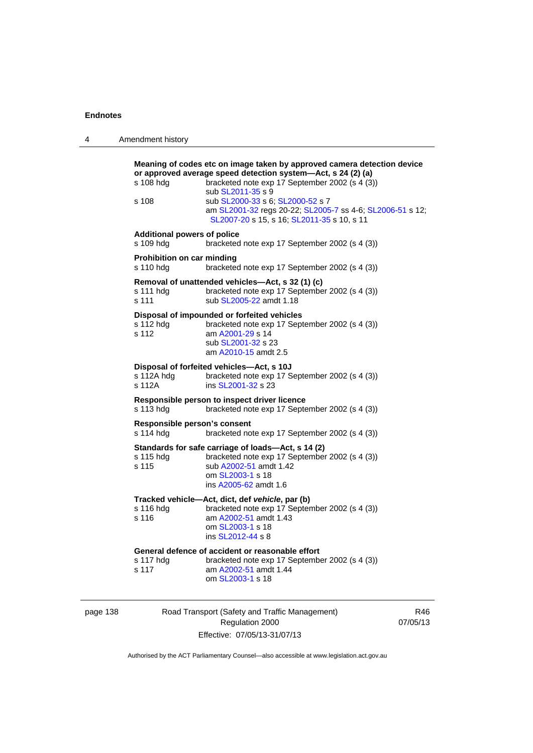| 4 | Amendment history                               |                                                                                                                                                                                                                                                                                                                                                               |
|---|-------------------------------------------------|---------------------------------------------------------------------------------------------------------------------------------------------------------------------------------------------------------------------------------------------------------------------------------------------------------------------------------------------------------------|
|   | s 108 hdg<br>s 108                              | Meaning of codes etc on image taken by approved camera detection device<br>or approved average speed detection system-Act, s 24 (2) (a)<br>bracketed note exp 17 September 2002 (s 4 (3))<br>sub SL2011-35 s 9<br>sub SL2000-33 s 6; SL2000-52 s 7<br>am SL2001-32 regs 20-22; SL2005-7 ss 4-6; SL2006-51 s 12;<br>SL2007-20 s 15, s 16; SL2011-35 s 10, s 11 |
|   | <b>Additional powers of police</b><br>s 109 hdg | bracketed note exp 17 September 2002 (s 4 (3))                                                                                                                                                                                                                                                                                                                |
|   | Prohibition on car minding<br>s 110 hdg         | bracketed note exp 17 September 2002 (s 4 (3))                                                                                                                                                                                                                                                                                                                |
|   | s 111 hdg<br>s 111                              | Removal of unattended vehicles-Act, s 32 (1) (c)<br>bracketed note exp 17 September 2002 (s 4 (3))<br>sub SL2005-22 amdt 1.18                                                                                                                                                                                                                                 |
|   | s 112 hda<br>s 112                              | Disposal of impounded or forfeited vehicles<br>bracketed note exp 17 September 2002 (s 4 (3))<br>am A2001-29 s 14<br>sub SL2001-32 s 23<br>am A2010-15 amdt 2.5                                                                                                                                                                                               |
|   | s 112A hdg<br>s 112A                            | Disposal of forfeited vehicles-Act, s 10J<br>bracketed note exp 17 September 2002 (s 4 (3))<br>ins SL2001-32 s 23                                                                                                                                                                                                                                             |
|   | s 113 hdg                                       | Responsible person to inspect driver licence<br>bracketed note exp 17 September 2002 (s 4 (3))                                                                                                                                                                                                                                                                |
|   | Responsible person's consent<br>s 114 hdg       | bracketed note exp 17 September 2002 (s 4 (3))                                                                                                                                                                                                                                                                                                                |
|   | s 115 hdg<br>s 115                              | Standards for safe carriage of loads-Act, s 14 (2)<br>bracketed note exp 17 September 2002 (s 4 (3))<br>sub A2002-51 amdt 1.42<br>om SL2003-1 s 18<br>ins A2005-62 amdt 1.6                                                                                                                                                                                   |
|   | s 116 hdg<br>s 116                              | Tracked vehicle-Act, dict, def vehicle, par (b)<br>bracketed note exp 17 September 2002 (s 4 (3))<br>am A2002-51 amdt 1.43<br>om SL2003-1 s 18<br>ins SL2012-44 s 8                                                                                                                                                                                           |
|   | s 117 hdg<br>s 117                              | General defence of accident or reasonable effort<br>bracketed note exp 17 September 2002 (s 4 (3))<br>am A2002-51 amdt 1.44<br>om SL2003-1 s 18                                                                                                                                                                                                               |

page 138 Road Transport (Safety and Traffic Management) Regulation 2000 Effective: 07/05/13-31/07/13

R46 07/05/13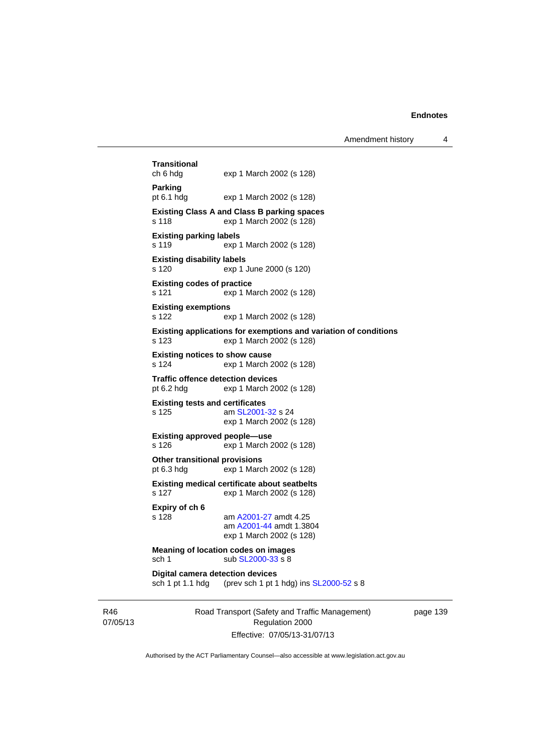| <b>Transitional</b><br>ch 6 hdg                             | exp 1 March 2002 (s 128)                                                                     |
|-------------------------------------------------------------|----------------------------------------------------------------------------------------------|
| Parking<br>pt 6.1 hdg                                       | exp 1 March 2002 (s 128)                                                                     |
| s 118                                                       | <b>Existing Class A and Class B parking spaces</b><br>exp 1 March 2002 (s 128)               |
| <b>Existing parking labels</b><br>s 119                     | exp 1 March 2002 (s 128)                                                                     |
| <b>Existing disability labels</b><br>s 120                  | exp 1 June 2000 (s 120)                                                                      |
| <b>Existing codes of practice</b><br>s 121                  | exp 1 March 2002 (s 128)                                                                     |
| <b>Existing exemptions</b><br>s 122                         | exp 1 March 2002 (s 128)                                                                     |
| s 123                                                       | Existing applications for exemptions and variation of conditions<br>exp 1 March 2002 (s 128) |
| <b>Existing notices to show cause</b><br>s 124              | exp 1 March 2002 (s 128)                                                                     |
| <b>Traffic offence detection devices</b><br>pt 6.2 hdg      | exp 1 March 2002 (s 128)                                                                     |
| <b>Existing tests and certificates</b><br>s 125             | am SL2001-32 s 24<br>exp 1 March 2002 (s 128)                                                |
| <b>Existing approved people-use</b><br>s 126                | exp 1 March 2002 (s 128)                                                                     |
| Other transitional provisions<br>pt $6.3$ hdg               | exp 1 March 2002 (s 128)                                                                     |
| s 127                                                       | <b>Existing medical certificate about seatbelts</b><br>exp 1 March 2002 (s 128)              |
| Expiry of ch 6<br>s 128                                     | am A2001-27 amdt 4.25<br>am A2001-44 amdt 1.3804<br>exp 1 March 2002 (s 128)                 |
| sch 1                                                       | <b>Meaning of location codes on images</b><br>sub SL2000-33 s 8                              |
| <b>Digital camera detection devices</b><br>sch 1 pt 1.1 hdg | (prev sch 1 pt 1 hdg) ins SL2000-52 s 8                                                      |
|                                                             | Road Transport (Safety and Traffic Management)                                               |

R46 07/05/13

Regulation 2000 Effective: 07/05/13-31/07/13 page 139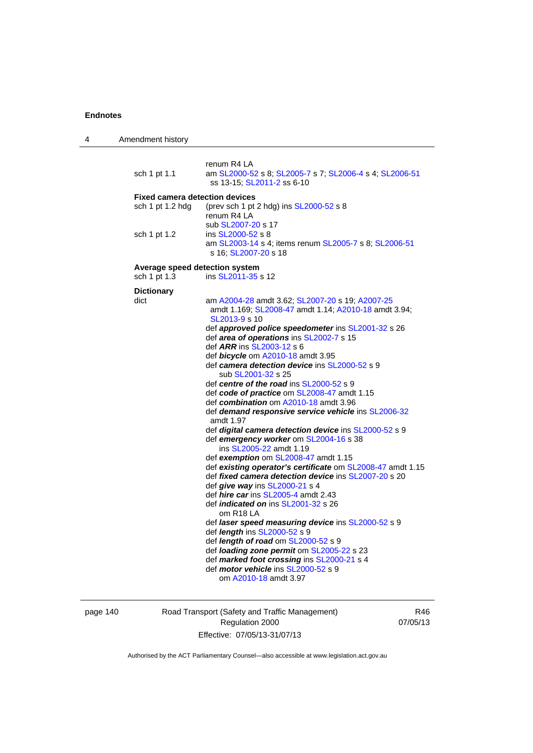| 4 | Amendment history                     |                                                                                                                          |
|---|---------------------------------------|--------------------------------------------------------------------------------------------------------------------------|
|   | sch 1 pt 1.1                          | renum R4 LA<br>am SL2000-52 s 8; SL2005-7 s 7; SL2006-4 s 4; SL2006-51                                                   |
|   |                                       | ss 13-15; SL2011-2 ss 6-10                                                                                               |
|   | <b>Fixed camera detection devices</b> |                                                                                                                          |
|   | sch 1 pt 1.2 hdg                      | (prev sch 1 pt 2 hdg) ins SL2000-52 s 8<br>renum R4 LA<br>sub SL2007-20 s 17                                             |
|   | sch 1 pt 1.2                          | ins SL2000-52 s 8<br>am SL2003-14 s 4; items renum SL2005-7 s 8; SL2006-51<br>s 16; SL2007-20 s 18                       |
|   |                                       |                                                                                                                          |
|   | Average speed detection system        |                                                                                                                          |
|   | sch 1 pt 1.3                          | ins SL2011-35 s 12                                                                                                       |
|   | <b>Dictionary</b>                     |                                                                                                                          |
|   | dict                                  | am A2004-28 amdt 3.62; SL2007-20 s 19; A2007-25<br>amdt 1.169; SL2008-47 amdt 1.14; A2010-18 amdt 3.94;<br>SL2013-9 s 10 |
|   |                                       | def approved police speedometer ins SL2001-32 s 26                                                                       |
|   |                                       | def area of operations ins SL2002-7 s 15                                                                                 |
|   |                                       | def ARR ins SL2003-12 s 6                                                                                                |
|   |                                       | def bicycle om A2010-18 amdt 3.95<br>def camera detection device ins SL2000-52 s 9                                       |
|   |                                       | sub SL2001-32 s 25                                                                                                       |
|   |                                       | def centre of the road ins SL2000-52 s 9                                                                                 |
|   |                                       | def code of practice om SL2008-47 amdt 1.15                                                                              |
|   |                                       | def combination om A2010-18 amdt 3.96                                                                                    |
|   |                                       | def demand responsive service vehicle ins SL2006-32                                                                      |
|   |                                       | amdt 1.97<br>def digital camera detection device ins SL2000-52 s 9                                                       |
|   |                                       | def emergency worker om SL2004-16 s 38                                                                                   |
|   |                                       | ins SL2005-22 amdt 1.19                                                                                                  |
|   |                                       | def exemption om SL2008-47 amdt 1.15                                                                                     |
|   |                                       | def existing operator's certificate om SL2008-47 amdt 1.15                                                               |
|   |                                       | def <i>fixed camera detection device</i> ins SL2007-20 s 20                                                              |
|   |                                       | def give way ins SL2000-21 s 4                                                                                           |
|   |                                       | def <i>hire car</i> ins SL2005-4 amdt 2.43<br>def <i>indicated on</i> ins SL2001-32 s 26                                 |
|   |                                       | om R18 LA                                                                                                                |
|   |                                       | def laser speed measuring device ins SL2000-52 s 9                                                                       |
|   |                                       | def length ins SL2000-52 s 9                                                                                             |
|   |                                       | def length of road om SL2000-52 s 9                                                                                      |
|   |                                       | def loading zone permit om SL2005-22 s 23                                                                                |
|   |                                       | def marked foot crossing ins SL2000-21 s 4<br>def <i>motor vehicle</i> ins SL2000-52 s 9                                 |
|   |                                       | om A2010-18 amdt 3.97                                                                                                    |
|   |                                       |                                                                                                                          |

page 140 Road Transport (Safety and Traffic Management) Regulation 2000 Effective: 07/05/13-31/07/13

R46 07/05/13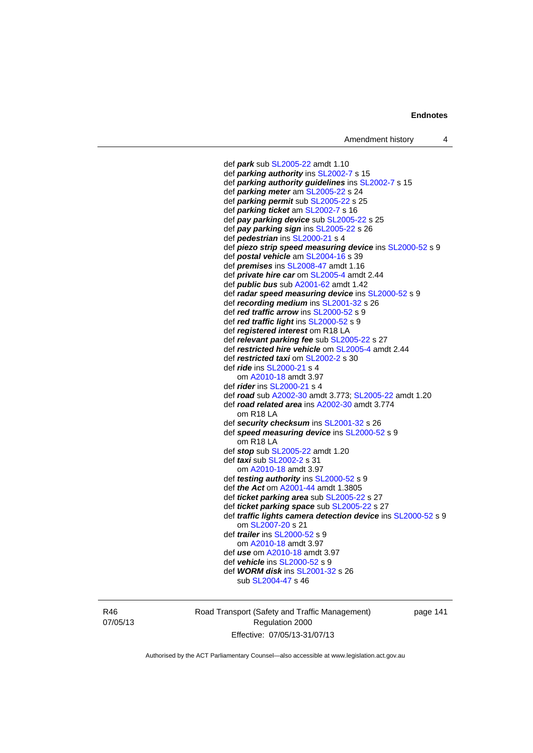def *park* sub [SL2005-22](http://www.legislation.act.gov.au/sl/2005-22) amdt 1.10 def *parking authority* ins [SL2002-7](http://www.legislation.act.gov.au/sl/2002-7) s 15 def *parking authority guidelines* ins [SL2002-7](http://www.legislation.act.gov.au/sl/2002-7) s 15 def *parking meter* am [SL2005-22](http://www.legislation.act.gov.au/sl/2005-22) s 24 def *parking permit* sub [SL2005-22](http://www.legislation.act.gov.au/sl/2005-22) s 25 def *parking ticket* am [SL2002-7](http://www.legislation.act.gov.au/sl/2002-7) s 16 def *pay parking device* sub [SL2005-22](http://www.legislation.act.gov.au/sl/2005-22) s 25 def *pay parking sign* ins [SL2005-22](http://www.legislation.act.gov.au/sl/2005-22) s 26 def *pedestrian* ins [SL2000-21](http://www.legislation.act.gov.au/sl/2000-21) s 4 def *piezo strip speed measuring device* ins [SL2000-52](http://www.legislation.act.gov.au/sl/2000-52) s 9 def *postal vehicle* am [SL2004-16](http://www.legislation.act.gov.au/sl/2004-16) s 39 def *premises* ins [SL2008-47](http://www.legislation.act.gov.au/sl/2008-47) amdt 1.16 def *private hire car* om [SL2005-4](http://www.legislation.act.gov.au/sl/2005-4) amdt 2.44 def *public bus* sub [A2001-62](http://www.legislation.act.gov.au/a/2001-62) amdt 1.42 def *radar speed measuring device* ins [SL2000-52](http://www.legislation.act.gov.au/sl/2000-52) s 9 def *recording medium* ins [SL2001-32](http://www.legislation.act.gov.au/sl/2001-32) s 26 def *red traffic arrow* ins [SL2000-52](http://www.legislation.act.gov.au/sl/2000-52) s 9 def *red traffic light* ins [SL2000-52](http://www.legislation.act.gov.au/sl/2000-52) s 9 def *registered interest* om R18 LA def *relevant parking fee* sub [SL2005-22](http://www.legislation.act.gov.au/sl/2005-22) s 27 def *restricted hire vehicle* om [SL2005-4](http://www.legislation.act.gov.au/sl/2005-4) amdt 2.44 def *restricted taxi* om [SL2002-2](http://www.legislation.act.gov.au/sl/2002-2) s 30 def *ride* ins [SL2000-21](http://www.legislation.act.gov.au/sl/2000-21) s 4 om [A2010-18](http://www.legislation.act.gov.au/a/2010-18) amdt 3.97 def *rider* ins [SL2000-21](http://www.legislation.act.gov.au/sl/2000-21) s 4 def *road* sub [A2002-30](http://www.legislation.act.gov.au/a/2002-30) amdt 3.773; [SL2005-22](http://www.legislation.act.gov.au/sl/2005-22) amdt 1.20 def *road related area* ins [A2002-30](http://www.legislation.act.gov.au/a/2002-30) amdt 3.774 om R18 LA def *security checksum* ins [SL2001-32](http://www.legislation.act.gov.au/sl/2001-32) s 26 def *speed measuring device* ins [SL2000-52](http://www.legislation.act.gov.au/sl/2000-52) s 9 om R18 LA def *stop* sub [SL2005-22](http://www.legislation.act.gov.au/sl/2005-22) amdt 1.20 def *taxi* sub [SL2002-2](http://www.legislation.act.gov.au/sl/2002-2) s 31 om [A2010-18](http://www.legislation.act.gov.au/a/2010-18) amdt 3.97 def *testing authority* ins [SL2000-52](http://www.legislation.act.gov.au/sl/2000-52) s 9 def *the Act* om [A2001-44](http://www.legislation.act.gov.au/a/2001-44) amdt 1.3805 def *ticket parking area* sub [SL2005-22](http://www.legislation.act.gov.au/sl/2005-22) s 27 def *ticket parking space* sub [SL2005-22](http://www.legislation.act.gov.au/sl/2005-22) s 27 def *traffic lights camera detection device* ins [SL2000-52](http://www.legislation.act.gov.au/sl/2000-52) s 9 om [SL2007-20](http://www.legislation.act.gov.au/sl/2007-20) s 21 def *trailer* ins [SL2000-52](http://www.legislation.act.gov.au/sl/2000-52) s 9 om [A2010-18](http://www.legislation.act.gov.au/a/2010-18) amdt 3.97 def *use* om [A2010-18](http://www.legislation.act.gov.au/a/2010-18) amdt 3.97 def *vehicle* ins [SL2000-52](http://www.legislation.act.gov.au/sl/2000-52) s 9 def *WORM disk* ins [SL2001-32](http://www.legislation.act.gov.au/sl/2001-32) s 26 sub [SL2004-47](http://www.legislation.act.gov.au/sl/2004-47) s 46

R46 07/05/13 Road Transport (Safety and Traffic Management) Regulation 2000 Effective: 07/05/13-31/07/13

page 141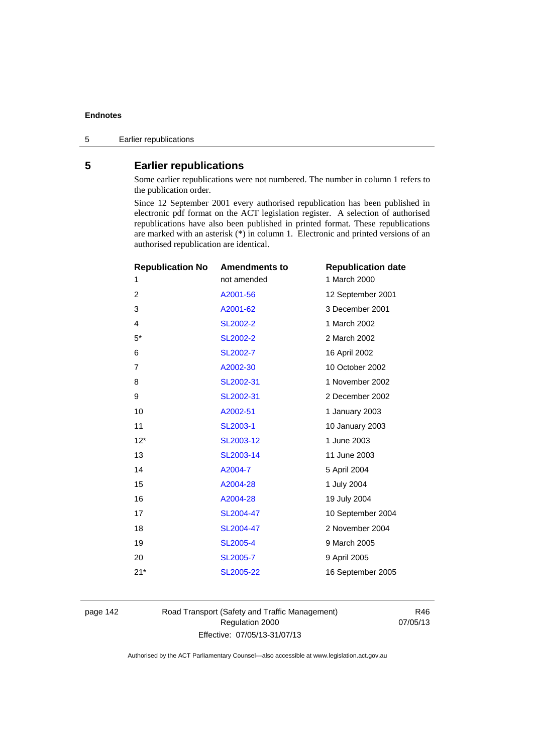# **5 Earlier republications**

Some earlier republications were not numbered. The number in column 1 refers to the publication order.

Since 12 September 2001 every authorised republication has been published in electronic pdf format on the ACT legislation register. A selection of authorised republications have also been published in printed format. These republications are marked with an asterisk (\*) in column 1. Electronic and printed versions of an authorised republication are identical.

| <b>Republication No</b> | <b>Amendments to</b> | <b>Republication date</b> |
|-------------------------|----------------------|---------------------------|
| 1                       | not amended          | 1 March 2000              |
| 2                       | A2001-56             | 12 September 2001         |
| 3                       | A2001-62             | 3 December 2001           |
| 4                       | SL2002-2             | 1 March 2002              |
| $5*$                    | <b>SL2002-2</b>      | 2 March 2002              |
| 6                       | SL2002-7             | 16 April 2002             |
| 7                       | A2002-30             | 10 October 2002           |
| 8                       | SL2002-31            | 1 November 2002           |
| 9                       | SL2002-31            | 2 December 2002           |
| 10                      | A2002-51             | 1 January 2003            |
| 11                      | SL2003-1             | 10 January 2003           |
| $12*$                   | SL2003-12            | 1 June 2003               |
| 13                      | SL2003-14            | 11 June 2003              |
| 14                      | A2004-7              | 5 April 2004              |
| 15                      | A2004-28             | 1 July 2004               |
| 16                      | A2004-28             | 19 July 2004              |
| 17                      | SL2004-47            | 10 September 2004         |
| 18                      | SL2004-47            | 2 November 2004           |
| 19                      | <b>SL2005-4</b>      | 9 March 2005              |
| 20                      | SL2005-7             | 9 April 2005              |
| $21*$                   | SL2005-22            | 16 September 2005         |
|                         |                      |                           |

page 142 Road Transport (Safety and Traffic Management) Regulation 2000 Effective: 07/05/13-31/07/13

R46 07/05/13